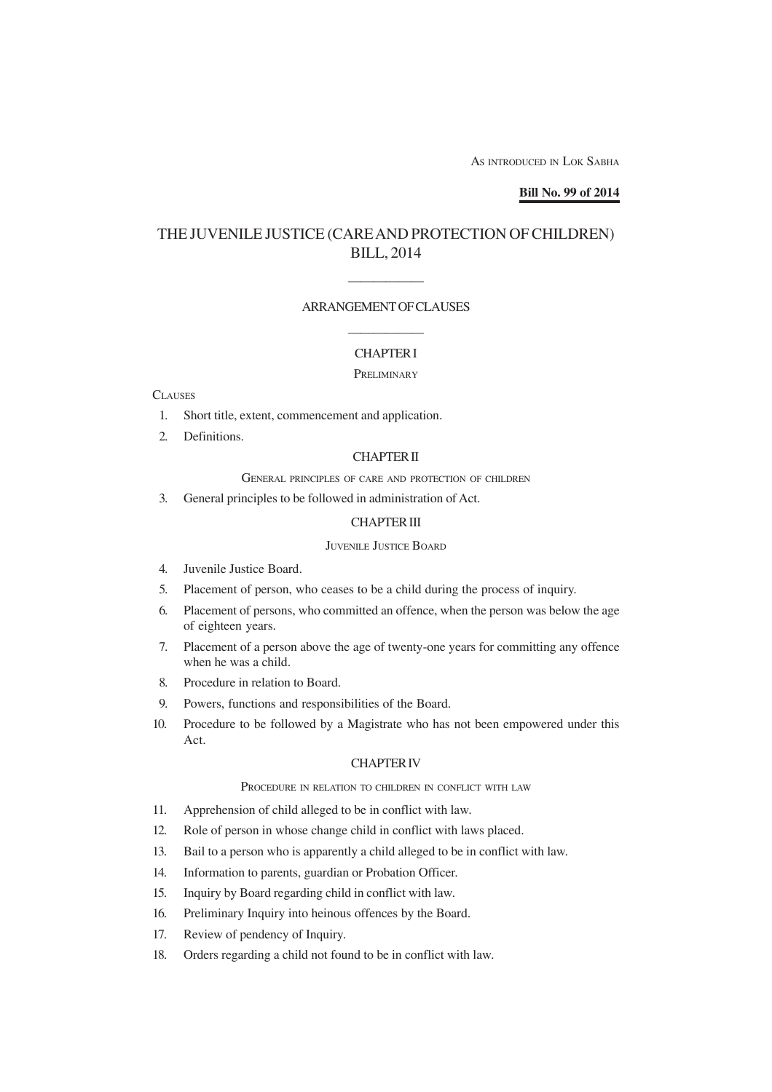AS INTRODUCED IN LOK SABHA

# **Bill No. 99 of 2014**

# THE JUVENILE JUSTICE (CARE AND PROTECTION OF CHILDREN) BILL, 2014

## ARRANGEMENT OF CLAUSES

——————

# —————— CHAPTER I

#### **PRELIMINARY**

# **CLAUSES**

- 1. Short title, extent, commencement and application.
- 2. Definitions.

# CHAPTER II

# GENERAL PRINCIPLES OF CARE AND PROTECTION OF CHILDREN

3. General principles to be followed in administration of Act.

# CHAPTER III

## JUVENILE JUSTICE BOARD

- 4. Juvenile Justice Board.
- 5. Placement of person, who ceases to be a child during the process of inquiry.
- 6. Placement of persons, who committed an offence, when the person was below the age of eighteen years.
- 7. Placement of a person above the age of twenty-one years for committing any offence when he was a child.
- 8. Procedure in relation to Board.
- 9. Powers, functions and responsibilities of the Board.
- 10. Procedure to be followed by a Magistrate who has not been empowered under this Act.

# CHAPTER IV

# PROCEDURE IN RELATION TO CHILDREN IN CONFLICT WITH LAW

- 11. Apprehension of child alleged to be in conflict with law.
- 12. Role of person in whose change child in conflict with laws placed.
- 13. Bail to a person who is apparently a child alleged to be in conflict with law.
- 14. Information to parents, guardian or Probation Officer.
- 15. Inquiry by Board regarding child in conflict with law.
- 16. Preliminary Inquiry into heinous offences by the Board.
- 17. Review of pendency of Inquiry.
- 18. Orders regarding a child not found to be in conflict with law.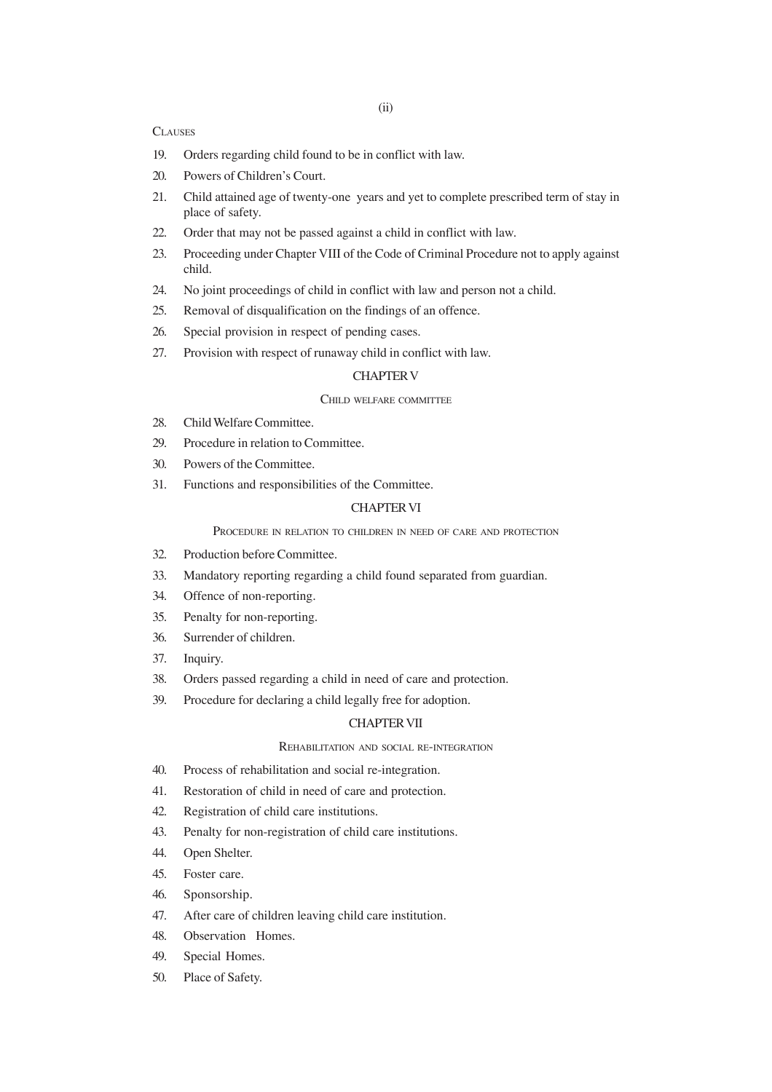# **CLAUSES**

- 19. Orders regarding child found to be in conflict with law.
- 20. Powers of Children's Court.
- 21. Child attained age of twenty-one years and yet to complete prescribed term of stay in place of safety.
- 22. Order that may not be passed against a child in conflict with law.
- 23. Proceeding under Chapter VIII of the Code of Criminal Procedure not to apply against child.
- 24. No joint proceedings of child in conflict with law and person not a child.
- 25. Removal of disqualification on the findings of an offence.
- 26. Special provision in respect of pending cases.
- 27. Provision with respect of runaway child in conflict with law.

# CHAPTER V

#### CHILD WELFARE COMMITTEE

- 28. Child Welfare Committee.
- 29. Procedure in relation to Committee.
- 30. Powers of the Committee.
- 31. Functions and responsibilities of the Committee.

# CHAPTER VI

PROCEDURE IN RELATION TO CHILDREN IN NEED OF CARE AND PROTECTION

- 32. Production before Committee.
- 33. Mandatory reporting regarding a child found separated from guardian.
- 34. Offence of non-reporting.
- 35. Penalty for non-reporting.
- 36. Surrender of children.
- 37. Inquiry.
- 38. Orders passed regarding a child in need of care and protection.
- 39. Procedure for declaring a child legally free for adoption.

## CHAPTER VII

## REHABILITATION AND SOCIAL RE-INTEGRATION

- 40. Process of rehabilitation and social re-integration.
- 41. Restoration of child in need of care and protection.
- 42. Registration of child care institutions.
- 43. Penalty for non-registration of child care institutions.
- 44. Open Shelter.
- 45. Foster care.
- 46. Sponsorship.
- 47. After care of children leaving child care institution.
- 48. Observation Homes.
- 49. Special Homes.
- 50. Place of Safety.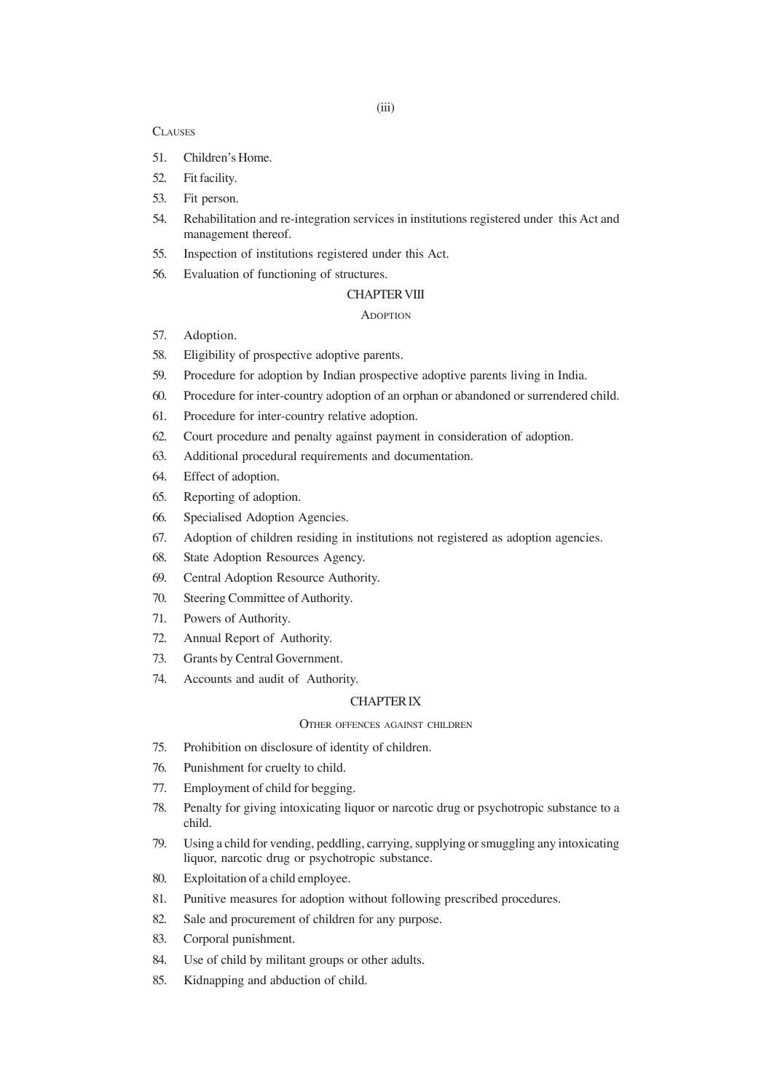# (iii)

# **CLAUSES**

- 51. Children's Home.
- 52. Fit facility.
- 53. Fit person.
- 54. Rehabilitation and re-integration services in institutions registered under this Act and management thereof.
- 55. Inspection of institutions registered under this Act.
- 56. Evaluation of functioning of structures.

# CHAPTER VIII

## **ADOPTION**

- 57. Adoption.
- 58. Eligibility of prospective adoptive parents.
- 59. Procedure for adoption by Indian prospective adoptive parents living in India.
- 60. Procedure for inter-country adoption of an orphan or abandoned or surrendered child.
- 61. Procedure for inter-country relative adoption.
- 62. Court procedure and penalty against payment in consideration of adoption.
- 63. Additional procedural requirements and documentation.
- 64. Effect of adoption.
- 65. Reporting of adoption.
- 66. Specialised Adoption Agencies.
- 67. Adoption of children residing in institutions not registered as adoption agencies.
- 68. State Adoption Resources Agency.
- 69. Central Adoption Resource Authority.
- 70. Steering Committee of Authority.
- 71. Powers of Authority.
- 72. Annual Report of Authority.
- 73. Grants by Central Government.
- 74. Accounts and audit of Authority.

## CHAPTER IX

## OTHER OFFENCES AGAINST CHILDREN

- 75. Prohibition on disclosure of identity of children.
- 76. Punishment for cruelty to child.
- 77. Employment of child for begging.
- 78. Penalty for giving intoxicating liquor or narcotic drug or psychotropic substance to a child.
- 79. Using a child for vending, peddling, carrying, supplying or smuggling any intoxicating liquor, narcotic drug or psychotropic substance.
- 80. Exploitation of a child employee.
- 81. Punitive measures for adoption without following prescribed procedures.
- 82. Sale and procurement of children for any purpose.
- 83. Corporal punishment.
- 84. Use of child by militant groups or other adults.
- 85. Kidnapping and abduction of child.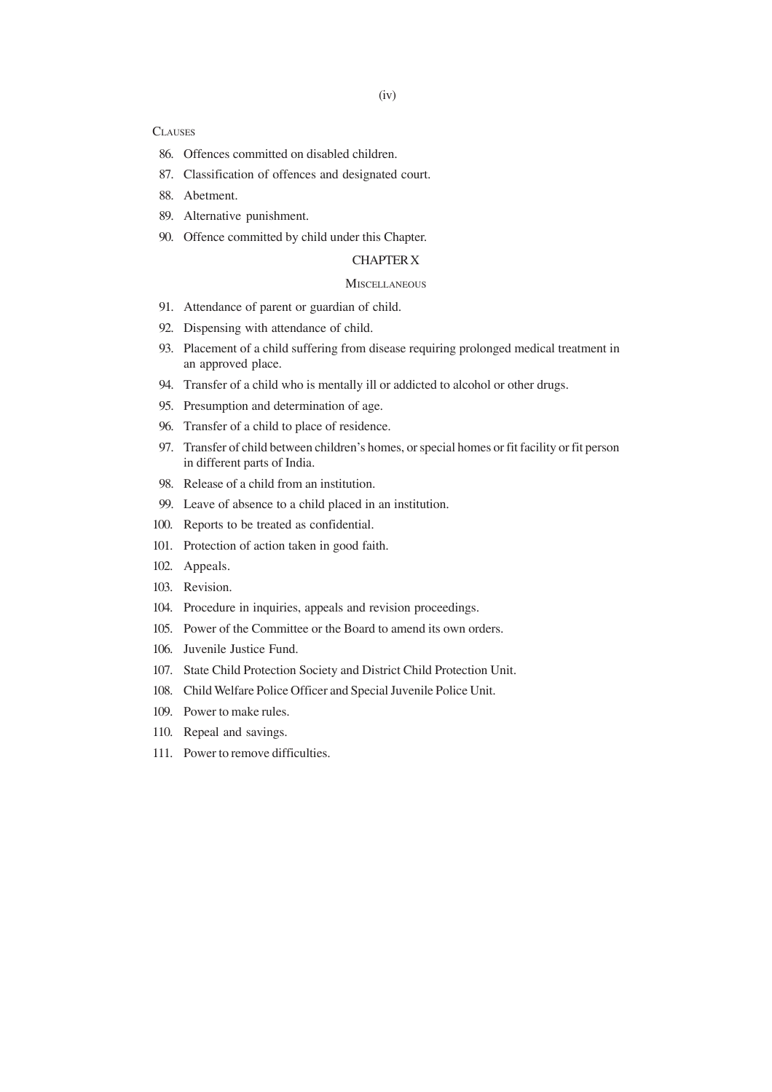# **CLAUSES**

- 86. Offences committed on disabled children.
- 87. Classification of offences and designated court.
- 88. Abetment.
- 89. Alternative punishment.
- 90. Offence committed by child under this Chapter.

# CHAPTER X

#### **MISCELLANEOUS**

- 91. Attendance of parent or guardian of child.
- 92. Dispensing with attendance of child.
- 93. Placement of a child suffering from disease requiring prolonged medical treatment in an approved place.
- 94. Transfer of a child who is mentally ill or addicted to alcohol or other drugs.
- 95. Presumption and determination of age.
- 96. Transfer of a child to place of residence.
- 97. Transfer of child between children's homes, or special homes or fit facility or fit person in different parts of India.
- 98. Release of a child from an institution.
- 99. Leave of absence to a child placed in an institution.
- 100. Reports to be treated as confidential.
- 101. Protection of action taken in good faith.
- 102. Appeals.
- 103. Revision.
- 104. Procedure in inquiries, appeals and revision proceedings.
- 105. Power of the Committee or the Board to amend its own orders.
- 106. Juvenile Justice Fund.
- 107. State Child Protection Society and District Child Protection Unit.
- 108. Child Welfare Police Officer and Special Juvenile Police Unit.
- 109. Power to make rules.
- 110. Repeal and savings.
- 111. Power to remove difficulties.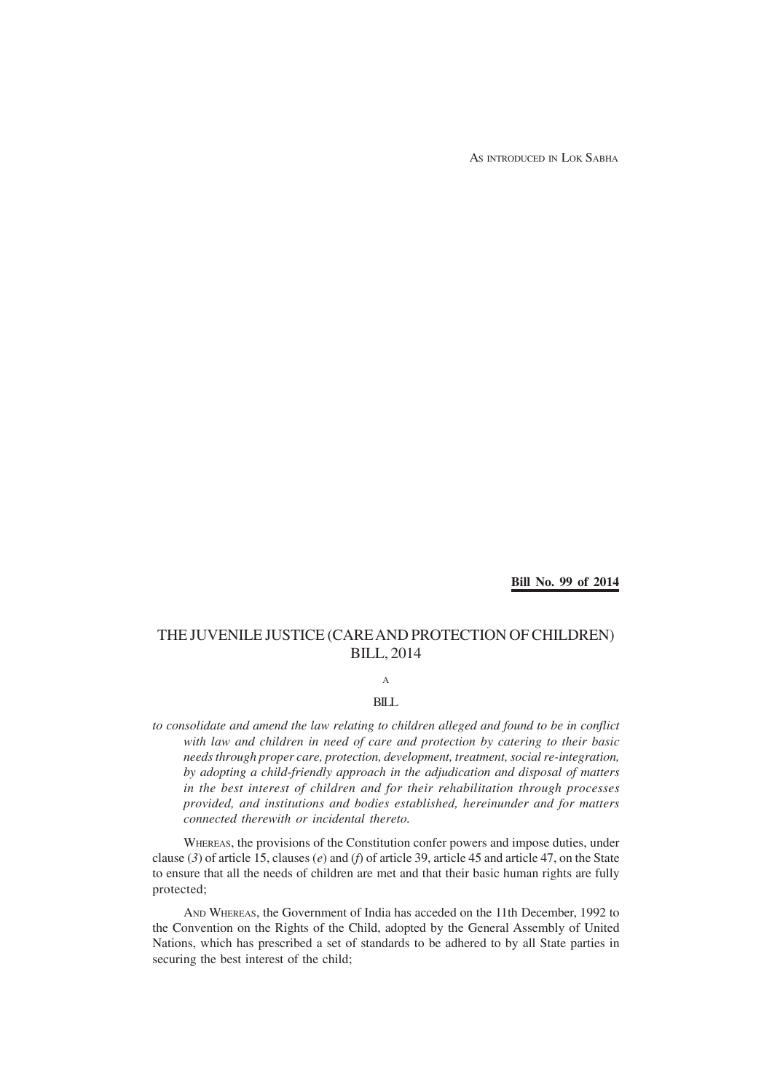AS INTRODUCED IN LOK SABHA

**Bill No. 99 of 2014**

# THE JUVENILE JUSTICE (CARE AND PROTECTION OF CHILDREN) BILL, 2014

A BILL

*to consolidate and amend the law relating to children alleged and found to be in conflict with law and children in need of care and protection by catering to their basic needs through proper care, protection, development, treatment, social re-integration, by adopting a child-friendly approach in the adjudication and disposal of matters in the best interest of children and for their rehabilitation through processes provided, and institutions and bodies established, hereinunder and for matters connected therewith or incidental thereto.*

WHEREAS, the provisions of the Constitution confer powers and impose duties, under clause (*3*) of article 15, clauses (*e*) and (*f*) of article 39, article 45 and article 47, on the State to ensure that all the needs of children are met and that their basic human rights are fully protected;

AND WHEREAS, the Government of India has acceded on the 11th December, 1992 to the Convention on the Rights of the Child, adopted by the General Assembly of United Nations, which has prescribed a set of standards to be adhered to by all State parties in securing the best interest of the child;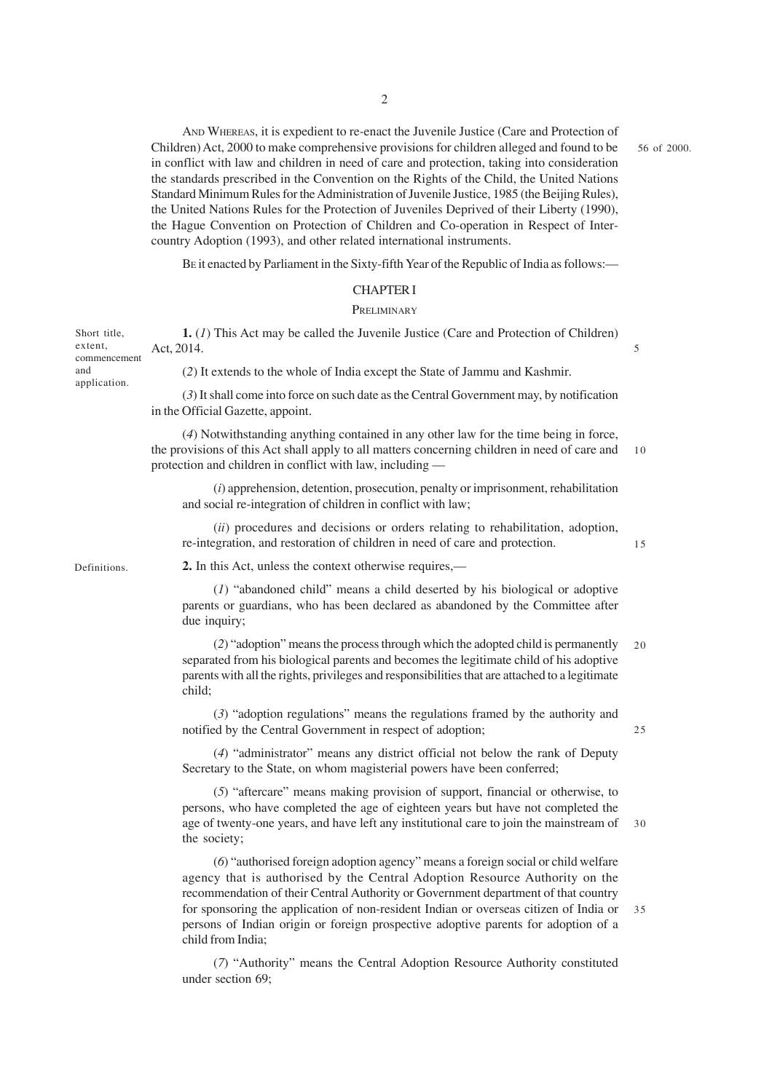AND WHEREAS, it is expedient to re-enact the Juvenile Justice (Care and Protection of Children) Act, 2000 to make comprehensive provisions for children alleged and found to be in conflict with law and children in need of care and protection, taking into consideration the standards prescribed in the Convention on the Rights of the Child, the United Nations Standard Minimum Rules for the Administration of Juvenile Justice, 1985 (the Beijing Rules), the United Nations Rules for the Protection of Juveniles Deprived of their Liberty (1990), the Hague Convention on Protection of Children and Co-operation in Respect of Intercountry Adoption (1993), and other related international instruments.

BE it enacted by Parliament in the Sixty-fifth Year of the Republic of India as follows:—

#### CHAPTER I

#### **PRELIMINARY**

**1.** (*1*) This Act may be called the Juvenile Justice (Care and Protection of Children) Act, 2014. Short title, extent,

commencement and application.

(*2*) It extends to the whole of India except the State of Jammu and Kashmir.

(*3*) It shall come into force on such date as the Central Government may, by notification in the Official Gazette, appoint.

(*4*) Notwithstanding anything contained in any other law for the time being in force, the provisions of this Act shall apply to all matters concerning children in need of care and protection and children in conflict with law, including — 10

(*i*) apprehension, detention, prosecution, penalty or imprisonment, rehabilitation and social re-integration of children in conflict with law;

(*ii*) procedures and decisions or orders relating to rehabilitation, adoption, re-integration, and restoration of children in need of care and protection.

15

 $25$ 

5

56 of 2000.

Definitions.

**2.** In this Act, unless the context otherwise requires,—

(*1*) "abandoned child" means a child deserted by his biological or adoptive parents or guardians, who has been declared as abandoned by the Committee after due inquiry;

(*2*) "adoption" means the process through which the adopted child is permanently separated from his biological parents and becomes the legitimate child of his adoptive parents with all the rights, privileges and responsibilities that are attached to a legitimate child;  $20$ 

(*3*) "adoption regulations" means the regulations framed by the authority and notified by the Central Government in respect of adoption;

(*4*) "administrator" means any district official not below the rank of Deputy Secretary to the State, on whom magisterial powers have been conferred;

(*5*) "aftercare" means making provision of support, financial or otherwise, to persons, who have completed the age of eighteen years but have not completed the age of twenty-one years, and have left any institutional care to join the mainstream of the society; 30

(*6*) "authorised foreign adoption agency" means a foreign social or child welfare agency that is authorised by the Central Adoption Resource Authority on the recommendation of their Central Authority or Government department of that country for sponsoring the application of non-resident Indian or overseas citizen of India or persons of Indian origin or foreign prospective adoptive parents for adoption of a child from India; 35

(*7*) "Authority" means the Central Adoption Resource Authority constituted under section 69;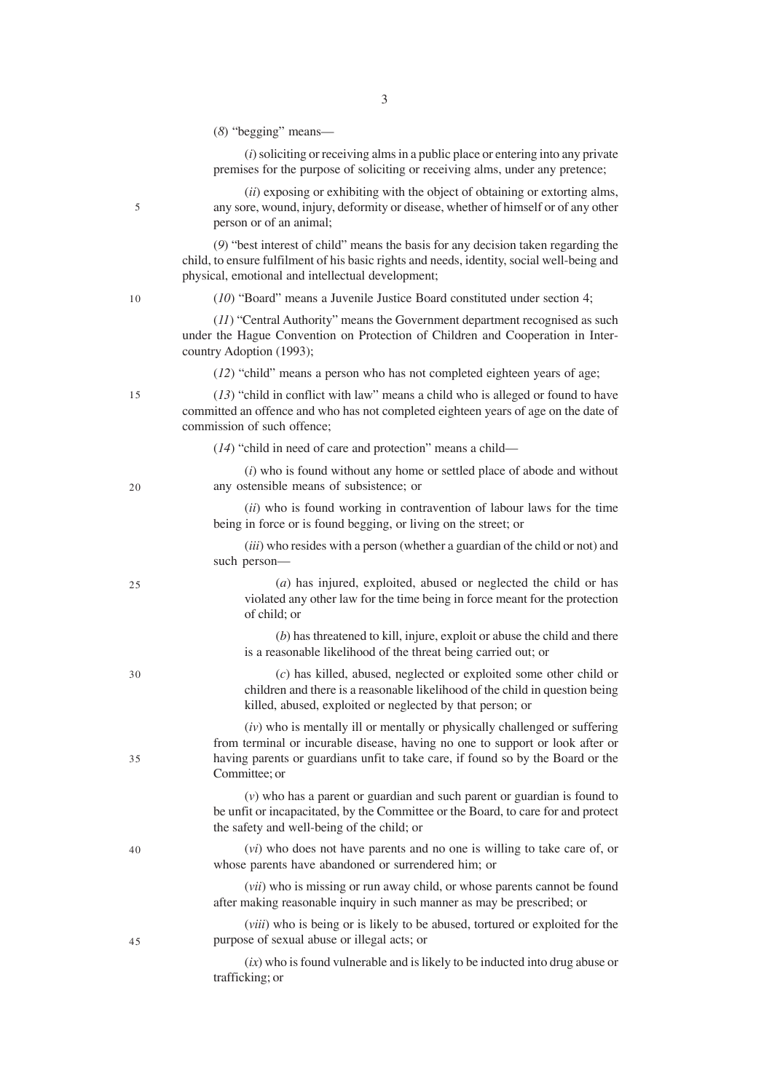(*8*) "begging" means—

(*i*) soliciting or receiving alms in a public place or entering into any private premises for the purpose of soliciting or receiving alms, under any pretence;

(*ii*) exposing or exhibiting with the object of obtaining or extorting alms, any sore, wound, injury, deformity or disease, whether of himself or of any other person or of an animal;

(*9*) "best interest of child" means the basis for any decision taken regarding the child, to ensure fulfilment of his basic rights and needs, identity, social well-being and physical, emotional and intellectual development;

10

5

(*10*) "Board" means a Juvenile Justice Board constituted under section 4;

(*11*) "Central Authority" means the Government department recognised as such under the Hague Convention on Protection of Children and Cooperation in Intercountry Adoption (1993);

(*12*) "child" means a person who has not completed eighteen years of age;

 $15$ 

(*13*) "child in conflict with law" means a child who is alleged or found to have committed an offence and who has not completed eighteen years of age on the date of commission of such offence;

(*14*) "child in need of care and protection" means a child—

(*i*) who is found without any home or settled place of abode and without any ostensible means of subsistence; or

(*ii*) who is found working in contravention of labour laws for the time being in force or is found begging, or living on the street; or

(*iii*) who resides with a person (whether a guardian of the child or not) and such person—

(*a*) has injured, exploited, abused or neglected the child or has violated any other law for the time being in force meant for the protection of child; or

(*b*) has threatened to kill, injure, exploit or abuse the child and there is a reasonable likelihood of the threat being carried out; or

(*c*) has killed, abused, neglected or exploited some other child or children and there is a reasonable likelihood of the child in question being killed, abused, exploited or neglected by that person; or

(*iv*) who is mentally ill or mentally or physically challenged or suffering from terminal or incurable disease, having no one to support or look after or having parents or guardians unfit to take care, if found so by the Board or the Committee; or

(*v*) who has a parent or guardian and such parent or guardian is found to be unfit or incapacitated, by the Committee or the Board, to care for and protect the safety and well-being of the child; or

(*vi*) who does not have parents and no one is willing to take care of, or whose parents have abandoned or surrendered him; or

(*vii*) who is missing or run away child, or whose parents cannot be found after making reasonable inquiry in such manner as may be prescribed; or

(*viii*) who is being or is likely to be abused, tortured or exploited for the purpose of sexual abuse or illegal acts; or

(*ix*) who is found vulnerable and is likely to be inducted into drug abuse or trafficking; or

20

 $25$ 

30

40

35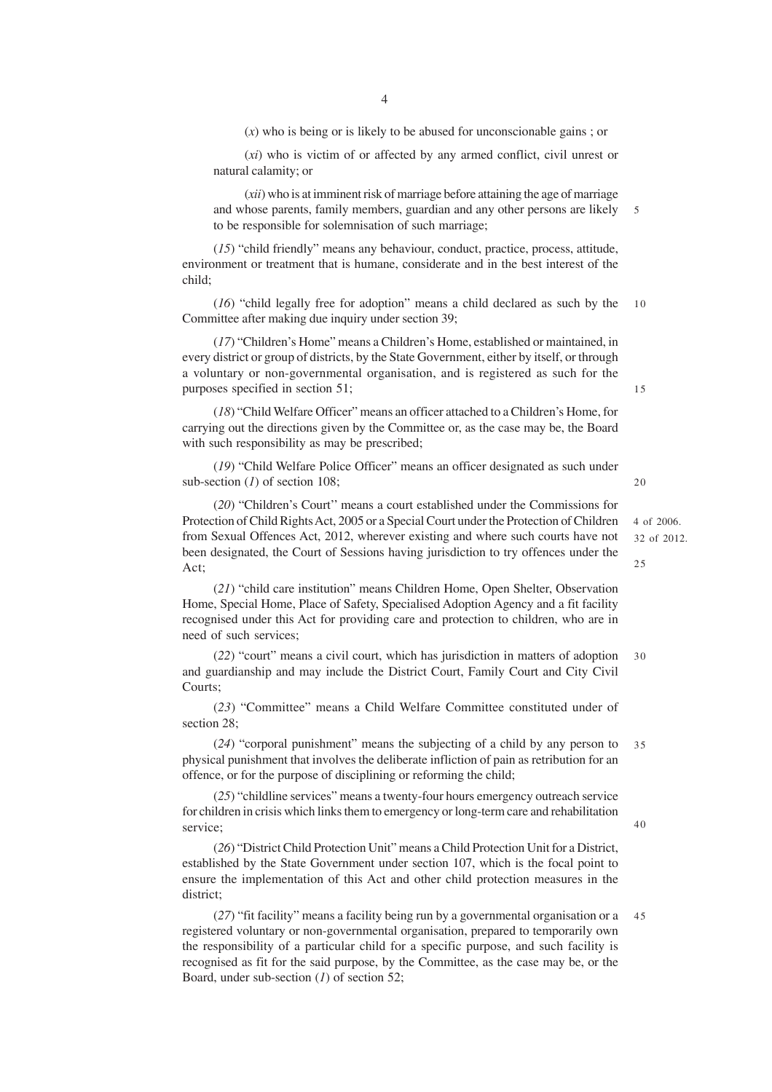(*x*) who is being or is likely to be abused for unconscionable gains ; or

(*xi*) who is victim of or affected by any armed conflict, civil unrest or natural calamity; or

(*xii*) who is at imminent risk of marriage before attaining the age of marriage and whose parents, family members, guardian and any other persons are likely to be responsible for solemnisation of such marriage; 5

(*15*) "child friendly" means any behaviour, conduct, practice, process, attitude, environment or treatment that is humane, considerate and in the best interest of the child;

(*16*) "child legally free for adoption" means a child declared as such by the Committee after making due inquiry under section 39; 10

(*17*) "Children's Home" means a Children's Home, established or maintained, in every district or group of districts, by the State Government, either by itself, or through a voluntary or non-governmental organisation, and is registered as such for the purposes specified in section 51;

(*18*) "Child Welfare Officer" means an officer attached to a Children's Home, for carrying out the directions given by the Committee or, as the case may be, the Board with such responsibility as may be prescribed;

(*19*) "Child Welfare Police Officer" means an officer designated as such under sub-section (*1*) of section 108;

(*20*) "Children's Court'' means a court established under the Commissions for Protection of Child Rights Act, 2005 or a Special Court under the Protection of Children from Sexual Offences Act, 2012, wherever existing and where such courts have not been designated, the Court of Sessions having jurisdiction to try offences under the  $Act$ 

(*21*) "child care institution" means Children Home, Open Shelter, Observation Home, Special Home, Place of Safety, Specialised Adoption Agency and a fit facility recognised under this Act for providing care and protection to children, who are in need of such services;

(*22*) "court" means a civil court, which has jurisdiction in matters of adoption and guardianship and may include the District Court, Family Court and City Civil Courts; 30

(*23*) "Committee" means a Child Welfare Committee constituted under of section 28;

(*24*) "corporal punishment" means the subjecting of a child by any person to physical punishment that involves the deliberate infliction of pain as retribution for an offence, or for the purpose of disciplining or reforming the child; 35

(*25*) "childline services" means a twenty-four hours emergency outreach service for children in crisis which links them to emergency or long-term care and rehabilitation service;

(*26*) "District Child Protection Unit" means a Child Protection Unit for a District, established by the State Government under section 107, which is the focal point to ensure the implementation of this Act and other child protection measures in the district;

(*27*) "fit facility" means a facility being run by a governmental organisation or a registered voluntary or non-governmental organisation, prepared to temporarily own the responsibility of a particular child for a specific purpose, and such facility is recognised as fit for the said purpose, by the Committee, as the case may be, or the Board, under sub-section (*1*) of section 52; 45

20

15

4 of 2006. 32 of 2012.

 $25$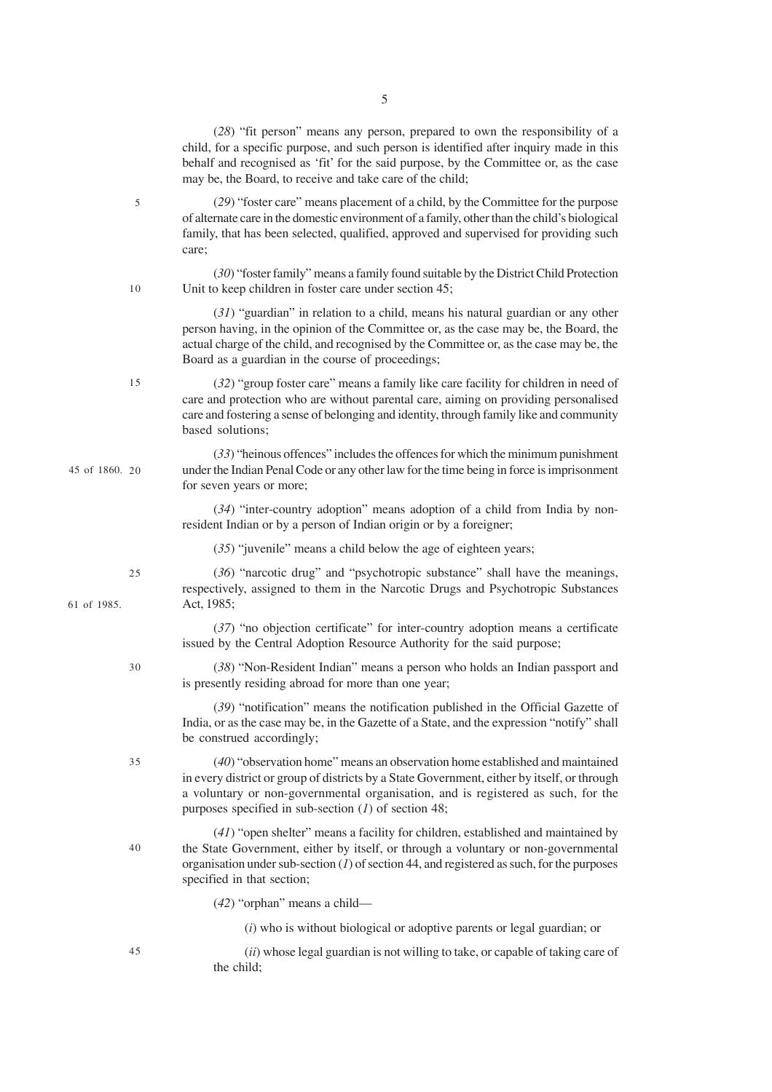|                |    | (28) "fit person" means any person, prepared to own the responsibility of a<br>child, for a specific purpose, and such person is identified after inquiry made in this<br>behalf and recognised as 'fit' for the said purpose, by the Committee or, as the case<br>may be, the Board, to receive and take care of the child; |
|----------------|----|------------------------------------------------------------------------------------------------------------------------------------------------------------------------------------------------------------------------------------------------------------------------------------------------------------------------------|
|                | 5  | (29) "foster care" means placement of a child, by the Committee for the purpose<br>of alternate care in the domestic environment of a family, other than the child's biological<br>family, that has been selected, qualified, approved and supervised for providing such<br>care;                                            |
|                | 10 | (30) "foster family" means a family found suitable by the District Child Protection<br>Unit to keep children in foster care under section 45;                                                                                                                                                                                |
|                |    | $(31)$ "guardian" in relation to a child, means his natural guardian or any other<br>person having, in the opinion of the Committee or, as the case may be, the Board, the<br>actual charge of the child, and recognised by the Committee or, as the case may be, the<br>Board as a guardian in the course of proceedings;   |
|                | 15 | (32) "group foster care" means a family like care facility for children in need of<br>care and protection who are without parental care, aiming on providing personalised<br>care and fostering a sense of belonging and identity, through family like and community<br>based solutions;                                     |
| 45 of 1860. 20 |    | $(33)$ "heinous offences" includes the offences for which the minimum punishment<br>under the Indian Penal Code or any other law for the time being in force is imprisonment<br>for seven years or more;                                                                                                                     |
|                |    | (34) "inter-country adoption" means adoption of a child from India by non-<br>resident Indian or by a person of Indian origin or by a foreigner;                                                                                                                                                                             |
|                |    | $(35)$ "juvenile" means a child below the age of eighteen years;                                                                                                                                                                                                                                                             |
| 61 of 1985.    | 25 | (36) "narcotic drug" and "psychotropic substance" shall have the meanings,<br>respectively, assigned to them in the Narcotic Drugs and Psychotropic Substances<br>Act, 1985;                                                                                                                                                 |
|                |    | (37) "no objection certificate" for inter-country adoption means a certificate<br>issued by the Central Adoption Resource Authority for the said purpose;                                                                                                                                                                    |
|                | 30 | (38) "Non-Resident Indian" means a person who holds an Indian passport and<br>is presently residing abroad for more than one year;                                                                                                                                                                                           |
|                |    | (39) "notification" means the notification published in the Official Gazette of<br>India, or as the case may be, in the Gazette of a State, and the expression "notify" shall<br>be construed accordingly;                                                                                                                   |
|                | 35 | (40) "observation home" means an observation home established and maintained<br>in every district or group of districts by a State Government, either by itself, or through<br>a voluntary or non-governmental organisation, and is registered as such, for the<br>purposes specified in sub-section $(I)$ of section 48;    |
|                | 40 | $(41)$ "open shelter" means a facility for children, established and maintained by<br>the State Government, either by itself, or through a voluntary or non-governmental<br>organisation under sub-section $(I)$ of section 44, and registered as such, for the purposes<br>specified in that section;                       |
|                |    | $(42)$ "orphan" means a child—                                                                                                                                                                                                                                                                                               |
|                |    | $(i)$ who is without biological or adoptive parents or legal guardian; or                                                                                                                                                                                                                                                    |
|                | 45 | (ii) whose legal guardian is not willing to take, or capable of taking care of<br>the child;                                                                                                                                                                                                                                 |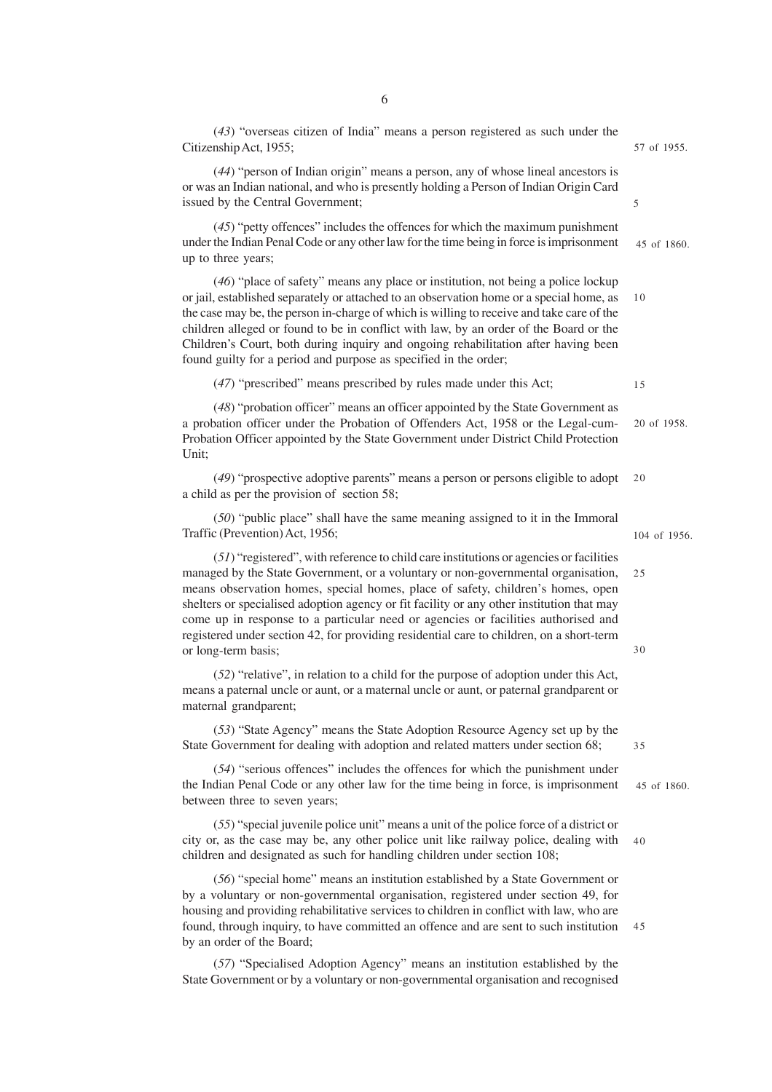| (43) "overseas citizen of India" means a person registered as such under the                                                                                                                                                                                                                                                                                                                                                                                                                                                                                                      | 57 of 1955.  |  |
|-----------------------------------------------------------------------------------------------------------------------------------------------------------------------------------------------------------------------------------------------------------------------------------------------------------------------------------------------------------------------------------------------------------------------------------------------------------------------------------------------------------------------------------------------------------------------------------|--------------|--|
| Citizenship Act, 1955;                                                                                                                                                                                                                                                                                                                                                                                                                                                                                                                                                            |              |  |
| (44) "person of Indian origin" means a person, any of whose lineal ancestors is<br>or was an Indian national, and who is presently holding a Person of Indian Origin Card<br>issued by the Central Government;<br>5                                                                                                                                                                                                                                                                                                                                                               |              |  |
| $(45)$ "petty offences" includes the offences for which the maximum punishment<br>under the Indian Penal Code or any other law for the time being in force is imprisonment<br>up to three years;                                                                                                                                                                                                                                                                                                                                                                                  | 45 of 1860.  |  |
| (46) "place of safety" means any place or institution, not being a police lockup<br>or jail, established separately or attached to an observation home or a special home, as<br>the case may be, the person in-charge of which is willing to receive and take care of the<br>children alleged or found to be in conflict with law, by an order of the Board or the<br>Children's Court, both during inquiry and ongoing rehabilitation after having been<br>found guilty for a period and purpose as specified in the order;                                                      |              |  |
| (47) "prescribed" means prescribed by rules made under this Act;<br>15                                                                                                                                                                                                                                                                                                                                                                                                                                                                                                            |              |  |
| (48) "probation officer" means an officer appointed by the State Government as<br>a probation officer under the Probation of Offenders Act, 1958 or the Legal-cum-<br>Probation Officer appointed by the State Government under District Child Protection<br>Unit;                                                                                                                                                                                                                                                                                                                | 20 of 1958.  |  |
| (49) "prospective adoptive parents" means a person or persons eligible to adopt<br>20<br>a child as per the provision of section 58;                                                                                                                                                                                                                                                                                                                                                                                                                                              |              |  |
| (50) "public place" shall have the same meaning assigned to it in the Immoral<br>Traffic (Prevention) Act, 1956;                                                                                                                                                                                                                                                                                                                                                                                                                                                                  | 104 of 1956. |  |
| $(51)$ "registered", with reference to child care institutions or agencies or facilities<br>managed by the State Government, or a voluntary or non-governmental organisation,<br>25<br>means observation homes, special homes, place of safety, children's homes, open<br>shelters or specialised adoption agency or fit facility or any other institution that may<br>come up in response to a particular need or agencies or facilities authorised and<br>registered under section 42, for providing residential care to children, on a short-term<br>30<br>or long-term basis; |              |  |

(*52*) "relative", in relation to a child for the purpose of adoption under this Act, means a paternal uncle or aunt, or a maternal uncle or aunt, or paternal grandparent or maternal grandparent;

(*53*) "State Agency" means the State Adoption Resource Agency set up by the State Government for dealing with adoption and related matters under section 68;

(*54*) "serious offences" includes the offences for which the punishment under the Indian Penal Code or any other law for the time being in force, is imprisonment between three to seven years;

45 of 1860.

35

(*55*) "special juvenile police unit" means a unit of the police force of a district or city or, as the case may be, any other police unit like railway police, dealing with children and designated as such for handling children under section 108; 40

(*56*) "special home" means an institution established by a State Government or by a voluntary or non-governmental organisation, registered under section 49, for housing and providing rehabilitative services to children in conflict with law, who are found, through inquiry, to have committed an offence and are sent to such institution 45by an order of the Board;

(*57*) "Specialised Adoption Agency" means an institution established by the State Government or by a voluntary or non-governmental organisation and recognised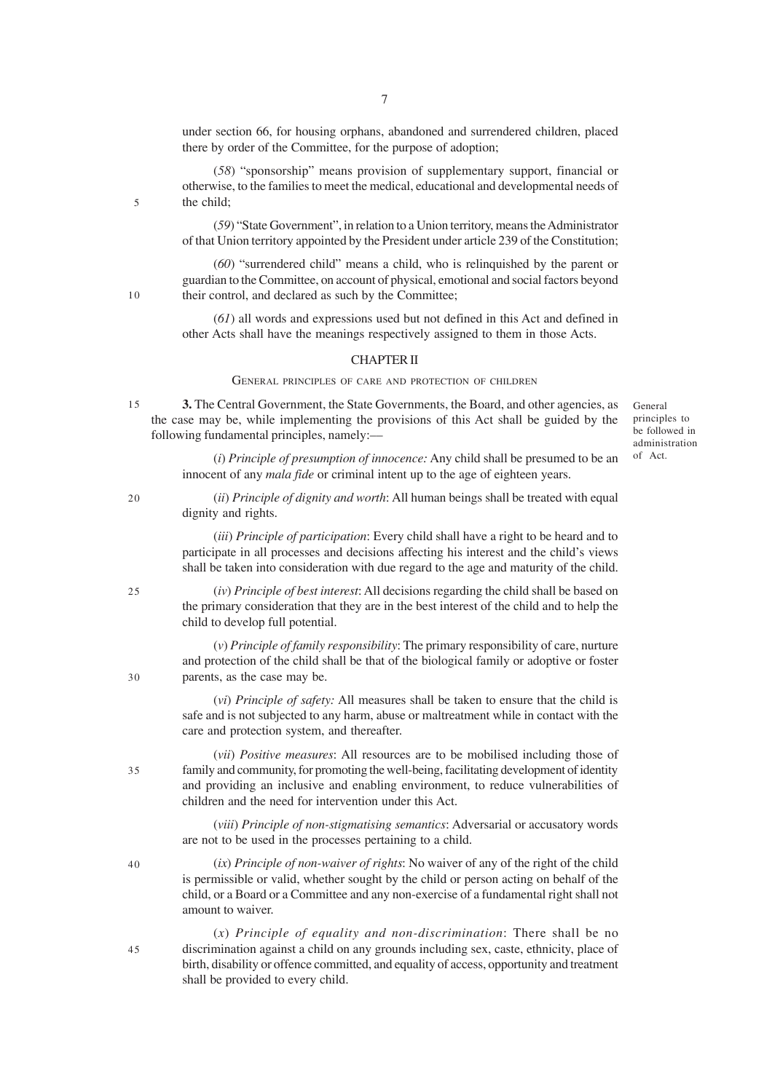under section 66, for housing orphans, abandoned and surrendered children, placed there by order of the Committee, for the purpose of adoption;

(*58*) "sponsorship" means provision of supplementary support, financial or otherwise, to the families to meet the medical, educational and developmental needs of the child;

(*59*) "State Government", in relation to a Union territory, means the Administrator of that Union territory appointed by the President under article 239 of the Constitution;

(*60*) "surrendered child" means a child, who is relinquished by the parent or guardian to the Committee, on account of physical, emotional and social factors beyond their control, and declared as such by the Committee;

(*61*) all words and expressions used but not defined in this Act and defined in other Acts shall have the meanings respectively assigned to them in those Acts.

## CHAPTER II

GENERAL PRINCIPLES OF CARE AND PROTECTION OF CHILDREN

**3.** The Central Government, the State Governments, the Board, and other agencies, as the case may be, while implementing the provisions of this Act shall be guided by the following fundamental principles, namely:–– 15

General principles to be followed in administration of Act.

(*i*) *Principle of presumption of innocence:* Any child shall be presumed to be an innocent of any *mala fide* or criminal intent up to the age of eighteen years.

(*ii*) *Principle of dignity and worth*: All human beings shall be treated with equal dignity and rights.

(*iii*) *Principle of participation*: Every child shall have a right to be heard and to participate in all processes and decisions affecting his interest and the child's views shall be taken into consideration with due regard to the age and maturity of the child.

(*iv*) *Principle of best interest*: All decisions regarding the child shall be based on the primary consideration that they are in the best interest of the child and to help the child to develop full potential.

(*v*) *Principle of family responsibility*: The primary responsibility of care, nurture and protection of the child shall be that of the biological family or adoptive or foster parents, as the case may be.

(*vi*) *Principle of safety:* All measures shall be taken to ensure that the child is safe and is not subjected to any harm, abuse or maltreatment while in contact with the care and protection system, and thereafter.

(*vii*) *Positive measures*: All resources are to be mobilised including those of family and community, for promoting the well-being, facilitating development of identity and providing an inclusive and enabling environment, to reduce vulnerabilities of children and the need for intervention under this Act.

(*viii*) *Principle of non-stigmatising semantics*: Adversarial or accusatory words are not to be used in the processes pertaining to a child.

40

(*ix*) *Principle of non-waiver of rights*: No waiver of any of the right of the child is permissible or valid, whether sought by the child or person acting on behalf of the child, or a Board or a Committee and any non-exercise of a fundamental right shall not amount to waiver.

(*x*) *Principle of equality and non-discrimination*: There shall be no discrimination against a child on any grounds including sex, caste, ethnicity, place of birth, disability or offence committed, and equality of access, opportunity and treatment shall be provided to every child.

20

5

10

 $25$ 

35

30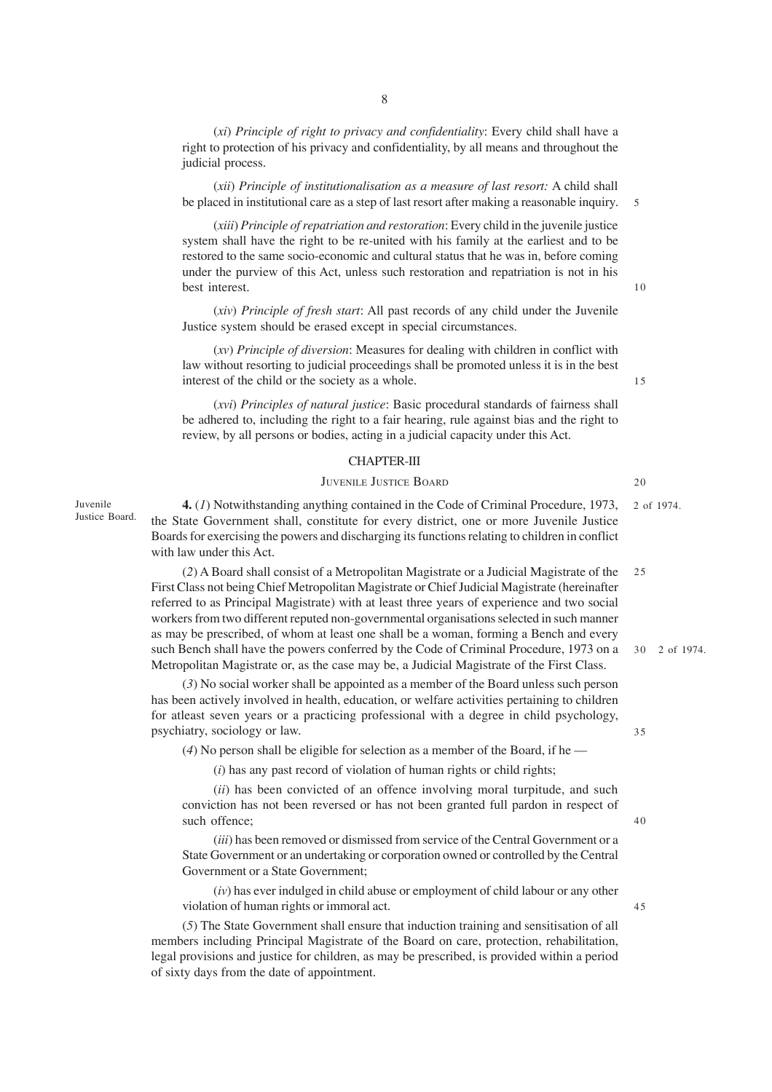(*xi*) *Principle of right to privacy and confidentiality*: Every child shall have a right to protection of his privacy and confidentiality, by all means and throughout the judicial process.

(*xii*) *Principle of institutionalisation as a measure of last resort:* A child shall be placed in institutional care as a step of last resort after making a reasonable inquiry. 5

(*xiii*) *Principle of repatriation and restoration*: Every child in the juvenile justice system shall have the right to be re-united with his family at the earliest and to be restored to the same socio-economic and cultural status that he was in, before coming under the purview of this Act, unless such restoration and repatriation is not in his best interest.

(*xiv*) *Principle of fresh start*: All past records of any child under the Juvenile Justice system should be erased except in special circumstances.

(*xv*) *Principle of diversion*: Measures for dealing with children in conflict with law without resorting to judicial proceedings shall be promoted unless it is in the best interest of the child or the society as a whole.

(*xvi*) *Principles of natural justice*: Basic procedural standards of fairness shall be adhered to, including the right to a fair hearing, rule against bias and the right to review, by all persons or bodies, acting in a judicial capacity under this Act.

#### CHAPTER-III

## JUVENILE JUSTICE BOARD

Juvenile Justice Board.

**4.** (*1*) Notwithstanding anything contained in the Code of Criminal Procedure, 1973, the State Government shall, constitute for every district, one or more Juvenile Justice Boards for exercising the powers and discharging its functions relating to children in conflict with law under this Act. 2 of 1974.

(*2*) A Board shall consist of a Metropolitan Magistrate or a Judicial Magistrate of the First Class not being Chief Metropolitan Magistrate or Chief Judicial Magistrate (hereinafter referred to as Principal Magistrate) with at least three years of experience and two social workers from two different reputed non-governmental organisations selected in such manner as may be prescribed, of whom at least one shall be a woman, forming a Bench and every such Bench shall have the powers conferred by the Code of Criminal Procedure, 1973 on a Metropolitan Magistrate or, as the case may be, a Judicial Magistrate of the First Class. 2 of 1974. 30 25

(*3*) No social worker shall be appointed as a member of the Board unless such person has been actively involved in health, education, or welfare activities pertaining to children for atleast seven years or a practicing professional with a degree in child psychology, psychiatry, sociology or law.

(*4*) No person shall be eligible for selection as a member of the Board, if he ––

(*i*) has any past record of violation of human rights or child rights;

(*ii*) has been convicted of an offence involving moral turpitude, and such conviction has not been reversed or has not been granted full pardon in respect of such offence;

(*iii*) has been removed or dismissed from service of the Central Government or a State Government or an undertaking or corporation owned or controlled by the Central Government or a State Government;

(*iv*) has ever indulged in child abuse or employment of child labour or any other violation of human rights or immoral act.

(*5*) The State Government shall ensure that induction training and sensitisation of all members including Principal Magistrate of the Board on care, protection, rehabilitation, legal provisions and justice for children, as may be prescribed, is provided within a period of sixty days from the date of appointment.

 $20$ 

35

40

45

10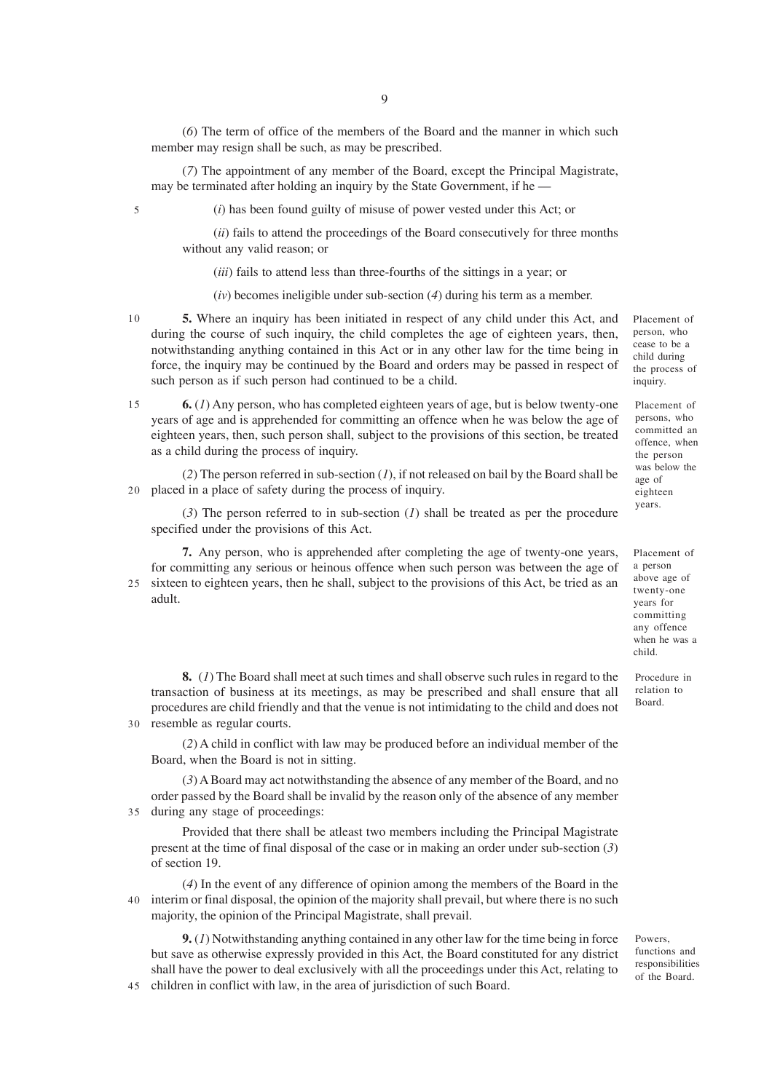(*6*) The term of office of the members of the Board and the manner in which such member may resign shall be such, as may be prescribed.

(*7*) The appointment of any member of the Board, except the Principal Magistrate, may be terminated after holding an inquiry by the State Government, if he ––

5

(*i*) has been found guilty of misuse of power vested under this Act; or

(*ii*) fails to attend the proceedings of the Board consecutively for three months without any valid reason; or

(*iii*) fails to attend less than three-fourths of the sittings in a year; or

(*iv*) becomes ineligible under sub-section (*4*) during his term as a member.

- **5.** Where an inquiry has been initiated in respect of any child under this Act, and during the course of such inquiry, the child completes the age of eighteen years, then, notwithstanding anything contained in this Act or in any other law for the time being in force, the inquiry may be continued by the Board and orders may be passed in respect of such person as if such person had continued to be a child.  $1<sub>0</sub>$
- **6.** (*1*) Any person, who has completed eighteen years of age, but is below twenty-one years of age and is apprehended for committing an offence when he was below the age of eighteen years, then, such person shall, subject to the provisions of this section, be treated as a child during the process of inquiry. 15

(*2*) The person referred in sub-section (*1*), if not released on bail by the Board shall be placed in a place of safety during the process of inquiry.  $20<sup>2</sup>$ 

(*3*) The person referred to in sub-section (*1*) shall be treated as per the procedure specified under the provisions of this Act.

**7.** Any person, who is apprehended after completing the age of twenty-one years, for committing any serious or heinous offence when such person was between the age of sixteen to eighteen years, then he shall, subject to the provisions of this Act, be tried as an adult. 25

**8.** (*1*) The Board shall meet at such times and shall observe such rules in regard to the transaction of business at its meetings, as may be prescribed and shall ensure that all procedures are child friendly and that the venue is not intimidating to the child and does not 30 resemble as regular courts.

(*2*) A child in conflict with law may be produced before an individual member of the Board, when the Board is not in sitting.

(*3*) A Board may act notwithstanding the absence of any member of the Board, and no order passed by the Board shall be invalid by the reason only of the absence of any member 35 during any stage of proceedings:

Provided that there shall be atleast two members including the Principal Magistrate present at the time of final disposal of the case or in making an order under sub-section (*3*) of section 19.

(*4*) In the event of any difference of opinion among the members of the Board in the 40 interim or final disposal, the opinion of the majority shall prevail, but where there is no such majority, the opinion of the Principal Magistrate, shall prevail.

**9.** (*1*) Notwithstanding anything contained in any other law for the time being in force but save as otherwise expressly provided in this Act, the Board constituted for any district shall have the power to deal exclusively with all the proceedings under this Act, relating to 45 children in conflict with law, in the area of jurisdiction of such Board.

Powers, functions and responsibilities of the Board.

Placement of person, who cease to be a child during the process of inquiry.

Placement of persons, who committed an offence, when the person was below the age of eighteen years.

Placement of a person above age of twenty-one years for committing any offence when he was a child.

Procedure in relation to Board.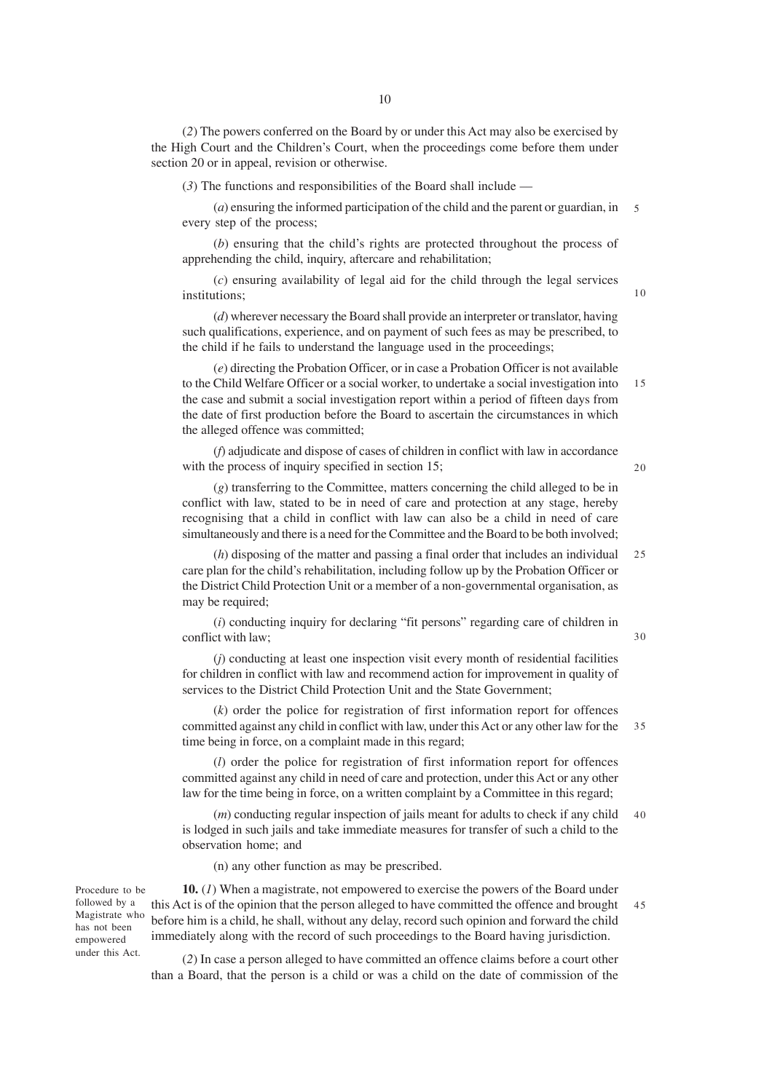(*2*) The powers conferred on the Board by or under this Act may also be exercised by the High Court and the Children's Court, when the proceedings come before them under section 20 or in appeal, revision or otherwise.

(*3*) The functions and responsibilities of the Board shall include ––

(*a*) ensuring the informed participation of the child and the parent or guardian, in every step of the process; 5

(*b*) ensuring that the child's rights are protected throughout the process of apprehending the child, inquiry, aftercare and rehabilitation;

(*c*) ensuring availability of legal aid for the child through the legal services institutions;

(*d*) wherever necessary the Board shall provide an interpreter or translator, having such qualifications, experience, and on payment of such fees as may be prescribed, to the child if he fails to understand the language used in the proceedings;

(*e*) directing the Probation Officer, or in case a Probation Officer is not available to the Child Welfare Officer or a social worker, to undertake a social investigation into the case and submit a social investigation report within a period of fifteen days from the date of first production before the Board to ascertain the circumstances in which the alleged offence was committed; 15

(*f*) adjudicate and dispose of cases of children in conflict with law in accordance with the process of inquiry specified in section 15;

(*g*) transferring to the Committee, matters concerning the child alleged to be in conflict with law, stated to be in need of care and protection at any stage, hereby recognising that a child in conflict with law can also be a child in need of care simultaneously and there is a need for the Committee and the Board to be both involved;

(*h*) disposing of the matter and passing a final order that includes an individual care plan for the child's rehabilitation, including follow up by the Probation Officer or the District Child Protection Unit or a member of a non-governmental organisation, as may be required;  $25$ 

(*i*) conducting inquiry for declaring "fit persons" regarding care of children in conflict with law;

(*j*) conducting at least one inspection visit every month of residential facilities for children in conflict with law and recommend action for improvement in quality of services to the District Child Protection Unit and the State Government;

(*k*) order the police for registration of first information report for offences committed against any child in conflict with law, under this Act or any other law for the time being in force, on a complaint made in this regard; 35

(*l*) order the police for registration of first information report for offences committed against any child in need of care and protection, under this Act or any other law for the time being in force, on a written complaint by a Committee in this regard;

(*m*) conducting regular inspection of jails meant for adults to check if any child is lodged in such jails and take immediate measures for transfer of such a child to the observation home; and 40

(n) any other function as may be prescribed.

**10.** (*1*) When a magistrate, not empowered to exercise the powers of the Board under this Act is of the opinion that the person alleged to have committed the offence and brought before him is a child, he shall, without any delay, record such opinion and forward the child immediately along with the record of such proceedings to the Board having jurisdiction. 45

(*2*) In case a person alleged to have committed an offence claims before a court other than a Board, that the person is a child or was a child on the date of commission of the

Procedure to be followed by a Magistrate who has not been empowered under this Act.

20

10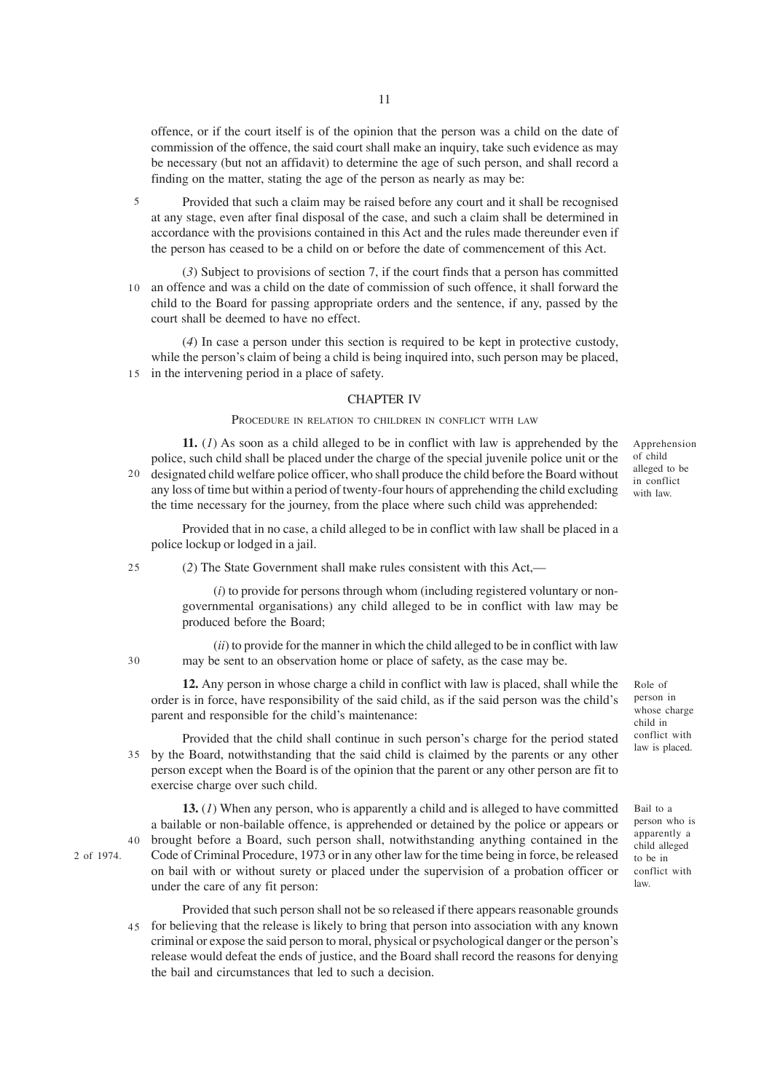offence, or if the court itself is of the opinion that the person was a child on the date of commission of the offence, the said court shall make an inquiry, take such evidence as may be necessary (but not an affidavit) to determine the age of such person, and shall record a finding on the matter, stating the age of the person as nearly as may be:

Provided that such a claim may be raised before any court and it shall be recognised at any stage, even after final disposal of the case, and such a claim shall be determined in accordance with the provisions contained in this Act and the rules made thereunder even if the person has ceased to be a child on or before the date of commencement of this Act. 5

(*3*) Subject to provisions of section 7, if the court finds that a person has committed 10 an offence and was a child on the date of commission of such offence, it shall forward the child to the Board for passing appropriate orders and the sentence, if any, passed by the court shall be deemed to have no effect.

(*4*) In case a person under this section is required to be kept in protective custody, while the person's claim of being a child is being inquired into, such person may be placed, 15 in the intervening period in a place of safety.

#### CHAPTER IV

#### PROCEDURE IN RELATION TO CHILDREN IN CONFLICT WITH LAW

**11.** (*1*) As soon as a child alleged to be in conflict with law is apprehended by the police, such child shall be placed under the charge of the special juvenile police unit or the 20 designated child welfare police officer, who shall produce the child before the Board without any loss of time but within a period of twenty-four hours of apprehending the child excluding the time necessary for the journey, from the place where such child was apprehended:

Provided that in no case, a child alleged to be in conflict with law shall be placed in a police lockup or lodged in a jail.

(*2*) The State Government shall make rules consistent with this Act,— 25

> (*i*) to provide for persons through whom (including registered voluntary or nongovernmental organisations) any child alleged to be in conflict with law may be produced before the Board;

(*ii*) to provide for the manner in which the child alleged to be in conflict with law may be sent to an observation home or place of safety, as the case may be. 30

**12.** Any person in whose charge a child in conflict with law is placed, shall while the order is in force, have responsibility of the said child, as if the said person was the child's parent and responsible for the child's maintenance:

Provided that the child shall continue in such person's charge for the period stated by the Board, notwithstanding that the said child is claimed by the parents or any other 35 person except when the Board is of the opinion that the parent or any other person are fit to exercise charge over such child.

**13.** (*1*) When any person, who is apparently a child and is alleged to have committed a bailable or non-bailable offence, is apprehended or detained by the police or appears or brought before a Board, such person shall, notwithstanding anything contained in the Code of Criminal Procedure, 1973 or in any other law for the time being in force, be released on bail with or without surety or placed under the supervision of a probation officer or under the care of any fit person: 40

Provided that such person shall not be so released if there appears reasonable grounds 45 for believing that the release is likely to bring that person into association with any known criminal or expose the said person to moral, physical or psychological danger or the person's release would defeat the ends of justice, and the Board shall record the reasons for denying the bail and circumstances that led to such a decision.

Apprehension of child alleged to be in conflict with law.

Role of person in whose charge child in conflict with law is placed.

Bail to a person who is apparently a child alleged to be in conflict with law.

2 of 1974.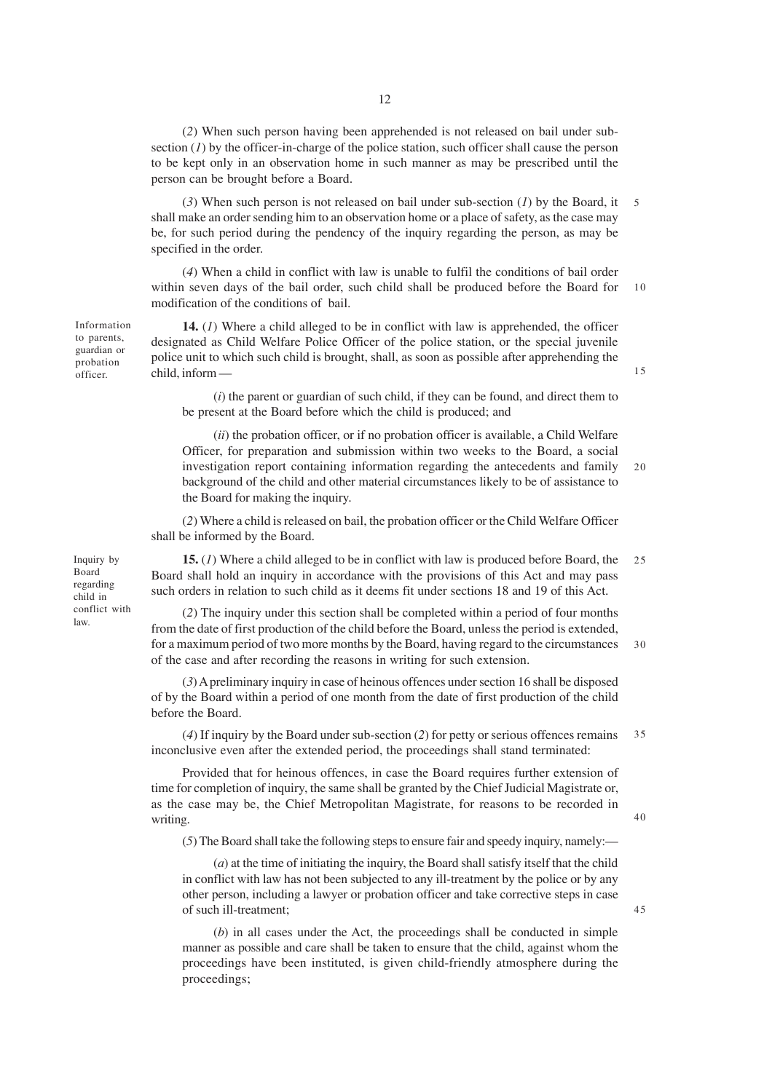(*2*) When such person having been apprehended is not released on bail under subsection  $(I)$  by the officer-in-charge of the police station, such officer shall cause the person to be kept only in an observation home in such manner as may be prescribed until the person can be brought before a Board.

(*3*) When such person is not released on bail under sub-section (*1*) by the Board, it shall make an order sending him to an observation home or a place of safety, as the case may be, for such period during the pendency of the inquiry regarding the person, as may be specified in the order. 5

(*4*) When a child in conflict with law is unable to fulfil the conditions of bail order within seven days of the bail order, such child shall be produced before the Board for modification of the conditions of bail. 10

**14.** (*1*) Where a child alleged to be in conflict with law is apprehended, the officer designated as Child Welfare Police Officer of the police station, or the special juvenile police unit to which such child is brought, shall, as soon as possible after apprehending the child, inform —

(*i*) the parent or guardian of such child, if they can be found, and direct them to be present at the Board before which the child is produced; and

(*ii*) the probation officer, or if no probation officer is available, a Child Welfare Officer, for preparation and submission within two weeks to the Board, a social investigation report containing information regarding the antecedents and family background of the child and other material circumstances likely to be of assistance to the Board for making the inquiry.  $20$ 

15

40

45

(*2*) Where a child is released on bail, the probation officer or the Child Welfare Officer shall be informed by the Board.

**15.** (*1*) Where a child alleged to be in conflict with law is produced before Board, the Board shall hold an inquiry in accordance with the provisions of this Act and may pass such orders in relation to such child as it deems fit under sections 18 and 19 of this Act. 25

(*2*) The inquiry under this section shall be completed within a period of four months from the date of first production of the child before the Board, unless the period is extended, for a maximum period of two more months by the Board, having regard to the circumstances of the case and after recording the reasons in writing for such extension. 30

(*3*) A preliminary inquiry in case of heinous offences under section 16 shall be disposed of by the Board within a period of one month from the date of first production of the child before the Board.

(*4*) If inquiry by the Board under sub-section (*2*) for petty or serious offences remains inconclusive even after the extended period, the proceedings shall stand terminated: 35

Provided that for heinous offences, in case the Board requires further extension of time for completion of inquiry, the same shall be granted by the Chief Judicial Magistrate or, as the case may be, the Chief Metropolitan Magistrate, for reasons to be recorded in writing.

(*5*) The Board shall take the following steps to ensure fair and speedy inquiry, namely:—

(*a*) at the time of initiating the inquiry, the Board shall satisfy itself that the child in conflict with law has not been subjected to any ill-treatment by the police or by any other person, including a lawyer or probation officer and take corrective steps in case of such ill-treatment;

(*b*) in all cases under the Act, the proceedings shall be conducted in simple manner as possible and care shall be taken to ensure that the child, against whom the proceedings have been instituted, is given child-friendly atmosphere during the proceedings;

Inquiry by Board regarding child in conflict with law.

Information to parents, guardian or probation officer.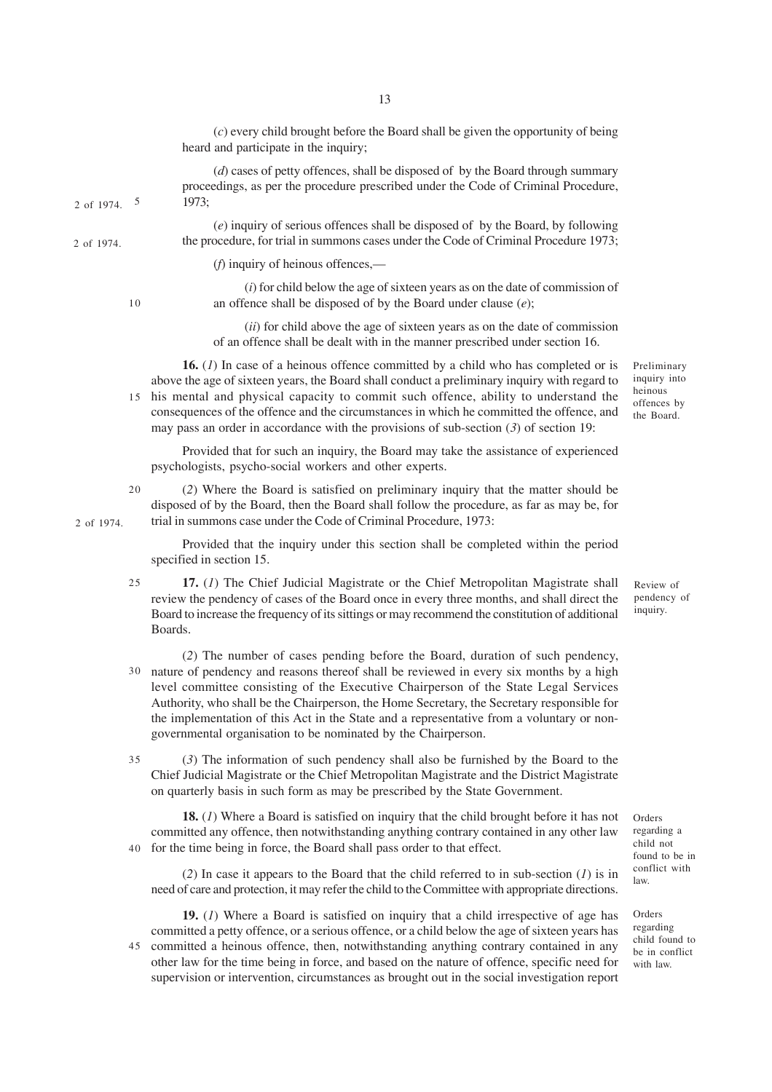(*c*) every child brought before the Board shall be given the opportunity of being heard and participate in the inquiry;

(*d*) cases of petty offences, shall be disposed of by the Board through summary proceedings, as per the procedure prescribed under the Code of Criminal Procedure, 1973;

(*e*) inquiry of serious offences shall be disposed of by the Board, by following the procedure, for trial in summons cases under the Code of Criminal Procedure 1973;

(*f*) inquiry of heinous offences,—

(*i*) for child below the age of sixteen years as on the date of commission of an offence shall be disposed of by the Board under clause (*e*);

(*ii*) for child above the age of sixteen years as on the date of commission of an offence shall be dealt with in the manner prescribed under section 16.

**16.** (*1*) In case of a heinous offence committed by a child who has completed or is above the age of sixteen years, the Board shall conduct a preliminary inquiry with regard to his mental and physical capacity to commit such offence, ability to understand the consequences of the offence and the circumstances in which he committed the offence, and may pass an order in accordance with the provisions of sub-section (*3*) of section 19: 15

Provided that for such an inquiry, the Board may take the assistance of experienced psychologists, psycho-social workers and other experts.

(*2*) Where the Board is satisfied on preliminary inquiry that the matter should be disposed of by the Board, then the Board shall follow the procedure, as far as may be, for trial in summons case under the Code of Criminal Procedure, 1973:

Provided that the inquiry under this section shall be completed within the period specified in section 15.

**17.** (*1*) The Chief Judicial Magistrate or the Chief Metropolitan Magistrate shall review the pendency of cases of the Board once in every three months, and shall direct the Board to increase the frequency of its sittings or may recommend the constitution of additional Boards. 25

(*2*) The number of cases pending before the Board, duration of such pendency, nature of pendency and reasons thereof shall be reviewed in every six months by a high 30 level committee consisting of the Executive Chairperson of the State Legal Services Authority, who shall be the Chairperson, the Home Secretary, the Secretary responsible for the implementation of this Act in the State and a representative from a voluntary or nongovernmental organisation to be nominated by the Chairperson.

(*3*) The information of such pendency shall also be furnished by the Board to the Chief Judicial Magistrate or the Chief Metropolitan Magistrate and the District Magistrate on quarterly basis in such form as may be prescribed by the State Government. 35

**18.** (*1*) Where a Board is satisfied on inquiry that the child brought before it has not committed any offence, then notwithstanding anything contrary contained in any other law for the time being in force, the Board shall pass order to that effect. 40

(*2*) In case it appears to the Board that the child referred to in sub-section (*1*) is in need of care and protection, it may refer the child to the Committee with appropriate directions.

**19.** (*1*) Where a Board is satisfied on inquiry that a child irrespective of age has committed a petty offence, or a serious offence, or a child below the age of sixteen years has committed a heinous offence, then, notwithstanding anything contrary contained in any other law for the time being in force, and based on the nature of offence, specific need for supervision or intervention, circumstances as brought out in the social investigation report 45

inquiry.

Review of pendency of

Preliminary inquiry into heinous offences by the Board.

Orders regarding a child not found to be in conflict with law.

Orders regarding child found to be in conflict with law.

2 of 1974.

 $20$ 

2 of 1974. <sup>5</sup>

10

2 of 1974.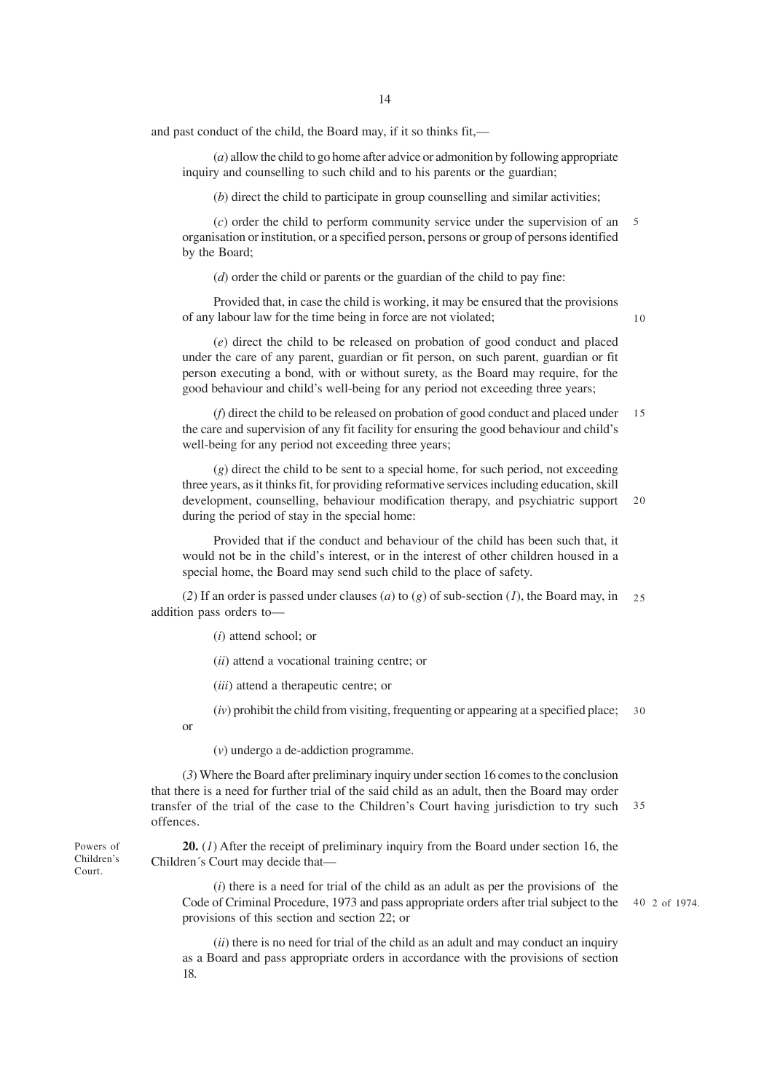and past conduct of the child, the Board may, if it so thinks fit,—

(*a*) allow the child to go home after advice or admonition by following appropriate inquiry and counselling to such child and to his parents or the guardian;

(*b*) direct the child to participate in group counselling and similar activities;

(*c*) order the child to perform community service under the supervision of an organisation or institution, or a specified person, persons or group of persons identified by the Board; 5

(*d*) order the child or parents or the guardian of the child to pay fine:

Provided that, in case the child is working, it may be ensured that the provisions of any labour law for the time being in force are not violated;

 $1<sub>0</sub>$ 

(*e*) direct the child to be released on probation of good conduct and placed under the care of any parent, guardian or fit person, on such parent, guardian or fit person executing a bond, with or without surety, as the Board may require, for the good behaviour and child's well-being for any period not exceeding three years;

(*f*) direct the child to be released on probation of good conduct and placed under the care and supervision of any fit facility for ensuring the good behaviour and child's well-being for any period not exceeding three years; 15

(*g*) direct the child to be sent to a special home, for such period, not exceeding three years, as it thinks fit, for providing reformative services including education, skill development, counselling, behaviour modification therapy, and psychiatric support during the period of stay in the special home: 20

Provided that if the conduct and behaviour of the child has been such that, it would not be in the child's interest, or in the interest of other children housed in a special home, the Board may send such child to the place of safety.

(*2*) If an order is passed under clauses (*a*) to (*g*) of sub-section (*1*), the Board may, in addition pass orders to— 25

(*i*) attend school; or

(*ii*) attend a vocational training centre; or

(*iii*) attend a therapeutic centre; or

(*iv*) prohibit the child from visiting, frequenting or appearing at a specified place; 30

or

(*v*) undergo a de-addiction programme.

(*3*) Where the Board after preliminary inquiry under section 16 comes to the conclusion that there is a need for further trial of the said child as an adult, then the Board may order transfer of the trial of the case to the Children's Court having jurisdiction to try such offences. 35

**20.** (*1*) After the receipt of preliminary inquiry from the Board under section 16, the Children´s Court may decide that—

(*i*) there is a need for trial of the child as an adult as per the provisions of the Code of Criminal Procedure, 1973 and pass appropriate orders after trial subject to the 40 2 of 1974. provisions of this section and section 22; or

(*ii*) there is no need for trial of the child as an adult and may conduct an inquiry as a Board and pass appropriate orders in accordance with the provisions of section 18.

Powers of Children's Court.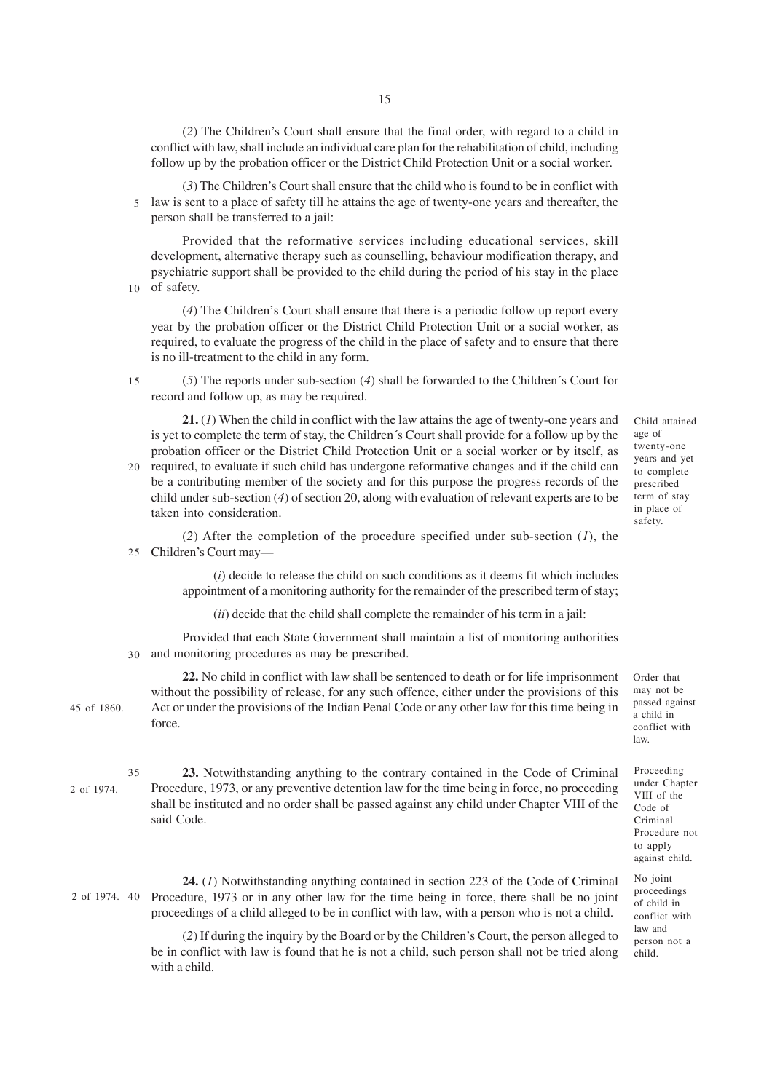(*2*) The Children's Court shall ensure that the final order, with regard to a child in conflict with law, shall include an individual care plan for the rehabilitation of child, including follow up by the probation officer or the District Child Protection Unit or a social worker.

(*3*) The Children's Court shall ensure that the child who is found to be in conflict with law is sent to a place of safety till he attains the age of twenty-one years and thereafter, the person shall be transferred to a jail: 5

Provided that the reformative services including educational services, skill development, alternative therapy such as counselling, behaviour modification therapy, and psychiatric support shall be provided to the child during the period of his stay in the place 10 of safety.

(*4*) The Children's Court shall ensure that there is a periodic follow up report every year by the probation officer or the District Child Protection Unit or a social worker, as required, to evaluate the progress of the child in the place of safety and to ensure that there is no ill-treatment to the child in any form.

(*5*) The reports under sub-section (*4*) shall be forwarded to the Children´s Court for record and follow up, as may be required. 15

**21.** (*1*) When the child in conflict with the law attains the age of twenty-one years and is yet to complete the term of stay, the Children´s Court shall provide for a follow up by the probation officer or the District Child Protection Unit or a social worker or by itself, as required, to evaluate if such child has undergone reformative changes and if the child can be a contributing member of the society and for this purpose the progress records of the child under sub-section (*4*) of section 20, along with evaluation of relevant experts are to be taken into consideration. 20

(*2*) After the completion of the procedure specified under sub-section (*1*), the Children's Court may— 25

> (*i*) decide to release the child on such conditions as it deems fit which includes appointment of a monitoring authority for the remainder of the prescribed term of stay;

(*ii*) decide that the child shall complete the remainder of his term in a jail:

Provided that each State Government shall maintain a list of monitoring authorities and monitoring procedures as may be prescribed. 30

**22.** No child in conflict with law shall be sentenced to death or for life imprisonment without the possibility of release, for any such offence, either under the provisions of this Act or under the provisions of the Indian Penal Code or any other law for this time being in force.

45 of 1860.

2 of 1974.

35

**23.** Notwithstanding anything to the contrary contained in the Code of Criminal Procedure, 1973, or any preventive detention law for the time being in force, no proceeding shall be instituted and no order shall be passed against any child under Chapter VIII of the said Code.

**24.** (*1*) Notwithstanding anything contained in section 223 of the Code of Criminal 2 of 1974. 40 Procedure, 1973 or in any other law for the time being in force, there shall be no joint proceedings of a child alleged to be in conflict with law, with a person who is not a child.

> (*2*) If during the inquiry by the Board or by the Children's Court, the person alleged to be in conflict with law is found that he is not a child, such person shall not be tried along with a child.

Child attained age of twenty-one years and yet to complete prescribed term of stay in place of safety.

Order that may not be passed against a child in conflict with law.

Proceeding under Chapter VIII of the Code of Criminal Procedure not to apply against child.

No joint proceedings of child in conflict with law and person not a child.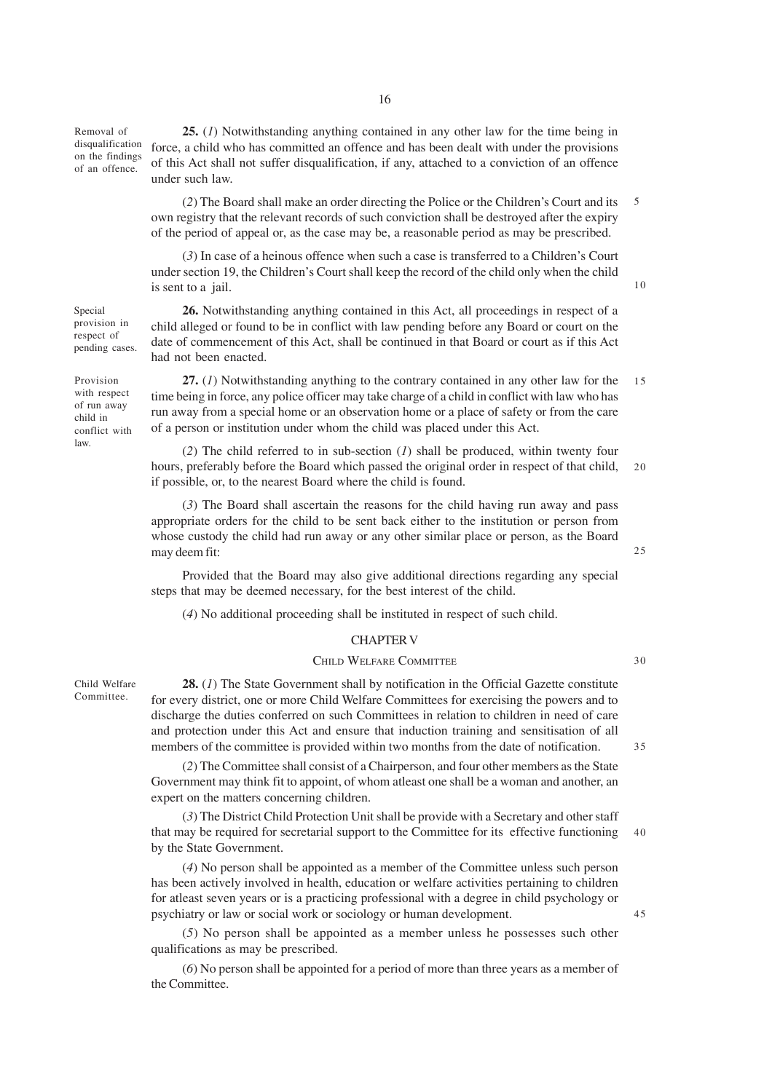Removal of disqualification on the findings of an offence.

**25.** (*1*) Notwithstanding anything contained in any other law for the time being in force, a child who has committed an offence and has been dealt with under the provisions of this Act shall not suffer disqualification, if any, attached to a conviction of an offence under such law.

(*2*) The Board shall make an order directing the Police or the Children's Court and its own registry that the relevant records of such conviction shall be destroyed after the expiry of the period of appeal or, as the case may be, a reasonable period as may be prescribed. 5

(*3*) In case of a heinous offence when such a case is transferred to a Children's Court under section 19, the Children's Court shall keep the record of the child only when the child is sent to a jail.

**26.** Notwithstanding anything contained in this Act, all proceedings in respect of a child alleged or found to be in conflict with law pending before any Board or court on the date of commencement of this Act, shall be continued in that Board or court as if this Act had not been enacted.

**27.** (*1*) Notwithstanding anything to the contrary contained in any other law for the time being in force, any police officer may take charge of a child in conflict with law who has run away from a special home or an observation home or a place of safety or from the care of a person or institution under whom the child was placed under this Act. 15

(*2*) The child referred to in sub-section (*1*) shall be produced, within twenty four hours, preferably before the Board which passed the original order in respect of that child, if possible, or, to the nearest Board where the child is found.  $20$ 

(*3*) The Board shall ascertain the reasons for the child having run away and pass appropriate orders for the child to be sent back either to the institution or person from whose custody the child had run away or any other similar place or person, as the Board may deem fit:

Provided that the Board may also give additional directions regarding any special steps that may be deemed necessary, for the best interest of the child.

(*4*) No additional proceeding shall be instituted in respect of such child.

#### CHAPTER V

#### CHILD WELFARE COMMITTEE

30

35

45

25

10

**28.** (*1*) The State Government shall by notification in the Official Gazette constitute for every district, one or more Child Welfare Committees for exercising the powers and to discharge the duties conferred on such Committees in relation to children in need of care and protection under this Act and ensure that induction training and sensitisation of all members of the committee is provided within two months from the date of notification.

(*2*) The Committee shall consist of a Chairperson, and four other members as the State Government may think fit to appoint, of whom atleast one shall be a woman and another, an expert on the matters concerning children.

(*3*) The District Child Protection Unit shall be provide with a Secretary and other staff that may be required for secretarial support to the Committee for its effective functioning by the State Government. 40

(*4*) No person shall be appointed as a member of the Committee unless such person has been actively involved in health, education or welfare activities pertaining to children for atleast seven years or is a practicing professional with a degree in child psychology or psychiatry or law or social work or sociology or human development.

(*5*) No person shall be appointed as a member unless he possesses such other qualifications as may be prescribed.

(*6*) No person shall be appointed for a period of more than three years as a member of the Committee.

provision in respect of pending cases.

Special

Provision with respect of run away child in conflict with law.

Child Welfare Committee.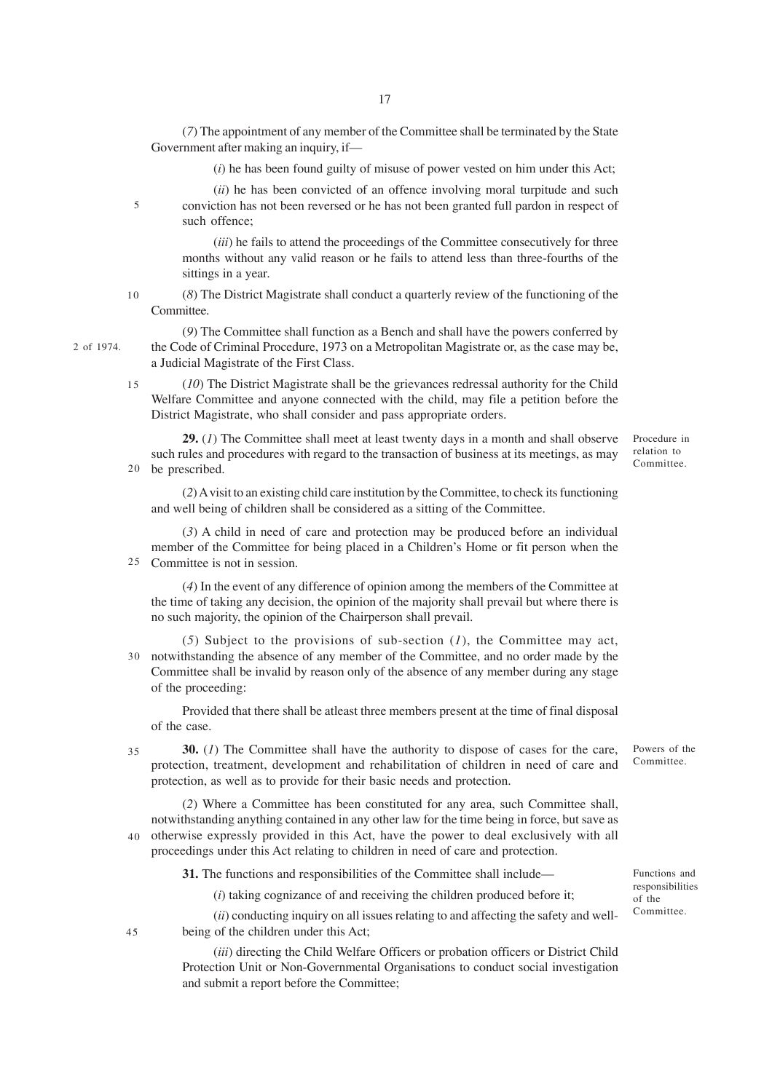(*7*) The appointment of any member of the Committee shall be terminated by the State Government after making an inquiry, if—

(*i*) he has been found guilty of misuse of power vested on him under this Act;

(*ii*) he has been convicted of an offence involving moral turpitude and such conviction has not been reversed or he has not been granted full pardon in respect of such offence;

(*iii*) he fails to attend the proceedings of the Committee consecutively for three months without any valid reason or he fails to attend less than three-fourths of the sittings in a year.

(*8*) The District Magistrate shall conduct a quarterly review of the functioning of the Committee. 10

(*9*) The Committee shall function as a Bench and shall have the powers conferred by the Code of Criminal Procedure, 1973 on a Metropolitan Magistrate or, as the case may be, a Judicial Magistrate of the First Class.

(*10*) The District Magistrate shall be the grievances redressal authority for the Child Welfare Committee and anyone connected with the child, may file a petition before the District Magistrate, who shall consider and pass appropriate orders. 15

**29.** (*1*) The Committee shall meet at least twenty days in a month and shall observe such rules and procedures with regard to the transaction of business at its meetings, as may be prescribed. 20

(*2*) A visit to an existing child care institution by the Committee, to check its functioning and well being of children shall be considered as a sitting of the Committee.

(*3*) A child in need of care and protection may be produced before an individual member of the Committee for being placed in a Children's Home or fit person when the Committee is not in session. 25

(*4*) In the event of any difference of opinion among the members of the Committee at the time of taking any decision, the opinion of the majority shall prevail but where there is no such majority, the opinion of the Chairperson shall prevail.

(*5*) Subject to the provisions of sub-section (*1*), the Committee may act, notwithstanding the absence of any member of the Committee, and no order made by the 30 Committee shall be invalid by reason only of the absence of any member during any stage of the proceeding:

Provided that there shall be atleast three members present at the time of final disposal of the case.

**30.** (*1*) The Committee shall have the authority to dispose of cases for the care, protection, treatment, development and rehabilitation of children in need of care and protection, as well as to provide for their basic needs and protection. 35

(*2*) Where a Committee has been constituted for any area, such Committee shall, notwithstanding anything contained in any other law for the time being in force, but save as otherwise expressly provided in this Act, have the power to deal exclusively with all proceedings under this Act relating to children in need of care and protection. 40

**31.** The functions and responsibilities of the Committee shall include—

(*i*) taking cognizance of and receiving the children produced before it;

(*ii*) conducting inquiry on all issues relating to and affecting the safety and wellbeing of the children under this Act;

(*iii*) directing the Child Welfare Officers or probation officers or District Child Protection Unit or Non-Governmental Organisations to conduct social investigation and submit a report before the Committee;

2 of 1974.

5

45

Powers of the Committee.

Functions and responsibilities of the Committee.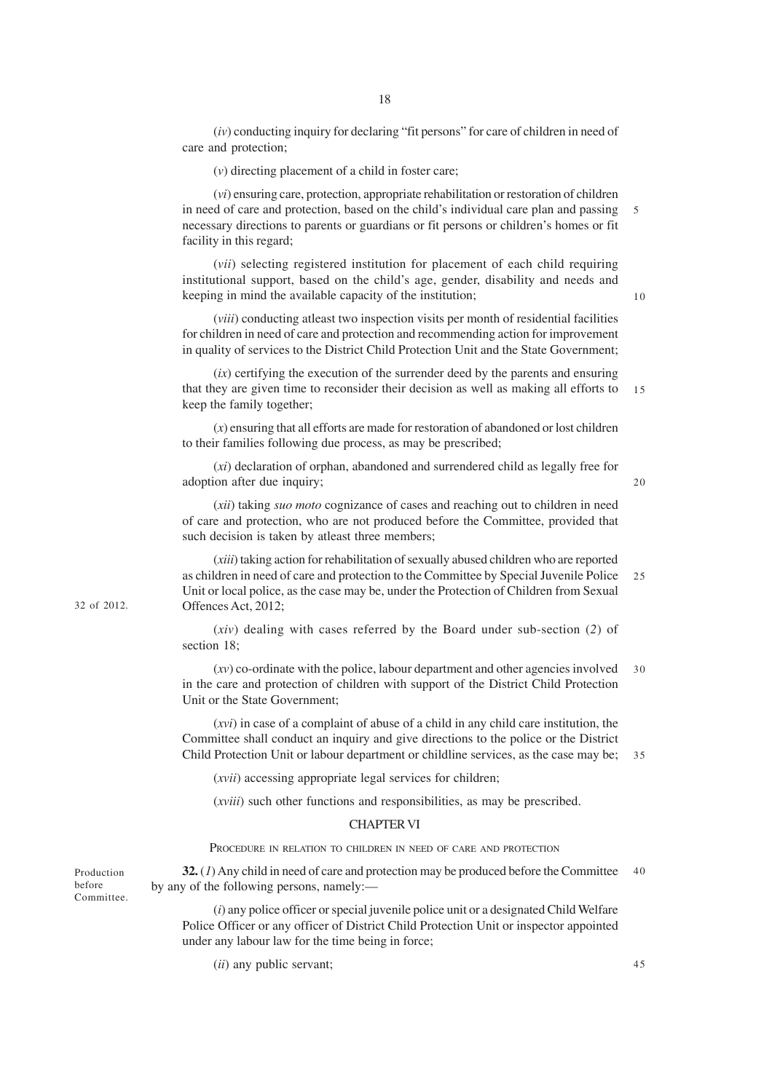(*iv*) conducting inquiry for declaring "fit persons" for care of children in need of care and protection;

(*v*) directing placement of a child in foster care;

(*vi*) ensuring care, protection, appropriate rehabilitation or restoration of children in need of care and protection, based on the child's individual care plan and passing necessary directions to parents or guardians or fit persons or children's homes or fit facility in this regard; 5

(*vii*) selecting registered institution for placement of each child requiring institutional support, based on the child's age, gender, disability and needs and keeping in mind the available capacity of the institution;

(*viii*) conducting atleast two inspection visits per month of residential facilities for children in need of care and protection and recommending action for improvement in quality of services to the District Child Protection Unit and the State Government;

(*ix*) certifying the execution of the surrender deed by the parents and ensuring that they are given time to reconsider their decision as well as making all efforts to keep the family together; 15

(*x*) ensuring that all efforts are made for restoration of abandoned or lost children to their families following due process, as may be prescribed;

(*xi*) declaration of orphan, abandoned and surrendered child as legally free for adoption after due inquiry;

 $20$ 

10

(*xii*) taking *suo moto* cognizance of cases and reaching out to children in need of care and protection, who are not produced before the Committee, provided that such decision is taken by atleast three members;

(*xiii*) taking action for rehabilitation of sexually abused children who are reported as children in need of care and protection to the Committee by Special Juvenile Police Unit or local police, as the case may be, under the Protection of Children from Sexual Offences Act, 2012; 25

(*xiv*) dealing with cases referred by the Board under sub-section (*2*) of section 18;

(*xv*) co-ordinate with the police, labour department and other agencies involved in the care and protection of children with support of the District Child Protection Unit or the State Government; 30

(*xvi*) in case of a complaint of abuse of a child in any child care institution, the Committee shall conduct an inquiry and give directions to the police or the District Child Protection Unit or labour department or childline services, as the case may be; 35

(*xvii*) accessing appropriate legal services for children;

(*xviii*) such other functions and responsibilities, as may be prescribed.

## CHAPTER VI

PROCEDURE IN RELATION TO CHILDREN IN NEED OF CARE AND PROTECTION

**32.** (*1*) Any child in need of care and protection may be produced before the Committee 40 by any of the following persons, namely:—

(*i*) any police officer or special juvenile police unit or a designated Child Welfare Police Officer or any officer of District Child Protection Unit or inspector appointed under any labour law for the time being in force;

(*ii*) any public servant;

32 of 2012.

Production before Committee.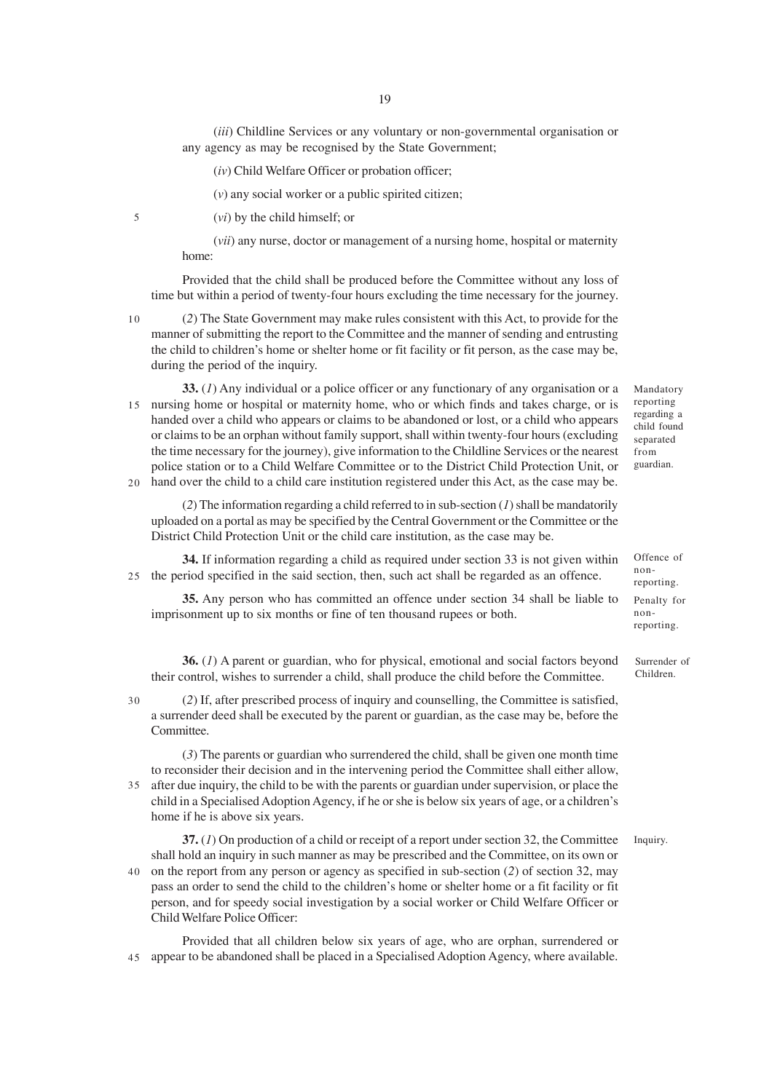(*iv*) Child Welfare Officer or probation officer;

(*v*) any social worker or a public spirited citizen;

(*vi*) by the child himself; or

(*vii*) any nurse, doctor or management of a nursing home, hospital or maternity home:

> Mandatory reporting regarding a child found separated from guardian.

Penalty for nonreporting.

Provided that the child shall be produced before the Committee without any loss of time but within a period of twenty-four hours excluding the time necessary for the journey.

(*2*) The State Government may make rules consistent with this Act, to provide for the manner of submitting the report to the Committee and the manner of sending and entrusting the child to children's home or shelter home or fit facility or fit person, as the case may be, during the period of the inquiry. 10

**33.** (*1*) Any individual or a police officer or any functionary of any organisation or a 15 nursing home or hospital or maternity home, who or which finds and takes charge, or is handed over a child who appears or claims to be abandoned or lost, or a child who appears or claims to be an orphan without family support, shall within twenty-four hours (excluding the time necessary for the journey), give information to the Childline Services or the nearest police station or to a Child Welfare Committee or to the District Child Protection Unit, or hand over the child to a child care institution registered under this Act, as the case may be.  $20$ 

(*2*) The information regarding a child referred to in sub-section (*1*) shall be mandatorily uploaded on a portal as may be specified by the Central Government or the Committee or the District Child Protection Unit or the child care institution, as the case may be.

**34.** If information regarding a child as required under section 33 is not given within 25 the period specified in the said section, then, such act shall be regarded as an offence. Offence of nonreporting.

**35.** Any person who has committed an offence under section 34 shall be liable to imprisonment up to six months or fine of ten thousand rupees or both.

**36.** (*1*) A parent or guardian, who for physical, emotional and social factors beyond their control, wishes to surrender a child, shall produce the child before the Committee. Surrender of Children.

30

5

(*2*) If, after prescribed process of inquiry and counselling, the Committee is satisfied, a surrender deed shall be executed by the parent or guardian, as the case may be, before the Committee.

(*3*) The parents or guardian who surrendered the child, shall be given one month time to reconsider their decision and in the intervening period the Committee shall either allow, 35 after due inquiry, the child to be with the parents or guardian under supervision, or place the child in a Specialised Adoption Agency, if he or she is below six years of age, or a children's home if he is above six years.

**37.** (*1*) On production of a child or receipt of a report under section 32, the Committee shall hold an inquiry in such manner as may be prescribed and the Committee, on its own or on the report from any person or agency as specified in sub-section (*2*) of section 32, may 40 pass an order to send the child to the children's home or shelter home or a fit facility or fit person, and for speedy social investigation by a social worker or Child Welfare Officer or Child Welfare Police Officer: Inquiry.

Provided that all children below six years of age, who are orphan, surrendered or appear to be abandoned shall be placed in a Specialised Adoption Agency, where available. 45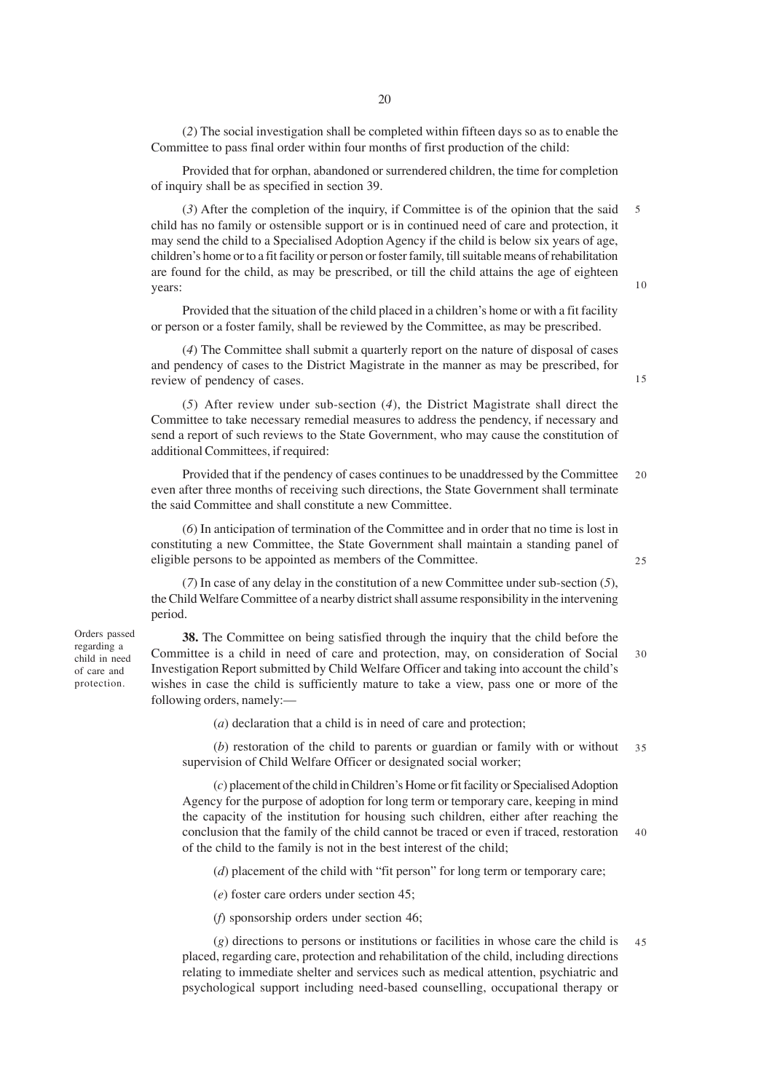(*2*) The social investigation shall be completed within fifteen days so as to enable the Committee to pass final order within four months of first production of the child:

Provided that for orphan, abandoned or surrendered children, the time for completion of inquiry shall be as specified in section 39.

(*3*) After the completion of the inquiry, if Committee is of the opinion that the said child has no family or ostensible support or is in continued need of care and protection, it may send the child to a Specialised Adoption Agency if the child is below six years of age, children's home or to a fit facility or person or foster family, till suitable means of rehabilitation are found for the child, as may be prescribed, or till the child attains the age of eighteen years: 5

Provided that the situation of the child placed in a children's home or with a fit facility or person or a foster family, shall be reviewed by the Committee, as may be prescribed.

(*4*) The Committee shall submit a quarterly report on the nature of disposal of cases and pendency of cases to the District Magistrate in the manner as may be prescribed, for review of pendency of cases.

(*5*) After review under sub-section (*4*), the District Magistrate shall direct the Committee to take necessary remedial measures to address the pendency, if necessary and send a report of such reviews to the State Government, who may cause the constitution of additional Committees, if required:

Provided that if the pendency of cases continues to be unaddressed by the Committee even after three months of receiving such directions, the State Government shall terminate the said Committee and shall constitute a new Committee.  $20$ 

(*6*) In anticipation of termination of the Committee and in order that no time is lost in constituting a new Committee, the State Government shall maintain a standing panel of eligible persons to be appointed as members of the Committee.

(*7*) In case of any delay in the constitution of a new Committee under sub-section (*5*), the Child Welfare Committee of a nearby district shall assume responsibility in the intervening period.

Orders passed regarding a child in need of care and protection.

**38.** The Committee on being satisfied through the inquiry that the child before the Committee is a child in need of care and protection, may, on consideration of Social Investigation Report submitted by Child Welfare Officer and taking into account the child's wishes in case the child is sufficiently mature to take a view, pass one or more of the following orders, namely:—  $30$ 

(*a*) declaration that a child is in need of care and protection;

(*b*) restoration of the child to parents or guardian or family with or without supervision of Child Welfare Officer or designated social worker; 35

(*c*) placement of the child in Children's Home or fit facility or Specialised Adoption Agency for the purpose of adoption for long term or temporary care, keeping in mind the capacity of the institution for housing such children, either after reaching the conclusion that the family of the child cannot be traced or even if traced, restoration of the child to the family is not in the best interest of the child; 40

(*d*) placement of the child with "fit person" for long term or temporary care;

(*e*) foster care orders under section 45;

(*f*) sponsorship orders under section 46;

(*g*) directions to persons or institutions or facilities in whose care the child is placed, regarding care, protection and rehabilitation of the child, including directions relating to immediate shelter and services such as medical attention, psychiatric and psychological support including need-based counselling, occupational therapy or 45

10

15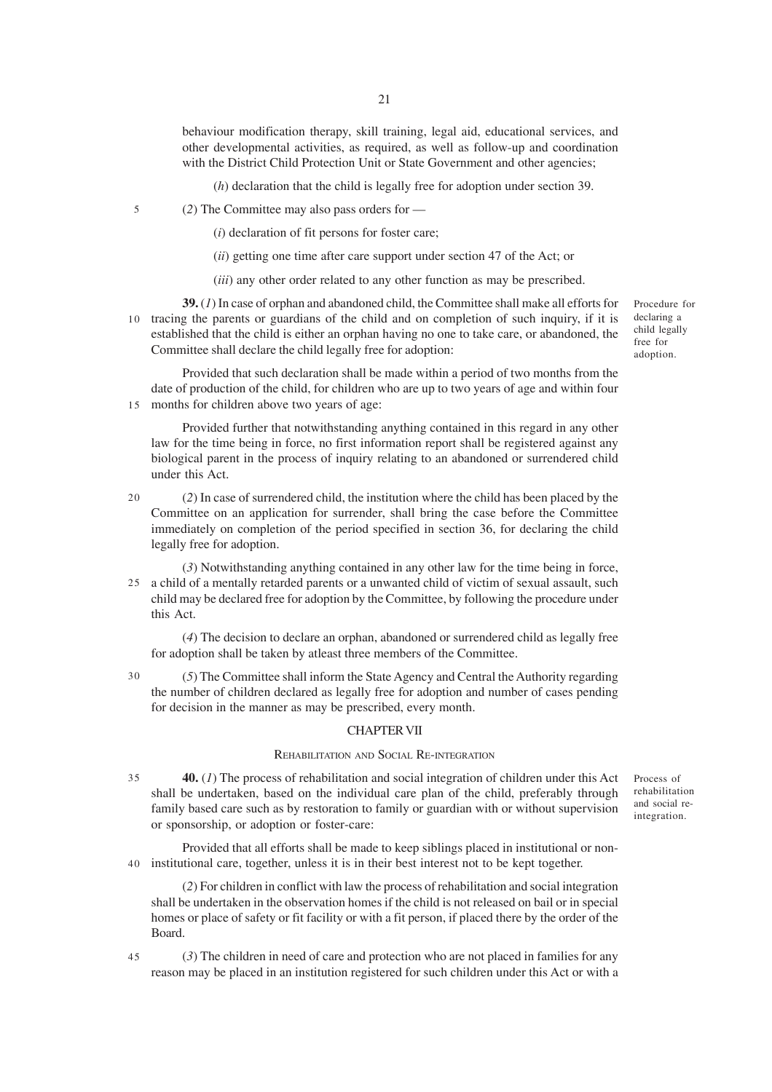behaviour modification therapy, skill training, legal aid, educational services, and other developmental activities, as required, as well as follow-up and coordination with the District Child Protection Unit or State Government and other agencies;

(*h*) declaration that the child is legally free for adoption under section 39.

(*2*) The Committee may also pass orders for — 5

(*i*) declaration of fit persons for foster care;

- (*ii*) getting one time after care support under section 47 of the Act; or
- (*iii*) any other order related to any other function as may be prescribed.

**39.** (*1*) In case of orphan and abandoned child, the Committee shall make all efforts for 10 tracing the parents or guardians of the child and on completion of such inquiry, if it is established that the child is either an orphan having no one to take care, or abandoned, the Committee shall declare the child legally free for adoption:

Provided that such declaration shall be made within a period of two months from the date of production of the child, for children who are up to two years of age and within four months for children above two years of age: 15

Provided further that notwithstanding anything contained in this regard in any other law for the time being in force, no first information report shall be registered against any biological parent in the process of inquiry relating to an abandoned or surrendered child under this Act.

(*2*) In case of surrendered child, the institution where the child has been placed by the Committee on an application for surrender, shall bring the case before the Committee immediately on completion of the period specified in section 36, for declaring the child legally free for adoption.  $20$ 

(*3*) Notwithstanding anything contained in any other law for the time being in force, a child of a mentally retarded parents or a unwanted child of victim of sexual assault, such child may be declared free for adoption by the Committee, by following the procedure under this Act. 25

(*4*) The decision to declare an orphan, abandoned or surrendered child as legally free for adoption shall be taken by atleast three members of the Committee.

(*5*) The Committee shall inform the State Agency and Central the Authority regarding the number of children declared as legally free for adoption and number of cases pending for decision in the manner as may be prescribed, every month. 30

## CHAPTER VII

#### REHABILITATION AND SOCIAL RE-INTEGRATION

**40.** (*1*) The process of rehabilitation and social integration of children under this Act shall be undertaken, based on the individual care plan of the child, preferably through family based care such as by restoration to family or guardian with or without supervision or sponsorship, or adoption or foster-care: 35

Process of rehabilitation and social reintegration.

Provided that all efforts shall be made to keep siblings placed in institutional or noninstitutional care, together, unless it is in their best interest not to be kept together. 40

(*2*) For children in conflict with law the process of rehabilitation and social integration shall be undertaken in the observation homes if the child is not released on bail or in special homes or place of safety or fit facility or with a fit person, if placed there by the order of the Board.

(*3*) The children in need of care and protection who are not placed in families for any reason may be placed in an institution registered for such children under this Act or with a 45

Procedure for declaring a child legally free for adoption.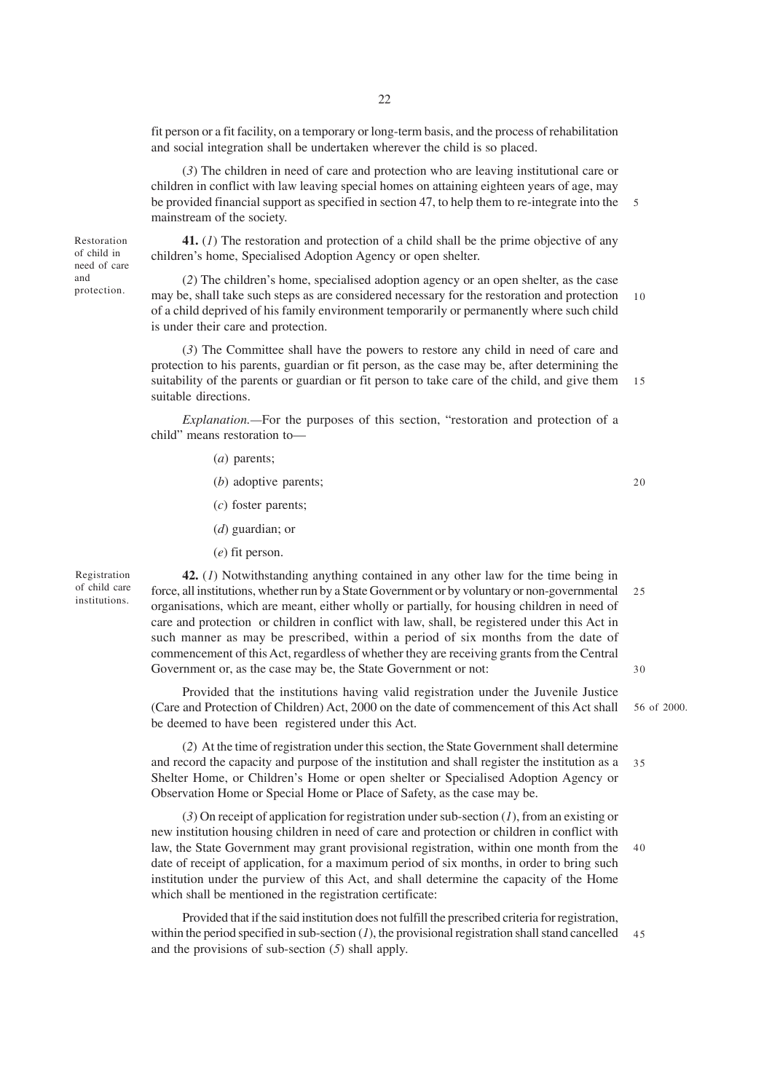fit person or a fit facility, on a temporary or long-term basis, and the process of rehabilitation and social integration shall be undertaken wherever the child is so placed.

(*3*) The children in need of care and protection who are leaving institutional care or children in conflict with law leaving special homes on attaining eighteen years of age, may be provided financial support as specified in section 47, to help them to re-integrate into the mainstream of the society. 5

**41.** (*1*) The restoration and protection of a child shall be the prime objective of any children's home, Specialised Adoption Agency or open shelter.

(*2*) The children's home, specialised adoption agency or an open shelter, as the case may be, shall take such steps as are considered necessary for the restoration and protection of a child deprived of his family environment temporarily or permanently where such child is under their care and protection. 10

(*3*) The Committee shall have the powers to restore any child in need of care and protection to his parents, guardian or fit person, as the case may be, after determining the suitability of the parents or guardian or fit person to take care of the child, and give them suitable directions. 15

*Explanation.—*For the purposes of this section, "restoration and protection of a child" means restoration to—

- (*a*) parents;
- (*b*) adoptive parents;
- (*c*) foster parents;
- (*d*) guardian; or
- (*e*) fit person.

Registration of child care institutions.

Restoration of child in need of care and protection.

> **42.** (*1*) Notwithstanding anything contained in any other law for the time being in force, all institutions, whether run by a State Government or by voluntary or non-governmental organisations, which are meant, either wholly or partially, for housing children in need of care and protection or children in conflict with law, shall, be registered under this Act in such manner as may be prescribed, within a period of six months from the date of commencement of this Act, regardless of whether they are receiving grants from the Central Government or, as the case may be, the State Government or not: 25 30

Provided that the institutions having valid registration under the Juvenile Justice (Care and Protection of Children) Act, 2000 on the date of commencement of this Act shall be deemed to have been registered under this Act.

(*2*) At the time of registration under this section, the State Government shall determine and record the capacity and purpose of the institution and shall register the institution as a Shelter Home, or Children's Home or open shelter or Specialised Adoption Agency or Observation Home or Special Home or Place of Safety, as the case may be. 35

(*3*) On receipt of application for registration under sub-section (*1*), from an existing or new institution housing children in need of care and protection or children in conflict with law, the State Government may grant provisional registration, within one month from the date of receipt of application, for a maximum period of six months, in order to bring such institution under the purview of this Act, and shall determine the capacity of the Home which shall be mentioned in the registration certificate: 40

Provided that if the said institution does not fulfill the prescribed criteria for registration, within the period specified in sub-section (*1*), the provisional registration shall stand cancelled and the provisions of sub-section (*5*) shall apply. 45

 $20$ 

56 of 2000.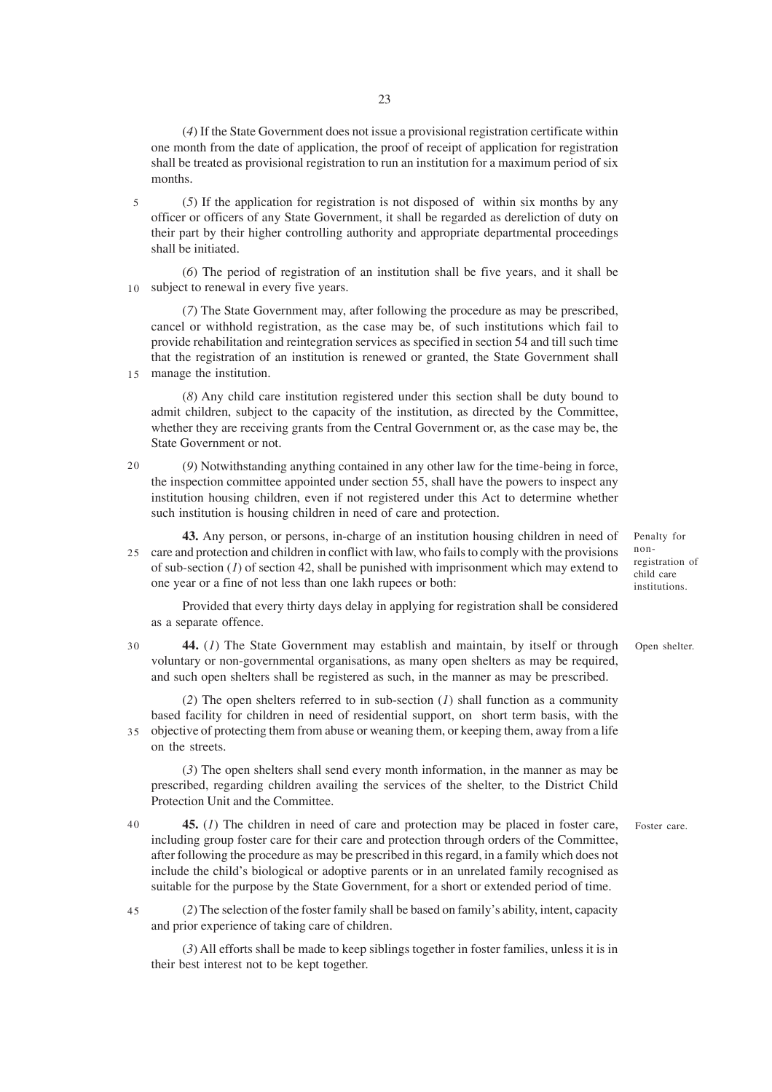(*4*) If the State Government does not issue a provisional registration certificate within one month from the date of application, the proof of receipt of application for registration shall be treated as provisional registration to run an institution for a maximum period of six months.

(*5*) If the application for registration is not disposed of within six months by any officer or officers of any State Government, it shall be regarded as dereliction of duty on their part by their higher controlling authority and appropriate departmental proceedings shall be initiated. 5

(*6*) The period of registration of an institution shall be five years, and it shall be 10 subject to renewal in every five years.

(*7*) The State Government may, after following the procedure as may be prescribed, cancel or withhold registration, as the case may be, of such institutions which fail to provide rehabilitation and reintegration services as specified in section 54 and till such time that the registration of an institution is renewed or granted, the State Government shall manage the institution. 15

(*8*) Any child care institution registered under this section shall be duty bound to admit children, subject to the capacity of the institution, as directed by the Committee, whether they are receiving grants from the Central Government or, as the case may be, the State Government or not.

(*9*) Notwithstanding anything contained in any other law for the time-being in force, the inspection committee appointed under section 55, shall have the powers to inspect any institution housing children, even if not registered under this Act to determine whether such institution is housing children in need of care and protection. 20

**43.** Any person, or persons, in-charge of an institution housing children in need of care and protection and children in conflict with law, who fails to comply with the provisions 25 of sub-section (*1*) of section 42, shall be punished with imprisonment which may extend to one year or a fine of not less than one lakh rupees or both:

Provided that every thirty days delay in applying for registration shall be considered as a separate offence.

30

**44.** (*1*) The State Government may establish and maintain, by itself or through voluntary or non-governmental organisations, as many open shelters as may be required, and such open shelters shall be registered as such, in the manner as may be prescribed.

(*2*) The open shelters referred to in sub-section (*1*) shall function as a community based facility for children in need of residential support, on short term basis, with the objective of protecting them from abuse or weaning them, or keeping them, away from a life on the streets. 35

(*3*) The open shelters shall send every month information, in the manner as may be prescribed, regarding children availing the services of the shelter, to the District Child Protection Unit and the Committee.

**45.** (*1*) The children in need of care and protection may be placed in foster care, including group foster care for their care and protection through orders of the Committee, after following the procedure as may be prescribed in this regard, in a family which does not include the child's biological or adoptive parents or in an unrelated family recognised as suitable for the purpose by the State Government, for a short or extended period of time. 40

(*2*) The selection of the foster family shall be based on family's ability, intent, capacity and prior experience of taking care of children. 45

(*3*) All efforts shall be made to keep siblings together in foster families, unless it is in their best interest not to be kept together.

Penalty for nonregistration of child care institutions.

Open shelter.

Foster care.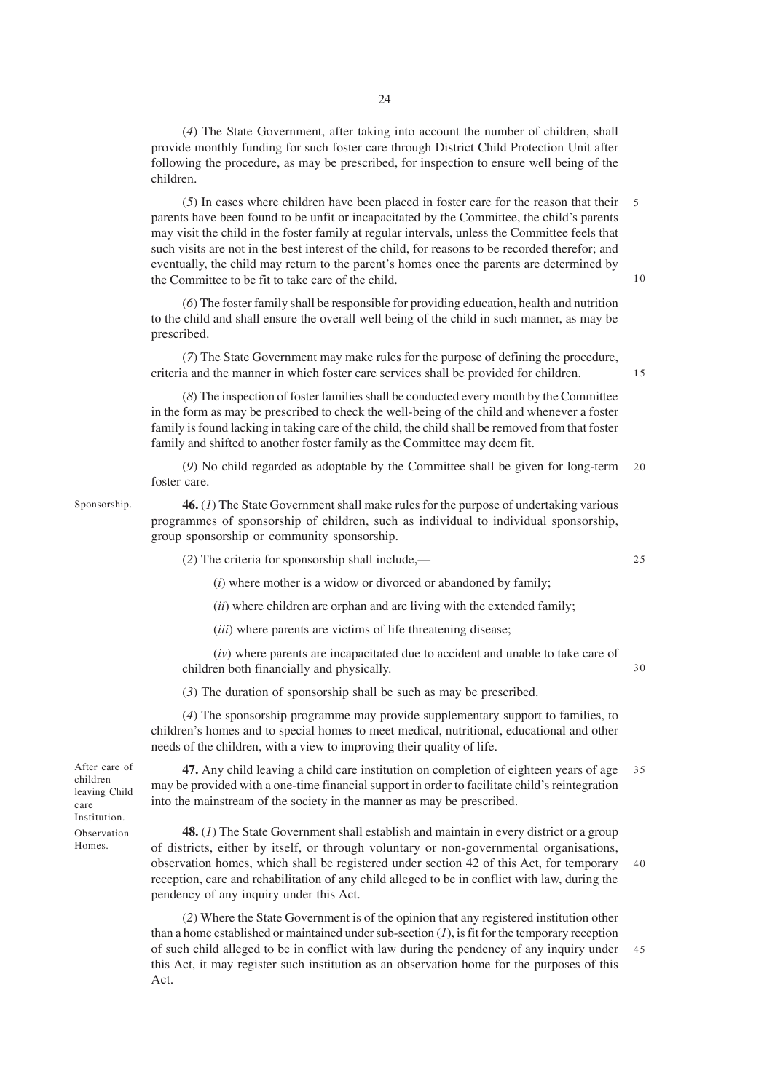(*4*) The State Government, after taking into account the number of children, shall provide monthly funding for such foster care through District Child Protection Unit after following the procedure, as may be prescribed, for inspection to ensure well being of the children.

(*5*) In cases where children have been placed in foster care for the reason that their parents have been found to be unfit or incapacitated by the Committee, the child's parents may visit the child in the foster family at regular intervals, unless the Committee feels that such visits are not in the best interest of the child, for reasons to be recorded therefor; and eventually, the child may return to the parent's homes once the parents are determined by the Committee to be fit to take care of the child. 5 10

(*6*) The foster family shall be responsible for providing education, health and nutrition to the child and shall ensure the overall well being of the child in such manner, as may be prescribed.

(*7*) The State Government may make rules for the purpose of defining the procedure, criteria and the manner in which foster care services shall be provided for children.

(*8*) The inspection of foster families shall be conducted every month by the Committee in the form as may be prescribed to check the well-being of the child and whenever a foster family is found lacking in taking care of the child, the child shall be removed from that foster family and shifted to another foster family as the Committee may deem fit.

(*9*) No child regarded as adoptable by the Committee shall be given for long-term foster care.  $20$ 

Sponsorship.

**46.** (*1*) The State Government shall make rules for the purpose of undertaking various programmes of sponsorship of children, such as individual to individual sponsorship, group sponsorship or community sponsorship.

(*2*) The criteria for sponsorship shall include,—

(*i*) where mother is a widow or divorced or abandoned by family;

(*ii*) where children are orphan and are living with the extended family;

(*iii*) where parents are victims of life threatening disease;

(*iv*) where parents are incapacitated due to accident and unable to take care of children both financially and physically.

(*3*) The duration of sponsorship shall be such as may be prescribed.

(*4*) The sponsorship programme may provide supplementary support to families, to children's homes and to special homes to meet medical, nutritional, educational and other needs of the children, with a view to improving their quality of life.

**47.** Any child leaving a child care institution on completion of eighteen years of age may be provided with a one-time financial support in order to facilitate child's reintegration into the mainstream of the society in the manner as may be prescribed. 35

**48.** (*1*) The State Government shall establish and maintain in every district or a group of districts, either by itself, or through voluntary or non-governmental organisations, observation homes, which shall be registered under section 42 of this Act, for temporary reception, care and rehabilitation of any child alleged to be in conflict with law, during the pendency of any inquiry under this Act. 40

(*2*) Where the State Government is of the opinion that any registered institution other than a home established or maintained under sub-section (*1*), is fit for the temporary reception of such child alleged to be in conflict with law during the pendency of any inquiry under this Act, it may register such institution as an observation home for the purposes of this Act. 45

After care of children leaving Child care Institution.

Observation Homes.

25

30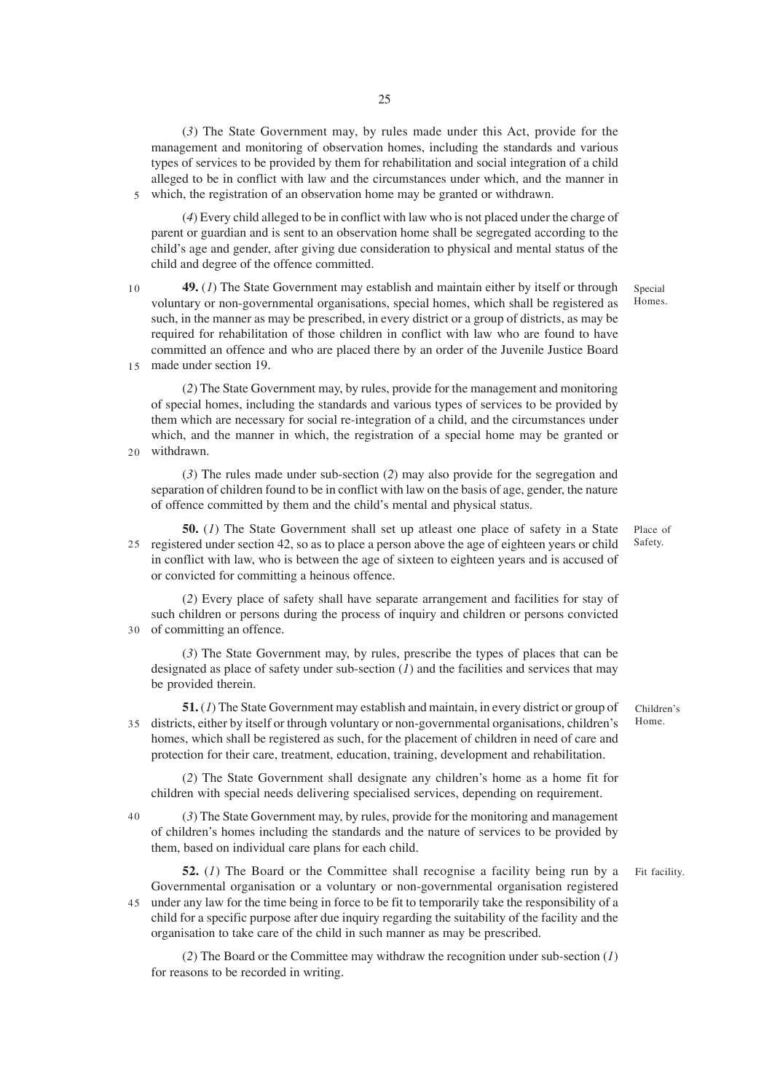(*3*) The State Government may, by rules made under this Act, provide for the management and monitoring of observation homes, including the standards and various types of services to be provided by them for rehabilitation and social integration of a child

alleged to be in conflict with law and the circumstances under which, and the manner in which, the registration of an observation home may be granted or withdrawn. 5 (*4*) Every child alleged to be in conflict with law who is not placed under the charge of

parent or guardian and is sent to an observation home shall be segregated according to the child's age and gender, after giving due consideration to physical and mental status of the child and degree of the offence committed.

 $1<sub>0</sub>$ 

20

**49.** (*1*) The State Government may establish and maintain either by itself or through voluntary or non-governmental organisations, special homes, which shall be registered as such, in the manner as may be prescribed, in every district or a group of districts, as may be required for rehabilitation of those children in conflict with law who are found to have committed an offence and who are placed there by an order of the Juvenile Justice Board made under section 19. 15

Special Homes.

(*2*) The State Government may, by rules, provide for the management and monitoring of special homes, including the standards and various types of services to be provided by them which are necessary for social re-integration of a child, and the circumstances under which, and the manner in which, the registration of a special home may be granted or withdrawn.

(*3*) The rules made under sub-section (*2*) may also provide for the segregation and separation of children found to be in conflict with law on the basis of age, gender, the nature of offence committed by them and the child's mental and physical status.

**50.** (*1*) The State Government shall set up atleast one place of safety in a State 25 registered under section 42, so as to place a person above the age of eighteen years or child in conflict with law, who is between the age of sixteen to eighteen years and is accused of or convicted for committing a heinous offence.

(*2*) Every place of safety shall have separate arrangement and facilities for stay of such children or persons during the process of inquiry and children or persons convicted of committing an offence. 30

(*3*) The State Government may, by rules, prescribe the types of places that can be designated as place of safety under sub-section (*1*) and the facilities and services that may be provided therein.

**51.** (*1*) The State Government may establish and maintain, in every district or group of districts, either by itself or through voluntary or non-governmental organisations, children's 35 homes, which shall be registered as such, for the placement of children in need of care and protection for their care, treatment, education, training, development and rehabilitation. Children's Home.

(*2*) The State Government shall designate any children's home as a home fit for children with special needs delivering specialised services, depending on requirement.

(*3*) The State Government may, by rules, provide for the monitoring and management of children's homes including the standards and the nature of services to be provided by them, based on individual care plans for each child. 40

**52.** (*1*) The Board or the Committee shall recognise a facility being run by a Governmental organisation or a voluntary or non-governmental organisation registered under any law for the time being in force to be fit to temporarily take the responsibility of a child for a specific purpose after due inquiry regarding the suitability of the facility and the organisation to take care of the child in such manner as may be prescribed. Fit facility. 45

(*2*) The Board or the Committee may withdraw the recognition under sub-section (*1*) for reasons to be recorded in writing.

Place of Safety.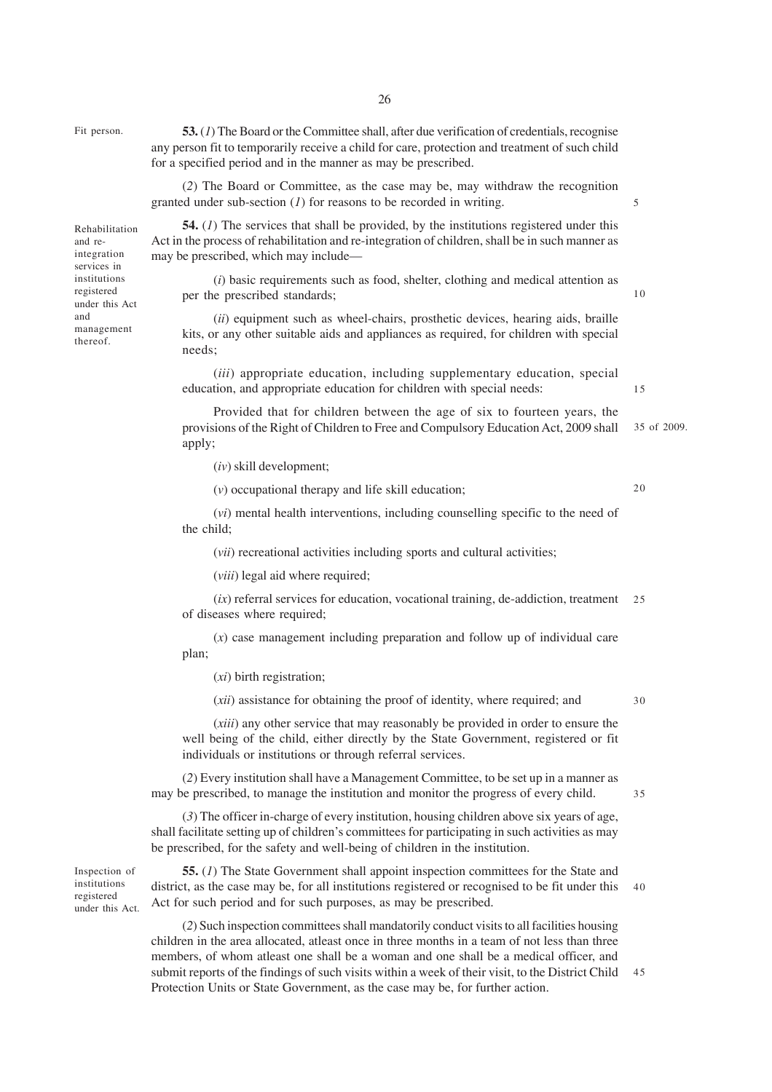Fit person.

Rehabilitation and reintegration services in institutions registered under this Act and management thereof.

**53.** (*1*) The Board or the Committee shall, after due verification of credentials, recognise any person fit to temporarily receive a child for care, protection and treatment of such child for a specified period and in the manner as may be prescribed.

(*2*) The Board or Committee, as the case may be, may withdraw the recognition granted under sub-section (*1*) for reasons to be recorded in writing.

**54.** (*1*) The services that shall be provided, by the institutions registered under this Act in the process of rehabilitation and re-integration of children, shall be in such manner as may be prescribed, which may include—

(*i*) basic requirements such as food, shelter, clothing and medical attention as per the prescribed standards;

10

5

(*ii*) equipment such as wheel-chairs, prosthetic devices, hearing aids, braille kits, or any other suitable aids and appliances as required, for children with special needs;

(*iii*) appropriate education, including supplementary education, special education, and appropriate education for children with special needs:

15

Provided that for children between the age of six to fourteen years, the provisions of the Right of Children to Free and Compulsory Education Act, 2009 shall apply; 35 of 2009.

(*iv*) skill development;

(*v*) occupational therapy and life skill education;

20

(*vi*) mental health interventions, including counselling specific to the need of the child;

(*vii*) recreational activities including sports and cultural activities;

(*viii*) legal aid where required;

(*ix*) referral services for education, vocational training, de-addiction, treatment of diseases where required; 25

(*x*) case management including preparation and follow up of individual care plan;

(*xi*) birth registration;

(*xii*) assistance for obtaining the proof of identity, where required; and

30

35

(*xiii*) any other service that may reasonably be provided in order to ensure the well being of the child, either directly by the State Government, registered or fit individuals or institutions or through referral services.

(*2*) Every institution shall have a Management Committee, to be set up in a manner as may be prescribed, to manage the institution and monitor the progress of every child.

(*3*) The officer in-charge of every institution, housing children above six years of age, shall facilitate setting up of children's committees for participating in such activities as may be prescribed, for the safety and well-being of children in the institution.

Inspection of institutions registered under this Act.

**55.** (*1*) The State Government shall appoint inspection committees for the State and district, as the case may be, for all institutions registered or recognised to be fit under this Act for such period and for such purposes, as may be prescribed. 40

(*2*) Such inspection committees shall mandatorily conduct visits to all facilities housing children in the area allocated, atleast once in three months in a team of not less than three members, of whom atleast one shall be a woman and one shall be a medical officer, and submit reports of the findings of such visits within a week of their visit, to the District Child Protection Units or State Government, as the case may be, for further action. 45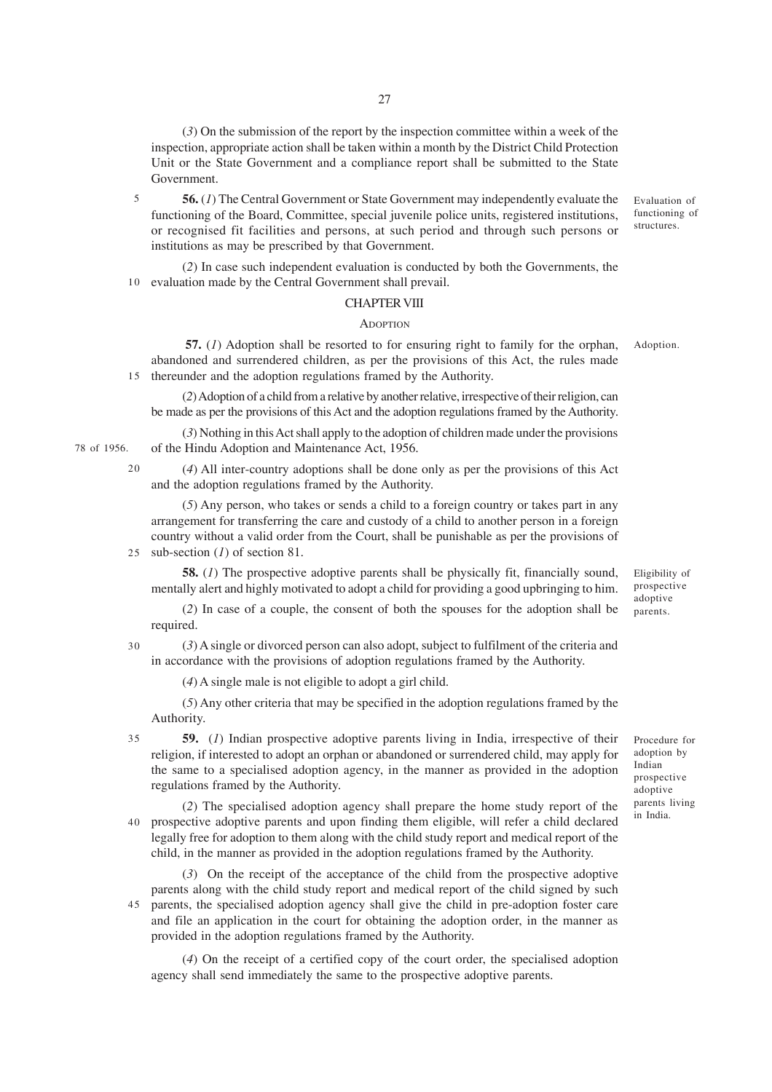(*3*) On the submission of the report by the inspection committee within a week of the inspection, appropriate action shall be taken within a month by the District Child Protection Unit or the State Government and a compliance report shall be submitted to the State Government.

**56.** (*1*) The Central Government or State Government may independently evaluate the functioning of the Board, Committee, special juvenile police units, registered institutions, or recognised fit facilities and persons, at such period and through such persons or institutions as may be prescribed by that Government. Evaluation of functioning of structures. 5

(*2*) In case such independent evaluation is conducted by both the Governments, the 10 evaluation made by the Central Government shall prevail.

## CHAPTER VIII

#### **ADOPTION**

**57.** (*1*) Adoption shall be resorted to for ensuring right to family for the orphan, abandoned and surrendered children, as per the provisions of this Act, the rules made thereunder and the adoption regulations framed by the Authority. Adoption. 15

(*2*) Adoption of a child from a relative by another relative, irrespective of their religion, can be made as per the provisions of this Act and the adoption regulations framed by the Authority.

(*3*) Nothing in this Act shall apply to the adoption of children made under the provisions of the Hindu Adoption and Maintenance Act, 1956.

 $20$ 

78 of 1956.

25

(*4*) All inter-country adoptions shall be done only as per the provisions of this Act and the adoption regulations framed by the Authority.

(*5*) Any person, who takes or sends a child to a foreign country or takes part in any arrangement for transferring the care and custody of a child to another person in a foreign country without a valid order from the Court, shall be punishable as per the provisions of sub-section (*1*) of section 81.

**58.** (*1*) The prospective adoptive parents shall be physically fit, financially sound, mentally alert and highly motivated to adopt a child for providing a good upbringing to him.

(*2*) In case of a couple, the consent of both the spouses for the adoption shall be required.

(*3*) A single or divorced person can also adopt, subject to fulfilment of the criteria and in accordance with the provisions of adoption regulations framed by the Authority. 30

(*4*) A single male is not eligible to adopt a girl child.

(*5*) Any other criteria that may be specified in the adoption regulations framed by the Authority.

**59.** (*1*) Indian prospective adoptive parents living in India, irrespective of their religion, if interested to adopt an orphan or abandoned or surrendered child, may apply for the same to a specialised adoption agency, in the manner as provided in the adoption regulations framed by the Authority. 35

(*2*) The specialised adoption agency shall prepare the home study report of the prospective adoptive parents and upon finding them eligible, will refer a child declared legally free for adoption to them along with the child study report and medical report of the child, in the manner as provided in the adoption regulations framed by the Authority. 40

(*3*) On the receipt of the acceptance of the child from the prospective adoptive parents along with the child study report and medical report of the child signed by such parents, the specialised adoption agency shall give the child in pre-adoption foster care and file an application in the court for obtaining the adoption order, in the manner as provided in the adoption regulations framed by the Authority. 45

(*4*) On the receipt of a certified copy of the court order, the specialised adoption agency shall send immediately the same to the prospective adoptive parents.

Eligibility of prospective adoptive parents.

Procedure for adoption by Indian prospective adoptive parents living in India.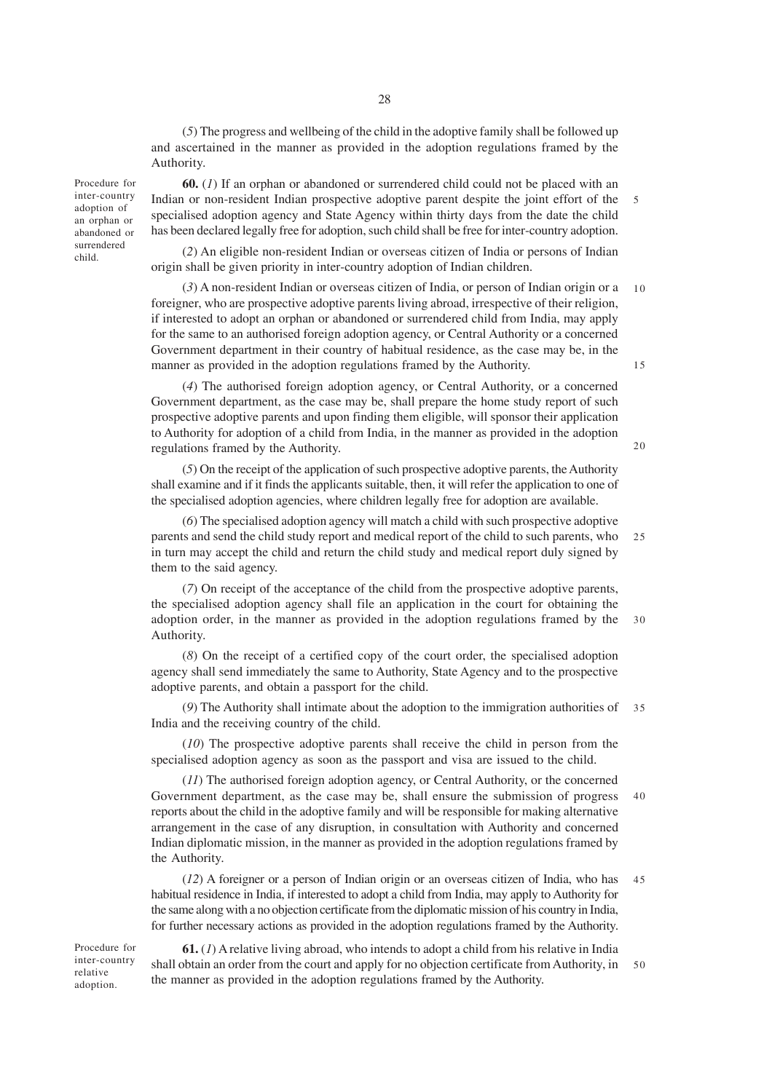(*5*) The progress and wellbeing of the child in the adoptive family shall be followed up and ascertained in the manner as provided in the adoption regulations framed by the Authority.

Procedure for inter-country adoption of an orphan or abandoned or surrendered child.

**60.** (*1*) If an orphan or abandoned or surrendered child could not be placed with an Indian or non-resident Indian prospective adoptive parent despite the joint effort of the specialised adoption agency and State Agency within thirty days from the date the child has been declared legally free for adoption, such child shall be free for inter-country adoption. 5

(*2*) An eligible non-resident Indian or overseas citizen of India or persons of Indian origin shall be given priority in inter-country adoption of Indian children.

(*3*) A non-resident Indian or overseas citizen of India, or person of Indian origin or a foreigner, who are prospective adoptive parents living abroad, irrespective of their religion, if interested to adopt an orphan or abandoned or surrendered child from India, may apply for the same to an authorised foreign adoption agency, or Central Authority or a concerned Government department in their country of habitual residence, as the case may be, in the manner as provided in the adoption regulations framed by the Authority. 10 15

(*4*) The authorised foreign adoption agency, or Central Authority, or a concerned Government department, as the case may be, shall prepare the home study report of such prospective adoptive parents and upon finding them eligible, will sponsor their application to Authority for adoption of a child from India, in the manner as provided in the adoption regulations framed by the Authority.

(*5*) On the receipt of the application of such prospective adoptive parents, the Authority shall examine and if it finds the applicants suitable, then, it will refer the application to one of the specialised adoption agencies, where children legally free for adoption are available.

(*6*) The specialised adoption agency will match a child with such prospective adoptive parents and send the child study report and medical report of the child to such parents, who in turn may accept the child and return the child study and medical report duly signed by them to the said agency. 25

(*7*) On receipt of the acceptance of the child from the prospective adoptive parents, the specialised adoption agency shall file an application in the court for obtaining the adoption order, in the manner as provided in the adoption regulations framed by the Authority. 30

(*8*) On the receipt of a certified copy of the court order, the specialised adoption agency shall send immediately the same to Authority, State Agency and to the prospective adoptive parents, and obtain a passport for the child.

(*9*) The Authority shall intimate about the adoption to the immigration authorities of 35 India and the receiving country of the child.

(*10*) The prospective adoptive parents shall receive the child in person from the specialised adoption agency as soon as the passport and visa are issued to the child.

(*11*) The authorised foreign adoption agency, or Central Authority, or the concerned Government department, as the case may be, shall ensure the submission of progress reports about the child in the adoptive family and will be responsible for making alternative arrangement in the case of any disruption, in consultation with Authority and concerned Indian diplomatic mission, in the manner as provided in the adoption regulations framed by the Authority. 40

(*12*) A foreigner or a person of Indian origin or an overseas citizen of India, who has habitual residence in India, if interested to adopt a child from India, may apply to Authority for the same along with a no objection certificate from the diplomatic mission of his country in India, for further necessary actions as provided in the adoption regulations framed by the Authority. 45

Procedure for inter-country relative adoption.

**61.** (*1*) A relative living abroad, who intends to adopt a child from his relative in India shall obtain an order from the court and apply for no objection certificate from Authority, in the manner as provided in the adoption regulations framed by the Authority. 50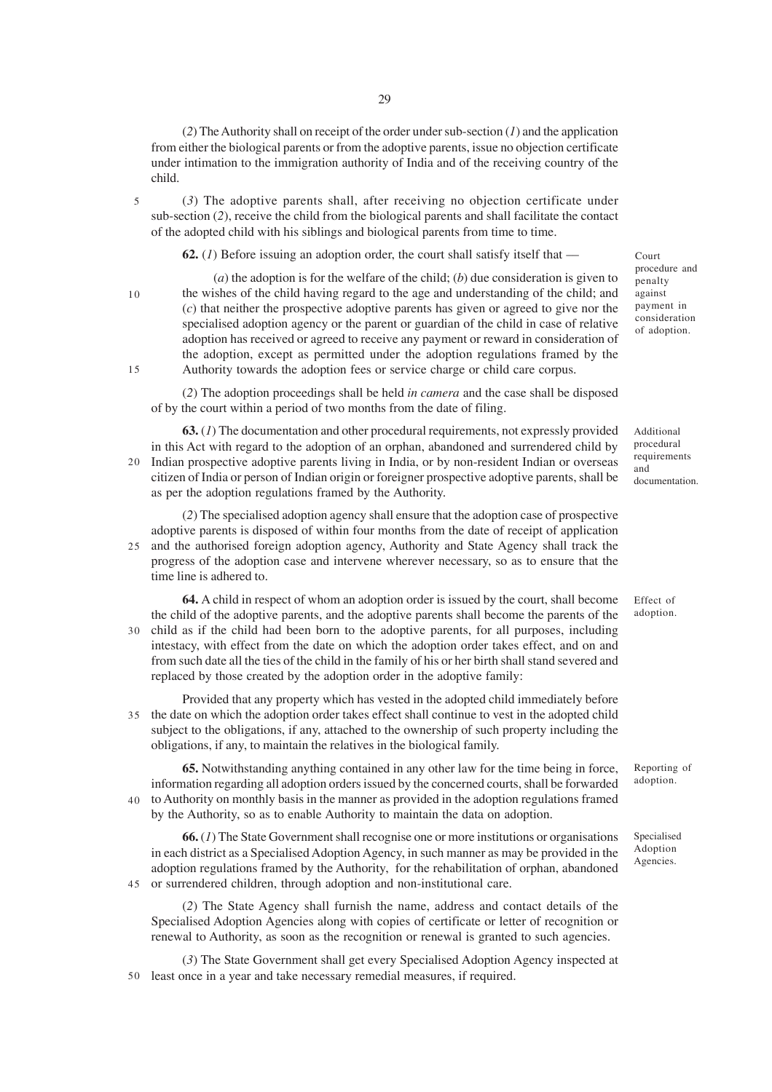(*2*) The Authority shall on receipt of the order under sub-section (*1*) and the application from either the biological parents or from the adoptive parents, issue no objection certificate under intimation to the immigration authority of India and of the receiving country of the child.

(*3*) The adoptive parents shall, after receiving no objection certificate under sub-section (*2*), receive the child from the biological parents and shall facilitate the contact of the adopted child with his siblings and biological parents from time to time. 5

**62.** (*1*) Before issuing an adoption order, the court shall satisfy itself that ––

(*a*) the adoption is for the welfare of the child; (*b*) due consideration is given to the wishes of the child having regard to the age and understanding of the child; and (*c*) that neither the prospective adoptive parents has given or agreed to give nor the specialised adoption agency or the parent or guardian of the child in case of relative adoption has received or agreed to receive any payment or reward in consideration of the adoption, except as permitted under the adoption regulations framed by the Authority towards the adoption fees or service charge or child care corpus.

10

15

(*2*) The adoption proceedings shall be held *in camera* and the case shall be disposed of by the court within a period of two months from the date of filing.

**63.** (*1*) The documentation and other procedural requirements, not expressly provided in this Act with regard to the adoption of an orphan, abandoned and surrendered child by 20 Indian prospective adoptive parents living in India, or by non-resident Indian or overseas citizen of India or person of Indian origin or foreigner prospective adoptive parents, shall be as per the adoption regulations framed by the Authority.

(*2*) The specialised adoption agency shall ensure that the adoption case of prospective adoptive parents is disposed of within four months from the date of receipt of application and the authorised foreign adoption agency, Authority and State Agency shall track the progress of the adoption case and intervene wherever necessary, so as to ensure that the time line is adhered to. 25

**64.** A child in respect of whom an adoption order is issued by the court, shall become the child of the adoptive parents, and the adoptive parents shall become the parents of the child as if the child had been born to the adoptive parents, for all purposes, including intestacy, with effect from the date on which the adoption order takes effect, and on and from such date all the ties of the child in the family of his or her birth shall stand severed and replaced by those created by the adoption order in the adoptive family: 30

Provided that any property which has vested in the adopted child immediately before the date on which the adoption order takes effect shall continue to vest in the adopted child subject to the obligations, if any, attached to the ownership of such property including the obligations, if any, to maintain the relatives in the biological family. 35

**65.** Notwithstanding anything contained in any other law for the time being in force, information regarding all adoption orders issued by the concerned courts, shall be forwarded to Authority on monthly basis in the manner as provided in the adoption regulations framed by the Authority, so as to enable Authority to maintain the data on adoption. 40

**66.** (*1*) The State Government shall recognise one or more institutions or organisations in each district as a Specialised Adoption Agency, in such manner as may be provided in the adoption regulations framed by the Authority, for the rehabilitation of orphan, abandoned 45 or surrendered children, through adoption and non-institutional care.

(*2*) The State Agency shall furnish the name, address and contact details of the Specialised Adoption Agencies along with copies of certificate or letter of recognition or renewal to Authority, as soon as the recognition or renewal is granted to such agencies.

(*3*) The State Government shall get every Specialised Adoption Agency inspected at least once in a year and take necessary remedial measures, if required. 50

Court procedure and penalty against payment in consideration of adoption.

Additional procedural requirements and documentation.

Effect of adoption.

Reporting of adoption.

Specialised Adoption Agencies.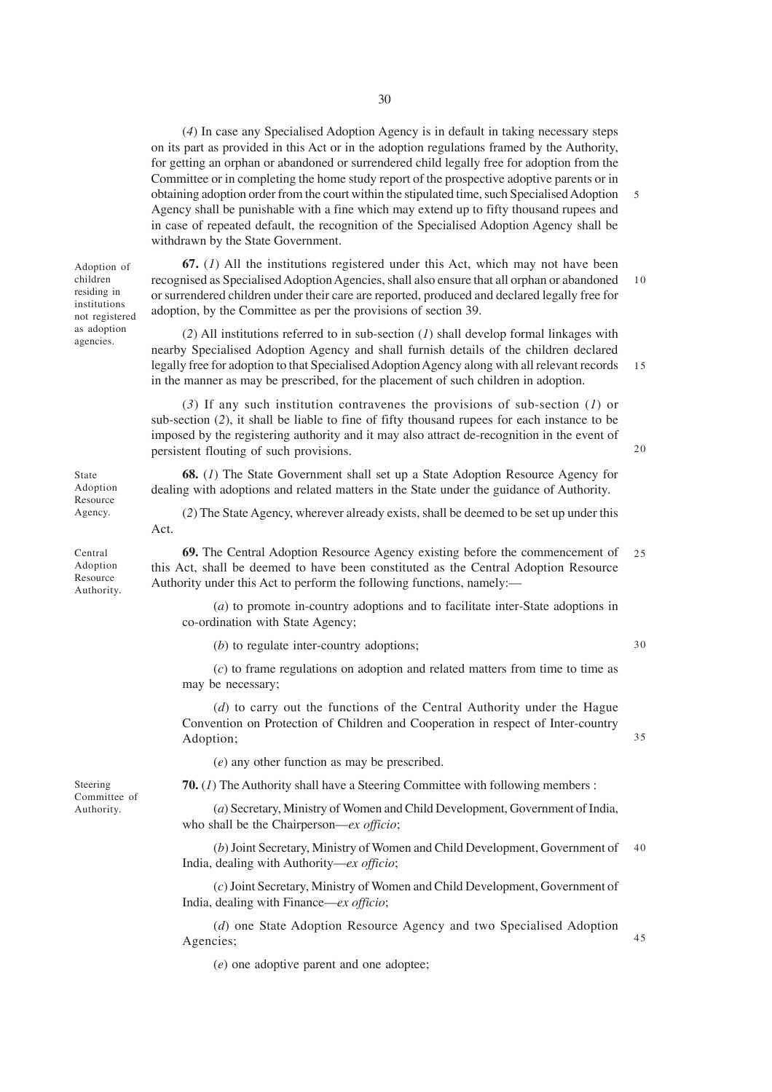(*4*) In case any Specialised Adoption Agency is in default in taking necessary steps on its part as provided in this Act or in the adoption regulations framed by the Authority, for getting an orphan or abandoned or surrendered child legally free for adoption from the Committee or in completing the home study report of the prospective adoptive parents or in obtaining adoption order from the court within the stipulated time, such Specialised Adoption Agency shall be punishable with a fine which may extend up to fifty thousand rupees and in case of repeated default, the recognition of the Specialised Adoption Agency shall be withdrawn by the State Government. 5

**67.** (*1*) All the institutions registered under this Act, which may not have been recognised as Specialised Adoption Agencies, shall also ensure that all orphan or abandoned or surrendered children under their care are reported, produced and declared legally free for adoption, by the Committee as per the provisions of section 39. 10

(*2*) All institutions referred to in sub-section (*1*) shall develop formal linkages with nearby Specialised Adoption Agency and shall furnish details of the children declared legally free for adoption to that Specialised Adoption Agency along with all relevant records in the manner as may be prescribed, for the placement of such children in adoption. 15

(*3*) If any such institution contravenes the provisions of sub-section (*1*) or sub-section (*2*), it shall be liable to fine of fifty thousand rupees for each instance to be imposed by the registering authority and it may also attract de-recognition in the event of persistent flouting of such provisions.

**68.** (*1*) The State Government shall set up a State Adoption Resource Agency for dealing with adoptions and related matters in the State under the guidance of Authority.

(*2*) The State Agency, wherever already exists, shall be deemed to be set up under this Act.

**69.** The Central Adoption Resource Agency existing before the commencement of this Act, shall be deemed to have been constituted as the Central Adoption Resource Authority under this Act to perform the following functions, namely:—  $25$ 

(*a*) to promote in-country adoptions and to facilitate inter-State adoptions in co-ordination with State Agency;

(*b*) to regulate inter-country adoptions;

30

35

45

20

(*c*) to frame regulations on adoption and related matters from time to time as may be necessary;

(*d*) to carry out the functions of the Central Authority under the Hague Convention on Protection of Children and Cooperation in respect of Inter-country Adoption;

(*e*) any other function as may be prescribed.

**70.** (*1*) The Authority shall have a Steering Committee with following members :

(*a*) Secretary, Ministry of Women and Child Development, Government of India, who shall be the Chairperson—*ex officio*;

(*b*) Joint Secretary, Ministry of Women and Child Development, Government of India, dealing with Authority—*ex officio*; 40

(*c*) Joint Secretary, Ministry of Women and Child Development, Government of India, dealing with Finance—*ex officio*;

(*d*) one State Adoption Resource Agency and two Specialised Adoption Agencies;

(*e*) one adoptive parent and one adoptee;

State Adoption Resource Agency.

Adoption of children residing in institutions not registered as adoption agencies.

Central Adoption Resource Authority.

Steering Committee of Authority.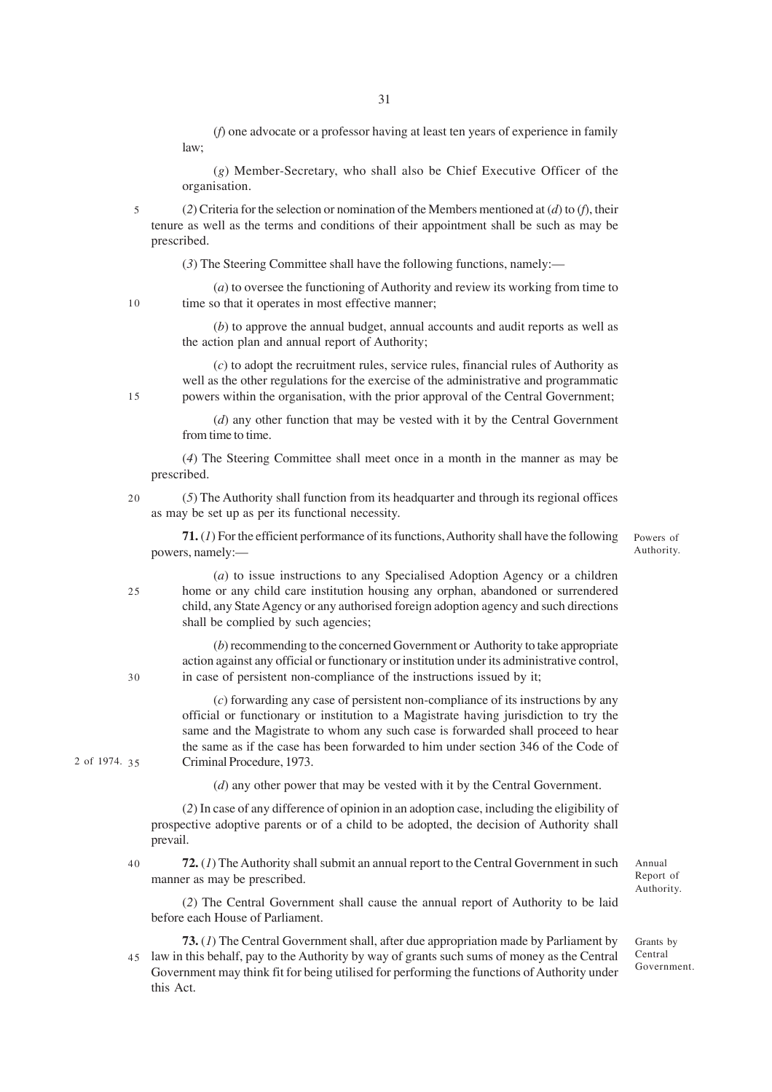(*f*) one advocate or a professor having at least ten years of experience in family law;

(*g*) Member-Secretary, who shall also be Chief Executive Officer of the organisation.

(*2*) Criteria for the selection or nomination of the Members mentioned at (*d*) to (*f*), their tenure as well as the terms and conditions of their appointment shall be such as may be prescribed. 5

(*3*) The Steering Committee shall have the following functions, namely:—

(*a*) to oversee the functioning of Authority and review its working from time to time so that it operates in most effective manner;

(*b*) to approve the annual budget, annual accounts and audit reports as well as the action plan and annual report of Authority;

(*c*) to adopt the recruitment rules, service rules, financial rules of Authority as well as the other regulations for the exercise of the administrative and programmatic powers within the organisation, with the prior approval of the Central Government;

(*d*) any other function that may be vested with it by the Central Government from time to time.

(*4*) The Steering Committee shall meet once in a month in the manner as may be prescribed.

(*5*) The Authority shall function from its headquarter and through its regional offices as may be set up as per its functional necessity.  $20$ 

**71.** (*1*) For the efficient performance of its functions, Authority shall have the following powers, namely:—

Powers of Authority.

(*a*) to issue instructions to any Specialised Adoption Agency or a children home or any child care institution housing any orphan, abandoned or surrendered child, any State Agency or any authorised foreign adoption agency and such directions shall be complied by such agencies;  $25$ 

(*b*) recommending to the concerned Government or Authority to take appropriate action against any official or functionary or institution under its administrative control, in case of persistent non-compliance of the instructions issued by it;

(*c*) forwarding any case of persistent non-compliance of its instructions by any official or functionary or institution to a Magistrate having jurisdiction to try the same and the Magistrate to whom any such case is forwarded shall proceed to hear the same as if the case has been forwarded to him under section 346 of the Code of Criminal Procedure, 1973.

(*d*) any other power that may be vested with it by the Central Government.

(*2*) In case of any difference of opinion in an adoption case, including the eligibility of prospective adoptive parents or of a child to be adopted, the decision of Authority shall prevail.

**72.** (*1*) The Authority shall submit an annual report to the Central Government in such manner as may be prescribed. 40

Annual Report of Authority.

(*2*) The Central Government shall cause the annual report of Authority to be laid before each House of Parliament.

**73.** (*1*) The Central Government shall, after due appropriation made by Parliament by 45 law in this behalf, pay to the Authority by way of grants such sums of money as the Central Government may think fit for being utilised for performing the functions of Authority under this Act.

Grants by Central Government.

2 of 1974. 35

30

10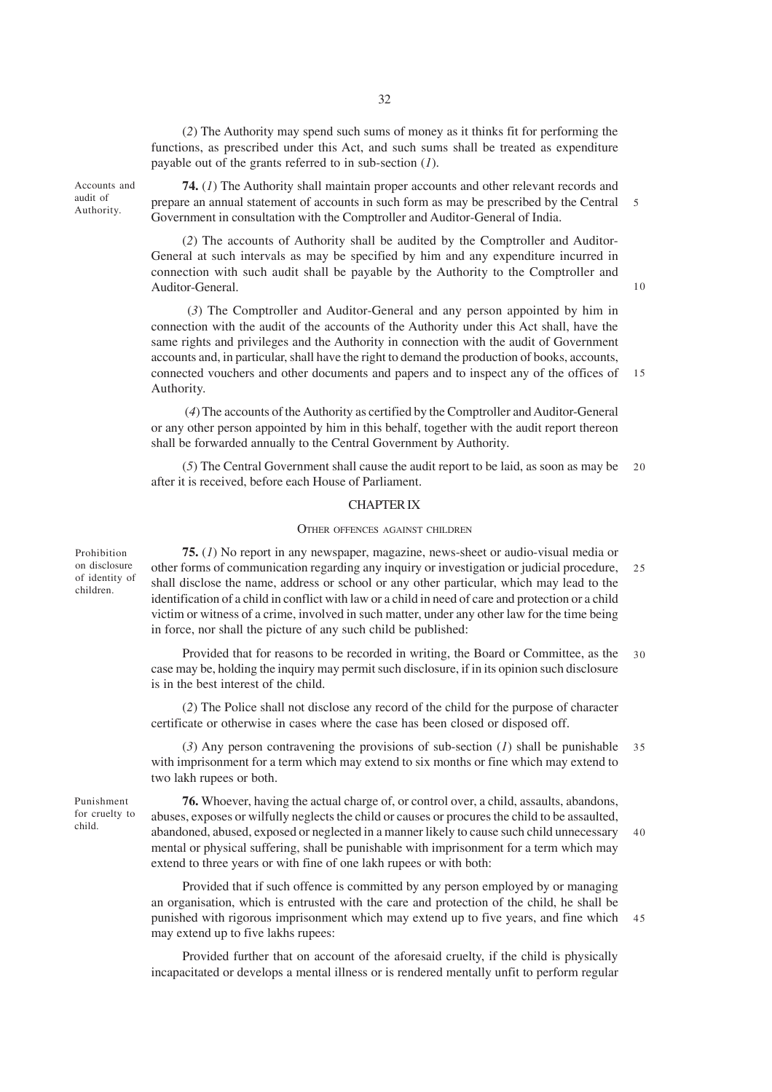(*2*) The Authority may spend such sums of money as it thinks fit for performing the functions, as prescribed under this Act, and such sums shall be treated as expenditure payable out of the grants referred to in sub-section (*1*).

Accounts and audit of Authority.

**74.** (*1*) The Authority shall maintain proper accounts and other relevant records and prepare an annual statement of accounts in such form as may be prescribed by the Central Government in consultation with the Comptroller and Auditor-General of India. 5

(*2*) The accounts of Authority shall be audited by the Comptroller and Auditor-General at such intervals as may be specified by him and any expenditure incurred in connection with such audit shall be payable by the Authority to the Comptroller and Auditor-General.

10

 (*3*) The Comptroller and Auditor-General and any person appointed by him in connection with the audit of the accounts of the Authority under this Act shall, have the same rights and privileges and the Authority in connection with the audit of Government accounts and, in particular, shall have the right to demand the production of books, accounts, connected vouchers and other documents and papers and to inspect any of the offices of Authority. 15

 (*4*) The accounts of the Authority as certified by the Comptroller and Auditor-General or any other person appointed by him in this behalf, together with the audit report thereon shall be forwarded annually to the Central Government by Authority.

(*5*) The Central Government shall cause the audit report to be laid, as soon as may be after it is received, before each House of Parliament.  $20$ 

## CHAPTER IX

#### OTHER OFFENCES AGAINST CHILDREN

Prohibition on disclosure of identity of children.

**75.** (*1*) No report in any newspaper, magazine, news-sheet or audio-visual media or other forms of communication regarding any inquiry or investigation or judicial procedure, shall disclose the name, address or school or any other particular, which may lead to the identification of a child in conflict with law or a child in need of care and protection or a child victim or witness of a crime, involved in such matter, under any other law for the time being in force, nor shall the picture of any such child be published:  $25$ 

Provided that for reasons to be recorded in writing, the Board or Committee, as the case may be, holding the inquiry may permit such disclosure, if in its opinion such disclosure is in the best interest of the child. 30

(*2*) The Police shall not disclose any record of the child for the purpose of character certificate or otherwise in cases where the case has been closed or disposed off.

(*3*) Any person contravening the provisions of sub-section (*1*) shall be punishable with imprisonment for a term which may extend to six months or fine which may extend to two lakh rupees or both. 35

Punishment for cruelty to child.

**76.** Whoever, having the actual charge of, or control over, a child, assaults, abandons, abuses, exposes or wilfully neglects the child or causes or procures the child to be assaulted, abandoned, abused, exposed or neglected in a manner likely to cause such child unnecessary mental or physical suffering, shall be punishable with imprisonment for a term which may extend to three years or with fine of one lakh rupees or with both: 40

Provided that if such offence is committed by any person employed by or managing an organisation, which is entrusted with the care and protection of the child, he shall be punished with rigorous imprisonment which may extend up to five years, and fine which may extend up to five lakhs rupees: 45

Provided further that on account of the aforesaid cruelty, if the child is physically incapacitated or develops a mental illness or is rendered mentally unfit to perform regular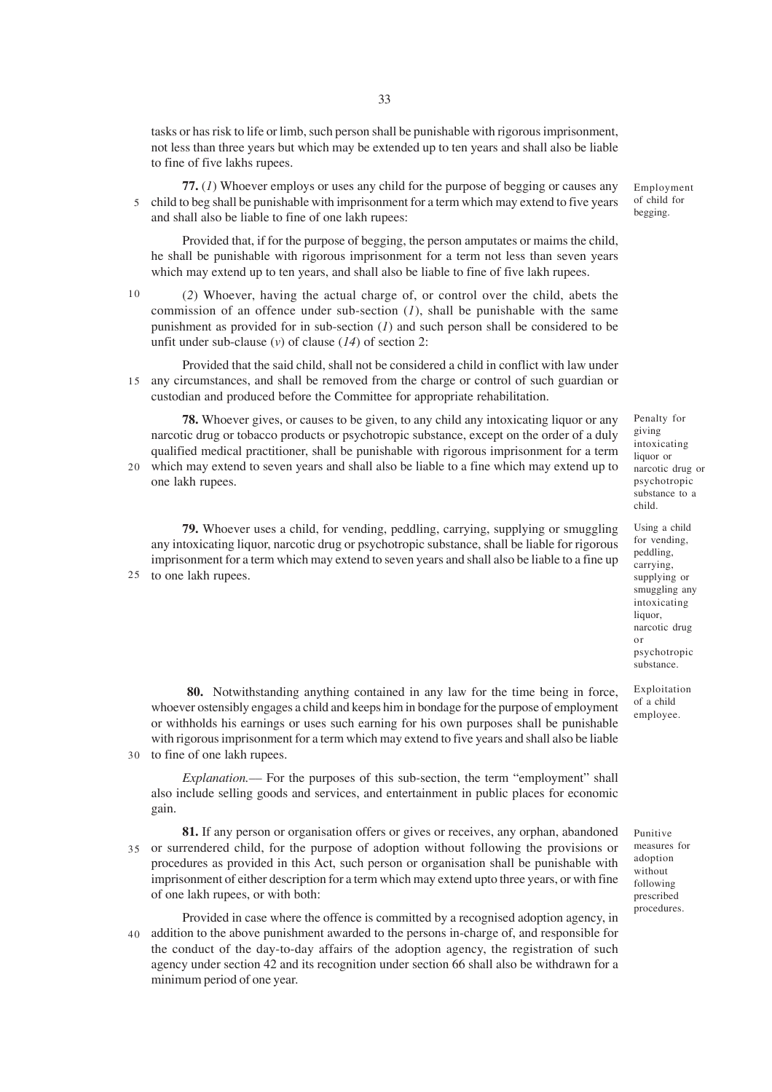tasks or has risk to life or limb, such person shall be punishable with rigorous imprisonment, not less than three years but which may be extended up to ten years and shall also be liable to fine of five lakhs rupees.

**77.** (*1*) Whoever employs or uses any child for the purpose of begging or causes any child to beg shall be punishable with imprisonment for a term which may extend to five years and shall also be liable to fine of one lakh rupees: 5

Provided that, if for the purpose of begging, the person amputates or maims the child, he shall be punishable with rigorous imprisonment for a term not less than seven years which may extend up to ten years, and shall also be liable to fine of five lakh rupees.

(*2*) Whoever, having the actual charge of, or control over the child, abets the commission of an offence under sub-section  $(1)$ , shall be punishable with the same punishment as provided for in sub-section (*1*) and such person shall be considered to be unfit under sub-clause (*v*) of clause (*14*) of section 2: 10

Provided that the said child, shall not be considered a child in conflict with law under any circumstances, and shall be removed from the charge or control of such guardian or 15 custodian and produced before the Committee for appropriate rehabilitation.

**78.** Whoever gives, or causes to be given, to any child any intoxicating liquor or any narcotic drug or tobacco products or psychotropic substance, except on the order of a duly qualified medical practitioner, shall be punishable with rigorous imprisonment for a term which may extend to seven years and shall also be liable to a fine which may extend up to

one lakh rupees.

20

**79.** Whoever uses a child, for vending, peddling, carrying, supplying or smuggling any intoxicating liquor, narcotic drug or psychotropic substance, shall be liable for rigorous imprisonment for a term which may extend to seven years and shall also be liable to a fine up to one lakh rupees. 25

 **80.** Notwithstanding anything contained in any law for the time being in force, whoever ostensibly engages a child and keeps him in bondage for the purpose of employment or withholds his earnings or uses such earning for his own purposes shall be punishable with rigorous imprisonment for a term which may extend to five years and shall also be liable 30 to fine of one lakh rupees.

*Explanation.*—– For the purposes of this sub-section, the term "employment" shall also include selling goods and services, and entertainment in public places for economic gain.

**81.** If any person or organisation offers or gives or receives, any orphan, abandoned 35 or surrendered child, for the purpose of adoption without following the provisions or procedures as provided in this Act, such person or organisation shall be punishable with imprisonment of either description for a term which may extend upto three years, or with fine of one lakh rupees, or with both:

Provided in case where the offence is committed by a recognised adoption agency, in addition to the above punishment awarded to the persons in-charge of, and responsible for the conduct of the day-to-day affairs of the adoption agency, the registration of such agency under section 42 and its recognition under section 66 shall also be withdrawn for a minimum period of one year.  $40<sup>-1</sup>$ 

Employment of child for begging.

Penalty for giving intoxicating liquor or narcotic drug or psychotropic substance to a child.

Using a child for vending, peddling, carrying, supplying or smuggling any intoxicating liquor, narcotic drug or psychotropic substance.

Exploitation of a child employee.

Punitive measures for adoption without following prescribed procedures.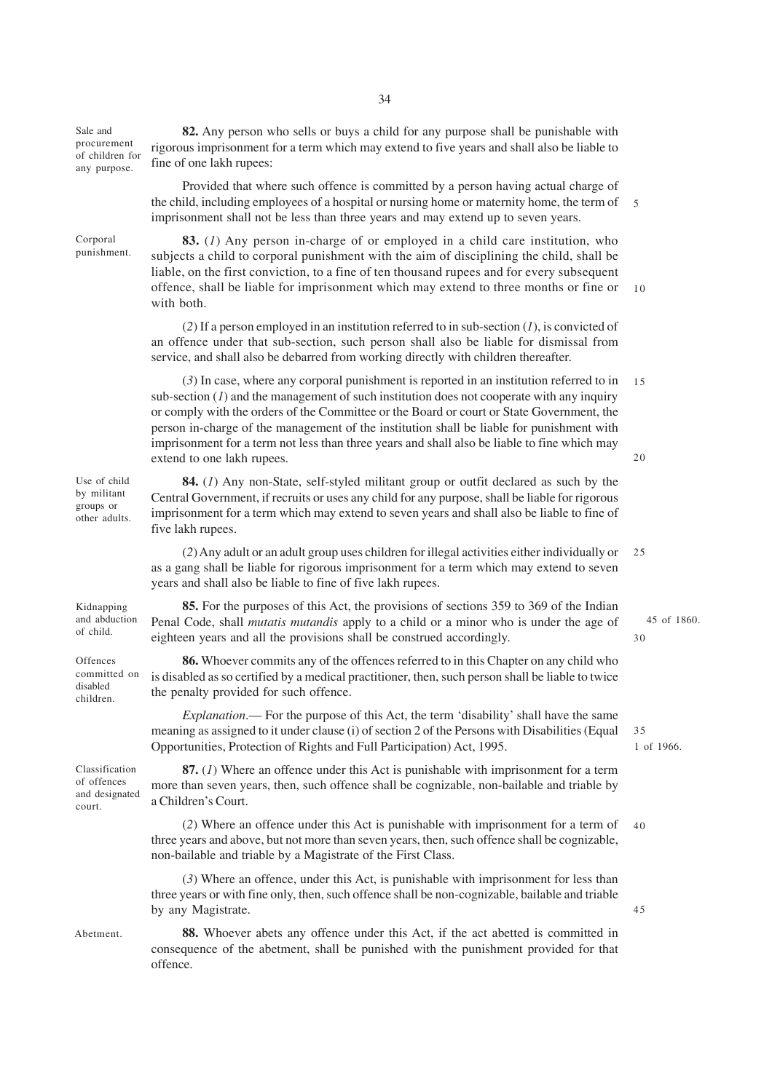Sale and procurement of children for any purpose.

Corporal punishment.

Use of child by militant groups or other adults.

Kidnapping

of child.

Offences

disabled children.

Classification of offences and designated court.

**82.** Any person who sells or buys a child for any purpose shall be punishable with rigorous imprisonment for a term which may extend to five years and shall also be liable to fine of one lakh rupees:

Provided that where such offence is committed by a person having actual charge of the child, including employees of a hospital or nursing home or maternity home, the term of imprisonment shall not be less than three years and may extend up to seven years. 5

**83.** (*1*) Any person in-charge of or employed in a child care institution, who subjects a child to corporal punishment with the aim of disciplining the child, shall be liable, on the first conviction, to a fine of ten thousand rupees and for every subsequent offence, shall be liable for imprisonment which may extend to three months or fine or with both. 10

(*2*) If a person employed in an institution referred to in sub-section (*1*), is convicted of an offence under that sub-section, such person shall also be liable for dismissal from service, and shall also be debarred from working directly with children thereafter.

(*3*) In case, where any corporal punishment is reported in an institution referred to in sub-section  $(I)$  and the management of such institution does not cooperate with any inquiry or comply with the orders of the Committee or the Board or court or State Government, the person in-charge of the management of the institution shall be liable for punishment with imprisonment for a term not less than three years and shall also be liable to fine which may extend to one lakh rupees. 15  $20$ 

**84.** (*1*) Any non-State, self-styled militant group or outfit declared as such by the Central Government, if recruits or uses any child for any purpose, shall be liable for rigorous imprisonment for a term which may extend to seven years and shall also be liable to fine of five lakh rupees.

(*2*) Any adult or an adult group uses children for illegal activities either individually or as a gang shall be liable for rigorous imprisonment for a term which may extend to seven years and shall also be liable to fine of five lakh rupees. 25

**85.** For the purposes of this Act, the provisions of sections 359 to 369 of the Indian Penal Code, shall *mutatis mutandis* apply to a child or a minor who is under the age of eighteen years and all the provisions shall be construed accordingly. and abduction

**86.** Whoever commits any of the offences referred to in this Chapter on any child who is disabled as so certified by a medical practitioner, then, such person shall be liable to twice the penalty provided for such offence. committed on

> *Explanation*.— For the purpose of this Act, the term 'disability' shall have the same meaning as assigned to it under clause (i) of section 2 of the Persons with Disabilities (Equal Opportunities, Protection of Rights and Full Participation) Act, 1995.

> **87.** (*1*) Where an offence under this Act is punishable with imprisonment for a term more than seven years, then, such offence shall be cognizable, non-bailable and triable by a Children's Court.

(*2*) Where an offence under this Act is punishable with imprisonment for a term of three years and above, but not more than seven years, then, such offence shall be cognizable, non-bailable and triable by a Magistrate of the First Class. 40

(*3*) Where an offence, under this Act, is punishable with imprisonment for less than three years or with fine only, then, such offence shall be non-cognizable, bailable and triable by any Magistrate.

Abetment.

**88.** Whoever abets any offence under this Act, if the act abetted is committed in consequence of the abetment, shall be punished with the punishment provided for that offence.

45 of 1860.

30

35

45

- 
- 
- 1 of 1966.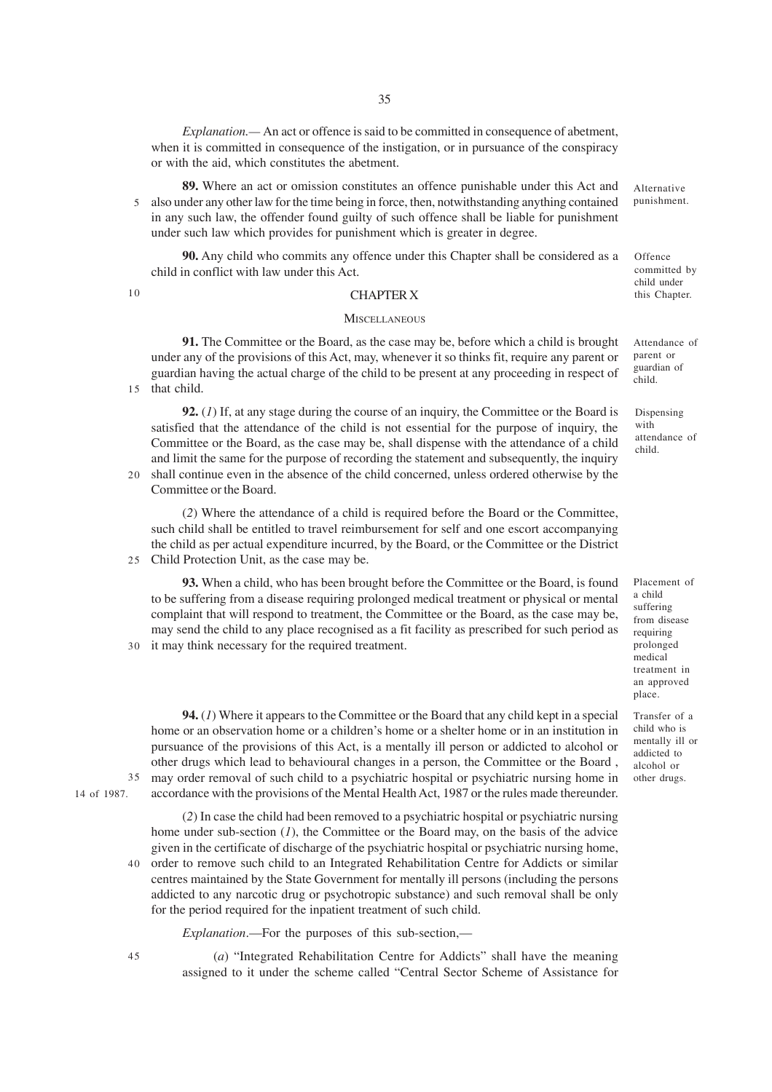*Explanation.—* An act or offence is said to be committed in consequence of abetment, when it is committed in consequence of the instigation, or in pursuance of the conspiracy or with the aid, which constitutes the abetment.

**89.** Where an act or omission constitutes an offence punishable under this Act and also under any other law for the time being in force, then, notwithstanding anything contained in any such law, the offender found guilty of such offence shall be liable for punishment under such law which provides for punishment which is greater in degree. 5

**90.** Any child who commits any offence under this Chapter shall be considered as a child in conflict with law under this Act.

10

## CHAPTER X

## **MISCELLANEOUS**

**91.** The Committee or the Board, as the case may be, before which a child is brought under any of the provisions of this Act, may, whenever it so thinks fit, require any parent or guardian having the actual charge of the child to be present at any proceeding in respect of 15 that child.

**92.** (*1*) If, at any stage during the course of an inquiry, the Committee or the Board is satisfied that the attendance of the child is not essential for the purpose of inquiry, the Committee or the Board, as the case may be, shall dispense with the attendance of a child and limit the same for the purpose of recording the statement and subsequently, the inquiry 20 shall continue even in the absence of the child concerned, unless ordered otherwise by the

Committee or the Board.

(*2*) Where the attendance of a child is required before the Board or the Committee, such child shall be entitled to travel reimbursement for self and one escort accompanying the child as per actual expenditure incurred, by the Board, or the Committee or the District

25 Child Protection Unit, as the case may be.

**93.** When a child, who has been brought before the Committee or the Board, is found to be suffering from a disease requiring prolonged medical treatment or physical or mental complaint that will respond to treatment, the Committee or the Board, as the case may be, may send the child to any place recognised as a fit facility as prescribed for such period as

**94.** (*1*) Where it appears to the Committee or the Board that any child kept in a special home or an observation home or a children's home or a shelter home or in an institution in

30 it may think necessary for the required treatment.

Alternative punishment.

Offence committed by child under this Chapter.

Attendance of parent or guardian of child.

Dispensing with attendance of child.

Placement of a child suffering from disease requiring prolonged medical treatment in an approved place.

Transfer of a child who is mentally ill or addicted to alcohol or other drugs.

14 of 1987.

35

(*2*) In case the child had been removed to a psychiatric hospital or psychiatric nursing home under sub-section (*I*), the Committee or the Board may, on the basis of the advice given in the certificate of discharge of the psychiatric hospital or psychiatric nursing home, 40 order to remove such child to an Integrated Rehabilitation Centre for Addicts or similar centres maintained by the State Government for mentally ill persons (including the persons addicted to any narcotic drug or psychotropic substance) and such removal shall be only for the period required for the inpatient treatment of such child.

may order removal of such child to a psychiatric hospital or psychiatric nursing home in accordance with the provisions of the Mental Health Act, 1987 or the rules made thereunder.

*Explanation*.—For the purposes of this sub-section,—

45

(*a*) "Integrated Rehabilitation Centre for Addicts" shall have the meaning assigned to it under the scheme called "Central Sector Scheme of Assistance for

pursuance of the provisions of this Act, is a mentally ill person or addicted to alcohol or other drugs which lead to behavioural changes in a person, the Committee or the Board ,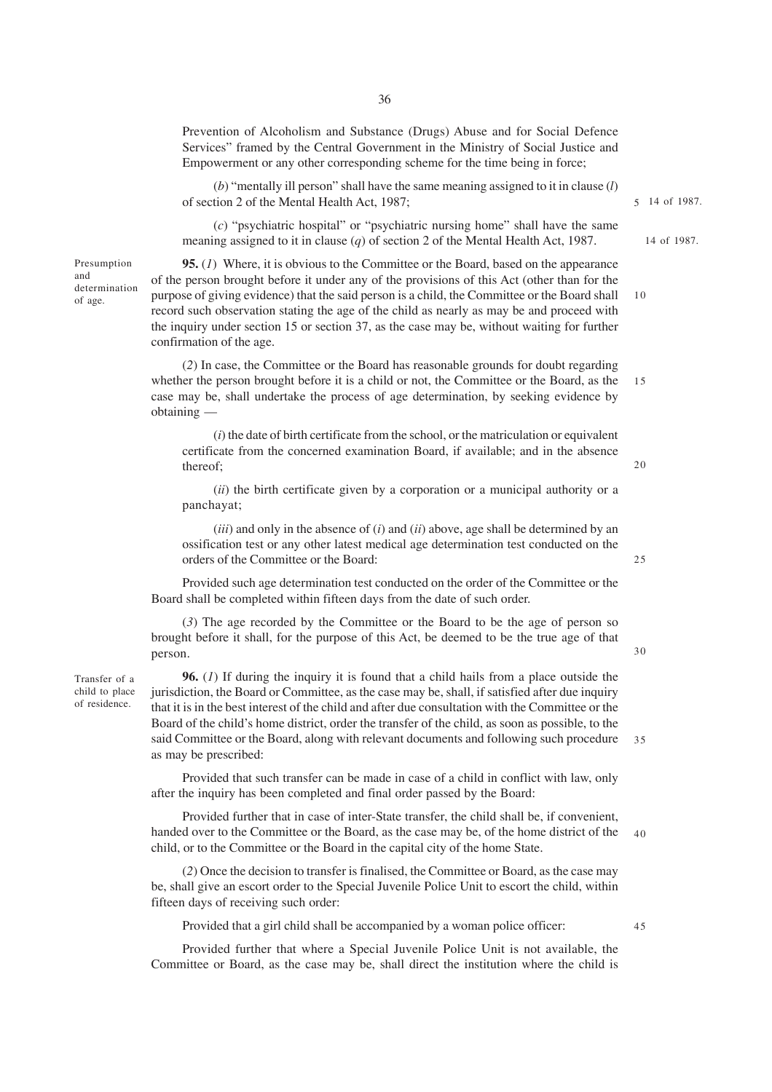Prevention of Alcoholism and Substance (Drugs) Abuse and for Social Defence Services" framed by the Central Government in the Ministry of Social Justice and Empowerment or any other corresponding scheme for the time being in force;

(*b*) "mentally ill person" shall have the same meaning assigned to it in clause (*l*) of section 2 of the Mental Health Act, 1987;

(*c*) "psychiatric hospital" or "psychiatric nursing home" shall have the same meaning assigned to it in clause (*q*) of section 2 of the Mental Health Act, 1987.

Presumption and determination of age.

Transfer of a child to place of residence.

**95.** (*1*) Where, it is obvious to the Committee or the Board, based on the appearance of the person brought before it under any of the provisions of this Act (other than for the purpose of giving evidence) that the said person is a child, the Committee or the Board shall record such observation stating the age of the child as nearly as may be and proceed with the inquiry under section 15 or section 37, as the case may be, without waiting for further confirmation of the age. 10

(*2*) In case, the Committee or the Board has reasonable grounds for doubt regarding whether the person brought before it is a child or not, the Committee or the Board, as the case may be, shall undertake the process of age determination, by seeking evidence by obtaining — 15

(*i*) the date of birth certificate from the school, or the matriculation or equivalent certificate from the concerned examination Board, if available; and in the absence thereof;

(*ii*) the birth certificate given by a corporation or a municipal authority or a panchayat;

(*iii*) and only in the absence of (*i*) and (*ii*) above, age shall be determined by an ossification test or any other latest medical age determination test conducted on the orders of the Committee or the Board:

Provided such age determination test conducted on the order of the Committee or the Board shall be completed within fifteen days from the date of such order.

(*3*) The age recorded by the Committee or the Board to be the age of person so brought before it shall, for the purpose of this Act, be deemed to be the true age of that person.

**96.** (*1*) If during the inquiry it is found that a child hails from a place outside the jurisdiction, the Board or Committee, as the case may be, shall, if satisfied after due inquiry that it is in the best interest of the child and after due consultation with the Committee or the Board of the child's home district, order the transfer of the child, as soon as possible, to the said Committee or the Board, along with relevant documents and following such procedure as may be prescribed: 35

Provided that such transfer can be made in case of a child in conflict with law, only after the inquiry has been completed and final order passed by the Board:

Provided further that in case of inter-State transfer, the child shall be, if convenient, handed over to the Committee or the Board, as the case may be, of the home district of the child, or to the Committee or the Board in the capital city of the home State. 40

(*2*) Once the decision to transfer is finalised, the Committee or Board, as the case may be, shall give an escort order to the Special Juvenile Police Unit to escort the child, within fifteen days of receiving such order:

Provided that a girl child shall be accompanied by a woman police officer:

Provided further that where a Special Juvenile Police Unit is not available, the Committee or Board, as the case may be, shall direct the institution where the child is

25

5 14 of 1987.

14 of 1987.

 $20$ 

30

45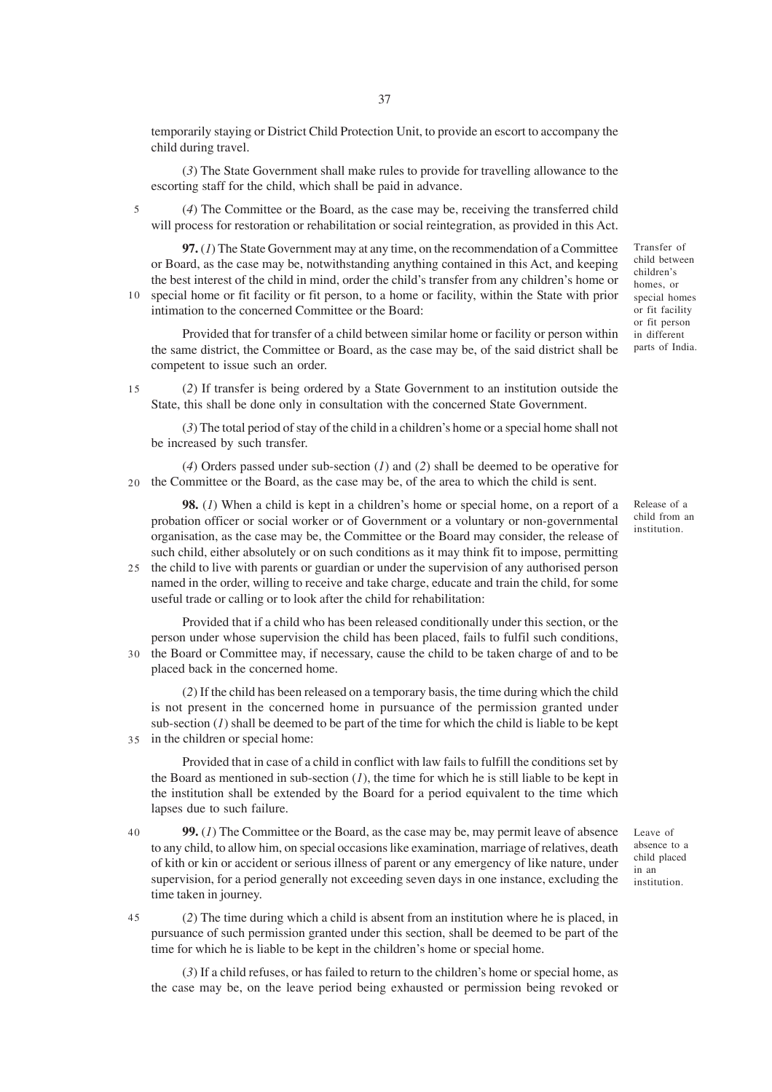temporarily staying or District Child Protection Unit, to provide an escort to accompany the child during travel.

(*3*) The State Government shall make rules to provide for travelling allowance to the escorting staff for the child, which shall be paid in advance.

(*4*) The Committee or the Board, as the case may be, receiving the transferred child will process for restoration or rehabilitation or social reintegration, as provided in this Act. 5

**97.** (*1*) The State Government may at any time, on the recommendation of a Committee or Board, as the case may be, notwithstanding anything contained in this Act, and keeping the best interest of the child in mind, order the child's transfer from any children's home or special home or fit facility or fit person, to a home or facility, within the State with prior 10

intimation to the concerned Committee or the Board:

Provided that for transfer of a child between similar home or facility or person within the same district, the Committee or Board, as the case may be, of the said district shall be competent to issue such an order.

(*2*) If transfer is being ordered by a State Government to an institution outside the State, this shall be done only in consultation with the concerned State Government. 15

(*3*) The total period of stay of the child in a children's home or a special home shall not be increased by such transfer.

(*4*) Orders passed under sub-section (*1*) and (*2*) shall be deemed to be operative for the Committee or the Board, as the case may be, of the area to which the child is sent.  $20$ 

**98.** (*1*) When a child is kept in a children's home or special home, on a report of a probation officer or social worker or of Government or a voluntary or non-governmental organisation, as the case may be, the Committee or the Board may consider, the release of such child, either absolutely or on such conditions as it may think fit to impose, permitting

the child to live with parents or guardian or under the supervision of any authorised person named in the order, willing to receive and take charge, educate and train the child, for some useful trade or calling or to look after the child for rehabilitation: 25

Provided that if a child who has been released conditionally under this section, or the person under whose supervision the child has been placed, fails to fulfil such conditions, the Board or Committee may, if necessary, cause the child to be taken charge of and to be placed back in the concerned home. 30

(*2*) If the child has been released on a temporary basis, the time during which the child is not present in the concerned home in pursuance of the permission granted under sub-section  $(I)$  shall be deemed to be part of the time for which the child is liable to be kept 35 in the children or special home:

Provided that in case of a child in conflict with law fails to fulfill the conditions set by the Board as mentioned in sub-section (*1*), the time for which he is still liable to be kept in the institution shall be extended by the Board for a period equivalent to the time which lapses due to such failure.

**99.** (*1*) The Committee or the Board, as the case may be, may permit leave of absence to any child, to allow him, on special occasions like examination, marriage of relatives, death of kith or kin or accident or serious illness of parent or any emergency of like nature, under supervision, for a period generally not exceeding seven days in one instance, excluding the time taken in journey. 40

(*2*) The time during which a child is absent from an institution where he is placed, in pursuance of such permission granted under this section, shall be deemed to be part of the time for which he is liable to be kept in the children's home or special home. 45

(*3*) If a child refuses, or has failed to return to the children's home or special home, as the case may be, on the leave period being exhausted or permission being revoked or

Transfer of child between children's homes, or special homes or fit facility or fit person in different parts of India.

Release of a child from an institution.

Leave of absence to a child placed in an institution.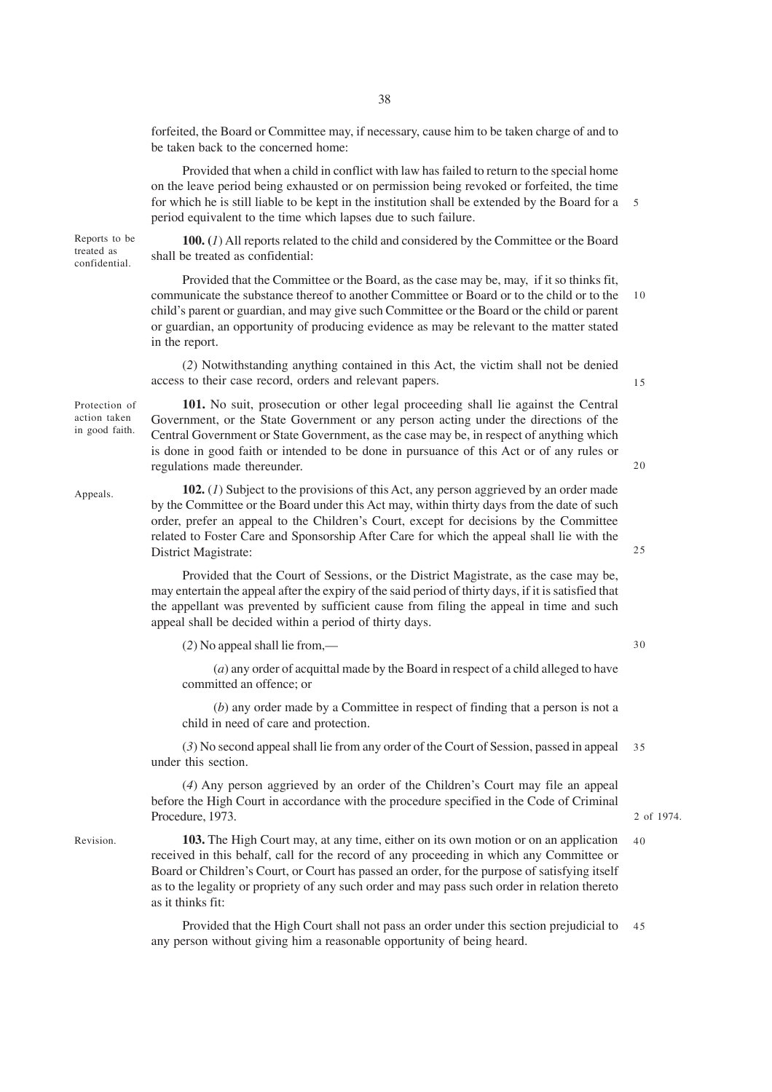forfeited, the Board or Committee may, if necessary, cause him to be taken charge of and to be taken back to the concerned home:

Provided that when a child in conflict with law has failed to return to the special home on the leave period being exhausted or on permission being revoked or forfeited, the time for which he is still liable to be kept in the institution shall be extended by the Board for a period equivalent to the time which lapses due to such failure. 5

Reports to be treated as confidential.

**100. (***1*) All reports related to the child and considered by the Committee or the Board shall be treated as confidential:

Provided that the Committee or the Board, as the case may be, may, if it so thinks fit, communicate the substance thereof to another Committee or Board or to the child or to the child's parent or guardian, and may give such Committee or the Board or the child or parent or guardian, an opportunity of producing evidence as may be relevant to the matter stated in the report. 10

(*2*) Notwithstanding anything contained in this Act, the victim shall not be denied access to their case record, orders and relevant papers.

**101.** No suit, prosecution or other legal proceeding shall lie against the Central

Protection of action taken in good faith.

Appeals.

Government, or the State Government or any person acting under the directions of the Central Government or State Government, as the case may be, in respect of anything which is done in good faith or intended to be done in pursuance of this Act or of any rules or regulations made thereunder. **102.** (*1*) Subject to the provisions of this Act, any person aggrieved by an order made

by the Committee or the Board under this Act may, within thirty days from the date of such order, prefer an appeal to the Children's Court, except for decisions by the Committee related to Foster Care and Sponsorship After Care for which the appeal shall lie with the District Magistrate:

Provided that the Court of Sessions, or the District Magistrate, as the case may be, may entertain the appeal after the expiry of the said period of thirty days, if it is satisfied that the appellant was prevented by sufficient cause from filing the appeal in time and such appeal shall be decided within a period of thirty days.

(*2*) No appeal shall lie from,—

30

15

 $20$ 

25

2 of 1974.

(*a*) any order of acquittal made by the Board in respect of a child alleged to have committed an offence; or

(*b*) any order made by a Committee in respect of finding that a person is not a child in need of care and protection.

(*3*) No second appeal shall lie from any order of the Court of Session, passed in appeal under this section. 35

(*4*) Any person aggrieved by an order of the Children's Court may file an appeal before the High Court in accordance with the procedure specified in the Code of Criminal Procedure, 1973.

Revision.

**103.** The High Court may, at any time, either on its own motion or on an application received in this behalf, call for the record of any proceeding in which any Committee or Board or Children's Court, or Court has passed an order, for the purpose of satisfying itself as to the legality or propriety of any such order and may pass such order in relation thereto as it thinks fit: 40

Provided that the High Court shall not pass an order under this section prejudicial to any person without giving him a reasonable opportunity of being heard. 45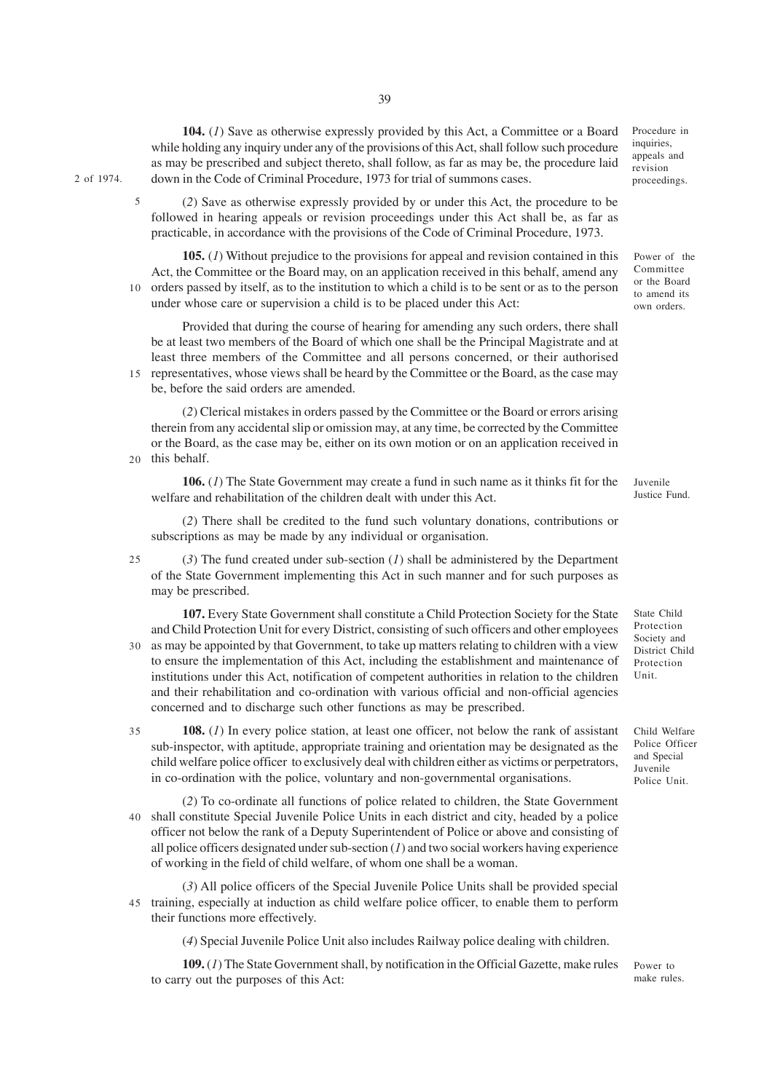**104.** (*1*) Save as otherwise expressly provided by this Act, a Committee or a Board while holding any inquiry under any of the provisions of this Act, shall follow such procedure as may be prescribed and subject thereto, shall follow, as far as may be, the procedure laid

2 of 1974.

5

(*2*) Save as otherwise expressly provided by or under this Act, the procedure to be followed in hearing appeals or revision proceedings under this Act shall be, as far as practicable, in accordance with the provisions of the Code of Criminal Procedure, 1973.

down in the Code of Criminal Procedure, 1973 for trial of summons cases.

**105.** (*1*) Without prejudice to the provisions for appeal and revision contained in this Act, the Committee or the Board may, on an application received in this behalf, amend any 10 orders passed by itself, as to the institution to which a child is to be sent or as to the person under whose care or supervision a child is to be placed under this Act:

Provided that during the course of hearing for amending any such orders, there shall be at least two members of the Board of which one shall be the Principal Magistrate and at least three members of the Committee and all persons concerned, or their authorised 15 representatives, whose views shall be heard by the Committee or the Board, as the case may

be, before the said orders are amended.

(*2*) Clerical mistakes in orders passed by the Committee or the Board or errors arising therein from any accidental slip or omission may, at any time, be corrected by the Committee or the Board, as the case may be, either on its own motion or on an application received in 20 this behalf.

**106.** (*1*) The State Government may create a fund in such name as it thinks fit for the welfare and rehabilitation of the children dealt with under this Act.

(*2*) There shall be credited to the fund such voluntary donations, contributions or subscriptions as may be made by any individual or organisation.

(*3*) The fund created under sub-section (*1*) shall be administered by the Department of the State Government implementing this Act in such manner and for such purposes as may be prescribed. 25

**107.** Every State Government shall constitute a Child Protection Society for the State and Child Protection Unit for every District, consisting of such officers and other employees as may be appointed by that Government, to take up matters relating to children with a view 30 to ensure the implementation of this Act, including the establishment and maintenance of institutions under this Act, notification of competent authorities in relation to the children and their rehabilitation and co-ordination with various official and non-official agencies concerned and to discharge such other functions as may be prescribed.

**108.** (*1*) In every police station, at least one officer, not below the rank of assistant sub-inspector, with aptitude, appropriate training and orientation may be designated as the child welfare police officer to exclusively deal with children either as victims or perpetrators, in co-ordination with the police, voluntary and non-governmental organisations. 35

(*2*) To co-ordinate all functions of police related to children, the State Government 40 shall constitute Special Juvenile Police Units in each district and city, headed by a police officer not below the rank of a Deputy Superintendent of Police or above and consisting of all police officers designated under sub-section (*1*) and two social workers having experience of working in the field of child welfare, of whom one shall be a woman.

(*3*) All police officers of the Special Juvenile Police Units shall be provided special training, especially at induction as child welfare police officer, to enable them to perform their functions more effectively. 45

(*4*) Special Juvenile Police Unit also includes Railway police dealing with children.

**109.** (*1*) The State Government shall, by notification in the Official Gazette, make rules to carry out the purposes of this Act:

Procedure in inquiries. appeals and revision proceedings.

Power of the Committee or the Board to amend its own orders.

Juvenile Justice Fund.

State Child Protection Society and District Child Protection Unit.

Child Welfare Police Officer and Special Juvenile Police Unit.

Power to make rules.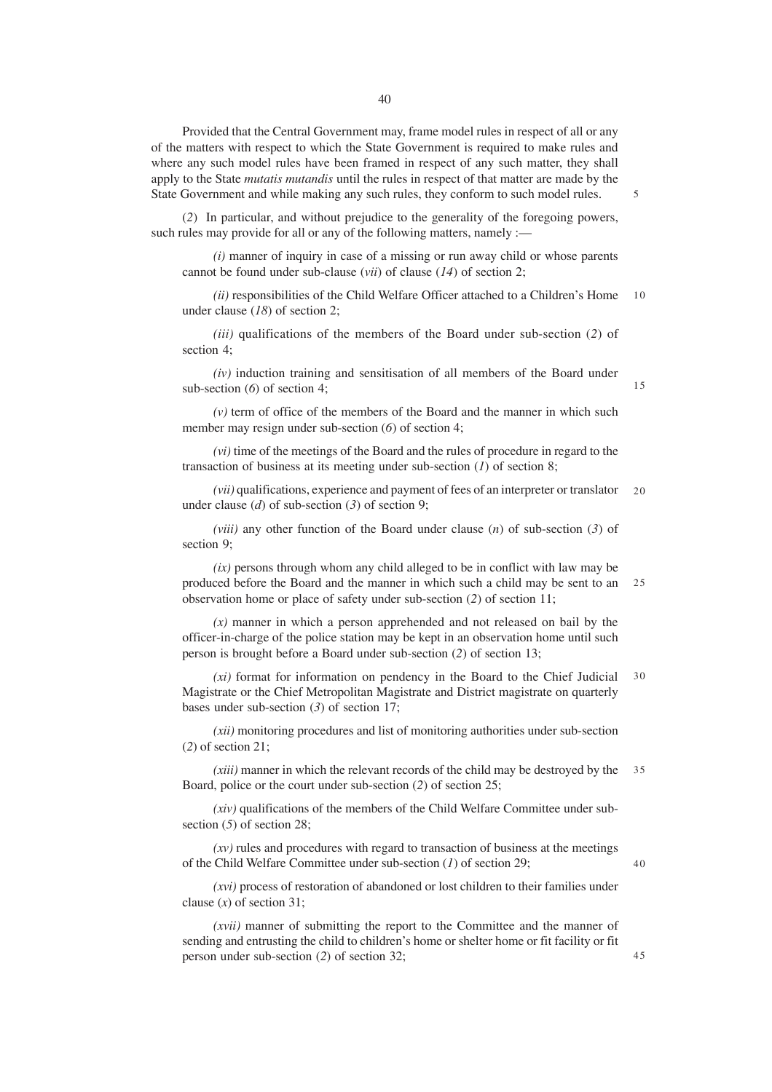Provided that the Central Government may, frame model rules in respect of all or any of the matters with respect to which the State Government is required to make rules and where any such model rules have been framed in respect of any such matter, they shall apply to the State *mutatis mutandis* until the rules in respect of that matter are made by the State Government and while making any such rules, they conform to such model rules.

(*2*) In particular, and without prejudice to the generality of the foregoing powers, such rules may provide for all or any of the following matters, namely :—

*(i)* manner of inquiry in case of a missing or run away child or whose parents cannot be found under sub-clause (*vii*) of clause (*14*) of section 2;

*(ii)* responsibilities of the Child Welfare Officer attached to a Children's Home under clause (*18*) of section 2; 10

*(iii)* qualifications of the members of the Board under sub-section (*2*) of section 4;

*(iv)* induction training and sensitisation of all members of the Board under sub-section (*6*) of section 4;

15

5

*(v)* term of office of the members of the Board and the manner in which such member may resign under sub-section (6) of section 4;

*(vi)* time of the meetings of the Board and the rules of procedure in regard to the transaction of business at its meeting under sub-section (*1*) of section 8;

*(vii)* qualifications, experience and payment of fees of an interpreter or translator 20 under clause (*d*) of sub-section (*3*) of section 9;

*(viii)* any other function of the Board under clause (*n*) of sub-section (*3*) of section 9;

*(ix)* persons through whom any child alleged to be in conflict with law may be produced before the Board and the manner in which such a child may be sent to an observation home or place of safety under sub-section (*2*) of section 11; 25

*(x)* manner in which a person apprehended and not released on bail by the officer-in-charge of the police station may be kept in an observation home until such person is brought before a Board under sub-section (*2*) of section 13;

*(xi)* format for information on pendency in the Board to the Chief Judicial Magistrate or the Chief Metropolitan Magistrate and District magistrate on quarterly bases under sub-section (*3*) of section 17; 30

*(xii)* monitoring procedures and list of monitoring authorities under sub-section (*2*) of section 21;

*(xiii)* manner in which the relevant records of the child may be destroyed by the Board, police or the court under sub-section (*2*) of section 25; 35

*(xiv)* qualifications of the members of the Child Welfare Committee under subsection (*5*) of section 28;

*(xv)* rules and procedures with regard to transaction of business at the meetings of the Child Welfare Committee under sub-section (*1*) of section 29;

40

*(xvi)* process of restoration of abandoned or lost children to their families under clause  $(x)$  of section 31;

*(xvii)* manner of submitting the report to the Committee and the manner of sending and entrusting the child to children's home or shelter home or fit facility or fit person under sub-section (*2*) of section 32;

45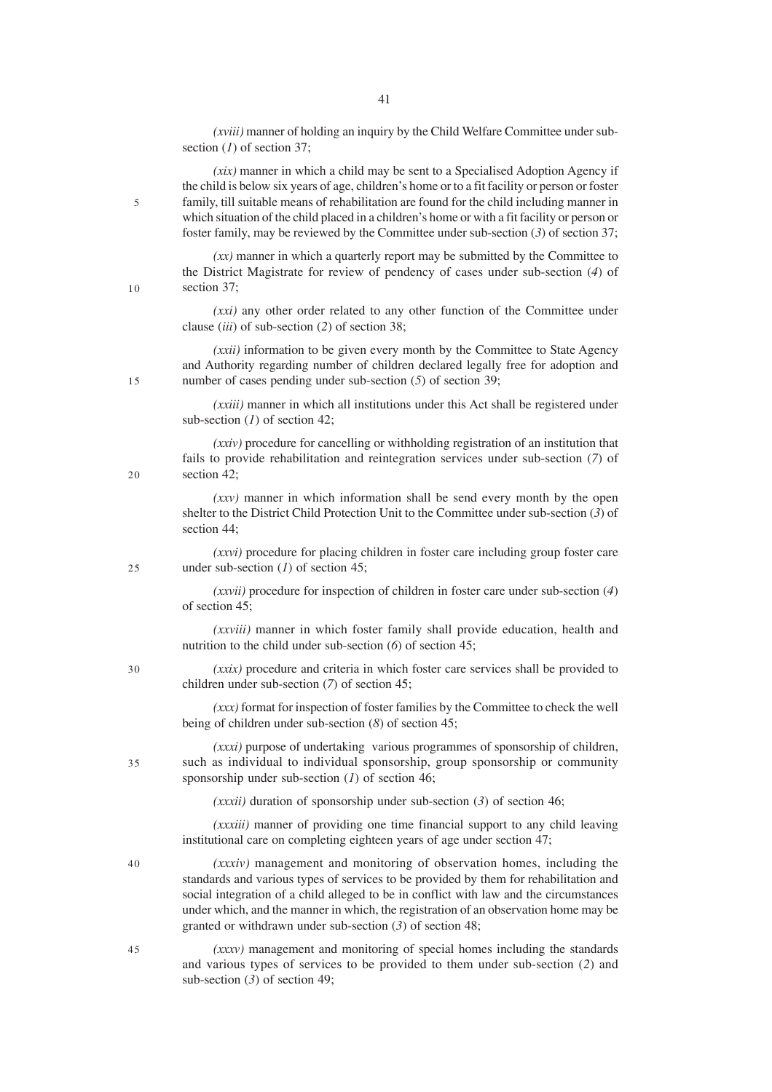section (*1*) of section 37; *(xix)* manner in which a child may be sent to a Specialised Adoption Agency if the child is below six years of age, children's home or to a fit facility or person or foster family, till suitable means of rehabilitation are found for the child including manner in which situation of the child placed in a children's home or with a fit facility or person or foster family, may be reviewed by the Committee under sub-section (*3*) of section 37; *(xx)* manner in which a quarterly report may be submitted by the Committee to the District Magistrate for review of pendency of cases under sub-section (*4*) of section 37; *(xxi)* any other order related to any other function of the Committee under clause (*iii*) of sub-section (*2*) of section 38; *(xxii)* information to be given every month by the Committee to State Agency and Authority regarding number of children declared legally free for adoption and number of cases pending under sub-section (*5*) of section 39; *(xxiii)* manner in which all institutions under this Act shall be registered under sub-section (*1*) of section 42; *(xxiv)* procedure for cancelling or withholding registration of an institution that fails to provide rehabilitation and reintegration services under sub-section (*7*) of section 42; *(xxv)* manner in which information shall be send every month by the open shelter to the District Child Protection Unit to the Committee under sub-section (*3*) of section 44; *(xxvi)* procedure for placing children in foster care including group foster care under sub-section (*1*) of section 45; *(xxvii)* procedure for inspection of children in foster care under sub-section (*4*) of section 45; *(xxviii)* manner in which foster family shall provide education, health and nutrition to the child under sub-section (*6*) of section 45; *(xxix)* procedure and criteria in which foster care services shall be provided to children under sub-section (*7*) of section 45; *(xxx)* format for inspection of foster families by the Committee to check the well being of children under sub-section (*8*) of section 45; *(xxxi)* purpose of undertaking various programmes of sponsorship of children, such as individual to individual sponsorship, group sponsorship or community sponsorship under sub-section (*1*) of section 46; *(xxxii)* duration of sponsorship under sub-section (*3*) of section 46; *(xxxiii)* manner of providing one time financial support to any child leaving institutional care on completing eighteen years of age under section 47; *(xxxiv)* management and monitoring of observation homes, including the standards and various types of services to be provided by them for rehabilitation and social integration of a child alleged to be in conflict with law and the circumstances under which, and the manner in which, the registration of an observation home may be granted or withdrawn under sub-section (*3*) of section 48; *(xxxv)* management and monitoring of special homes including the standards and various types of services to be provided to them under sub-section (*2*) and sub-section (*3*) of section 49; 30

41

5

10

15

 $20$ 

 $25$ 

35

40

45

*(xviii)* manner of holding an inquiry by the Child Welfare Committee under sub-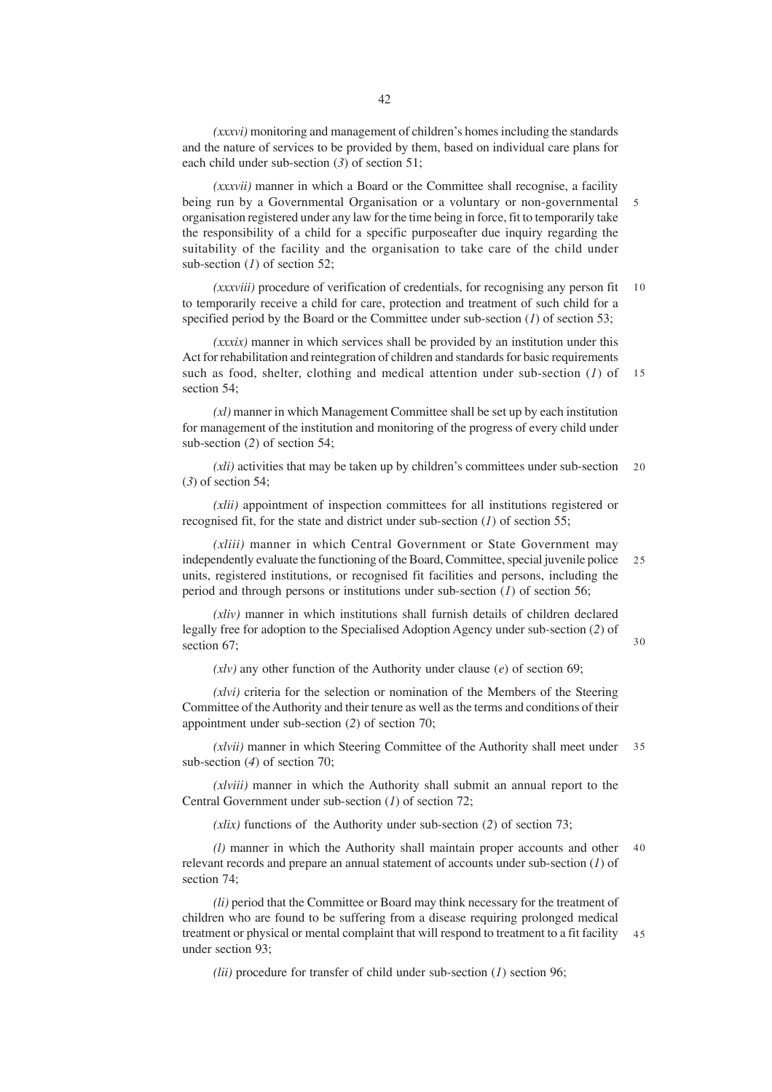*(xxxvi)* monitoring and management of children's homes including the standards and the nature of services to be provided by them, based on individual care plans for each child under sub-section (*3*) of section 51;

*(xxxvii)* manner in which a Board or the Committee shall recognise, a facility being run by a Governmental Organisation or a voluntary or non-governmental organisation registered under any law for the time being in force, fit to temporarily take the responsibility of a child for a specific purposeafter due inquiry regarding the suitability of the facility and the organisation to take care of the child under sub-section (*1*) of section 52; 5

*(xxxviii)* procedure of verification of credentials, for recognising any person fit to temporarily receive a child for care, protection and treatment of such child for a specified period by the Board or the Committee under sub-section (*1*) of section 53; 10

*(xxxix)* manner in which services shall be provided by an institution under this Act for rehabilitation and reintegration of children and standards for basic requirements such as food, shelter, clothing and medical attention under sub-section (*1*) of section 54; 15

*(xl)* manner in which Management Committee shall be set up by each institution for management of the institution and monitoring of the progress of every child under sub-section (*2*) of section 54;

*(xli)* activities that may be taken up by children's committees under sub-section (*3*) of section 54;  $20$ 

*(xlii)* appointment of inspection committees for all institutions registered or recognised fit, for the state and district under sub-section (*1*) of section 55;

*(xliii)* manner in which Central Government or State Government may independently evaluate the functioning of the Board, Committee, special juvenile police units, registered institutions, or recognised fit facilities and persons, including the period and through persons or institutions under sub-section (*1*) of section 56; 25

*(xliv)* manner in which institutions shall furnish details of children declared legally free for adoption to the Specialised Adoption Agency under sub-section (*2*) of section 67;

30

*(xlv)* any other function of the Authority under clause (*e*) of section 69;

*(xlvi)* criteria for the selection or nomination of the Members of the Steering Committee of the Authority and their tenure as well as the terms and conditions of their appointment under sub-section (*2*) of section 70;

*(xlvii)* manner in which Steering Committee of the Authority shall meet under sub-section (*4*) of section 70; 35

*(xlviii)* manner in which the Authority shall submit an annual report to the Central Government under sub-section (*1*) of section 72;

*(xlix)* functions of the Authority under sub-section (*2*) of section 73;

*(l)* manner in which the Authority shall maintain proper accounts and other relevant records and prepare an annual statement of accounts under sub-section (*1*) of section 74; 40

*(li)* period that the Committee or Board may think necessary for the treatment of children who are found to be suffering from a disease requiring prolonged medical treatment or physical or mental complaint that will respond to treatment to a fit facility under section 93; 45

*(lii)* procedure for transfer of child under sub-section (*1*) section 96;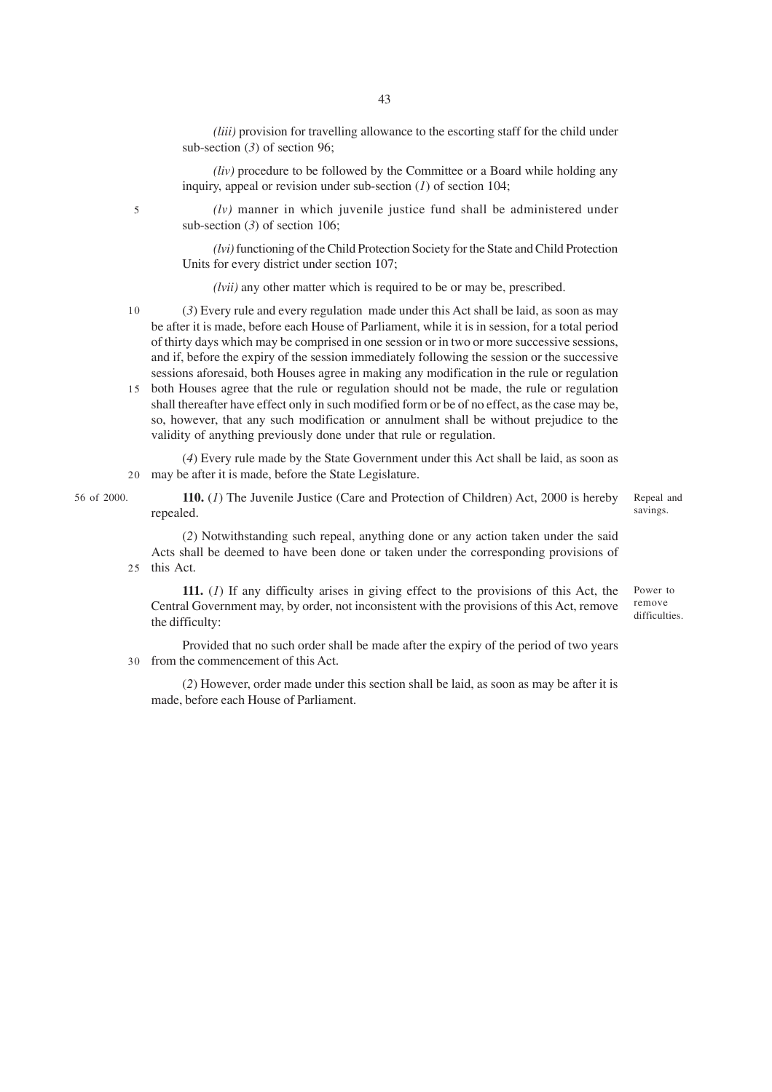*(liii)* provision for travelling allowance to the escorting staff for the child under sub-section (*3*) of section 96;

*(liv)* procedure to be followed by the Committee or a Board while holding any inquiry, appeal or revision under sub-section (*1*) of section 104;

5

*(lv)* manner in which juvenile justice fund shall be administered under sub-section (*3*) of section 106;

*(lvi)* functioning of the Child Protection Society for the State and Child Protection Units for every district under section 107;

*(lvii)* any other matter which is required to be or may be, prescribed.

- (*3*) Every rule and every regulation made under this Act shall be laid, as soon as may be after it is made, before each House of Parliament, while it is in session, for a total period of thirty days which may be comprised in one session or in two or more successive sessions, and if, before the expiry of the session immediately following the session or the successive sessions aforesaid, both Houses agree in making any modification in the rule or regulation 10
- both Houses agree that the rule or regulation should not be made, the rule or regulation 15 shall thereafter have effect only in such modified form or be of no effect, as the case may be, so, however, that any such modification or annulment shall be without prejudice to the validity of anything previously done under that rule or regulation.

(*4*) Every rule made by the State Government under this Act shall be laid, as soon as may be after it is made, before the State Legislature.  $20$ 

56 of 2000.

**110.** (*1*) The Juvenile Justice (Care and Protection of Children) Act, 2000 is hereby repealed.

Repeal and savings.

(*2*) Notwithstanding such repeal, anything done or any action taken under the said Acts shall be deemed to have been done or taken under the corresponding provisions of this Act.  $25$ 

**111.** (*1*) If any difficulty arises in giving effect to the provisions of this Act, the Central Government may, by order, not inconsistent with the provisions of this Act, remove the difficulty: Power to

remove difficulties.

Provided that no such order shall be made after the expiry of the period of two years 30 from the commencement of this Act.

(*2*) However, order made under this section shall be laid, as soon as may be after it is made, before each House of Parliament.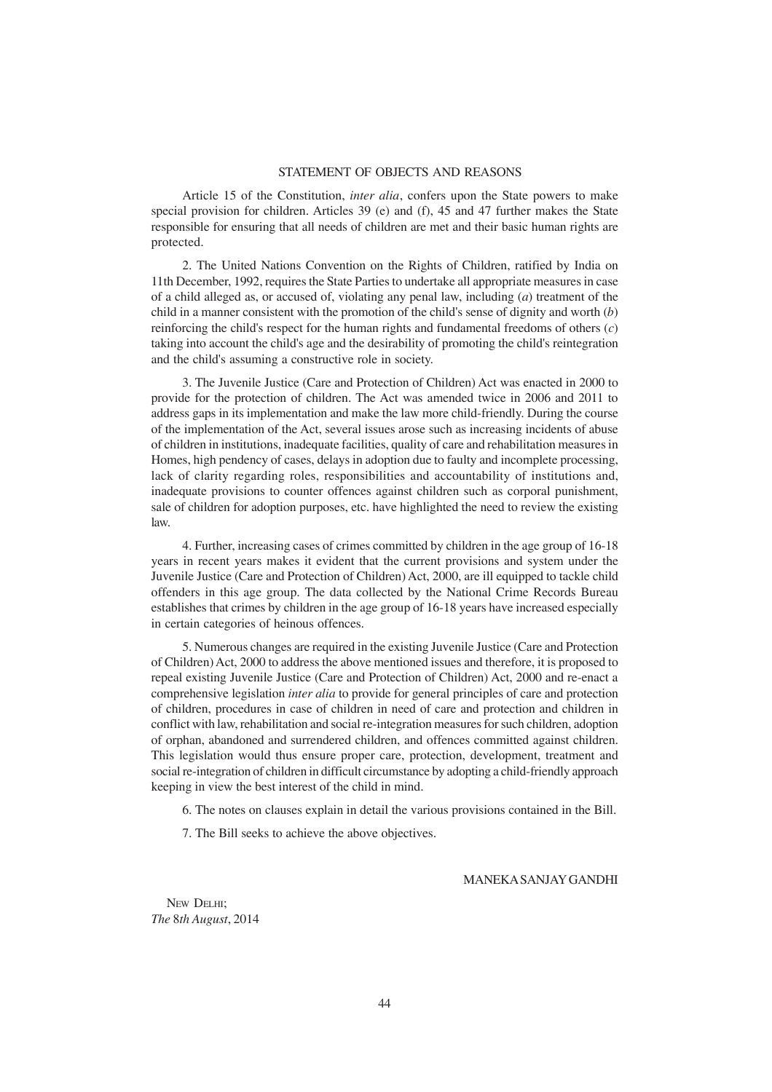## STATEMENT OF OBJECTS AND REASONS

Article 15 of the Constitution, *inter alia*, confers upon the State powers to make special provision for children. Articles 39 (e) and (f), 45 and 47 further makes the State responsible for ensuring that all needs of children are met and their basic human rights are protected.

2. The United Nations Convention on the Rights of Children, ratified by India on 11th December, 1992, requires the State Parties to undertake all appropriate measures in case of a child alleged as, or accused of, violating any penal law, including (*a*) treatment of the child in a manner consistent with the promotion of the child's sense of dignity and worth (*b*) reinforcing the child's respect for the human rights and fundamental freedoms of others (*c*) taking into account the child's age and the desirability of promoting the child's reintegration and the child's assuming a constructive role in society.

3. The Juvenile Justice (Care and Protection of Children) Act was enacted in 2000 to provide for the protection of children. The Act was amended twice in 2006 and 2011 to address gaps in its implementation and make the law more child-friendly. During the course of the implementation of the Act, several issues arose such as increasing incidents of abuse of children in institutions, inadequate facilities, quality of care and rehabilitation measures in Homes, high pendency of cases, delays in adoption due to faulty and incomplete processing, lack of clarity regarding roles, responsibilities and accountability of institutions and, inadequate provisions to counter offences against children such as corporal punishment, sale of children for adoption purposes, etc. have highlighted the need to review the existing law.

4. Further, increasing cases of crimes committed by children in the age group of 16-18 years in recent years makes it evident that the current provisions and system under the Juvenile Justice (Care and Protection of Children) Act, 2000, are ill equipped to tackle child offenders in this age group. The data collected by the National Crime Records Bureau establishes that crimes by children in the age group of 16-18 years have increased especially in certain categories of heinous offences.

5. Numerous changes are required in the existing Juvenile Justice (Care and Protection of Children) Act, 2000 to address the above mentioned issues and therefore, it is proposed to repeal existing Juvenile Justice (Care and Protection of Children) Act, 2000 and re-enact a comprehensive legislation *inter alia* to provide for general principles of care and protection of children, procedures in case of children in need of care and protection and children in conflict with law, rehabilitation and social re-integration measures for such children, adoption of orphan, abandoned and surrendered children, and offences committed against children. This legislation would thus ensure proper care, protection, development, treatment and social re-integration of children in difficult circumstance by adopting a child-friendly approach keeping in view the best interest of the child in mind.

6. The notes on clauses explain in detail the various provisions contained in the Bill.

7. The Bill seeks to achieve the above objectives.

MANEKA SANJAY GANDHI

NEW DELHI: *The* 8*th August*, 2014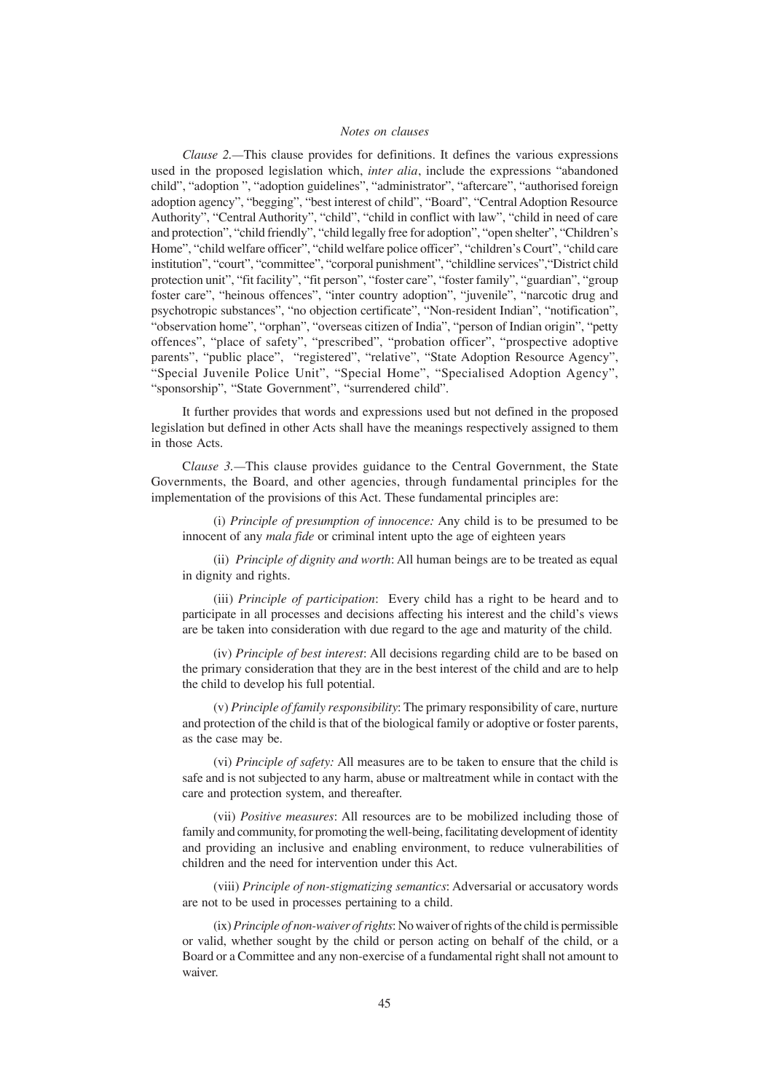## *Notes on clauses*

*Clause 2.—*This clause provides for definitions. It defines the various expressions used in the proposed legislation which, *inter alia*, include the expressions "abandoned child", "adoption ", "adoption guidelines", "administrator", "aftercare", "authorised foreign adoption agency", "begging", "best interest of child", "Board", "Central Adoption Resource Authority", "Central Authority", "child", "child in conflict with law", "child in need of care and protection", "child friendly", "child legally free for adoption", "open shelter", "Children's Home", "child welfare officer", "child welfare police officer", "children's Court", "child care institution", "court", "committee", "corporal punishment", "childline services","District child protection unit", "fit facility", "fit person", "foster care", "foster family", "guardian", "group foster care", "heinous offences", "inter country adoption", "juvenile", "narcotic drug and psychotropic substances", "no objection certificate", "Non-resident Indian", "notification", "observation home", "orphan", "overseas citizen of India", "person of Indian origin", "petty offences", "place of safety", "prescribed", "probation officer", "prospective adoptive parents", "public place", "registered", "relative", "State Adoption Resource Agency", "Special Juvenile Police Unit", "Special Home", "Specialised Adoption Agency", "sponsorship", "State Government", "surrendered child".

It further provides that words and expressions used but not defined in the proposed legislation but defined in other Acts shall have the meanings respectively assigned to them in those Acts.

C*lause 3.—*This clause provides guidance to the Central Government, the State Governments, the Board, and other agencies, through fundamental principles for the implementation of the provisions of this Act. These fundamental principles are:

(i) *Principle of presumption of innocence:* Any child is to be presumed to be innocent of any *mala fide* or criminal intent upto the age of eighteen years

(ii) *Principle of dignity and worth*: All human beings are to be treated as equal in dignity and rights.

(iii) *Principle of participation*: Every child has a right to be heard and to participate in all processes and decisions affecting his interest and the child's views are be taken into consideration with due regard to the age and maturity of the child.

(iv) *Principle of best interest*: All decisions regarding child are to be based on the primary consideration that they are in the best interest of the child and are to help the child to develop his full potential.

(v) *Principle of family responsibility*: The primary responsibility of care, nurture and protection of the child is that of the biological family or adoptive or foster parents, as the case may be.

(vi) *Principle of safety:* All measures are to be taken to ensure that the child is safe and is not subjected to any harm, abuse or maltreatment while in contact with the care and protection system, and thereafter.

(vii) *Positive measures*: All resources are to be mobilized including those of family and community, for promoting the well-being, facilitating development of identity and providing an inclusive and enabling environment, to reduce vulnerabilities of children and the need for intervention under this Act.

(viii) *Principle of non-stigmatizing semantics*: Adversarial or accusatory words are not to be used in processes pertaining to a child.

(ix) *Principle of non-waiver of rights*: No waiver of rights of the child is permissible or valid, whether sought by the child or person acting on behalf of the child, or a Board or a Committee and any non-exercise of a fundamental right shall not amount to waiver.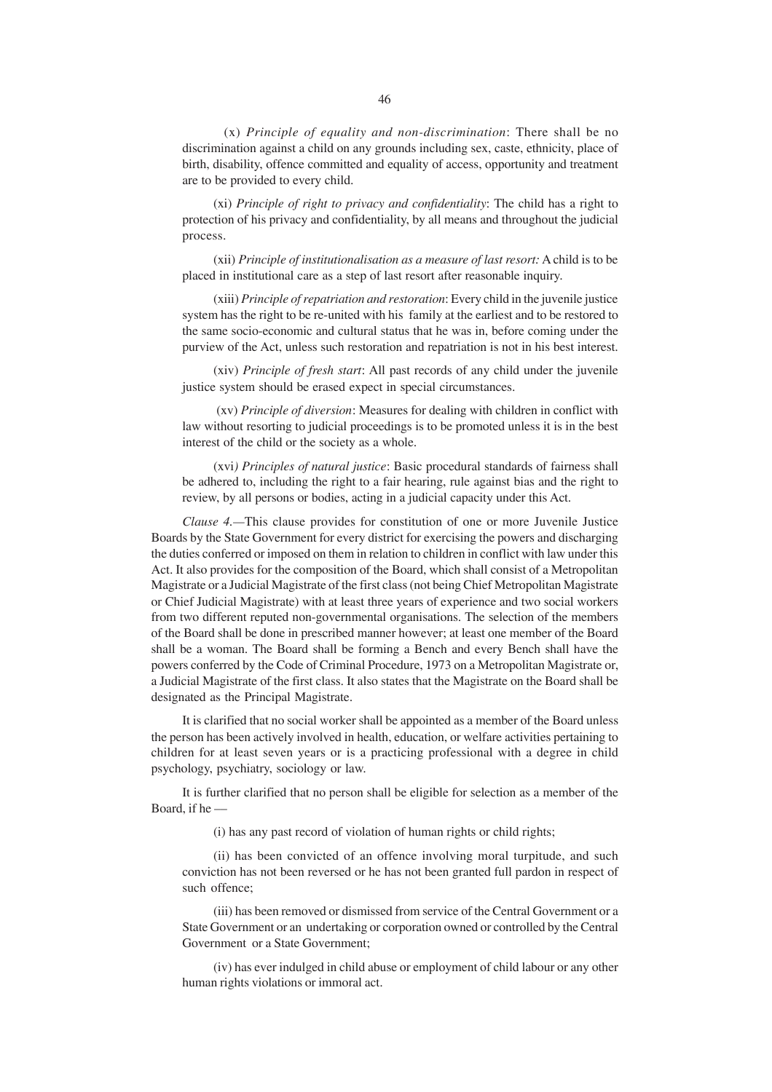(x) *Principle of equality and non-discrimination*: There shall be no discrimination against a child on any grounds including sex, caste, ethnicity, place of birth, disability, offence committed and equality of access, opportunity and treatment are to be provided to every child.

(xi) *Principle of right to privacy and confidentiality*: The child has a right to protection of his privacy and confidentiality, by all means and throughout the judicial process.

(xii) *Principle of institutionalisation as a measure of last resort:* A child is to be placed in institutional care as a step of last resort after reasonable inquiry.

(xiii) *Principle of repatriation and restoration*: Every child in the juvenile justice system has the right to be re-united with his family at the earliest and to be restored to the same socio-economic and cultural status that he was in, before coming under the purview of the Act, unless such restoration and repatriation is not in his best interest.

(xiv) *Principle of fresh start*: All past records of any child under the juvenile justice system should be erased expect in special circumstances.

 (xv) *Principle of diversion*: Measures for dealing with children in conflict with law without resorting to judicial proceedings is to be promoted unless it is in the best interest of the child or the society as a whole.

(xvi*) Principles of natural justice*: Basic procedural standards of fairness shall be adhered to, including the right to a fair hearing, rule against bias and the right to review, by all persons or bodies, acting in a judicial capacity under this Act.

*Clause 4.—*This clause provides for constitution of one or more Juvenile Justice Boards by the State Government for every district for exercising the powers and discharging the duties conferred or imposed on them in relation to children in conflict with law under this Act. It also provides for the composition of the Board, which shall consist of a Metropolitan Magistrate or a Judicial Magistrate of the first class (not being Chief Metropolitan Magistrate or Chief Judicial Magistrate) with at least three years of experience and two social workers from two different reputed non-governmental organisations. The selection of the members of the Board shall be done in prescribed manner however; at least one member of the Board shall be a woman. The Board shall be forming a Bench and every Bench shall have the powers conferred by the Code of Criminal Procedure, 1973 on a Metropolitan Magistrate or, a Judicial Magistrate of the first class. It also states that the Magistrate on the Board shall be designated as the Principal Magistrate.

It is clarified that no social worker shall be appointed as a member of the Board unless the person has been actively involved in health, education, or welfare activities pertaining to children for at least seven years or is a practicing professional with a degree in child psychology, psychiatry, sociology or law.

It is further clarified that no person shall be eligible for selection as a member of the Board, if he ––

(i) has any past record of violation of human rights or child rights;

(ii) has been convicted of an offence involving moral turpitude, and such conviction has not been reversed or he has not been granted full pardon in respect of such offence;

(iii) has been removed or dismissed from service of the Central Government or a State Government or an undertaking or corporation owned or controlled by the Central Government or a State Government;

(iv) has ever indulged in child abuse or employment of child labour or any other human rights violations or immoral act.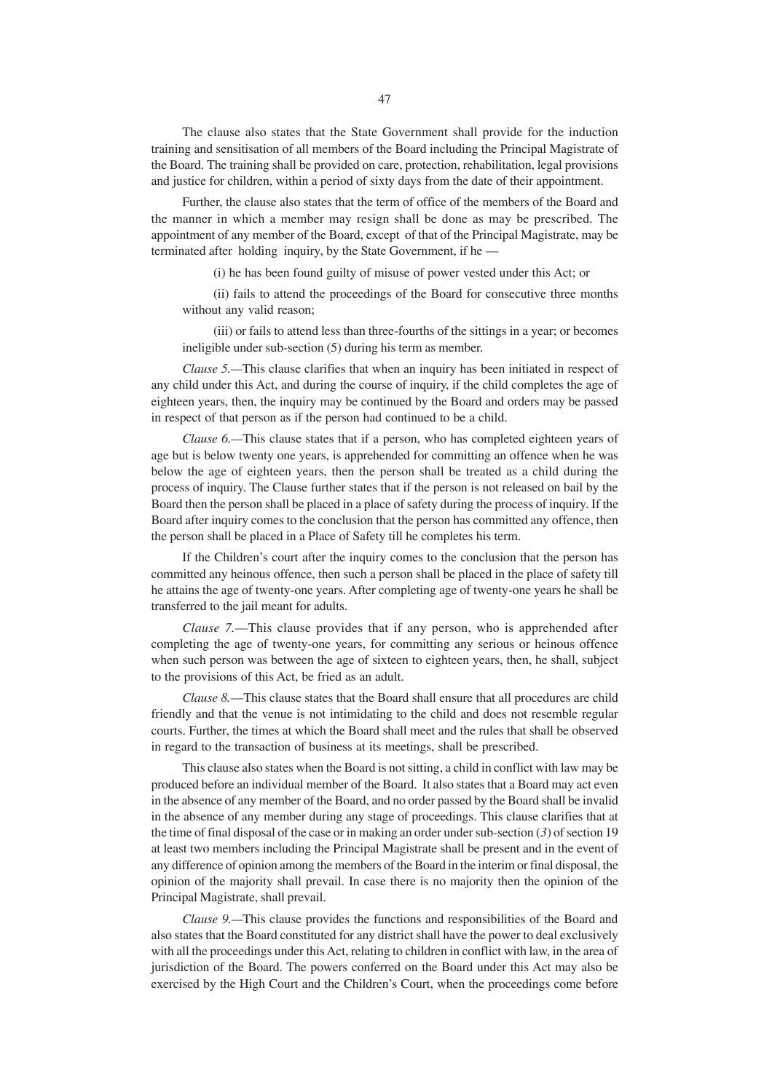The clause also states that the State Government shall provide for the induction training and sensitisation of all members of the Board including the Principal Magistrate of the Board. The training shall be provided on care, protection, rehabilitation, legal provisions and justice for children, within a period of sixty days from the date of their appointment.

Further, the clause also states that the term of office of the members of the Board and the manner in which a member may resign shall be done as may be prescribed. The appointment of any member of the Board, except of that of the Principal Magistrate, may be terminated after holding inquiry, by the State Government, if he ––

(i) he has been found guilty of misuse of power vested under this Act; or

(ii) fails to attend the proceedings of the Board for consecutive three months without any valid reason;

(iii) or fails to attend less than three-fourths of the sittings in a year; or becomes ineligible under sub-section (5) during his term as member.

*Clause 5.—*This clause clarifies that when an inquiry has been initiated in respect of any child under this Act, and during the course of inquiry, if the child completes the age of eighteen years, then, the inquiry may be continued by the Board and orders may be passed in respect of that person as if the person had continued to be a child.

*Clause 6.—*This clause states that if a person, who has completed eighteen years of age but is below twenty one years, is apprehended for committing an offence when he was below the age of eighteen years, then the person shall be treated as a child during the process of inquiry. The Clause further states that if the person is not released on bail by the Board then the person shall be placed in a place of safety during the process of inquiry. If the Board after inquiry comes to the conclusion that the person has committed any offence, then the person shall be placed in a Place of Safety till he completes his term.

If the Children's court after the inquiry comes to the conclusion that the person has committed any heinous offence, then such a person shall be placed in the place of safety till he attains the age of twenty-one years. After completing age of twenty-one years he shall be transferred to the jail meant for adults.

*Clause 7.*—This clause provides that if any person, who is apprehended after completing the age of twenty-one years, for committing any serious or heinous offence when such person was between the age of sixteen to eighteen years, then, he shall, subject to the provisions of this Act, be fried as an adult.

*Clause 8.*—This clause states that the Board shall ensure that all procedures are child friendly and that the venue is not intimidating to the child and does not resemble regular courts. Further, the times at which the Board shall meet and the rules that shall be observed in regard to the transaction of business at its meetings, shall be prescribed.

This clause also states when the Board is not sitting, a child in conflict with law may be produced before an individual member of the Board. It also states that a Board may act even in the absence of any member of the Board, and no order passed by the Board shall be invalid in the absence of any member during any stage of proceedings. This clause clarifies that at the time of final disposal of the case or in making an order under sub-section (*3*) of section 19 at least two members including the Principal Magistrate shall be present and in the event of any difference of opinion among the members of the Board in the interim or final disposal, the opinion of the majority shall prevail. In case there is no majority then the opinion of the Principal Magistrate, shall prevail.

*Clause 9.—*This clause provides the functions and responsibilities of the Board and also states that the Board constituted for any district shall have the power to deal exclusively with all the proceedings under this Act, relating to children in conflict with law, in the area of jurisdiction of the Board. The powers conferred on the Board under this Act may also be exercised by the High Court and the Children's Court, when the proceedings come before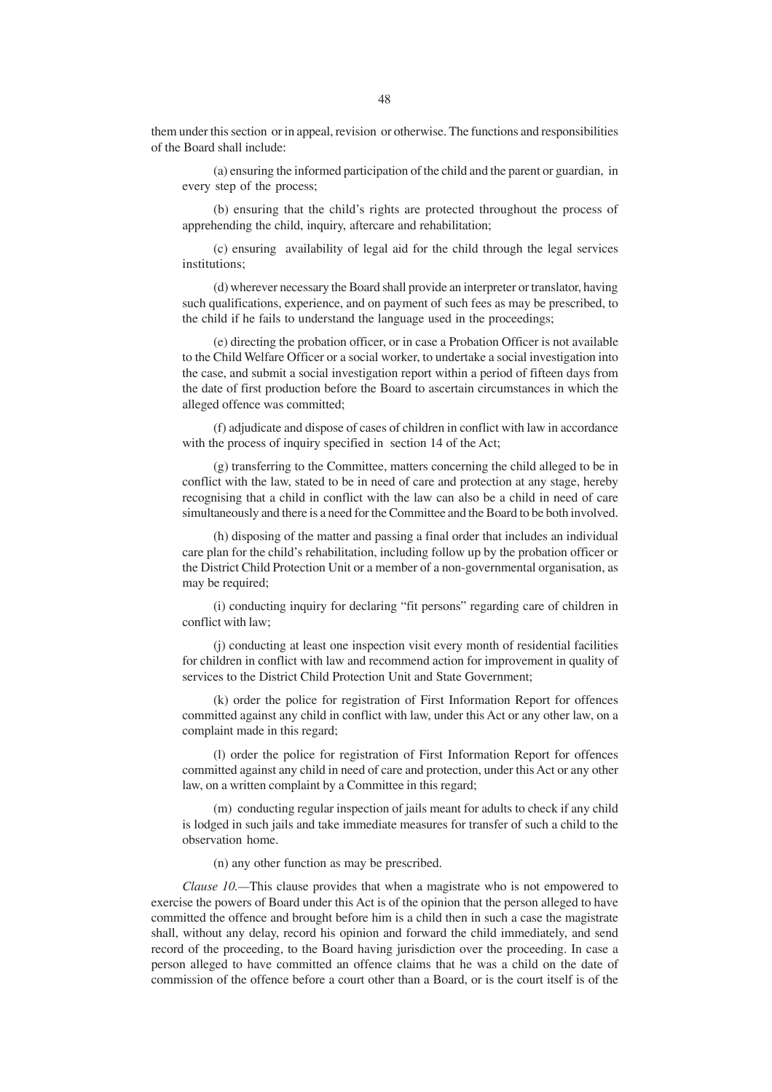them under this section or in appeal, revision or otherwise. The functions and responsibilities of the Board shall include:

(a) ensuring the informed participation of the child and the parent or guardian, in every step of the process;

(b) ensuring that the child's rights are protected throughout the process of apprehending the child, inquiry, aftercare and rehabilitation;

(c) ensuring availability of legal aid for the child through the legal services institutions;

(d) wherever necessary the Board shall provide an interpreter or translator, having such qualifications, experience, and on payment of such fees as may be prescribed, to the child if he fails to understand the language used in the proceedings;

(e) directing the probation officer, or in case a Probation Officer is not available to the Child Welfare Officer or a social worker, to undertake a social investigation into the case, and submit a social investigation report within a period of fifteen days from the date of first production before the Board to ascertain circumstances in which the alleged offence was committed;

(f) adjudicate and dispose of cases of children in conflict with law in accordance with the process of inquiry specified in section 14 of the Act;

(g) transferring to the Committee, matters concerning the child alleged to be in conflict with the law, stated to be in need of care and protection at any stage, hereby recognising that a child in conflict with the law can also be a child in need of care simultaneously and there is a need for the Committee and the Board to be both involved.

(h) disposing of the matter and passing a final order that includes an individual care plan for the child's rehabilitation, including follow up by the probation officer or the District Child Protection Unit or a member of a non-governmental organisation, as may be required;

(i) conducting inquiry for declaring "fit persons" regarding care of children in conflict with law;

(j) conducting at least one inspection visit every month of residential facilities for children in conflict with law and recommend action for improvement in quality of services to the District Child Protection Unit and State Government;

(k) order the police for registration of First Information Report for offences committed against any child in conflict with law, under this Act or any other law, on a complaint made in this regard;

(l) order the police for registration of First Information Report for offences committed against any child in need of care and protection, under this Act or any other law, on a written complaint by a Committee in this regard;

(m) conducting regular inspection of jails meant for adults to check if any child is lodged in such jails and take immediate measures for transfer of such a child to the observation home.

(n) any other function as may be prescribed.

*Clause 10.—*This clause provides that when a magistrate who is not empowered to exercise the powers of Board under this Act is of the opinion that the person alleged to have committed the offence and brought before him is a child then in such a case the magistrate shall, without any delay, record his opinion and forward the child immediately, and send record of the proceeding, to the Board having jurisdiction over the proceeding. In case a person alleged to have committed an offence claims that he was a child on the date of commission of the offence before a court other than a Board, or is the court itself is of the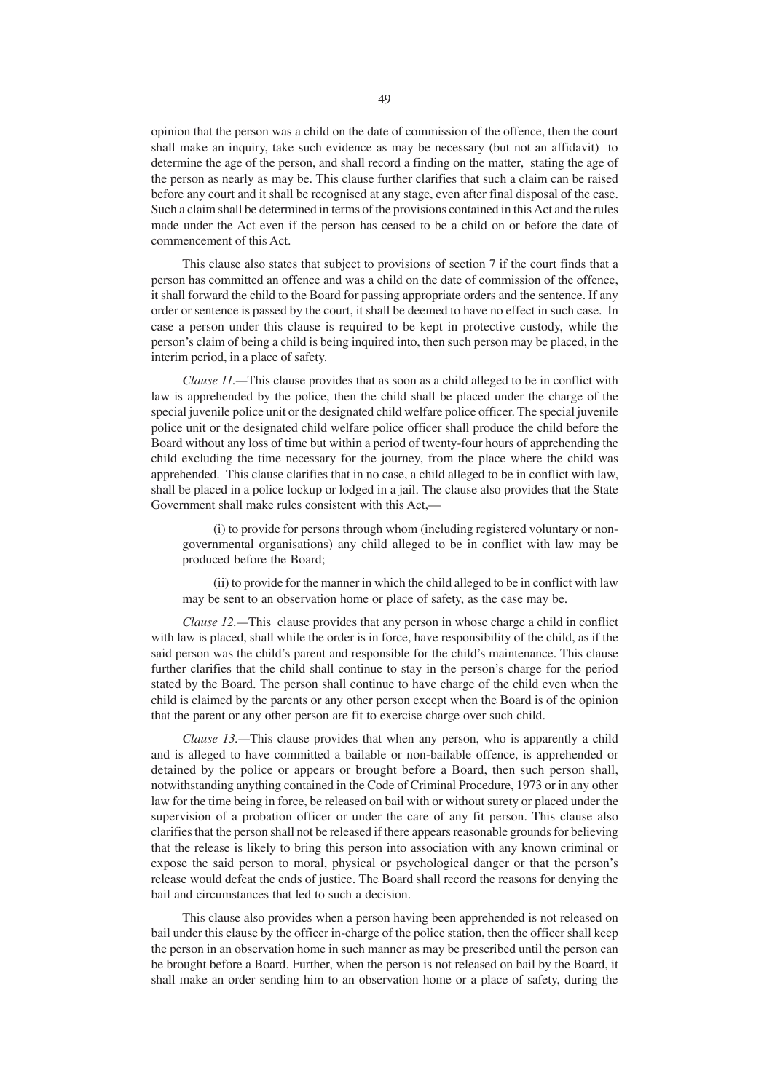opinion that the person was a child on the date of commission of the offence, then the court shall make an inquiry, take such evidence as may be necessary (but not an affidavit) to determine the age of the person, and shall record a finding on the matter, stating the age of the person as nearly as may be. This clause further clarifies that such a claim can be raised before any court and it shall be recognised at any stage, even after final disposal of the case. Such a claim shall be determined in terms of the provisions contained in this Act and the rules made under the Act even if the person has ceased to be a child on or before the date of commencement of this Act.

This clause also states that subject to provisions of section 7 if the court finds that a person has committed an offence and was a child on the date of commission of the offence, it shall forward the child to the Board for passing appropriate orders and the sentence. If any order or sentence is passed by the court, it shall be deemed to have no effect in such case. In case a person under this clause is required to be kept in protective custody, while the person's claim of being a child is being inquired into, then such person may be placed, in the interim period, in a place of safety.

*Clause 11.—*This clause provides that as soon as a child alleged to be in conflict with law is apprehended by the police, then the child shall be placed under the charge of the special juvenile police unit or the designated child welfare police officer. The special juvenile police unit or the designated child welfare police officer shall produce the child before the Board without any loss of time but within a period of twenty-four hours of apprehending the child excluding the time necessary for the journey, from the place where the child was apprehended. This clause clarifies that in no case, a child alleged to be in conflict with law, shall be placed in a police lockup or lodged in a jail. The clause also provides that the State Government shall make rules consistent with this Act,—

(i) to provide for persons through whom (including registered voluntary or nongovernmental organisations) any child alleged to be in conflict with law may be produced before the Board;

(ii) to provide for the manner in which the child alleged to be in conflict with law may be sent to an observation home or place of safety, as the case may be.

*Clause 12.—*This clause provides that any person in whose charge a child in conflict with law is placed, shall while the order is in force, have responsibility of the child, as if the said person was the child's parent and responsible for the child's maintenance. This clause further clarifies that the child shall continue to stay in the person's charge for the period stated by the Board. The person shall continue to have charge of the child even when the child is claimed by the parents or any other person except when the Board is of the opinion that the parent or any other person are fit to exercise charge over such child.

*Clause 13.—*This clause provides that when any person, who is apparently a child and is alleged to have committed a bailable or non-bailable offence, is apprehended or detained by the police or appears or brought before a Board, then such person shall, notwithstanding anything contained in the Code of Criminal Procedure, 1973 or in any other law for the time being in force, be released on bail with or without surety or placed under the supervision of a probation officer or under the care of any fit person. This clause also clarifies that the person shall not be released if there appears reasonable grounds for believing that the release is likely to bring this person into association with any known criminal or expose the said person to moral, physical or psychological danger or that the person's release would defeat the ends of justice. The Board shall record the reasons for denying the bail and circumstances that led to such a decision.

This clause also provides when a person having been apprehended is not released on bail under this clause by the officer in-charge of the police station, then the officer shall keep the person in an observation home in such manner as may be prescribed until the person can be brought before a Board. Further, when the person is not released on bail by the Board, it shall make an order sending him to an observation home or a place of safety, during the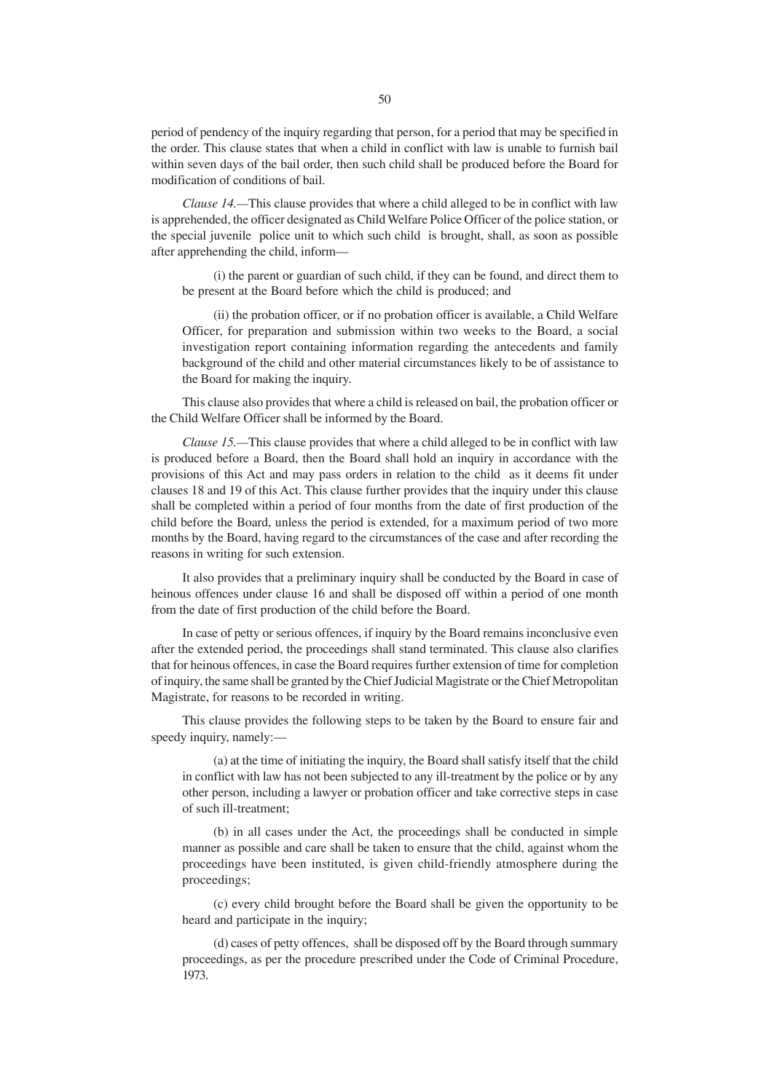period of pendency of the inquiry regarding that person, for a period that may be specified in the order. This clause states that when a child in conflict with law is unable to furnish bail within seven days of the bail order, then such child shall be produced before the Board for modification of conditions of bail.

*Clause 14.—*This clause provides that where a child alleged to be in conflict with law is apprehended, the officer designated as Child Welfare Police Officer of the police station, or the special juvenile police unit to which such child is brought, shall, as soon as possible after apprehending the child, inform—

(i) the parent or guardian of such child, if they can be found, and direct them to be present at the Board before which the child is produced; and

(ii) the probation officer, or if no probation officer is available, a Child Welfare Officer, for preparation and submission within two weeks to the Board, a social investigation report containing information regarding the antecedents and family background of the child and other material circumstances likely to be of assistance to the Board for making the inquiry.

This clause also provides that where a child is released on bail, the probation officer or the Child Welfare Officer shall be informed by the Board.

*Clause 15.—*This clause provides that where a child alleged to be in conflict with law is produced before a Board, then the Board shall hold an inquiry in accordance with the provisions of this Act and may pass orders in relation to the child as it deems fit under clauses 18 and 19 of this Act. This clause further provides that the inquiry under this clause shall be completed within a period of four months from the date of first production of the child before the Board, unless the period is extended, for a maximum period of two more months by the Board, having regard to the circumstances of the case and after recording the reasons in writing for such extension.

It also provides that a preliminary inquiry shall be conducted by the Board in case of heinous offences under clause 16 and shall be disposed off within a period of one month from the date of first production of the child before the Board.

In case of petty or serious offences, if inquiry by the Board remains inconclusive even after the extended period, the proceedings shall stand terminated. This clause also clarifies that for heinous offences, in case the Board requires further extension of time for completion of inquiry, the same shall be granted by the Chief Judicial Magistrate or the Chief Metropolitan Magistrate, for reasons to be recorded in writing.

This clause provides the following steps to be taken by the Board to ensure fair and speedy inquiry, namely:—

(a) at the time of initiating the inquiry, the Board shall satisfy itself that the child in conflict with law has not been subjected to any ill-treatment by the police or by any other person, including a lawyer or probation officer and take corrective steps in case of such ill-treatment;

(b) in all cases under the Act, the proceedings shall be conducted in simple manner as possible and care shall be taken to ensure that the child, against whom the proceedings have been instituted, is given child-friendly atmosphere during the proceedings;

(c) every child brought before the Board shall be given the opportunity to be heard and participate in the inquiry;

(d) cases of petty offences, shall be disposed off by the Board through summary proceedings, as per the procedure prescribed under the Code of Criminal Procedure, 1973.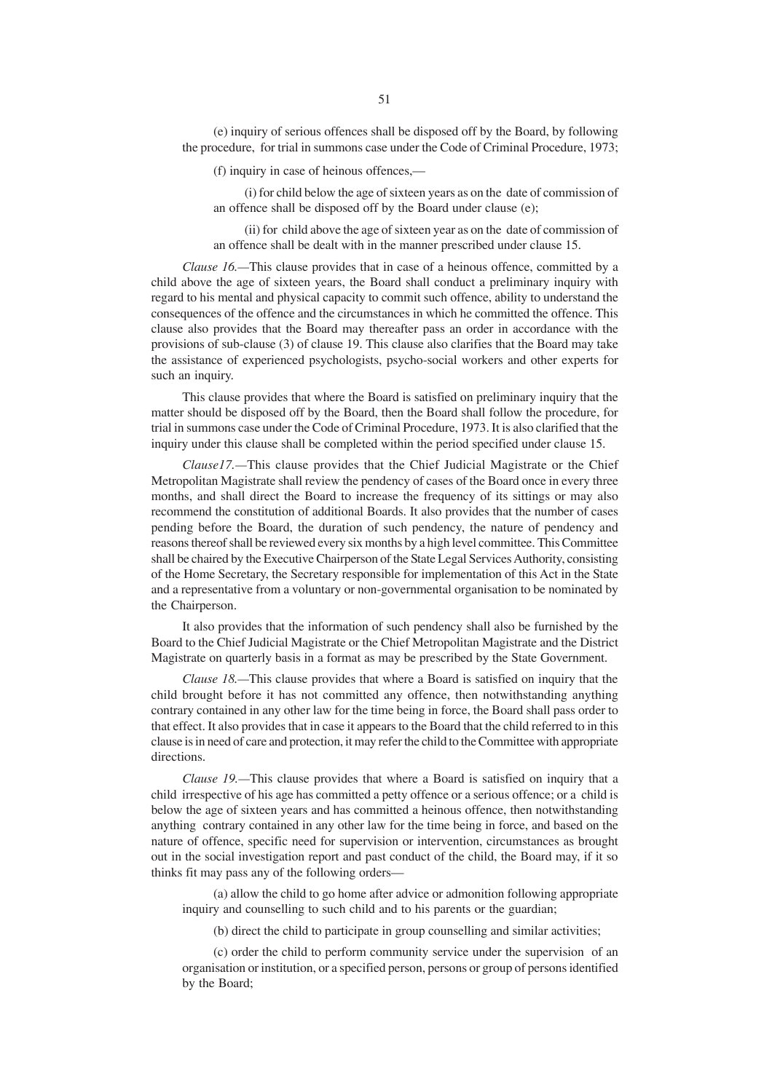(e) inquiry of serious offences shall be disposed off by the Board, by following the procedure, for trial in summons case under the Code of Criminal Procedure, 1973;

(f) inquiry in case of heinous offences,—

(i) for child below the age of sixteen years as on the date of commission of an offence shall be disposed off by the Board under clause (e);

(ii) for child above the age of sixteen year as on the date of commission of an offence shall be dealt with in the manner prescribed under clause 15.

*Clause 16.—*This clause provides that in case of a heinous offence, committed by a child above the age of sixteen years, the Board shall conduct a preliminary inquiry with regard to his mental and physical capacity to commit such offence, ability to understand the consequences of the offence and the circumstances in which he committed the offence. This clause also provides that the Board may thereafter pass an order in accordance with the provisions of sub-clause (3) of clause 19. This clause also clarifies that the Board may take the assistance of experienced psychologists, psycho-social workers and other experts for such an inquiry.

This clause provides that where the Board is satisfied on preliminary inquiry that the matter should be disposed off by the Board, then the Board shall follow the procedure, for trial in summons case under the Code of Criminal Procedure, 1973. It is also clarified that the inquiry under this clause shall be completed within the period specified under clause 15.

*Clause17.—*This clause provides that the Chief Judicial Magistrate or the Chief Metropolitan Magistrate shall review the pendency of cases of the Board once in every three months, and shall direct the Board to increase the frequency of its sittings or may also recommend the constitution of additional Boards. It also provides that the number of cases pending before the Board, the duration of such pendency, the nature of pendency and reasons thereof shall be reviewed every six months by a high level committee. This Committee shall be chaired by the Executive Chairperson of the State Legal Services Authority, consisting of the Home Secretary, the Secretary responsible for implementation of this Act in the State and a representative from a voluntary or non-governmental organisation to be nominated by the Chairperson.

It also provides that the information of such pendency shall also be furnished by the Board to the Chief Judicial Magistrate or the Chief Metropolitan Magistrate and the District Magistrate on quarterly basis in a format as may be prescribed by the State Government.

*Clause 18.—*This clause provides that where a Board is satisfied on inquiry that the child brought before it has not committed any offence, then notwithstanding anything contrary contained in any other law for the time being in force, the Board shall pass order to that effect. It also provides that in case it appears to the Board that the child referred to in this clause is in need of care and protection, it may refer the child to the Committee with appropriate directions.

*Clause 19.—*This clause provides that where a Board is satisfied on inquiry that a child irrespective of his age has committed a petty offence or a serious offence; or a child is below the age of sixteen years and has committed a heinous offence, then notwithstanding anything contrary contained in any other law for the time being in force, and based on the nature of offence, specific need for supervision or intervention, circumstances as brought out in the social investigation report and past conduct of the child, the Board may, if it so thinks fit may pass any of the following orders—

(a) allow the child to go home after advice or admonition following appropriate inquiry and counselling to such child and to his parents or the guardian;

(b) direct the child to participate in group counselling and similar activities;

(c) order the child to perform community service under the supervision of an organisation or institution, or a specified person, persons or group of persons identified by the Board;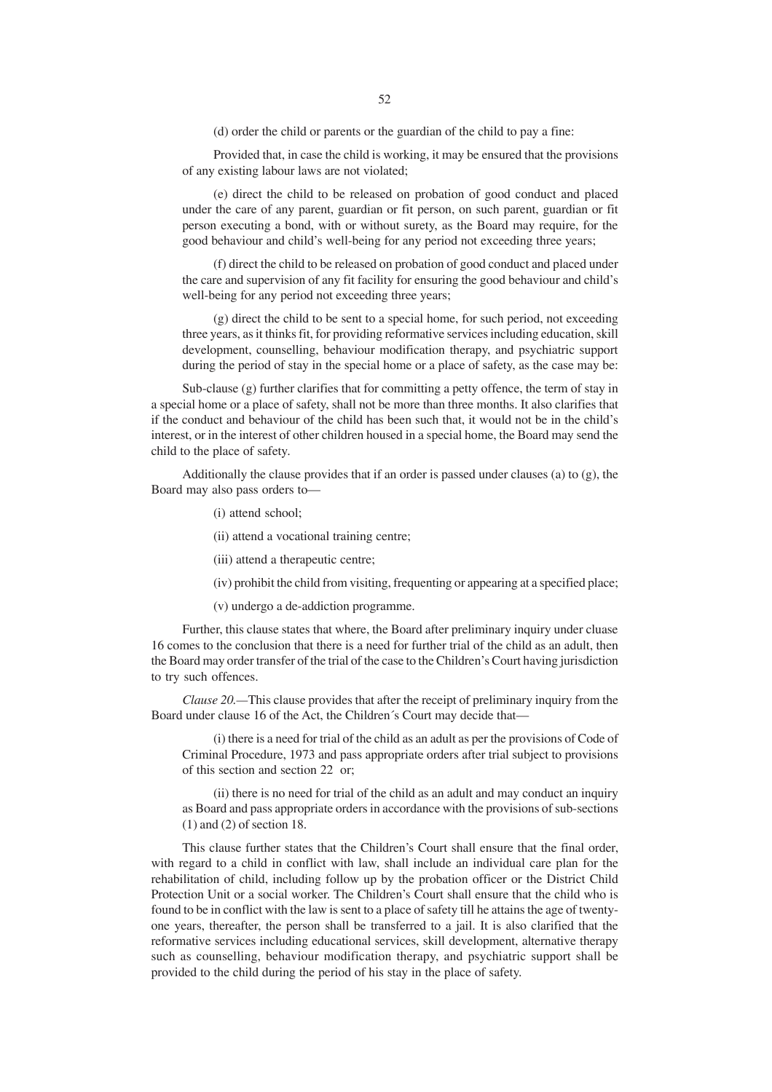(d) order the child or parents or the guardian of the child to pay a fine:

Provided that, in case the child is working, it may be ensured that the provisions of any existing labour laws are not violated;

(e) direct the child to be released on probation of good conduct and placed under the care of any parent, guardian or fit person, on such parent, guardian or fit person executing a bond, with or without surety, as the Board may require, for the good behaviour and child's well-being for any period not exceeding three years;

(f) direct the child to be released on probation of good conduct and placed under the care and supervision of any fit facility for ensuring the good behaviour and child's well-being for any period not exceeding three years;

(g) direct the child to be sent to a special home, for such period, not exceeding three years, as it thinks fit, for providing reformative services including education, skill development, counselling, behaviour modification therapy, and psychiatric support during the period of stay in the special home or a place of safety, as the case may be:

Sub-clause (g) further clarifies that for committing a petty offence, the term of stay in a special home or a place of safety, shall not be more than three months. It also clarifies that if the conduct and behaviour of the child has been such that, it would not be in the child's interest, or in the interest of other children housed in a special home, the Board may send the child to the place of safety.

Additionally the clause provides that if an order is passed under clauses (a) to (g), the Board may also pass orders to—

- (i) attend school;
- (ii) attend a vocational training centre;
- (iii) attend a therapeutic centre;
- (iv) prohibit the child from visiting, frequenting or appearing at a specified place;
- (v) undergo a de-addiction programme.

Further, this clause states that where, the Board after preliminary inquiry under cluase 16 comes to the conclusion that there is a need for further trial of the child as an adult, then the Board may order transfer of the trial of the case to the Children's Court having jurisdiction to try such offences.

*Clause 20.—*This clause provides that after the receipt of preliminary inquiry from the Board under clause 16 of the Act, the Children´s Court may decide that—

(i) there is a need for trial of the child as an adult as per the provisions of Code of Criminal Procedure, 1973 and pass appropriate orders after trial subject to provisions of this section and section 22 or;

(ii) there is no need for trial of the child as an adult and may conduct an inquiry as Board and pass appropriate orders in accordance with the provisions of sub-sections (1) and (2) of section 18.

This clause further states that the Children's Court shall ensure that the final order, with regard to a child in conflict with law, shall include an individual care plan for the rehabilitation of child, including follow up by the probation officer or the District Child Protection Unit or a social worker. The Children's Court shall ensure that the child who is found to be in conflict with the law is sent to a place of safety till he attains the age of twentyone years, thereafter, the person shall be transferred to a jail. It is also clarified that the reformative services including educational services, skill development, alternative therapy such as counselling, behaviour modification therapy, and psychiatric support shall be provided to the child during the period of his stay in the place of safety.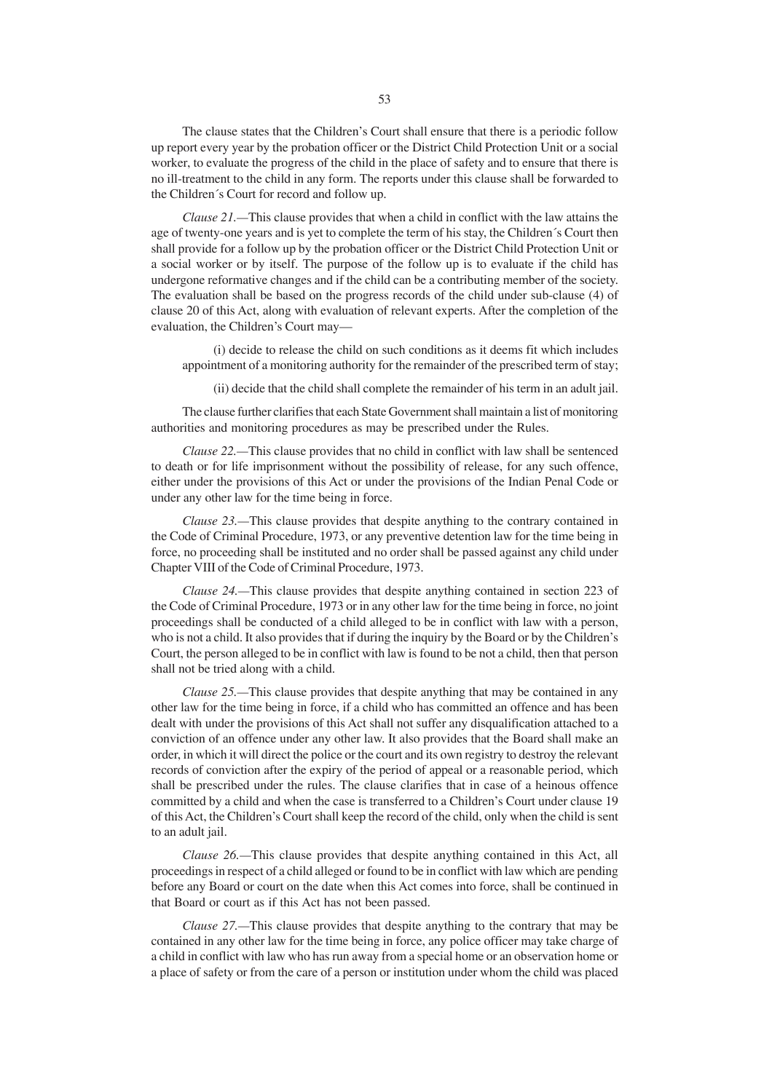The clause states that the Children's Court shall ensure that there is a periodic follow up report every year by the probation officer or the District Child Protection Unit or a social worker, to evaluate the progress of the child in the place of safety and to ensure that there is no ill-treatment to the child in any form. The reports under this clause shall be forwarded to the Children´s Court for record and follow up.

*Clause 21.—*This clause provides that when a child in conflict with the law attains the age of twenty-one years and is yet to complete the term of his stay, the Children´s Court then shall provide for a follow up by the probation officer or the District Child Protection Unit or a social worker or by itself. The purpose of the follow up is to evaluate if the child has undergone reformative changes and if the child can be a contributing member of the society. The evaluation shall be based on the progress records of the child under sub-clause (4) of clause 20 of this Act, along with evaluation of relevant experts. After the completion of the evaluation, the Children's Court may—

(i) decide to release the child on such conditions as it deems fit which includes appointment of a monitoring authority for the remainder of the prescribed term of stay;

(ii) decide that the child shall complete the remainder of his term in an adult jail.

The clause further clarifies that each State Government shall maintain a list of monitoring authorities and monitoring procedures as may be prescribed under the Rules.

*Clause 22.—*This clause provides that no child in conflict with law shall be sentenced to death or for life imprisonment without the possibility of release, for any such offence, either under the provisions of this Act or under the provisions of the Indian Penal Code or under any other law for the time being in force.

*Clause 23.—*This clause provides that despite anything to the contrary contained in the Code of Criminal Procedure, 1973, or any preventive detention law for the time being in force, no proceeding shall be instituted and no order shall be passed against any child under Chapter VIII of the Code of Criminal Procedure, 1973.

*Clause 24.—*This clause provides that despite anything contained in section 223 of the Code of Criminal Procedure, 1973 or in any other law for the time being in force, no joint proceedings shall be conducted of a child alleged to be in conflict with law with a person, who is not a child. It also provides that if during the inquiry by the Board or by the Children's Court, the person alleged to be in conflict with law is found to be not a child, then that person shall not be tried along with a child.

*Clause 25.—*This clause provides that despite anything that may be contained in any other law for the time being in force, if a child who has committed an offence and has been dealt with under the provisions of this Act shall not suffer any disqualification attached to a conviction of an offence under any other law. It also provides that the Board shall make an order, in which it will direct the police or the court and its own registry to destroy the relevant records of conviction after the expiry of the period of appeal or a reasonable period, which shall be prescribed under the rules. The clause clarifies that in case of a heinous offence committed by a child and when the case is transferred to a Children's Court under clause 19 of this Act, the Children's Court shall keep the record of the child, only when the child is sent to an adult jail.

*Clause 26.—*This clause provides that despite anything contained in this Act, all proceedings in respect of a child alleged or found to be in conflict with law which are pending before any Board or court on the date when this Act comes into force, shall be continued in that Board or court as if this Act has not been passed.

*Clause 27.—*This clause provides that despite anything to the contrary that may be contained in any other law for the time being in force, any police officer may take charge of a child in conflict with law who has run away from a special home or an observation home or a place of safety or from the care of a person or institution under whom the child was placed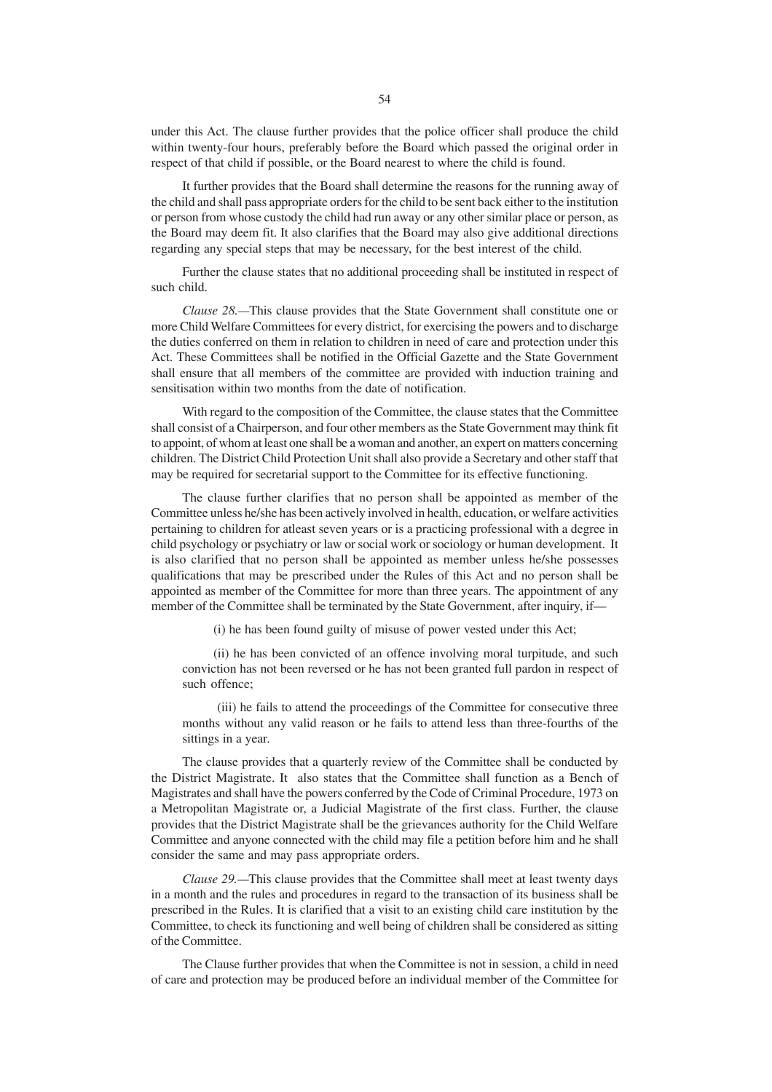under this Act. The clause further provides that the police officer shall produce the child within twenty-four hours, preferably before the Board which passed the original order in respect of that child if possible, or the Board nearest to where the child is found.

It further provides that the Board shall determine the reasons for the running away of the child and shall pass appropriate orders for the child to be sent back either to the institution or person from whose custody the child had run away or any other similar place or person, as the Board may deem fit. It also clarifies that the Board may also give additional directions regarding any special steps that may be necessary, for the best interest of the child.

Further the clause states that no additional proceeding shall be instituted in respect of such child.

*Clause 28.—*This clause provides that the State Government shall constitute one or more Child Welfare Committees for every district, for exercising the powers and to discharge the duties conferred on them in relation to children in need of care and protection under this Act. These Committees shall be notified in the Official Gazette and the State Government shall ensure that all members of the committee are provided with induction training and sensitisation within two months from the date of notification.

With regard to the composition of the Committee, the clause states that the Committee shall consist of a Chairperson, and four other members as the State Government may think fit to appoint, of whom at least one shall be a woman and another, an expert on matters concerning children. The District Child Protection Unit shall also provide a Secretary and other staff that may be required for secretarial support to the Committee for its effective functioning.

The clause further clarifies that no person shall be appointed as member of the Committee unless he/she has been actively involved in health, education, or welfare activities pertaining to children for atleast seven years or is a practicing professional with a degree in child psychology or psychiatry or law or social work or sociology or human development. It is also clarified that no person shall be appointed as member unless he/she possesses qualifications that may be prescribed under the Rules of this Act and no person shall be appointed as member of the Committee for more than three years. The appointment of any member of the Committee shall be terminated by the State Government, after inquiry, if—

(i) he has been found guilty of misuse of power vested under this Act;

(ii) he has been convicted of an offence involving moral turpitude, and such conviction has not been reversed or he has not been granted full pardon in respect of such offence;

 (iii) he fails to attend the proceedings of the Committee for consecutive three months without any valid reason or he fails to attend less than three-fourths of the sittings in a year.

The clause provides that a quarterly review of the Committee shall be conducted by the District Magistrate. It also states that the Committee shall function as a Bench of Magistrates and shall have the powers conferred by the Code of Criminal Procedure, 1973 on a Metropolitan Magistrate or, a Judicial Magistrate of the first class. Further, the clause provides that the District Magistrate shall be the grievances authority for the Child Welfare Committee and anyone connected with the child may file a petition before him and he shall consider the same and may pass appropriate orders.

*Clause 29.—*This clause provides that the Committee shall meet at least twenty days in a month and the rules and procedures in regard to the transaction of its business shall be prescribed in the Rules. It is clarified that a visit to an existing child care institution by the Committee, to check its functioning and well being of children shall be considered as sitting of the Committee.

The Clause further provides that when the Committee is not in session, a child in need of care and protection may be produced before an individual member of the Committee for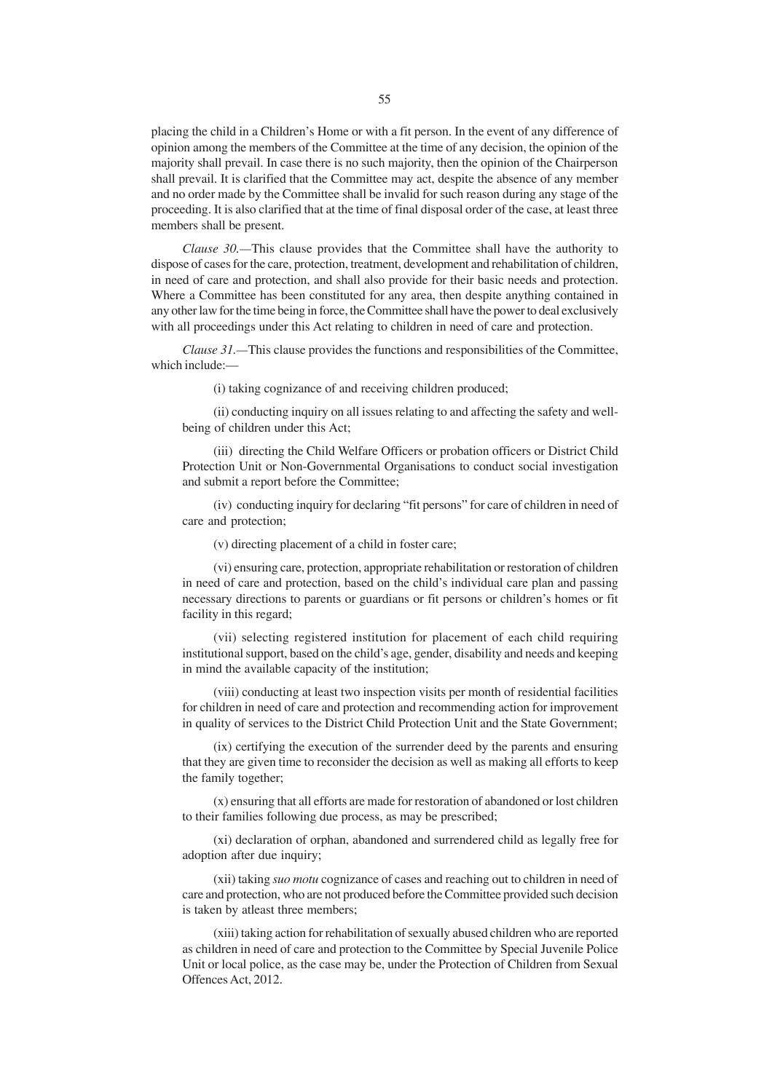placing the child in a Children's Home or with a fit person. In the event of any difference of opinion among the members of the Committee at the time of any decision, the opinion of the majority shall prevail. In case there is no such majority, then the opinion of the Chairperson shall prevail. It is clarified that the Committee may act, despite the absence of any member and no order made by the Committee shall be invalid for such reason during any stage of the proceeding. It is also clarified that at the time of final disposal order of the case, at least three members shall be present.

*Clause 30.—*This clause provides that the Committee shall have the authority to dispose of cases for the care, protection, treatment, development and rehabilitation of children, in need of care and protection, and shall also provide for their basic needs and protection. Where a Committee has been constituted for any area, then despite anything contained in any other law for the time being in force, the Committee shall have the power to deal exclusively with all proceedings under this Act relating to children in need of care and protection.

*Clause 31.—*This clause provides the functions and responsibilities of the Committee, which include:—

(i) taking cognizance of and receiving children produced;

(ii) conducting inquiry on all issues relating to and affecting the safety and wellbeing of children under this Act;

(iii) directing the Child Welfare Officers or probation officers or District Child Protection Unit or Non-Governmental Organisations to conduct social investigation and submit a report before the Committee;

(iv) conducting inquiry for declaring "fit persons" for care of children in need of care and protection;

(v) directing placement of a child in foster care;

(vi) ensuring care, protection, appropriate rehabilitation or restoration of children in need of care and protection, based on the child's individual care plan and passing necessary directions to parents or guardians or fit persons or children's homes or fit facility in this regard;

(vii) selecting registered institution for placement of each child requiring institutional support, based on the child's age, gender, disability and needs and keeping in mind the available capacity of the institution;

(viii) conducting at least two inspection visits per month of residential facilities for children in need of care and protection and recommending action for improvement in quality of services to the District Child Protection Unit and the State Government;

(ix) certifying the execution of the surrender deed by the parents and ensuring that they are given time to reconsider the decision as well as making all efforts to keep the family together;

(x) ensuring that all efforts are made for restoration of abandoned or lost children to their families following due process, as may be prescribed;

(xi) declaration of orphan, abandoned and surrendered child as legally free for adoption after due inquiry;

(xii) taking *suo motu* cognizance of cases and reaching out to children in need of care and protection, who are not produced before the Committee provided such decision is taken by atleast three members;

(xiii) taking action for rehabilitation of sexually abused children who are reported as children in need of care and protection to the Committee by Special Juvenile Police Unit or local police, as the case may be, under the Protection of Children from Sexual Offences Act, 2012.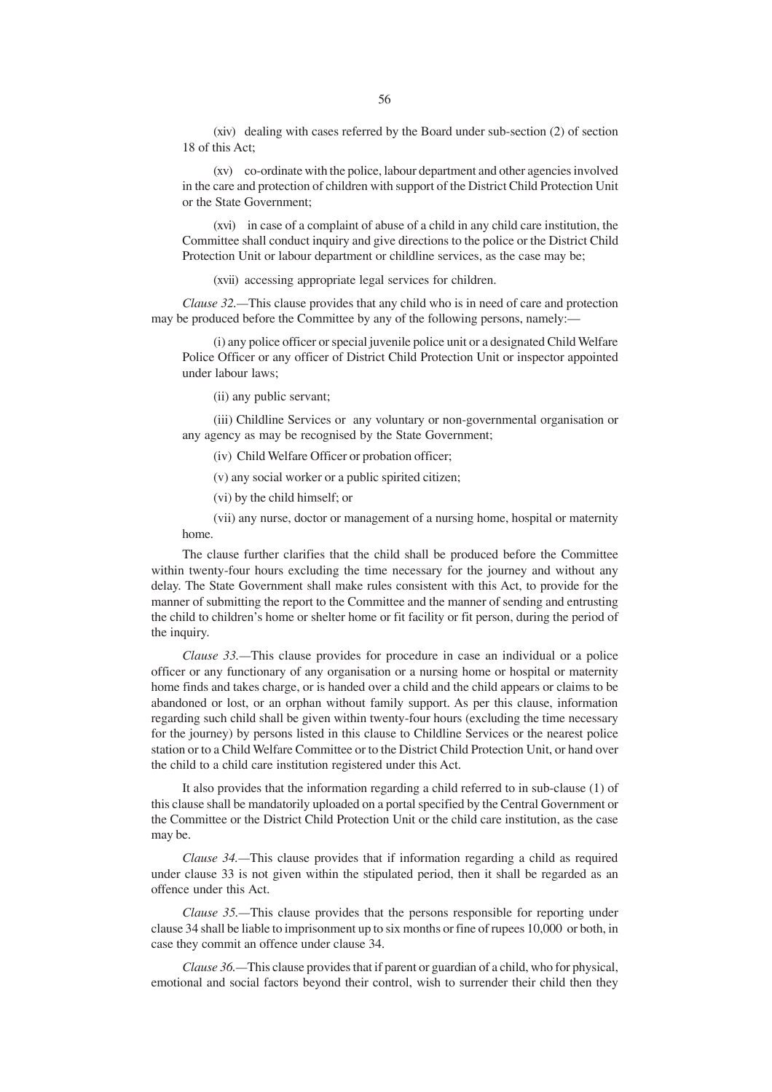(xiv) dealing with cases referred by the Board under sub-section (2) of section 18 of this Act;

(xv) co-ordinate with the police, labour department and other agencies involved in the care and protection of children with support of the District Child Protection Unit or the State Government;

(xvi) in case of a complaint of abuse of a child in any child care institution, the Committee shall conduct inquiry and give directions to the police or the District Child Protection Unit or labour department or childline services, as the case may be;

(xvii) accessing appropriate legal services for children.

*Clause 32.—*This clause provides that any child who is in need of care and protection may be produced before the Committee by any of the following persons, namely:-

(i) any police officer or special juvenile police unit or a designated Child Welfare Police Officer or any officer of District Child Protection Unit or inspector appointed under labour laws;

(ii) any public servant;

(iii) Childline Services or any voluntary or non-governmental organisation or any agency as may be recognised by the State Government;

(iv) Child Welfare Officer or probation officer;

(v) any social worker or a public spirited citizen;

(vi) by the child himself; or

(vii) any nurse, doctor or management of a nursing home, hospital or maternity home.

The clause further clarifies that the child shall be produced before the Committee within twenty-four hours excluding the time necessary for the journey and without any delay. The State Government shall make rules consistent with this Act, to provide for the manner of submitting the report to the Committee and the manner of sending and entrusting the child to children's home or shelter home or fit facility or fit person, during the period of the inquiry.

*Clause 33.—*This clause provides for procedure in case an individual or a police officer or any functionary of any organisation or a nursing home or hospital or maternity home finds and takes charge, or is handed over a child and the child appears or claims to be abandoned or lost, or an orphan without family support. As per this clause, information regarding such child shall be given within twenty-four hours (excluding the time necessary for the journey) by persons listed in this clause to Childline Services or the nearest police station or to a Child Welfare Committee or to the District Child Protection Unit, or hand over the child to a child care institution registered under this Act.

It also provides that the information regarding a child referred to in sub-clause (1) of this clause shall be mandatorily uploaded on a portal specified by the Central Government or the Committee or the District Child Protection Unit or the child care institution, as the case may be.

*Clause 34.—*This clause provides that if information regarding a child as required under clause 33 is not given within the stipulated period, then it shall be regarded as an offence under this Act.

*Clause 35.—*This clause provides that the persons responsible for reporting under clause 34 shall be liable to imprisonment up to six months or fine of rupees 10,000 or both, in case they commit an offence under clause 34.

*Clause 36.—*This clause provides that if parent or guardian of a child, who for physical, emotional and social factors beyond their control, wish to surrender their child then they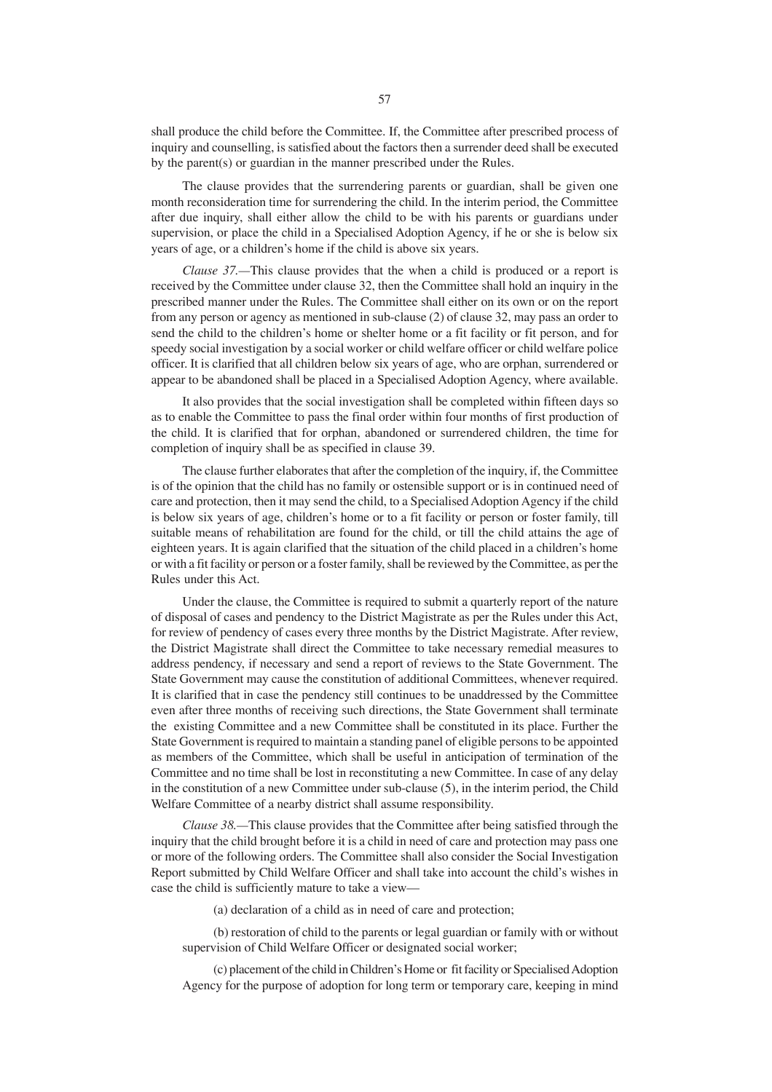shall produce the child before the Committee. If, the Committee after prescribed process of inquiry and counselling, is satisfied about the factors then a surrender deed shall be executed by the parent(s) or guardian in the manner prescribed under the Rules.

The clause provides that the surrendering parents or guardian, shall be given one month reconsideration time for surrendering the child. In the interim period, the Committee after due inquiry, shall either allow the child to be with his parents or guardians under supervision, or place the child in a Specialised Adoption Agency, if he or she is below six years of age, or a children's home if the child is above six years.

*Clause 37.—*This clause provides that the when a child is produced or a report is received by the Committee under clause 32, then the Committee shall hold an inquiry in the prescribed manner under the Rules. The Committee shall either on its own or on the report from any person or agency as mentioned in sub-clause (2) of clause 32, may pass an order to send the child to the children's home or shelter home or a fit facility or fit person, and for speedy social investigation by a social worker or child welfare officer or child welfare police officer. It is clarified that all children below six years of age, who are orphan, surrendered or appear to be abandoned shall be placed in a Specialised Adoption Agency, where available.

It also provides that the social investigation shall be completed within fifteen days so as to enable the Committee to pass the final order within four months of first production of the child. It is clarified that for orphan, abandoned or surrendered children, the time for completion of inquiry shall be as specified in clause 39.

The clause further elaborates that after the completion of the inquiry, if, the Committee is of the opinion that the child has no family or ostensible support or is in continued need of care and protection, then it may send the child, to a Specialised Adoption Agency if the child is below six years of age, children's home or to a fit facility or person or foster family, till suitable means of rehabilitation are found for the child, or till the child attains the age of eighteen years. It is again clarified that the situation of the child placed in a children's home or with a fit facility or person or a foster family, shall be reviewed by the Committee, as per the Rules under this Act.

Under the clause, the Committee is required to submit a quarterly report of the nature of disposal of cases and pendency to the District Magistrate as per the Rules under this Act, for review of pendency of cases every three months by the District Magistrate. After review, the District Magistrate shall direct the Committee to take necessary remedial measures to address pendency, if necessary and send a report of reviews to the State Government. The State Government may cause the constitution of additional Committees, whenever required. It is clarified that in case the pendency still continues to be unaddressed by the Committee even after three months of receiving such directions, the State Government shall terminate the existing Committee and a new Committee shall be constituted in its place. Further the State Government is required to maintain a standing panel of eligible persons to be appointed as members of the Committee, which shall be useful in anticipation of termination of the Committee and no time shall be lost in reconstituting a new Committee. In case of any delay in the constitution of a new Committee under sub-clause (5), in the interim period, the Child Welfare Committee of a nearby district shall assume responsibility.

*Clause 38.—*This clause provides that the Committee after being satisfied through the inquiry that the child brought before it is a child in need of care and protection may pass one or more of the following orders. The Committee shall also consider the Social Investigation Report submitted by Child Welfare Officer and shall take into account the child's wishes in case the child is sufficiently mature to take a view—

(a) declaration of a child as in need of care and protection;

(b) restoration of child to the parents or legal guardian or family with or without supervision of Child Welfare Officer or designated social worker;

(c) placement of the child in Children's Home or fit facility or Specialised Adoption Agency for the purpose of adoption for long term or temporary care, keeping in mind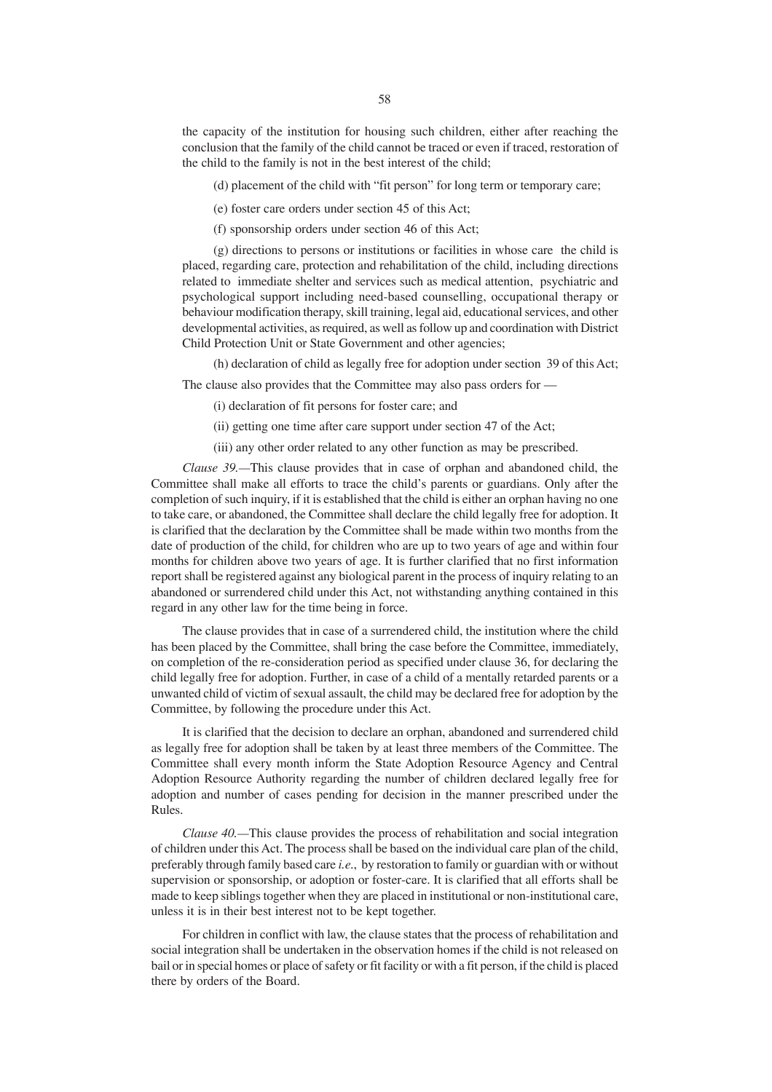the capacity of the institution for housing such children, either after reaching the conclusion that the family of the child cannot be traced or even if traced, restoration of the child to the family is not in the best interest of the child;

(d) placement of the child with "fit person" for long term or temporary care;

- (e) foster care orders under section 45 of this Act;
- (f) sponsorship orders under section 46 of this Act;

(g) directions to persons or institutions or facilities in whose care the child is placed, regarding care, protection and rehabilitation of the child, including directions related to immediate shelter and services such as medical attention, psychiatric and psychological support including need-based counselling, occupational therapy or behaviour modification therapy, skill training, legal aid, educational services, and other developmental activities, as required, as well as follow up and coordination with District Child Protection Unit or State Government and other agencies;

(h) declaration of child as legally free for adoption under section 39 of this Act;

The clause also provides that the Committee may also pass orders for —

(i) declaration of fit persons for foster care; and

- (ii) getting one time after care support under section 47 of the Act;
- (iii) any other order related to any other function as may be prescribed.

*Clause 39.—*This clause provides that in case of orphan and abandoned child, the Committee shall make all efforts to trace the child's parents or guardians. Only after the completion of such inquiry, if it is established that the child is either an orphan having no one to take care, or abandoned, the Committee shall declare the child legally free for adoption. It is clarified that the declaration by the Committee shall be made within two months from the date of production of the child, for children who are up to two years of age and within four months for children above two years of age. It is further clarified that no first information report shall be registered against any biological parent in the process of inquiry relating to an abandoned or surrendered child under this Act, not withstanding anything contained in this regard in any other law for the time being in force.

The clause provides that in case of a surrendered child, the institution where the child has been placed by the Committee, shall bring the case before the Committee, immediately, on completion of the re-consideration period as specified under clause 36, for declaring the child legally free for adoption. Further, in case of a child of a mentally retarded parents or a unwanted child of victim of sexual assault, the child may be declared free for adoption by the Committee, by following the procedure under this Act.

It is clarified that the decision to declare an orphan, abandoned and surrendered child as legally free for adoption shall be taken by at least three members of the Committee. The Committee shall every month inform the State Adoption Resource Agency and Central Adoption Resource Authority regarding the number of children declared legally free for adoption and number of cases pending for decision in the manner prescribed under the Rules.

*Clause 40.—*This clause provides the process of rehabilitation and social integration of children under this Act. The process shall be based on the individual care plan of the child, preferably through family based care *i.e*., by restoration to family or guardian with or without supervision or sponsorship, or adoption or foster-care. It is clarified that all efforts shall be made to keep siblings together when they are placed in institutional or non-institutional care, unless it is in their best interest not to be kept together.

For children in conflict with law, the clause states that the process of rehabilitation and social integration shall be undertaken in the observation homes if the child is not released on bail or in special homes or place of safety or fit facility or with a fit person, if the child is placed there by orders of the Board.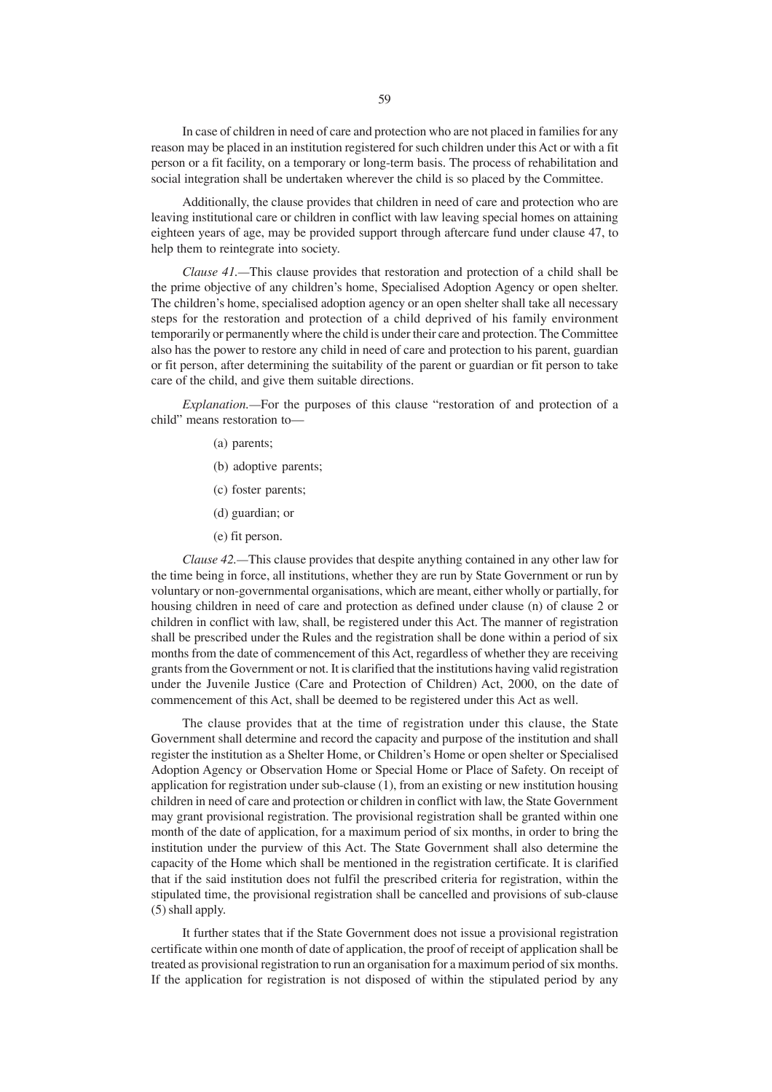In case of children in need of care and protection who are not placed in families for any reason may be placed in an institution registered for such children under this Act or with a fit person or a fit facility, on a temporary or long-term basis. The process of rehabilitation and social integration shall be undertaken wherever the child is so placed by the Committee.

Additionally, the clause provides that children in need of care and protection who are leaving institutional care or children in conflict with law leaving special homes on attaining eighteen years of age, may be provided support through aftercare fund under clause 47, to help them to reintegrate into society.

*Clause 41.—*This clause provides that restoration and protection of a child shall be the prime objective of any children's home, Specialised Adoption Agency or open shelter. The children's home, specialised adoption agency or an open shelter shall take all necessary steps for the restoration and protection of a child deprived of his family environment temporarily or permanently where the child is under their care and protection. The Committee also has the power to restore any child in need of care and protection to his parent, guardian or fit person, after determining the suitability of the parent or guardian or fit person to take care of the child, and give them suitable directions.

*Explanation.—*For the purposes of this clause "restoration of and protection of a child" means restoration to—

- (a) parents;
- (b) adoptive parents;
- (c) foster parents;
- (d) guardian; or
- (e) fit person.

*Clause 42.—*This clause provides that despite anything contained in any other law for the time being in force, all institutions, whether they are run by State Government or run by voluntary or non-governmental organisations, which are meant, either wholly or partially, for housing children in need of care and protection as defined under clause (n) of clause 2 or children in conflict with law, shall, be registered under this Act. The manner of registration shall be prescribed under the Rules and the registration shall be done within a period of six months from the date of commencement of this Act, regardless of whether they are receiving grants from the Government or not. It is clarified that the institutions having valid registration under the Juvenile Justice (Care and Protection of Children) Act, 2000, on the date of commencement of this Act, shall be deemed to be registered under this Act as well.

The clause provides that at the time of registration under this clause, the State Government shall determine and record the capacity and purpose of the institution and shall register the institution as a Shelter Home, or Children's Home or open shelter or Specialised Adoption Agency or Observation Home or Special Home or Place of Safety. On receipt of application for registration under sub-clause (1), from an existing or new institution housing children in need of care and protection or children in conflict with law, the State Government may grant provisional registration. The provisional registration shall be granted within one month of the date of application, for a maximum period of six months, in order to bring the institution under the purview of this Act. The State Government shall also determine the capacity of the Home which shall be mentioned in the registration certificate. It is clarified that if the said institution does not fulfil the prescribed criteria for registration, within the stipulated time, the provisional registration shall be cancelled and provisions of sub-clause (5) shall apply.

It further states that if the State Government does not issue a provisional registration certificate within one month of date of application, the proof of receipt of application shall be treated as provisional registration to run an organisation for a maximum period of six months. If the application for registration is not disposed of within the stipulated period by any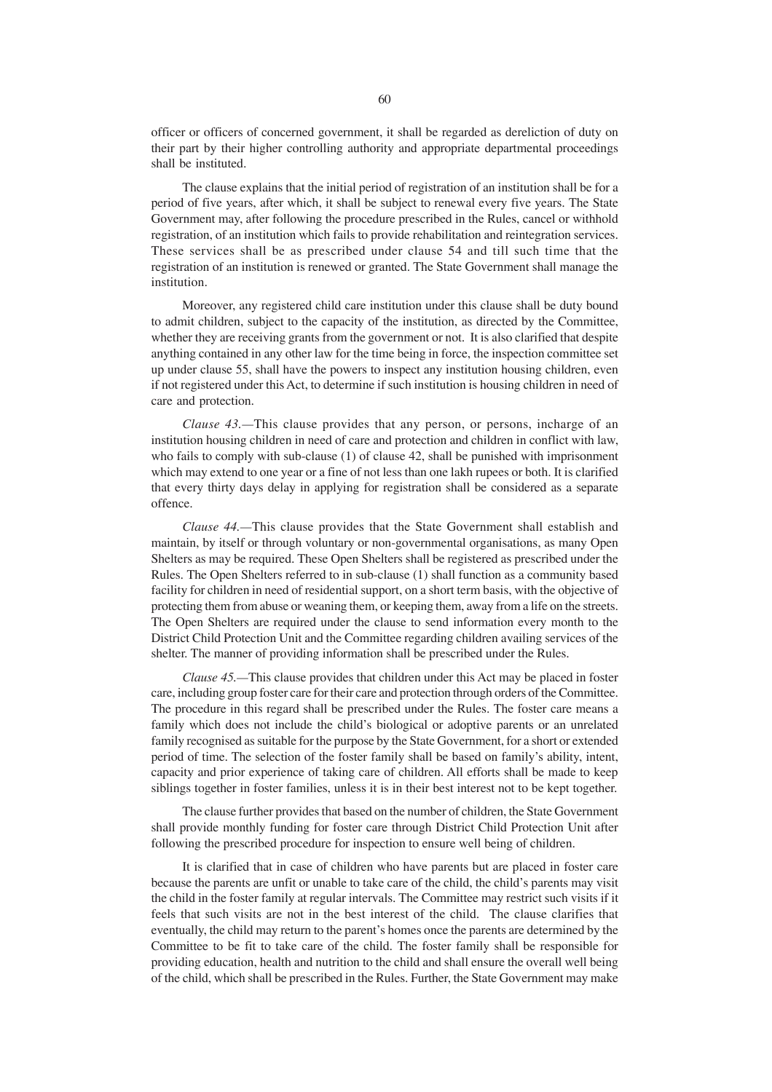officer or officers of concerned government, it shall be regarded as dereliction of duty on their part by their higher controlling authority and appropriate departmental proceedings shall be instituted.

The clause explains that the initial period of registration of an institution shall be for a period of five years, after which, it shall be subject to renewal every five years. The State Government may, after following the procedure prescribed in the Rules, cancel or withhold registration, of an institution which fails to provide rehabilitation and reintegration services. These services shall be as prescribed under clause 54 and till such time that the registration of an institution is renewed or granted. The State Government shall manage the institution.

Moreover, any registered child care institution under this clause shall be duty bound to admit children, subject to the capacity of the institution, as directed by the Committee, whether they are receiving grants from the government or not. It is also clarified that despite anything contained in any other law for the time being in force, the inspection committee set up under clause 55, shall have the powers to inspect any institution housing children, even if not registered under this Act, to determine if such institution is housing children in need of care and protection.

*Clause 43.—*This clause provides that any person, or persons, incharge of an institution housing children in need of care and protection and children in conflict with law, who fails to comply with sub-clause (1) of clause 42, shall be punished with imprisonment which may extend to one year or a fine of not less than one lakh rupees or both. It is clarified that every thirty days delay in applying for registration shall be considered as a separate offence.

*Clause 44.—*This clause provides that the State Government shall establish and maintain, by itself or through voluntary or non-governmental organisations, as many Open Shelters as may be required. These Open Shelters shall be registered as prescribed under the Rules. The Open Shelters referred to in sub-clause (1) shall function as a community based facility for children in need of residential support, on a short term basis, with the objective of protecting them from abuse or weaning them, or keeping them, away from a life on the streets. The Open Shelters are required under the clause to send information every month to the District Child Protection Unit and the Committee regarding children availing services of the shelter. The manner of providing information shall be prescribed under the Rules.

*Clause 45.—*This clause provides that children under this Act may be placed in foster care, including group foster care for their care and protection through orders of the Committee. The procedure in this regard shall be prescribed under the Rules. The foster care means a family which does not include the child's biological or adoptive parents or an unrelated family recognised as suitable for the purpose by the State Government, for a short or extended period of time. The selection of the foster family shall be based on family's ability, intent, capacity and prior experience of taking care of children. All efforts shall be made to keep siblings together in foster families, unless it is in their best interest not to be kept together.

The clause further provides that based on the number of children, the State Government shall provide monthly funding for foster care through District Child Protection Unit after following the prescribed procedure for inspection to ensure well being of children.

It is clarified that in case of children who have parents but are placed in foster care because the parents are unfit or unable to take care of the child, the child's parents may visit the child in the foster family at regular intervals. The Committee may restrict such visits if it feels that such visits are not in the best interest of the child. The clause clarifies that eventually, the child may return to the parent's homes once the parents are determined by the Committee to be fit to take care of the child. The foster family shall be responsible for providing education, health and nutrition to the child and shall ensure the overall well being of the child, which shall be prescribed in the Rules. Further, the State Government may make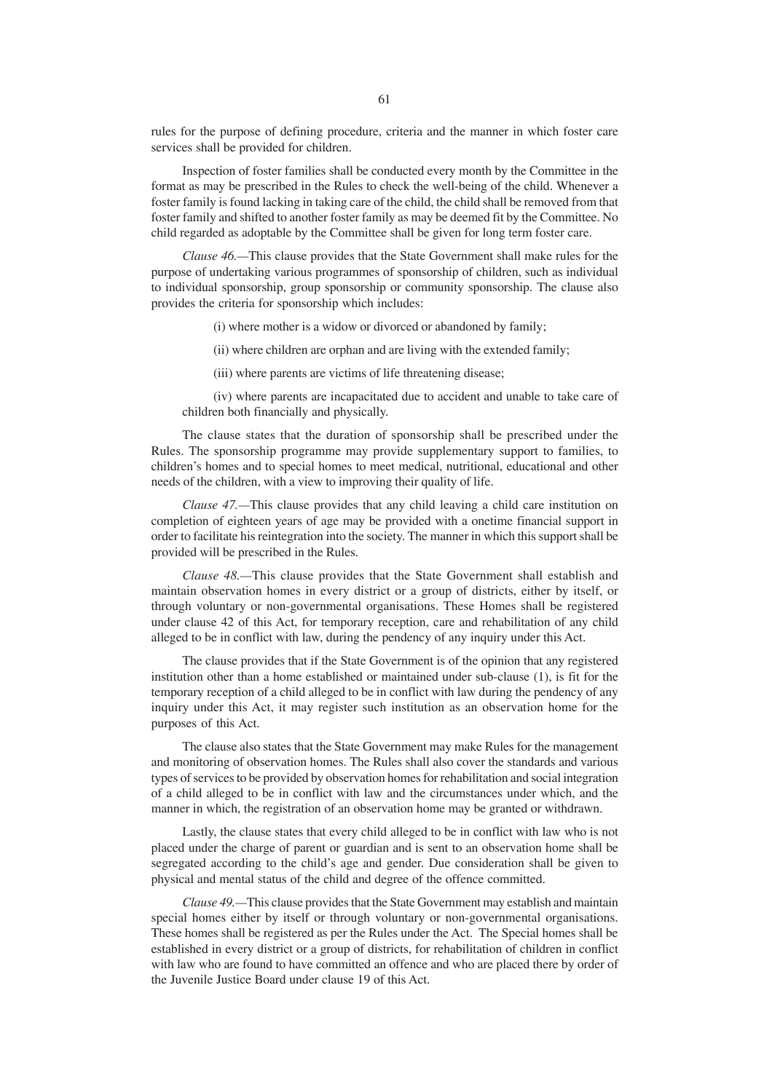rules for the purpose of defining procedure, criteria and the manner in which foster care services shall be provided for children.

Inspection of foster families shall be conducted every month by the Committee in the format as may be prescribed in the Rules to check the well-being of the child. Whenever a foster family is found lacking in taking care of the child, the child shall be removed from that foster family and shifted to another foster family as may be deemed fit by the Committee. No child regarded as adoptable by the Committee shall be given for long term foster care.

*Clause 46.—*This clause provides that the State Government shall make rules for the purpose of undertaking various programmes of sponsorship of children, such as individual to individual sponsorship, group sponsorship or community sponsorship. The clause also provides the criteria for sponsorship which includes:

(i) where mother is a widow or divorced or abandoned by family;

(ii) where children are orphan and are living with the extended family;

(iii) where parents are victims of life threatening disease;

(iv) where parents are incapacitated due to accident and unable to take care of children both financially and physically.

The clause states that the duration of sponsorship shall be prescribed under the Rules. The sponsorship programme may provide supplementary support to families, to children's homes and to special homes to meet medical, nutritional, educational and other needs of the children, with a view to improving their quality of life.

*Clause 47.—*This clause provides that any child leaving a child care institution on completion of eighteen years of age may be provided with a onetime financial support in order to facilitate his reintegration into the society. The manner in which this support shall be provided will be prescribed in the Rules.

*Clause 48.—*This clause provides that the State Government shall establish and maintain observation homes in every district or a group of districts, either by itself, or through voluntary or non-governmental organisations. These Homes shall be registered under clause 42 of this Act, for temporary reception, care and rehabilitation of any child alleged to be in conflict with law, during the pendency of any inquiry under this Act.

The clause provides that if the State Government is of the opinion that any registered institution other than a home established or maintained under sub-clause (1), is fit for the temporary reception of a child alleged to be in conflict with law during the pendency of any inquiry under this Act, it may register such institution as an observation home for the purposes of this Act.

The clause also states that the State Government may make Rules for the management and monitoring of observation homes. The Rules shall also cover the standards and various types of services to be provided by observation homes for rehabilitation and social integration of a child alleged to be in conflict with law and the circumstances under which, and the manner in which, the registration of an observation home may be granted or withdrawn.

Lastly, the clause states that every child alleged to be in conflict with law who is not placed under the charge of parent or guardian and is sent to an observation home shall be segregated according to the child's age and gender. Due consideration shall be given to physical and mental status of the child and degree of the offence committed.

*Clause 49.—*This clause provides that the State Government may establish and maintain special homes either by itself or through voluntary or non-governmental organisations. These homes shall be registered as per the Rules under the Act. The Special homes shall be established in every district or a group of districts, for rehabilitation of children in conflict with law who are found to have committed an offence and who are placed there by order of the Juvenile Justice Board under clause 19 of this Act.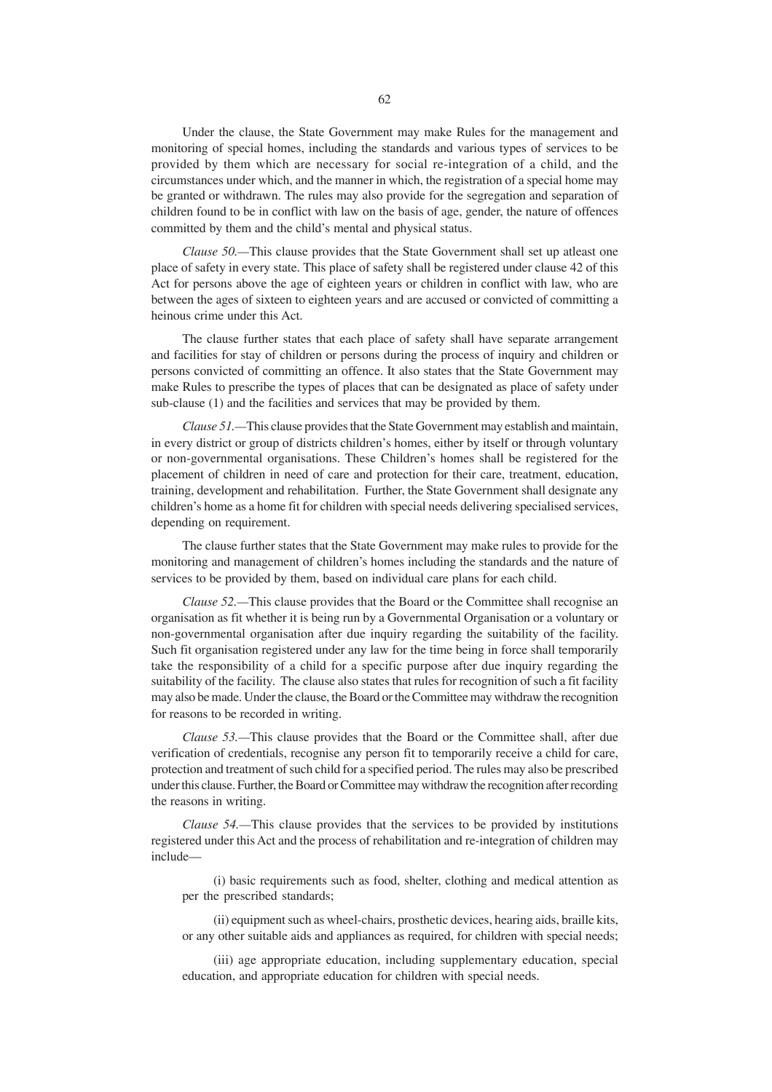Under the clause, the State Government may make Rules for the management and monitoring of special homes, including the standards and various types of services to be provided by them which are necessary for social re-integration of a child, and the circumstances under which, and the manner in which, the registration of a special home may be granted or withdrawn. The rules may also provide for the segregation and separation of children found to be in conflict with law on the basis of age, gender, the nature of offences committed by them and the child's mental and physical status.

*Clause 50.—*This clause provides that the State Government shall set up atleast one place of safety in every state. This place of safety shall be registered under clause 42 of this Act for persons above the age of eighteen years or children in conflict with law, who are between the ages of sixteen to eighteen years and are accused or convicted of committing a heinous crime under this Act.

The clause further states that each place of safety shall have separate arrangement and facilities for stay of children or persons during the process of inquiry and children or persons convicted of committing an offence. It also states that the State Government may make Rules to prescribe the types of places that can be designated as place of safety under sub-clause (1) and the facilities and services that may be provided by them.

*Clause 51.—*This clause provides that the State Government may establish and maintain, in every district or group of districts children's homes, either by itself or through voluntary or non-governmental organisations. These Children's homes shall be registered for the placement of children in need of care and protection for their care, treatment, education, training, development and rehabilitation. Further, the State Government shall designate any children's home as a home fit for children with special needs delivering specialised services, depending on requirement.

The clause further states that the State Government may make rules to provide for the monitoring and management of children's homes including the standards and the nature of services to be provided by them, based on individual care plans for each child.

*Clause 52.—*This clause provides that the Board or the Committee shall recognise an organisation as fit whether it is being run by a Governmental Organisation or a voluntary or non-governmental organisation after due inquiry regarding the suitability of the facility. Such fit organisation registered under any law for the time being in force shall temporarily take the responsibility of a child for a specific purpose after due inquiry regarding the suitability of the facility. The clause also states that rules for recognition of such a fit facility may also be made. Under the clause, the Board or the Committee may withdraw the recognition for reasons to be recorded in writing.

*Clause 53.—*This clause provides that the Board or the Committee shall, after due verification of credentials, recognise any person fit to temporarily receive a child for care, protection and treatment of such child for a specified period. The rules may also be prescribed under this clause. Further, the Board or Committee may withdraw the recognition after recording the reasons in writing.

*Clause 54.—*This clause provides that the services to be provided by institutions registered under this Act and the process of rehabilitation and re-integration of children may include—

(i) basic requirements such as food, shelter, clothing and medical attention as per the prescribed standards;

(ii) equipment such as wheel-chairs, prosthetic devices, hearing aids, braille kits, or any other suitable aids and appliances as required, for children with special needs;

(iii) age appropriate education, including supplementary education, special education, and appropriate education for children with special needs.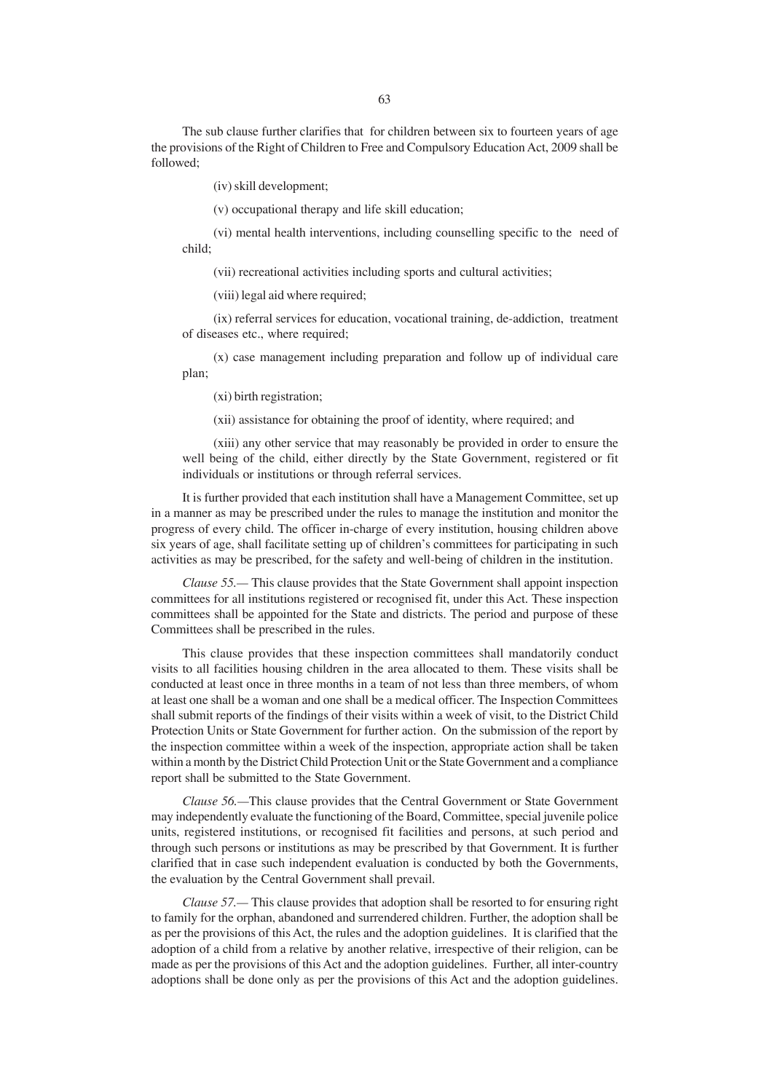The sub clause further clarifies that for children between six to fourteen years of age the provisions of the Right of Children to Free and Compulsory Education Act, 2009 shall be followed;

(iv) skill development;

(v) occupational therapy and life skill education;

(vi) mental health interventions, including counselling specific to the need of child;

(vii) recreational activities including sports and cultural activities;

(viii) legal aid where required;

(ix) referral services for education, vocational training, de-addiction, treatment of diseases etc., where required;

(x) case management including preparation and follow up of individual care plan;

(xi) birth registration;

(xii) assistance for obtaining the proof of identity, where required; and

(xiii) any other service that may reasonably be provided in order to ensure the well being of the child, either directly by the State Government, registered or fit individuals or institutions or through referral services.

It is further provided that each institution shall have a Management Committee, set up in a manner as may be prescribed under the rules to manage the institution and monitor the progress of every child. The officer in-charge of every institution, housing children above six years of age, shall facilitate setting up of children's committees for participating in such activities as may be prescribed, for the safety and well-being of children in the institution.

*Clause 55.—* This clause provides that the State Government shall appoint inspection committees for all institutions registered or recognised fit, under this Act. These inspection committees shall be appointed for the State and districts. The period and purpose of these Committees shall be prescribed in the rules.

This clause provides that these inspection committees shall mandatorily conduct visits to all facilities housing children in the area allocated to them. These visits shall be conducted at least once in three months in a team of not less than three members, of whom at least one shall be a woman and one shall be a medical officer. The Inspection Committees shall submit reports of the findings of their visits within a week of visit, to the District Child Protection Units or State Government for further action. On the submission of the report by the inspection committee within a week of the inspection, appropriate action shall be taken within a month by the District Child Protection Unit or the State Government and a compliance report shall be submitted to the State Government.

*Clause 56.—*This clause provides that the Central Government or State Government may independently evaluate the functioning of the Board, Committee, special juvenile police units, registered institutions, or recognised fit facilities and persons, at such period and through such persons or institutions as may be prescribed by that Government. It is further clarified that in case such independent evaluation is conducted by both the Governments, the evaluation by the Central Government shall prevail.

*Clause 57.—* This clause provides that adoption shall be resorted to for ensuring right to family for the orphan, abandoned and surrendered children. Further, the adoption shall be as per the provisions of this Act, the rules and the adoption guidelines. It is clarified that the adoption of a child from a relative by another relative, irrespective of their religion, can be made as per the provisions of this Act and the adoption guidelines. Further, all inter-country adoptions shall be done only as per the provisions of this Act and the adoption guidelines.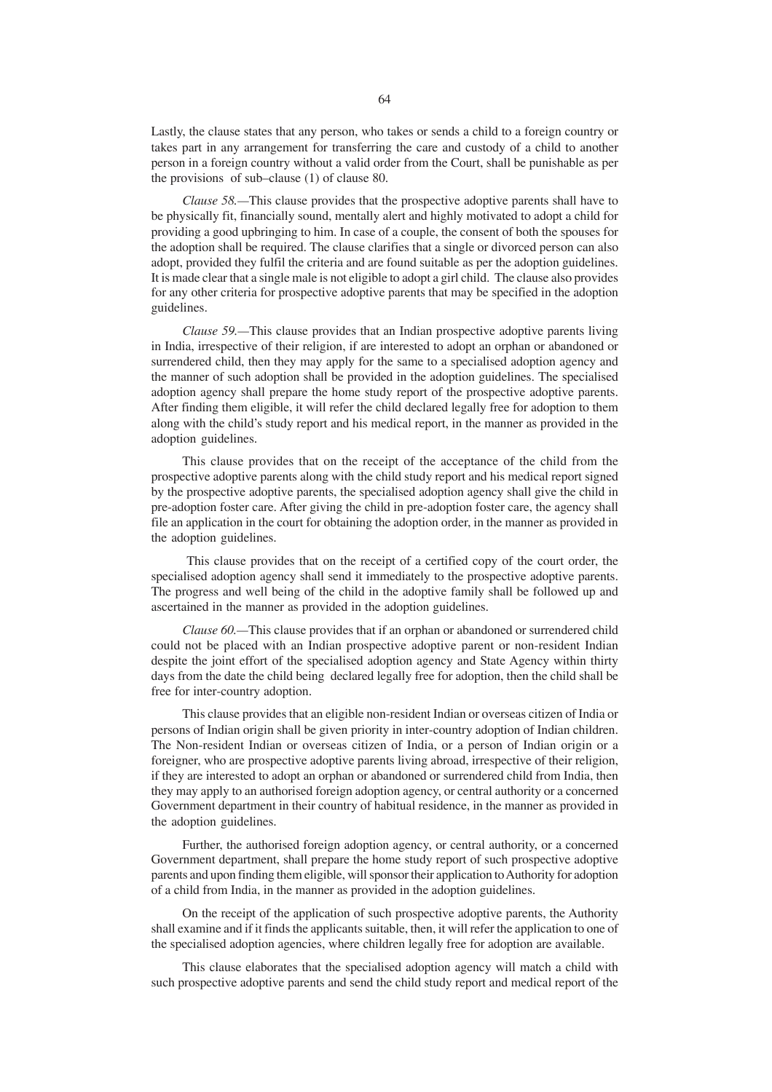Lastly, the clause states that any person, who takes or sends a child to a foreign country or takes part in any arrangement for transferring the care and custody of a child to another person in a foreign country without a valid order from the Court, shall be punishable as per the provisions of sub–clause (1) of clause 80.

*Clause 58.—*This clause provides that the prospective adoptive parents shall have to be physically fit, financially sound, mentally alert and highly motivated to adopt a child for providing a good upbringing to him. In case of a couple, the consent of both the spouses for the adoption shall be required. The clause clarifies that a single or divorced person can also adopt, provided they fulfil the criteria and are found suitable as per the adoption guidelines. It is made clear that a single male is not eligible to adopt a girl child. The clause also provides for any other criteria for prospective adoptive parents that may be specified in the adoption guidelines.

*Clause 59.—*This clause provides that an Indian prospective adoptive parents living in India, irrespective of their religion, if are interested to adopt an orphan or abandoned or surrendered child, then they may apply for the same to a specialised adoption agency and the manner of such adoption shall be provided in the adoption guidelines. The specialised adoption agency shall prepare the home study report of the prospective adoptive parents. After finding them eligible, it will refer the child declared legally free for adoption to them along with the child's study report and his medical report, in the manner as provided in the adoption guidelines.

This clause provides that on the receipt of the acceptance of the child from the prospective adoptive parents along with the child study report and his medical report signed by the prospective adoptive parents, the specialised adoption agency shall give the child in pre-adoption foster care. After giving the child in pre-adoption foster care, the agency shall file an application in the court for obtaining the adoption order, in the manner as provided in the adoption guidelines.

 This clause provides that on the receipt of a certified copy of the court order, the specialised adoption agency shall send it immediately to the prospective adoptive parents. The progress and well being of the child in the adoptive family shall be followed up and ascertained in the manner as provided in the adoption guidelines.

*Clause 60.—*This clause provides that if an orphan or abandoned or surrendered child could not be placed with an Indian prospective adoptive parent or non-resident Indian despite the joint effort of the specialised adoption agency and State Agency within thirty days from the date the child being declared legally free for adoption, then the child shall be free for inter-country adoption.

This clause provides that an eligible non-resident Indian or overseas citizen of India or persons of Indian origin shall be given priority in inter-country adoption of Indian children. The Non-resident Indian or overseas citizen of India, or a person of Indian origin or a foreigner, who are prospective adoptive parents living abroad, irrespective of their religion, if they are interested to adopt an orphan or abandoned or surrendered child from India, then they may apply to an authorised foreign adoption agency, or central authority or a concerned Government department in their country of habitual residence, in the manner as provided in the adoption guidelines.

Further, the authorised foreign adoption agency, or central authority, or a concerned Government department, shall prepare the home study report of such prospective adoptive parents and upon finding them eligible, will sponsor their application to Authority for adoption of a child from India, in the manner as provided in the adoption guidelines.

On the receipt of the application of such prospective adoptive parents, the Authority shall examine and if it finds the applicants suitable, then, it will refer the application to one of the specialised adoption agencies, where children legally free for adoption are available.

This clause elaborates that the specialised adoption agency will match a child with such prospective adoptive parents and send the child study report and medical report of the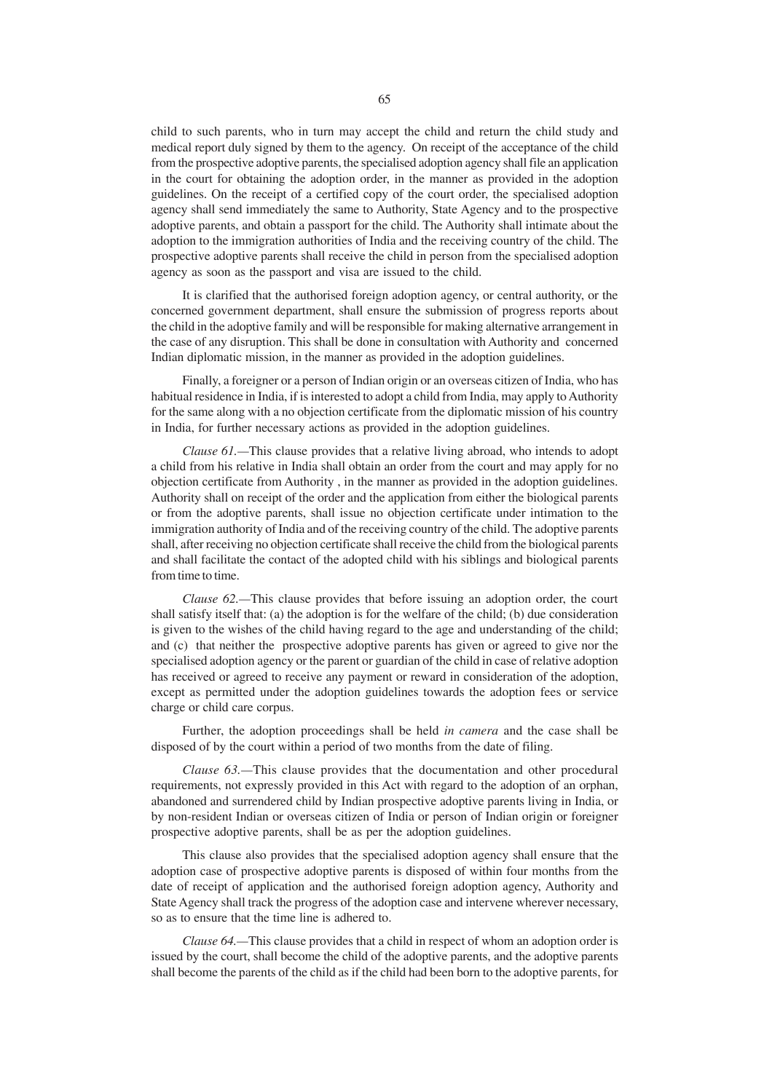child to such parents, who in turn may accept the child and return the child study and medical report duly signed by them to the agency. On receipt of the acceptance of the child from the prospective adoptive parents, the specialised adoption agency shall file an application in the court for obtaining the adoption order, in the manner as provided in the adoption guidelines. On the receipt of a certified copy of the court order, the specialised adoption agency shall send immediately the same to Authority, State Agency and to the prospective adoptive parents, and obtain a passport for the child. The Authority shall intimate about the adoption to the immigration authorities of India and the receiving country of the child. The prospective adoptive parents shall receive the child in person from the specialised adoption agency as soon as the passport and visa are issued to the child.

It is clarified that the authorised foreign adoption agency, or central authority, or the concerned government department, shall ensure the submission of progress reports about the child in the adoptive family and will be responsible for making alternative arrangement in the case of any disruption. This shall be done in consultation with Authority and concerned Indian diplomatic mission, in the manner as provided in the adoption guidelines.

Finally, a foreigner or a person of Indian origin or an overseas citizen of India, who has habitual residence in India, if is interested to adopt a child from India, may apply to Authority for the same along with a no objection certificate from the diplomatic mission of his country in India, for further necessary actions as provided in the adoption guidelines.

*Clause 61.—*This clause provides that a relative living abroad, who intends to adopt a child from his relative in India shall obtain an order from the court and may apply for no objection certificate from Authority , in the manner as provided in the adoption guidelines. Authority shall on receipt of the order and the application from either the biological parents or from the adoptive parents, shall issue no objection certificate under intimation to the immigration authority of India and of the receiving country of the child. The adoptive parents shall, after receiving no objection certificate shall receive the child from the biological parents and shall facilitate the contact of the adopted child with his siblings and biological parents from time to time.

*Clause 62.—*This clause provides that before issuing an adoption order, the court shall satisfy itself that: (a) the adoption is for the welfare of the child; (b) due consideration is given to the wishes of the child having regard to the age and understanding of the child; and (c) that neither the prospective adoptive parents has given or agreed to give nor the specialised adoption agency or the parent or guardian of the child in case of relative adoption has received or agreed to receive any payment or reward in consideration of the adoption, except as permitted under the adoption guidelines towards the adoption fees or service charge or child care corpus.

Further, the adoption proceedings shall be held *in camera* and the case shall be disposed of by the court within a period of two months from the date of filing.

*Clause 63.—*This clause provides that the documentation and other procedural requirements, not expressly provided in this Act with regard to the adoption of an orphan, abandoned and surrendered child by Indian prospective adoptive parents living in India, or by non-resident Indian or overseas citizen of India or person of Indian origin or foreigner prospective adoptive parents, shall be as per the adoption guidelines.

This clause also provides that the specialised adoption agency shall ensure that the adoption case of prospective adoptive parents is disposed of within four months from the date of receipt of application and the authorised foreign adoption agency, Authority and State Agency shall track the progress of the adoption case and intervene wherever necessary, so as to ensure that the time line is adhered to.

*Clause 64.—*This clause provides that a child in respect of whom an adoption order is issued by the court, shall become the child of the adoptive parents, and the adoptive parents shall become the parents of the child as if the child had been born to the adoptive parents, for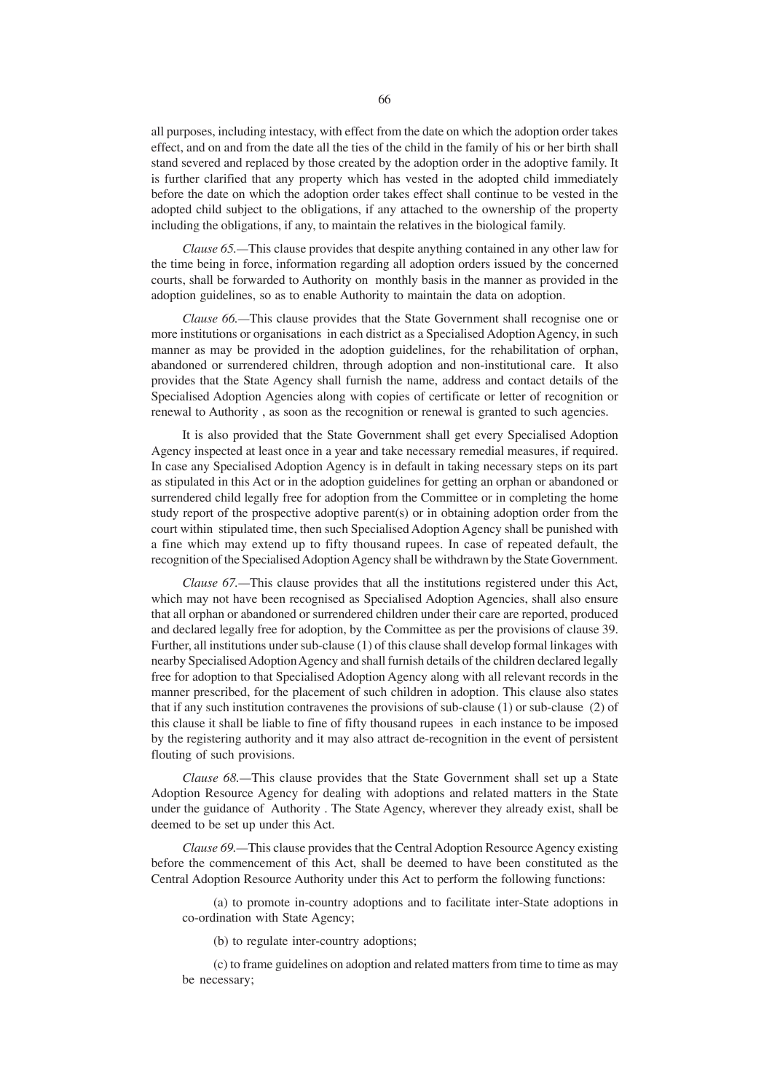all purposes, including intestacy, with effect from the date on which the adoption order takes effect, and on and from the date all the ties of the child in the family of his or her birth shall stand severed and replaced by those created by the adoption order in the adoptive family. It is further clarified that any property which has vested in the adopted child immediately before the date on which the adoption order takes effect shall continue to be vested in the adopted child subject to the obligations, if any attached to the ownership of the property including the obligations, if any, to maintain the relatives in the biological family.

*Clause 65.—*This clause provides that despite anything contained in any other law for the time being in force, information regarding all adoption orders issued by the concerned courts, shall be forwarded to Authority on monthly basis in the manner as provided in the adoption guidelines, so as to enable Authority to maintain the data on adoption.

*Clause 66.—*This clause provides that the State Government shall recognise one or more institutions or organisations in each district as a Specialised Adoption Agency, in such manner as may be provided in the adoption guidelines, for the rehabilitation of orphan, abandoned or surrendered children, through adoption and non-institutional care. It also provides that the State Agency shall furnish the name, address and contact details of the Specialised Adoption Agencies along with copies of certificate or letter of recognition or renewal to Authority , as soon as the recognition or renewal is granted to such agencies.

It is also provided that the State Government shall get every Specialised Adoption Agency inspected at least once in a year and take necessary remedial measures, if required. In case any Specialised Adoption Agency is in default in taking necessary steps on its part as stipulated in this Act or in the adoption guidelines for getting an orphan or abandoned or surrendered child legally free for adoption from the Committee or in completing the home study report of the prospective adoptive parent(s) or in obtaining adoption order from the court within stipulated time, then such Specialised Adoption Agency shall be punished with a fine which may extend up to fifty thousand rupees. In case of repeated default, the recognition of the Specialised Adoption Agency shall be withdrawn by the State Government.

*Clause 67.—*This clause provides that all the institutions registered under this Act, which may not have been recognised as Specialised Adoption Agencies, shall also ensure that all orphan or abandoned or surrendered children under their care are reported, produced and declared legally free for adoption, by the Committee as per the provisions of clause 39. Further, all institutions under sub-clause (1) of this clause shall develop formal linkages with nearby Specialised Adoption Agency and shall furnish details of the children declared legally free for adoption to that Specialised Adoption Agency along with all relevant records in the manner prescribed, for the placement of such children in adoption. This clause also states that if any such institution contravenes the provisions of sub-clause  $(1)$  or sub-clause  $(2)$  of this clause it shall be liable to fine of fifty thousand rupees in each instance to be imposed by the registering authority and it may also attract de-recognition in the event of persistent flouting of such provisions.

*Clause 68.—*This clause provides that the State Government shall set up a State Adoption Resource Agency for dealing with adoptions and related matters in the State under the guidance of Authority . The State Agency, wherever they already exist, shall be deemed to be set up under this Act.

*Clause 69.—*This clause provides that the Central Adoption Resource Agency existing before the commencement of this Act, shall be deemed to have been constituted as the Central Adoption Resource Authority under this Act to perform the following functions:

(a) to promote in-country adoptions and to facilitate inter-State adoptions in co-ordination with State Agency;

(b) to regulate inter-country adoptions;

(c) to frame guidelines on adoption and related matters from time to time as may be necessary;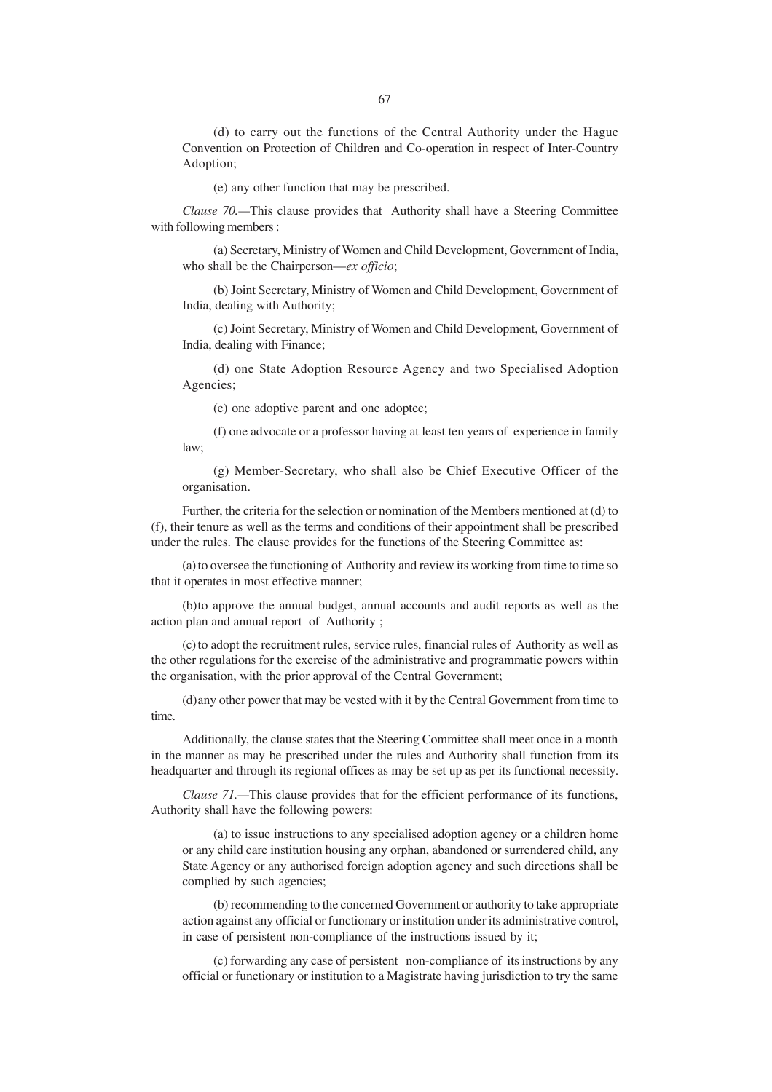(d) to carry out the functions of the Central Authority under the Hague Convention on Protection of Children and Co-operation in respect of Inter-Country Adoption;

(e) any other function that may be prescribed.

*Clause 70.—*This clause provides that Authority shall have a Steering Committee with following members :

(a) Secretary, Ministry of Women and Child Development, Government of India, who shall be the Chairperson—*ex officio*;

(b) Joint Secretary, Ministry of Women and Child Development, Government of India, dealing with Authority;

(c) Joint Secretary, Ministry of Women and Child Development, Government of India, dealing with Finance;

(d) one State Adoption Resource Agency and two Specialised Adoption Agencies;

(e) one adoptive parent and one adoptee;

(f) one advocate or a professor having at least ten years of experience in family law;

(g) Member-Secretary, who shall also be Chief Executive Officer of the organisation.

Further, the criteria for the selection or nomination of the Members mentioned at (d) to (f), their tenure as well as the terms and conditions of their appointment shall be prescribed under the rules. The clause provides for the functions of the Steering Committee as:

(a) to oversee the functioning of Authority and review its working from time to time so that it operates in most effective manner;

(b)to approve the annual budget, annual accounts and audit reports as well as the action plan and annual report of Authority ;

(c) to adopt the recruitment rules, service rules, financial rules of Authority as well as the other regulations for the exercise of the administrative and programmatic powers within the organisation, with the prior approval of the Central Government;

(d)any other power that may be vested with it by the Central Government from time to time.

Additionally, the clause states that the Steering Committee shall meet once in a month in the manner as may be prescribed under the rules and Authority shall function from its headquarter and through its regional offices as may be set up as per its functional necessity.

*Clause 71.—*This clause provides that for the efficient performance of its functions, Authority shall have the following powers:

(a) to issue instructions to any specialised adoption agency or a children home or any child care institution housing any orphan, abandoned or surrendered child, any State Agency or any authorised foreign adoption agency and such directions shall be complied by such agencies;

(b) recommending to the concerned Government or authority to take appropriate action against any official or functionary or institution under its administrative control, in case of persistent non-compliance of the instructions issued by it;

(c) forwarding any case of persistent non-compliance of its instructions by any official or functionary or institution to a Magistrate having jurisdiction to try the same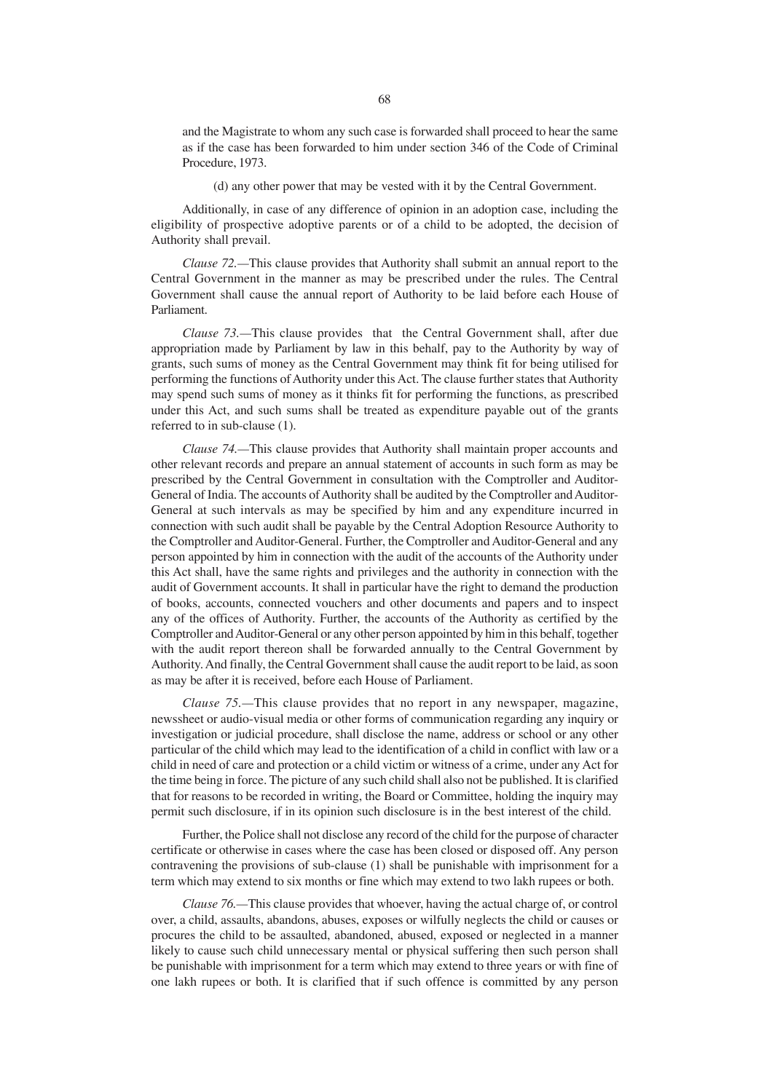and the Magistrate to whom any such case is forwarded shall proceed to hear the same as if the case has been forwarded to him under section 346 of the Code of Criminal Procedure, 1973.

(d) any other power that may be vested with it by the Central Government.

Additionally, in case of any difference of opinion in an adoption case, including the eligibility of prospective adoptive parents or of a child to be adopted, the decision of Authority shall prevail.

*Clause 72.—*This clause provides that Authority shall submit an annual report to the Central Government in the manner as may be prescribed under the rules. The Central Government shall cause the annual report of Authority to be laid before each House of Parliament.

*Clause 73.—*This clause provides that the Central Government shall, after due appropriation made by Parliament by law in this behalf, pay to the Authority by way of grants, such sums of money as the Central Government may think fit for being utilised for performing the functions of Authority under this Act. The clause further states that Authority may spend such sums of money as it thinks fit for performing the functions, as prescribed under this Act, and such sums shall be treated as expenditure payable out of the grants referred to in sub-clause (1).

*Clause 74.—*This clause provides that Authority shall maintain proper accounts and other relevant records and prepare an annual statement of accounts in such form as may be prescribed by the Central Government in consultation with the Comptroller and Auditor-General of India. The accounts of Authority shall be audited by the Comptroller and Auditor-General at such intervals as may be specified by him and any expenditure incurred in connection with such audit shall be payable by the Central Adoption Resource Authority to the Comptroller and Auditor-General. Further, the Comptroller and Auditor-General and any person appointed by him in connection with the audit of the accounts of the Authority under this Act shall, have the same rights and privileges and the authority in connection with the audit of Government accounts. It shall in particular have the right to demand the production of books, accounts, connected vouchers and other documents and papers and to inspect any of the offices of Authority. Further, the accounts of the Authority as certified by the Comptroller and Auditor-General or any other person appointed by him in this behalf, together with the audit report thereon shall be forwarded annually to the Central Government by Authority. And finally, the Central Government shall cause the audit report to be laid, as soon as may be after it is received, before each House of Parliament.

*Clause 75.—*This clause provides that no report in any newspaper, magazine, newssheet or audio-visual media or other forms of communication regarding any inquiry or investigation or judicial procedure, shall disclose the name, address or school or any other particular of the child which may lead to the identification of a child in conflict with law or a child in need of care and protection or a child victim or witness of a crime, under any Act for the time being in force. The picture of any such child shall also not be published. It is clarified that for reasons to be recorded in writing, the Board or Committee, holding the inquiry may permit such disclosure, if in its opinion such disclosure is in the best interest of the child.

Further, the Police shall not disclose any record of the child for the purpose of character certificate or otherwise in cases where the case has been closed or disposed off. Any person contravening the provisions of sub-clause (1) shall be punishable with imprisonment for a term which may extend to six months or fine which may extend to two lakh rupees or both.

*Clause 76.—*This clause provides that whoever, having the actual charge of, or control over, a child, assaults, abandons, abuses, exposes or wilfully neglects the child or causes or procures the child to be assaulted, abandoned, abused, exposed or neglected in a manner likely to cause such child unnecessary mental or physical suffering then such person shall be punishable with imprisonment for a term which may extend to three years or with fine of one lakh rupees or both. It is clarified that if such offence is committed by any person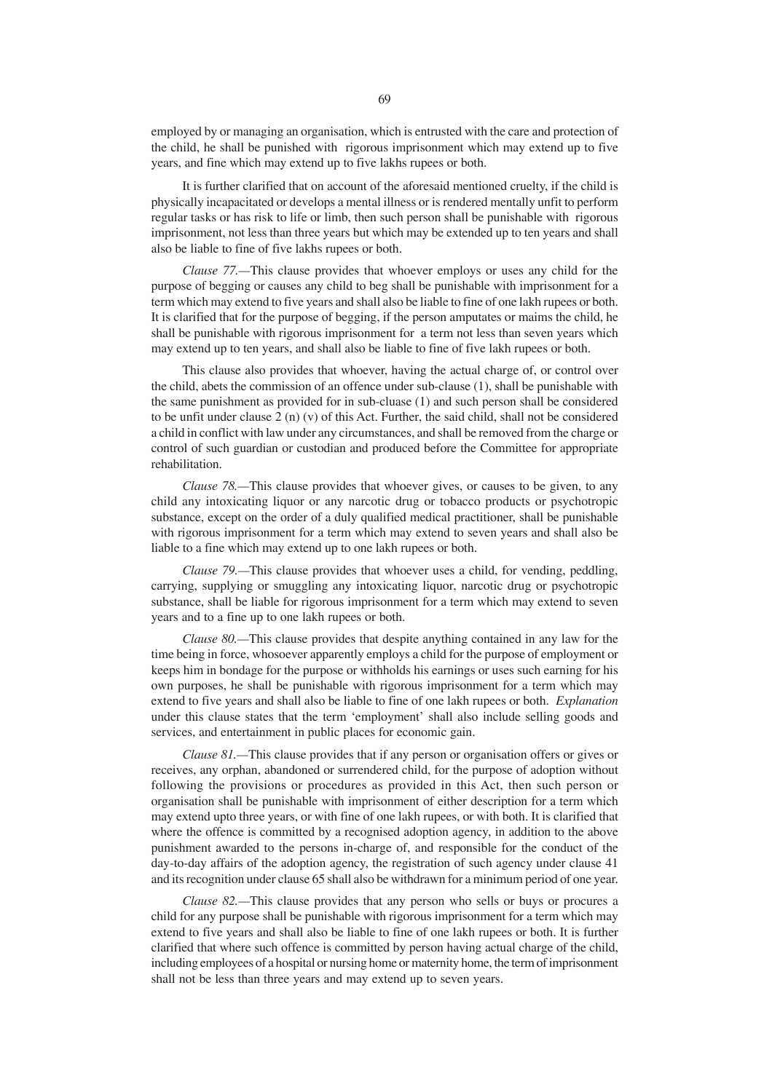employed by or managing an organisation, which is entrusted with the care and protection of the child, he shall be punished with rigorous imprisonment which may extend up to five years, and fine which may extend up to five lakhs rupees or both.

It is further clarified that on account of the aforesaid mentioned cruelty, if the child is physically incapacitated or develops a mental illness or is rendered mentally unfit to perform regular tasks or has risk to life or limb, then such person shall be punishable with rigorous imprisonment, not less than three years but which may be extended up to ten years and shall also be liable to fine of five lakhs rupees or both.

*Clause 77.—*This clause provides that whoever employs or uses any child for the purpose of begging or causes any child to beg shall be punishable with imprisonment for a term which may extend to five years and shall also be liable to fine of one lakh rupees or both. It is clarified that for the purpose of begging, if the person amputates or maims the child, he shall be punishable with rigorous imprisonment for a term not less than seven years which may extend up to ten years, and shall also be liable to fine of five lakh rupees or both.

This clause also provides that whoever, having the actual charge of, or control over the child, abets the commission of an offence under sub-clause (1), shall be punishable with the same punishment as provided for in sub-cluase (1) and such person shall be considered to be unfit under clause 2 (n) (v) of this Act. Further, the said child, shall not be considered a child in conflict with law under any circumstances, and shall be removed from the charge or control of such guardian or custodian and produced before the Committee for appropriate rehabilitation.

*Clause 78.—*This clause provides that whoever gives, or causes to be given, to any child any intoxicating liquor or any narcotic drug or tobacco products or psychotropic substance, except on the order of a duly qualified medical practitioner, shall be punishable with rigorous imprisonment for a term which may extend to seven years and shall also be liable to a fine which may extend up to one lakh rupees or both.

*Clause 79.—*This clause provides that whoever uses a child, for vending, peddling, carrying, supplying or smuggling any intoxicating liquor, narcotic drug or psychotropic substance, shall be liable for rigorous imprisonment for a term which may extend to seven years and to a fine up to one lakh rupees or both.

*Clause 80.—*This clause provides that despite anything contained in any law for the time being in force, whosoever apparently employs a child for the purpose of employment or keeps him in bondage for the purpose or withholds his earnings or uses such earning for his own purposes, he shall be punishable with rigorous imprisonment for a term which may extend to five years and shall also be liable to fine of one lakh rupees or both. *Explanation* under this clause states that the term 'employment' shall also include selling goods and services, and entertainment in public places for economic gain.

*Clause 81.—*This clause provides that if any person or organisation offers or gives or receives, any orphan, abandoned or surrendered child, for the purpose of adoption without following the provisions or procedures as provided in this Act, then such person or organisation shall be punishable with imprisonment of either description for a term which may extend upto three years, or with fine of one lakh rupees, or with both. It is clarified that where the offence is committed by a recognised adoption agency, in addition to the above punishment awarded to the persons in-charge of, and responsible for the conduct of the day-to-day affairs of the adoption agency, the registration of such agency under clause 41 and its recognition under clause 65 shall also be withdrawn for a minimum period of one year.

*Clause 82.—*This clause provides that any person who sells or buys or procures a child for any purpose shall be punishable with rigorous imprisonment for a term which may extend to five years and shall also be liable to fine of one lakh rupees or both. It is further clarified that where such offence is committed by person having actual charge of the child, including employees of a hospital or nursing home or maternity home, the term of imprisonment shall not be less than three years and may extend up to seven years.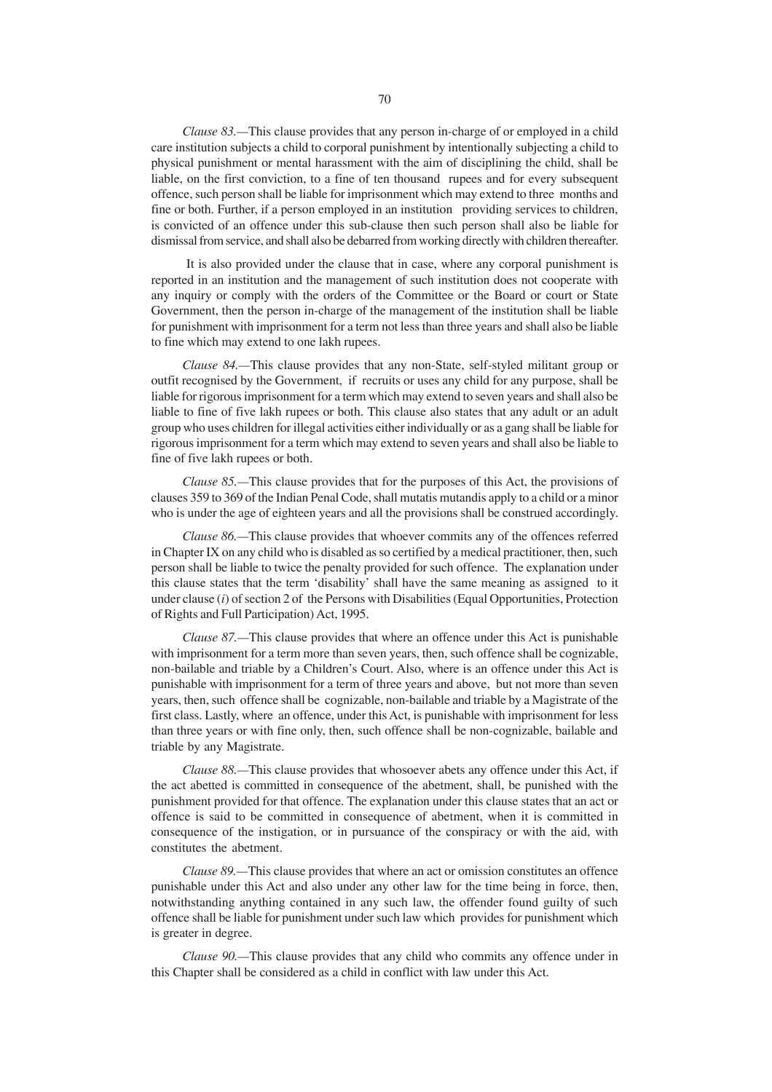*Clause 83.—*This clause provides that any person in-charge of or employed in a child care institution subjects a child to corporal punishment by intentionally subjecting a child to physical punishment or mental harassment with the aim of disciplining the child, shall be liable, on the first conviction, to a fine of ten thousand rupees and for every subsequent offence, such person shall be liable for imprisonment which may extend to three months and fine or both. Further, if a person employed in an institution providing services to children, is convicted of an offence under this sub-clause then such person shall also be liable for dismissal from service, and shall also be debarred from working directly with children thereafter.

 It is also provided under the clause that in case, where any corporal punishment is reported in an institution and the management of such institution does not cooperate with any inquiry or comply with the orders of the Committee or the Board or court or State Government, then the person in-charge of the management of the institution shall be liable for punishment with imprisonment for a term not less than three years and shall also be liable to fine which may extend to one lakh rupees.

*Clause 84.—*This clause provides that any non-State, self-styled militant group or outfit recognised by the Government, if recruits or uses any child for any purpose, shall be liable for rigorous imprisonment for a term which may extend to seven years and shall also be liable to fine of five lakh rupees or both. This clause also states that any adult or an adult group who uses children for illegal activities either individually or as a gang shall be liable for rigorous imprisonment for a term which may extend to seven years and shall also be liable to fine of five lakh rupees or both.

*Clause 85.—*This clause provides that for the purposes of this Act, the provisions of clauses 359 to 369 of the Indian Penal Code, shall mutatis mutandis apply to a child or a minor who is under the age of eighteen years and all the provisions shall be construed accordingly.

*Clause 86.—*This clause provides that whoever commits any of the offences referred in Chapter IX on any child who is disabled as so certified by a medical practitioner, then, such person shall be liable to twice the penalty provided for such offence. The explanation under this clause states that the term 'disability' shall have the same meaning as assigned to it under clause (*i*) of section 2 of the Persons with Disabilities (Equal Opportunities, Protection of Rights and Full Participation) Act, 1995.

*Clause 87.—*This clause provides that where an offence under this Act is punishable with imprisonment for a term more than seven years, then, such offence shall be cognizable, non-bailable and triable by a Children's Court. Also, where is an offence under this Act is punishable with imprisonment for a term of three years and above, but not more than seven years, then, such offence shall be cognizable, non-bailable and triable by a Magistrate of the first class. Lastly, where an offence, under this Act, is punishable with imprisonment for less than three years or with fine only, then, such offence shall be non-cognizable, bailable and triable by any Magistrate.

*Clause 88.—*This clause provides that whosoever abets any offence under this Act, if the act abetted is committed in consequence of the abetment, shall, be punished with the punishment provided for that offence. The explanation under this clause states that an act or offence is said to be committed in consequence of abetment, when it is committed in consequence of the instigation, or in pursuance of the conspiracy or with the aid, with constitutes the abetment.

*Clause 89.—*This clause provides that where an act or omission constitutes an offence punishable under this Act and also under any other law for the time being in force, then, notwithstanding anything contained in any such law, the offender found guilty of such offence shall be liable for punishment under such law which provides for punishment which is greater in degree.

*Clause 90.—*This clause provides that any child who commits any offence under in this Chapter shall be considered as a child in conflict with law under this Act.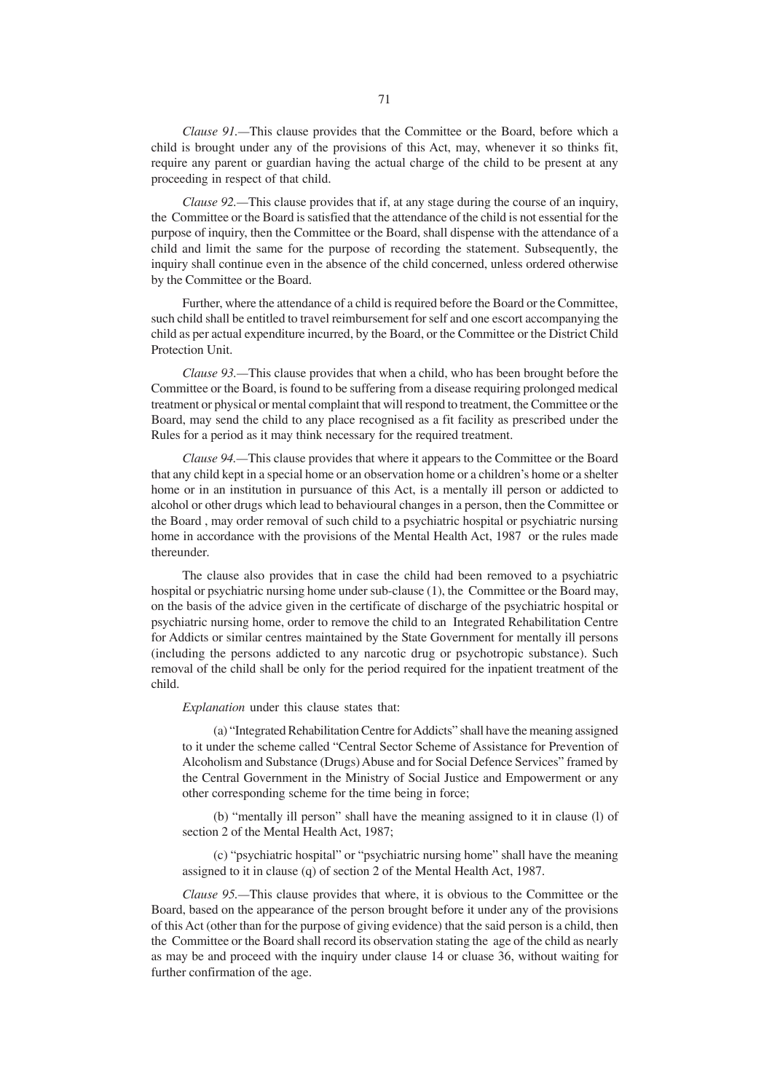*Clause 91.—*This clause provides that the Committee or the Board, before which a child is brought under any of the provisions of this Act, may, whenever it so thinks fit, require any parent or guardian having the actual charge of the child to be present at any proceeding in respect of that child.

*Clause 92.—*This clause provides that if, at any stage during the course of an inquiry, the Committee or the Board is satisfied that the attendance of the child is not essential for the purpose of inquiry, then the Committee or the Board, shall dispense with the attendance of a child and limit the same for the purpose of recording the statement. Subsequently, the inquiry shall continue even in the absence of the child concerned, unless ordered otherwise by the Committee or the Board.

Further, where the attendance of a child is required before the Board or the Committee, such child shall be entitled to travel reimbursement for self and one escort accompanying the child as per actual expenditure incurred, by the Board, or the Committee or the District Child Protection Unit.

*Clause 93.—*This clause provides that when a child, who has been brought before the Committee or the Board, is found to be suffering from a disease requiring prolonged medical treatment or physical or mental complaint that will respond to treatment, the Committee or the Board, may send the child to any place recognised as a fit facility as prescribed under the Rules for a period as it may think necessary for the required treatment.

*Clause 94.—*This clause provides that where it appears to the Committee or the Board that any child kept in a special home or an observation home or a children's home or a shelter home or in an institution in pursuance of this Act, is a mentally ill person or addicted to alcohol or other drugs which lead to behavioural changes in a person, then the Committee or the Board , may order removal of such child to a psychiatric hospital or psychiatric nursing home in accordance with the provisions of the Mental Health Act, 1987 or the rules made thereunder.

The clause also provides that in case the child had been removed to a psychiatric hospital or psychiatric nursing home under sub-clause (1), the Committee or the Board may, on the basis of the advice given in the certificate of discharge of the psychiatric hospital or psychiatric nursing home, order to remove the child to an Integrated Rehabilitation Centre for Addicts or similar centres maintained by the State Government for mentally ill persons (including the persons addicted to any narcotic drug or psychotropic substance). Such removal of the child shall be only for the period required for the inpatient treatment of the child.

*Explanation* under this clause states that:

(a) "Integrated Rehabilitation Centre for Addicts" shall have the meaning assigned to it under the scheme called "Central Sector Scheme of Assistance for Prevention of Alcoholism and Substance (Drugs) Abuse and for Social Defence Services" framed by the Central Government in the Ministry of Social Justice and Empowerment or any other corresponding scheme for the time being in force;

(b) "mentally ill person" shall have the meaning assigned to it in clause (l) of section 2 of the Mental Health Act, 1987;

(c) "psychiatric hospital" or "psychiatric nursing home" shall have the meaning assigned to it in clause (q) of section 2 of the Mental Health Act, 1987.

*Clause 95.—*This clause provides that where, it is obvious to the Committee or the Board, based on the appearance of the person brought before it under any of the provisions of this Act (other than for the purpose of giving evidence) that the said person is a child, then the Committee or the Board shall record its observation stating the age of the child as nearly as may be and proceed with the inquiry under clause 14 or cluase 36, without waiting for further confirmation of the age.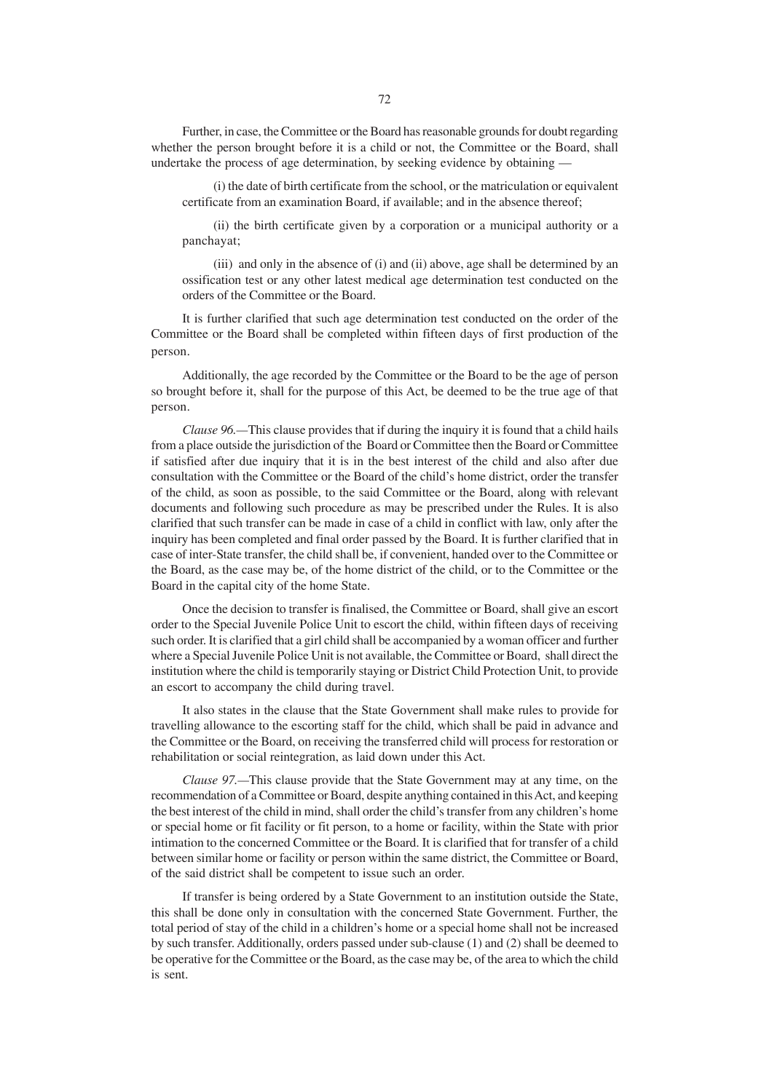Further, in case, the Committee or the Board has reasonable grounds for doubt regarding whether the person brought before it is a child or not, the Committee or the Board, shall undertake the process of age determination, by seeking evidence by obtaining —

(i) the date of birth certificate from the school, or the matriculation or equivalent certificate from an examination Board, if available; and in the absence thereof;

(ii) the birth certificate given by a corporation or a municipal authority or a panchayat;

(iii) and only in the absence of (i) and (ii) above, age shall be determined by an ossification test or any other latest medical age determination test conducted on the orders of the Committee or the Board.

It is further clarified that such age determination test conducted on the order of the Committee or the Board shall be completed within fifteen days of first production of the person.

Additionally, the age recorded by the Committee or the Board to be the age of person so brought before it, shall for the purpose of this Act, be deemed to be the true age of that person.

*Clause 96.—*This clause provides that if during the inquiry it is found that a child hails from a place outside the jurisdiction of the Board or Committee then the Board or Committee if satisfied after due inquiry that it is in the best interest of the child and also after due consultation with the Committee or the Board of the child's home district, order the transfer of the child, as soon as possible, to the said Committee or the Board, along with relevant documents and following such procedure as may be prescribed under the Rules. It is also clarified that such transfer can be made in case of a child in conflict with law, only after the inquiry has been completed and final order passed by the Board. It is further clarified that in case of inter-State transfer, the child shall be, if convenient, handed over to the Committee or the Board, as the case may be, of the home district of the child, or to the Committee or the Board in the capital city of the home State.

Once the decision to transfer is finalised, the Committee or Board, shall give an escort order to the Special Juvenile Police Unit to escort the child, within fifteen days of receiving such order. It is clarified that a girl child shall be accompanied by a woman officer and further where a Special Juvenile Police Unit is not available, the Committee or Board, shall direct the institution where the child is temporarily staying or District Child Protection Unit, to provide an escort to accompany the child during travel.

It also states in the clause that the State Government shall make rules to provide for travelling allowance to the escorting staff for the child, which shall be paid in advance and the Committee or the Board, on receiving the transferred child will process for restoration or rehabilitation or social reintegration, as laid down under this Act.

*Clause 97.—*This clause provide that the State Government may at any time, on the recommendation of a Committee or Board, despite anything contained in this Act, and keeping the best interest of the child in mind, shall order the child's transfer from any children's home or special home or fit facility or fit person, to a home or facility, within the State with prior intimation to the concerned Committee or the Board. It is clarified that for transfer of a child between similar home or facility or person within the same district, the Committee or Board, of the said district shall be competent to issue such an order.

If transfer is being ordered by a State Government to an institution outside the State, this shall be done only in consultation with the concerned State Government. Further, the total period of stay of the child in a children's home or a special home shall not be increased by such transfer. Additionally, orders passed under sub-clause (1) and (2) shall be deemed to be operative for the Committee or the Board, as the case may be, of the area to which the child is sent.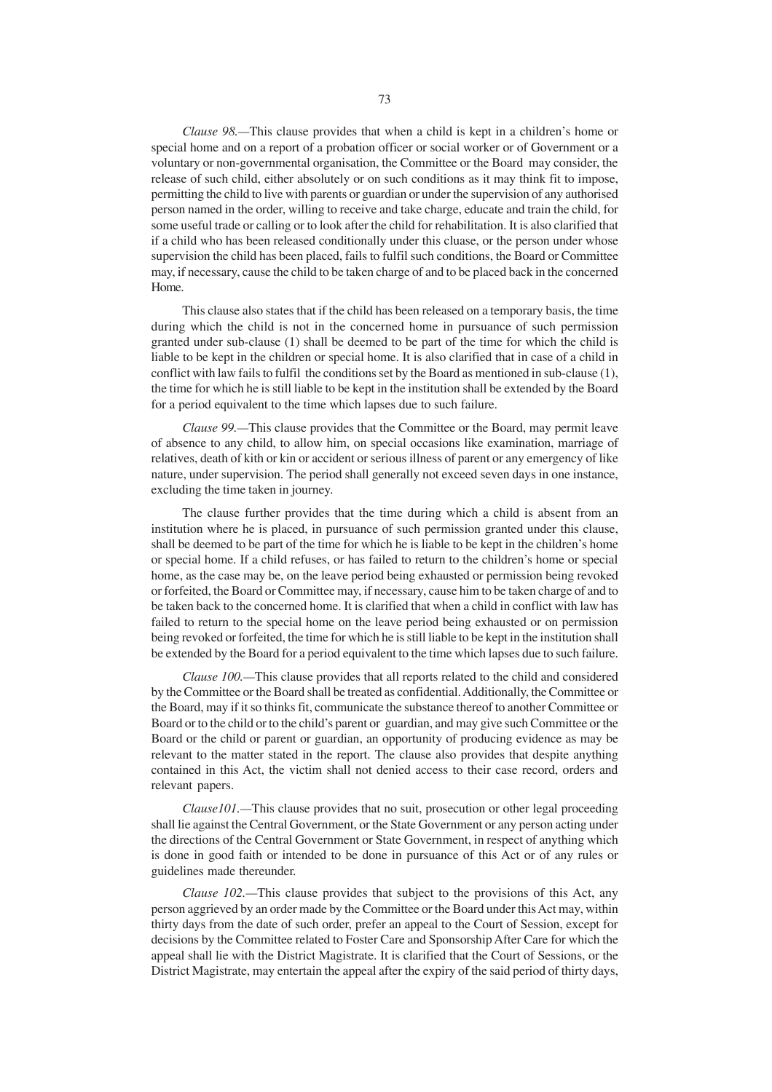*Clause 98.—*This clause provides that when a child is kept in a children's home or special home and on a report of a probation officer or social worker or of Government or a voluntary or non-governmental organisation, the Committee or the Board may consider, the release of such child, either absolutely or on such conditions as it may think fit to impose, permitting the child to live with parents or guardian or under the supervision of any authorised person named in the order, willing to receive and take charge, educate and train the child, for some useful trade or calling or to look after the child for rehabilitation. It is also clarified that if a child who has been released conditionally under this cluase, or the person under whose supervision the child has been placed, fails to fulfil such conditions, the Board or Committee may, if necessary, cause the child to be taken charge of and to be placed back in the concerned Home.

This clause also states that if the child has been released on a temporary basis, the time during which the child is not in the concerned home in pursuance of such permission granted under sub-clause (1) shall be deemed to be part of the time for which the child is liable to be kept in the children or special home. It is also clarified that in case of a child in conflict with law fails to fulfil the conditions set by the Board as mentioned in sub-clause (1), the time for which he is still liable to be kept in the institution shall be extended by the Board for a period equivalent to the time which lapses due to such failure.

*Clause 99.—*This clause provides that the Committee or the Board, may permit leave of absence to any child, to allow him, on special occasions like examination, marriage of relatives, death of kith or kin or accident or serious illness of parent or any emergency of like nature, under supervision. The period shall generally not exceed seven days in one instance, excluding the time taken in journey.

The clause further provides that the time during which a child is absent from an institution where he is placed, in pursuance of such permission granted under this clause, shall be deemed to be part of the time for which he is liable to be kept in the children's home or special home. If a child refuses, or has failed to return to the children's home or special home, as the case may be, on the leave period being exhausted or permission being revoked or forfeited, the Board or Committee may, if necessary, cause him to be taken charge of and to be taken back to the concerned home. It is clarified that when a child in conflict with law has failed to return to the special home on the leave period being exhausted or on permission being revoked or forfeited, the time for which he is still liable to be kept in the institution shall be extended by the Board for a period equivalent to the time which lapses due to such failure.

*Clause 100.—*This clause provides that all reports related to the child and considered by the Committee or the Board shall be treated as confidential. Additionally, the Committee or the Board, may if it so thinks fit, communicate the substance thereof to another Committee or Board or to the child or to the child's parent or guardian, and may give such Committee or the Board or the child or parent or guardian, an opportunity of producing evidence as may be relevant to the matter stated in the report. The clause also provides that despite anything contained in this Act, the victim shall not denied access to their case record, orders and relevant papers.

*Clause101.—*This clause provides that no suit, prosecution or other legal proceeding shall lie against the Central Government, or the State Government or any person acting under the directions of the Central Government or State Government, in respect of anything which is done in good faith or intended to be done in pursuance of this Act or of any rules or guidelines made thereunder.

*Clause 102.—*This clause provides that subject to the provisions of this Act, any person aggrieved by an order made by the Committee or the Board under this Act may, within thirty days from the date of such order, prefer an appeal to the Court of Session, except for decisions by the Committee related to Foster Care and Sponsorship After Care for which the appeal shall lie with the District Magistrate. It is clarified that the Court of Sessions, or the District Magistrate, may entertain the appeal after the expiry of the said period of thirty days,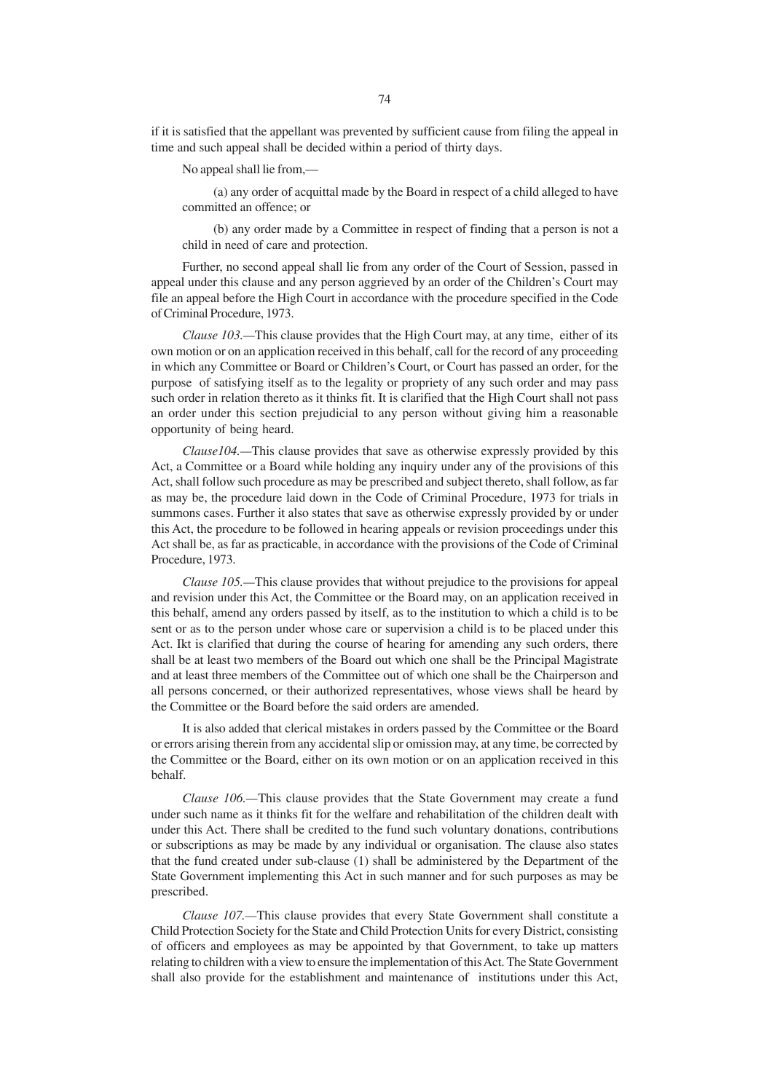if it is satisfied that the appellant was prevented by sufficient cause from filing the appeal in time and such appeal shall be decided within a period of thirty days.

No appeal shall lie from,—

(a) any order of acquittal made by the Board in respect of a child alleged to have committed an offence; or

(b) any order made by a Committee in respect of finding that a person is not a child in need of care and protection.

Further, no second appeal shall lie from any order of the Court of Session, passed in appeal under this clause and any person aggrieved by an order of the Children's Court may file an appeal before the High Court in accordance with the procedure specified in the Code of Criminal Procedure, 1973.

*Clause 103.—*This clause provides that the High Court may, at any time, either of its own motion or on an application received in this behalf, call for the record of any proceeding in which any Committee or Board or Children's Court, or Court has passed an order, for the purpose of satisfying itself as to the legality or propriety of any such order and may pass such order in relation thereto as it thinks fit. It is clarified that the High Court shall not pass an order under this section prejudicial to any person without giving him a reasonable opportunity of being heard.

*Clause104.—*This clause provides that save as otherwise expressly provided by this Act, a Committee or a Board while holding any inquiry under any of the provisions of this Act, shall follow such procedure as may be prescribed and subject thereto, shall follow, as far as may be, the procedure laid down in the Code of Criminal Procedure, 1973 for trials in summons cases. Further it also states that save as otherwise expressly provided by or under this Act, the procedure to be followed in hearing appeals or revision proceedings under this Act shall be, as far as practicable, in accordance with the provisions of the Code of Criminal Procedure, 1973.

*Clause 105.—*This clause provides that without prejudice to the provisions for appeal and revision under this Act, the Committee or the Board may, on an application received in this behalf, amend any orders passed by itself, as to the institution to which a child is to be sent or as to the person under whose care or supervision a child is to be placed under this Act. Ikt is clarified that during the course of hearing for amending any such orders, there shall be at least two members of the Board out which one shall be the Principal Magistrate and at least three members of the Committee out of which one shall be the Chairperson and all persons concerned, or their authorized representatives, whose views shall be heard by the Committee or the Board before the said orders are amended.

It is also added that clerical mistakes in orders passed by the Committee or the Board or errors arising therein from any accidental slip or omission may, at any time, be corrected by the Committee or the Board, either on its own motion or on an application received in this behalf.

*Clause 106.—*This clause provides that the State Government may create a fund under such name as it thinks fit for the welfare and rehabilitation of the children dealt with under this Act. There shall be credited to the fund such voluntary donations, contributions or subscriptions as may be made by any individual or organisation. The clause also states that the fund created under sub-clause (1) shall be administered by the Department of the State Government implementing this Act in such manner and for such purposes as may be prescribed.

*Clause 107.—*This clause provides that every State Government shall constitute a Child Protection Society for the State and Child Protection Units for every District, consisting of officers and employees as may be appointed by that Government, to take up matters relating to children with a view to ensure the implementation of this Act. The State Government shall also provide for the establishment and maintenance of institutions under this Act,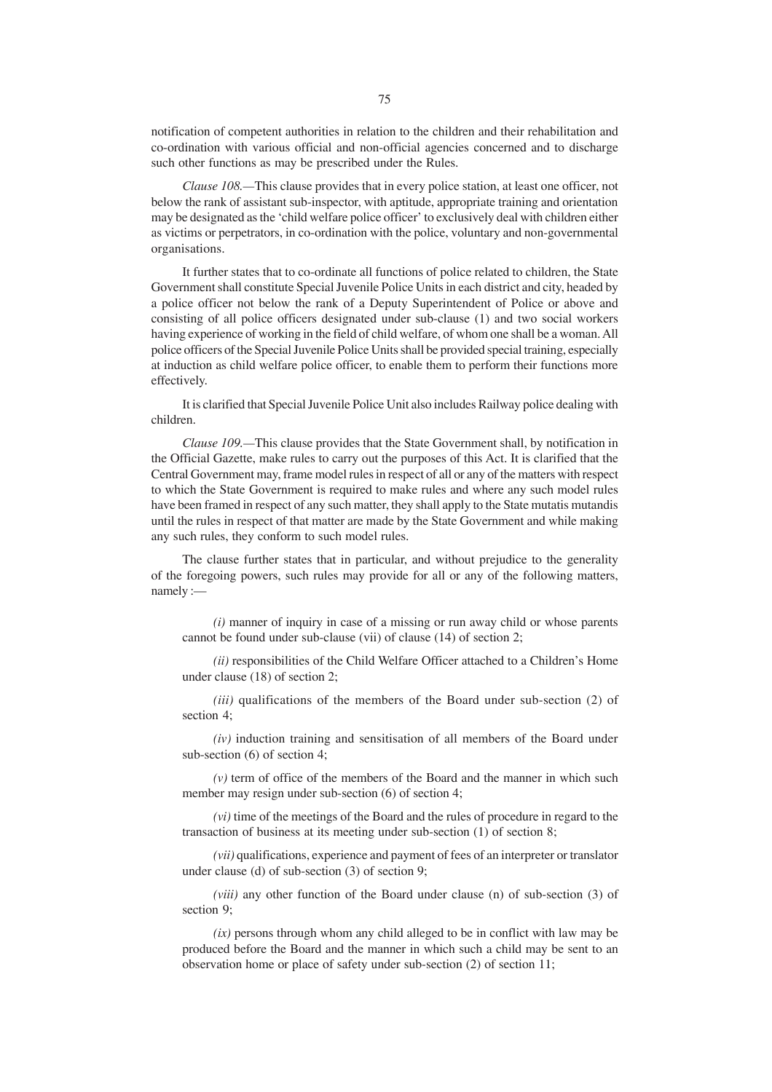notification of competent authorities in relation to the children and their rehabilitation and co-ordination with various official and non-official agencies concerned and to discharge such other functions as may be prescribed under the Rules.

*Clause 108.—*This clause provides that in every police station, at least one officer, not below the rank of assistant sub-inspector, with aptitude, appropriate training and orientation may be designated as the 'child welfare police officer' to exclusively deal with children either as victims or perpetrators, in co-ordination with the police, voluntary and non-governmental organisations.

It further states that to co-ordinate all functions of police related to children, the State Government shall constitute Special Juvenile Police Units in each district and city, headed by a police officer not below the rank of a Deputy Superintendent of Police or above and consisting of all police officers designated under sub-clause (1) and two social workers having experience of working in the field of child welfare, of whom one shall be a woman. All police officers of the Special Juvenile Police Units shall be provided special training, especially at induction as child welfare police officer, to enable them to perform their functions more effectively.

It is clarified that Special Juvenile Police Unit also includes Railway police dealing with children.

*Clause 109.—*This clause provides that the State Government shall, by notification in the Official Gazette, make rules to carry out the purposes of this Act. It is clarified that the Central Government may, frame model rules in respect of all or any of the matters with respect to which the State Government is required to make rules and where any such model rules have been framed in respect of any such matter, they shall apply to the State mutatis mutandis until the rules in respect of that matter are made by the State Government and while making any such rules, they conform to such model rules.

The clause further states that in particular, and without prejudice to the generality of the foregoing powers, such rules may provide for all or any of the following matters, namely :—

*(i)* manner of inquiry in case of a missing or run away child or whose parents cannot be found under sub-clause (vii) of clause (14) of section 2;

*(ii)* responsibilities of the Child Welfare Officer attached to a Children's Home under clause (18) of section 2;

*(iii)* qualifications of the members of the Board under sub-section (2) of section 4;

*(iv)* induction training and sensitisation of all members of the Board under sub-section (6) of section 4;

*(v)* term of office of the members of the Board and the manner in which such member may resign under sub-section (6) of section 4;

*(vi)* time of the meetings of the Board and the rules of procedure in regard to the transaction of business at its meeting under sub-section (1) of section 8;

*(vii)* qualifications, experience and payment of fees of an interpreter or translator under clause (d) of sub-section (3) of section 9;

*(viii)* any other function of the Board under clause (n) of sub-section (3) of section 9;

*(ix)* persons through whom any child alleged to be in conflict with law may be produced before the Board and the manner in which such a child may be sent to an observation home or place of safety under sub-section (2) of section 11;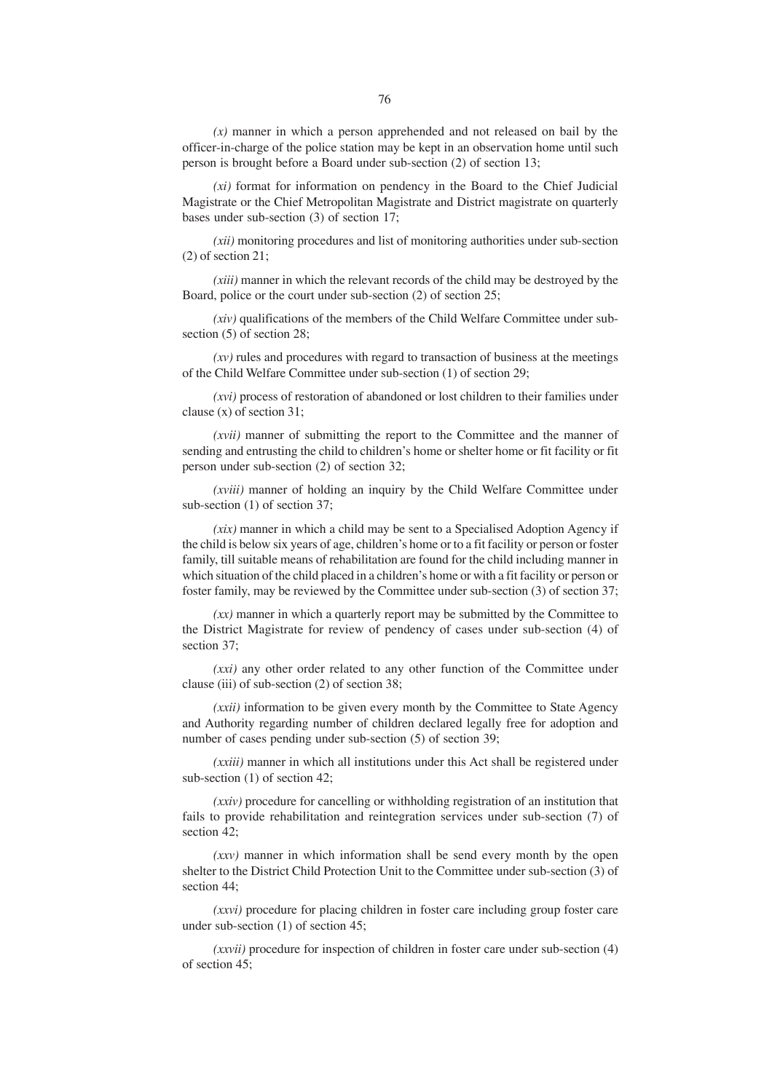*(x)* manner in which a person apprehended and not released on bail by the officer-in-charge of the police station may be kept in an observation home until such person is brought before a Board under sub-section (2) of section 13;

*(xi)* format for information on pendency in the Board to the Chief Judicial Magistrate or the Chief Metropolitan Magistrate and District magistrate on quarterly bases under sub-section (3) of section 17;

*(xii)* monitoring procedures and list of monitoring authorities under sub-section (2) of section 21;

*(xiii)* manner in which the relevant records of the child may be destroyed by the Board, police or the court under sub-section (2) of section 25;

*(xiv)* qualifications of the members of the Child Welfare Committee under subsection (5) of section 28;

*(xv)* rules and procedures with regard to transaction of business at the meetings of the Child Welfare Committee under sub-section (1) of section 29;

*(xvi)* process of restoration of abandoned or lost children to their families under clause (x) of section 31;

*(xvii)* manner of submitting the report to the Committee and the manner of sending and entrusting the child to children's home or shelter home or fit facility or fit person under sub-section (2) of section 32;

*(xviii)* manner of holding an inquiry by the Child Welfare Committee under sub-section (1) of section 37;

*(xix)* manner in which a child may be sent to a Specialised Adoption Agency if the child is below six years of age, children's home or to a fit facility or person or foster family, till suitable means of rehabilitation are found for the child including manner in which situation of the child placed in a children's home or with a fit facility or person or foster family, may be reviewed by the Committee under sub-section (3) of section 37;

*(xx)* manner in which a quarterly report may be submitted by the Committee to the District Magistrate for review of pendency of cases under sub-section (4) of section 37;

*(xxi)* any other order related to any other function of the Committee under clause (iii) of sub-section (2) of section 38;

*(xxii)* information to be given every month by the Committee to State Agency and Authority regarding number of children declared legally free for adoption and number of cases pending under sub-section (5) of section 39;

*(xxiii)* manner in which all institutions under this Act shall be registered under sub-section (1) of section 42;

*(xxiv)* procedure for cancelling or withholding registration of an institution that fails to provide rehabilitation and reintegration services under sub-section (7) of section 42;

*(xxv)* manner in which information shall be send every month by the open shelter to the District Child Protection Unit to the Committee under sub-section (3) of section 44;

*(xxvi)* procedure for placing children in foster care including group foster care under sub-section (1) of section 45;

*(xxvii)* procedure for inspection of children in foster care under sub-section (4) of section 45;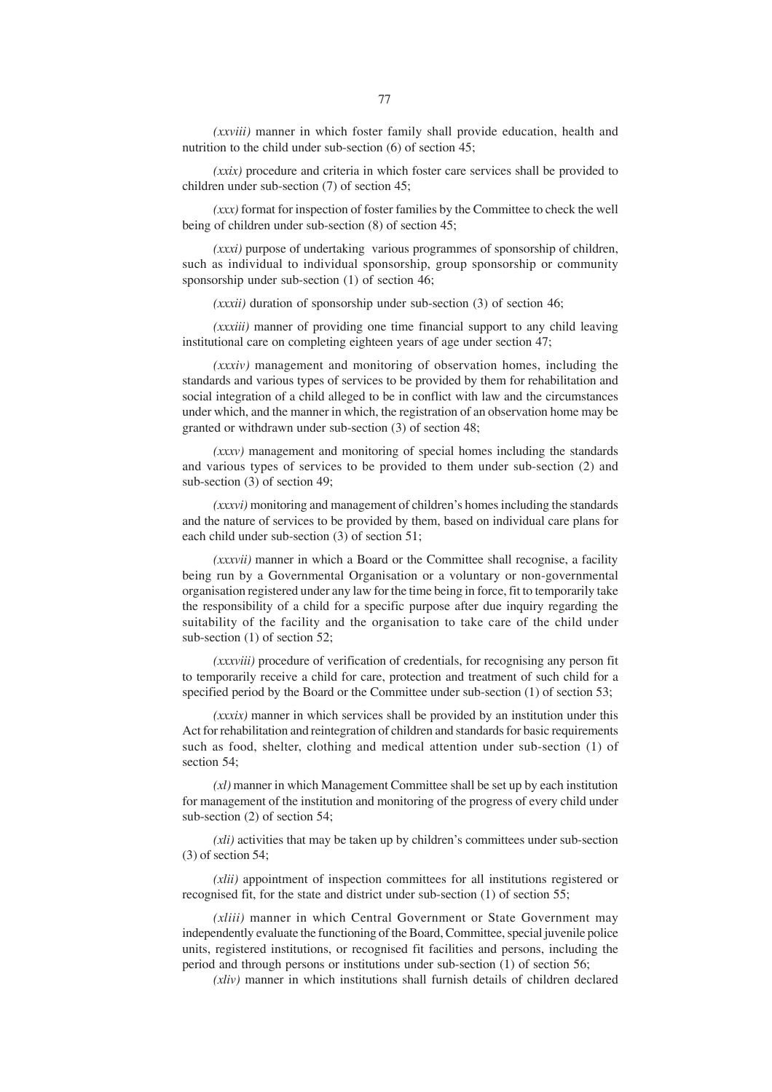*(xxviii)* manner in which foster family shall provide education, health and nutrition to the child under sub-section (6) of section 45;

*(xxix)* procedure and criteria in which foster care services shall be provided to children under sub-section (7) of section 45;

*(xxx)* format for inspection of foster families by the Committee to check the well being of children under sub-section (8) of section 45;

*(xxxi)* purpose of undertaking various programmes of sponsorship of children, such as individual to individual sponsorship, group sponsorship or community sponsorship under sub-section (1) of section 46;

*(xxxii)* duration of sponsorship under sub-section (3) of section 46;

*(xxxiii)* manner of providing one time financial support to any child leaving institutional care on completing eighteen years of age under section 47;

*(xxxiv)* management and monitoring of observation homes, including the standards and various types of services to be provided by them for rehabilitation and social integration of a child alleged to be in conflict with law and the circumstances under which, and the manner in which, the registration of an observation home may be granted or withdrawn under sub-section (3) of section 48;

*(xxxv)* management and monitoring of special homes including the standards and various types of services to be provided to them under sub-section (2) and sub-section (3) of section 49;

*(xxxvi)* monitoring and management of children's homes including the standards and the nature of services to be provided by them, based on individual care plans for each child under sub-section (3) of section 51;

*(xxxvii)* manner in which a Board or the Committee shall recognise, a facility being run by a Governmental Organisation or a voluntary or non-governmental organisation registered under any law for the time being in force, fit to temporarily take the responsibility of a child for a specific purpose after due inquiry regarding the suitability of the facility and the organisation to take care of the child under sub-section (1) of section 52;

*(xxxviii)* procedure of verification of credentials, for recognising any person fit to temporarily receive a child for care, protection and treatment of such child for a specified period by the Board or the Committee under sub-section (1) of section 53;

*(xxxix)* manner in which services shall be provided by an institution under this Act for rehabilitation and reintegration of children and standards for basic requirements such as food, shelter, clothing and medical attention under sub-section (1) of section 54;

*(xl)* manner in which Management Committee shall be set up by each institution for management of the institution and monitoring of the progress of every child under sub-section (2) of section 54;

*(xli)* activities that may be taken up by children's committees under sub-section (3) of section 54;

*(xlii)* appointment of inspection committees for all institutions registered or recognised fit, for the state and district under sub-section (1) of section 55;

*(xliii)* manner in which Central Government or State Government may independently evaluate the functioning of the Board, Committee, special juvenile police units, registered institutions, or recognised fit facilities and persons, including the period and through persons or institutions under sub-section (1) of section 56;

*(xliv)* manner in which institutions shall furnish details of children declared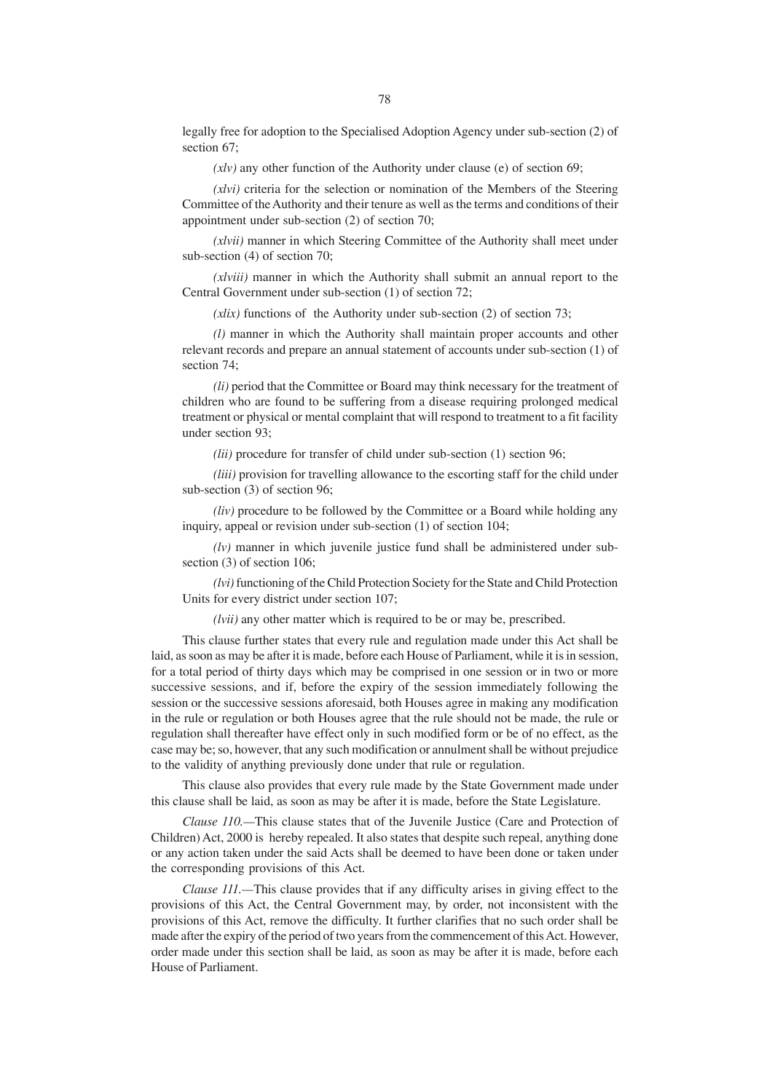legally free for adoption to the Specialised Adoption Agency under sub-section (2) of section 67;

 $(x\ell y)$  any other function of the Authority under clause (e) of section 69;

*(xlvi)* criteria for the selection or nomination of the Members of the Steering Committee of the Authority and their tenure as well as the terms and conditions of their appointment under sub-section (2) of section 70;

*(xlvii)* manner in which Steering Committee of the Authority shall meet under sub-section (4) of section 70;

*(xlviii)* manner in which the Authority shall submit an annual report to the Central Government under sub-section (1) of section 72;

*(xlix)* functions of the Authority under sub-section (2) of section 73;

*(l)* manner in which the Authority shall maintain proper accounts and other relevant records and prepare an annual statement of accounts under sub-section (1) of section 74;

*(li)* period that the Committee or Board may think necessary for the treatment of children who are found to be suffering from a disease requiring prolonged medical treatment or physical or mental complaint that will respond to treatment to a fit facility under section 93;

*(lii)* procedure for transfer of child under sub-section (1) section 96;

*(liii)* provision for travelling allowance to the escorting staff for the child under sub-section (3) of section 96;

*(liv)* procedure to be followed by the Committee or a Board while holding any inquiry, appeal or revision under sub-section (1) of section 104;

*(lv)* manner in which juvenile justice fund shall be administered under subsection (3) of section 106;

*(lvi)* functioning of the Child Protection Society for the State and Child Protection Units for every district under section 107;

*(lvii)* any other matter which is required to be or may be, prescribed.

This clause further states that every rule and regulation made under this Act shall be laid, as soon as may be after it is made, before each House of Parliament, while it is in session, for a total period of thirty days which may be comprised in one session or in two or more successive sessions, and if, before the expiry of the session immediately following the session or the successive sessions aforesaid, both Houses agree in making any modification in the rule or regulation or both Houses agree that the rule should not be made, the rule or regulation shall thereafter have effect only in such modified form or be of no effect, as the case may be; so, however, that any such modification or annulment shall be without prejudice to the validity of anything previously done under that rule or regulation.

This clause also provides that every rule made by the State Government made under this clause shall be laid, as soon as may be after it is made, before the State Legislature.

*Clause 110.—*This clause states that of the Juvenile Justice (Care and Protection of Children) Act, 2000 is hereby repealed. It also states that despite such repeal, anything done or any action taken under the said Acts shall be deemed to have been done or taken under the corresponding provisions of this Act.

*Clause 111.—*This clause provides that if any difficulty arises in giving effect to the provisions of this Act, the Central Government may, by order, not inconsistent with the provisions of this Act, remove the difficulty. It further clarifies that no such order shall be made after the expiry of the period of two years from the commencement of this Act. However, order made under this section shall be laid, as soon as may be after it is made, before each House of Parliament.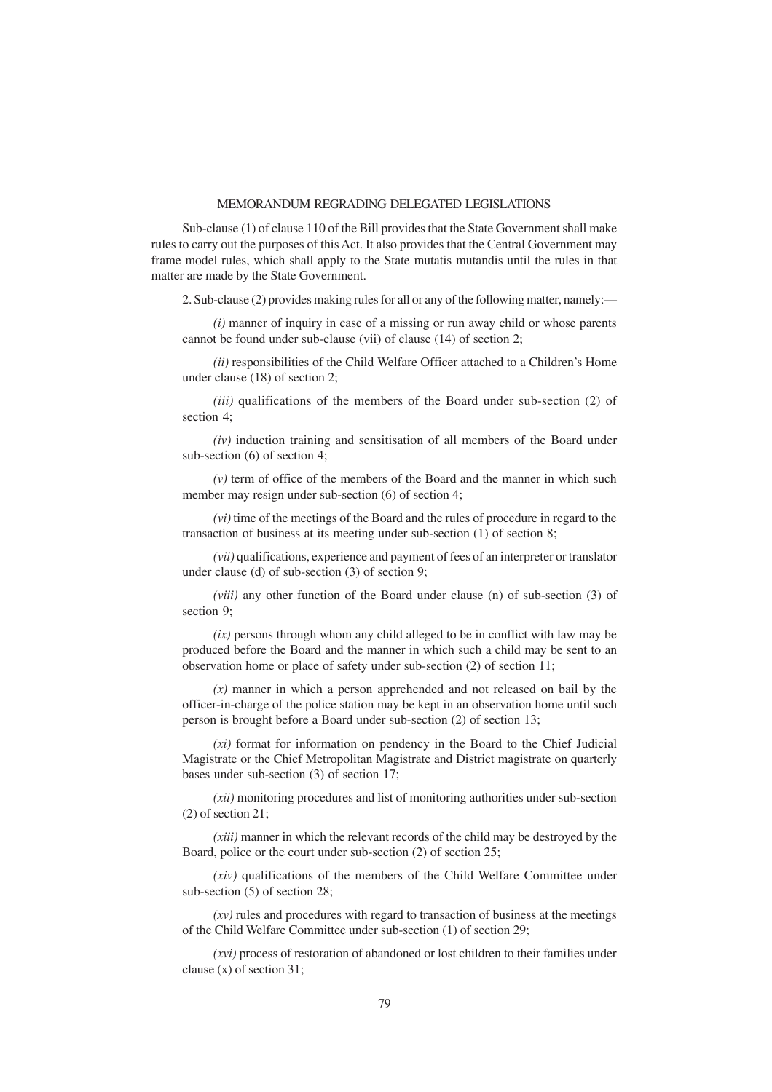## MEMORANDUM REGRADING DELEGATED LEGISLATIONS

Sub-clause (1) of clause 110 of the Bill provides that the State Government shall make rules to carry out the purposes of this Act. It also provides that the Central Government may frame model rules, which shall apply to the State mutatis mutandis until the rules in that matter are made by the State Government.

2. Sub-clause (2) provides making rules for all or any of the following matter, namely:—

*(i)* manner of inquiry in case of a missing or run away child or whose parents cannot be found under sub-clause (vii) of clause (14) of section 2;

*(ii)* responsibilities of the Child Welfare Officer attached to a Children's Home under clause (18) of section 2;

*(iii)* qualifications of the members of the Board under sub-section (2) of section 4;

*(iv)* induction training and sensitisation of all members of the Board under sub-section (6) of section 4;

*(v)* term of office of the members of the Board and the manner in which such member may resign under sub-section  $(6)$  of section 4;

*(vi)* time of the meetings of the Board and the rules of procedure in regard to the transaction of business at its meeting under sub-section (1) of section 8;

*(vii)* qualifications, experience and payment of fees of an interpreter or translator under clause (d) of sub-section (3) of section 9;

*(viii)* any other function of the Board under clause (n) of sub-section (3) of section 9;

*(ix)* persons through whom any child alleged to be in conflict with law may be produced before the Board and the manner in which such a child may be sent to an observation home or place of safety under sub-section (2) of section 11;

*(x)* manner in which a person apprehended and not released on bail by the officer-in-charge of the police station may be kept in an observation home until such person is brought before a Board under sub-section (2) of section 13;

*(xi)* format for information on pendency in the Board to the Chief Judicial Magistrate or the Chief Metropolitan Magistrate and District magistrate on quarterly bases under sub-section (3) of section 17;

*(xii)* monitoring procedures and list of monitoring authorities under sub-section (2) of section 21;

*(xiii)* manner in which the relevant records of the child may be destroyed by the Board, police or the court under sub-section (2) of section 25;

*(xiv)* qualifications of the members of the Child Welfare Committee under sub-section (5) of section 28;

*(xv)* rules and procedures with regard to transaction of business at the meetings of the Child Welfare Committee under sub-section (1) of section 29;

*(xvi)* process of restoration of abandoned or lost children to their families under clause (x) of section 31;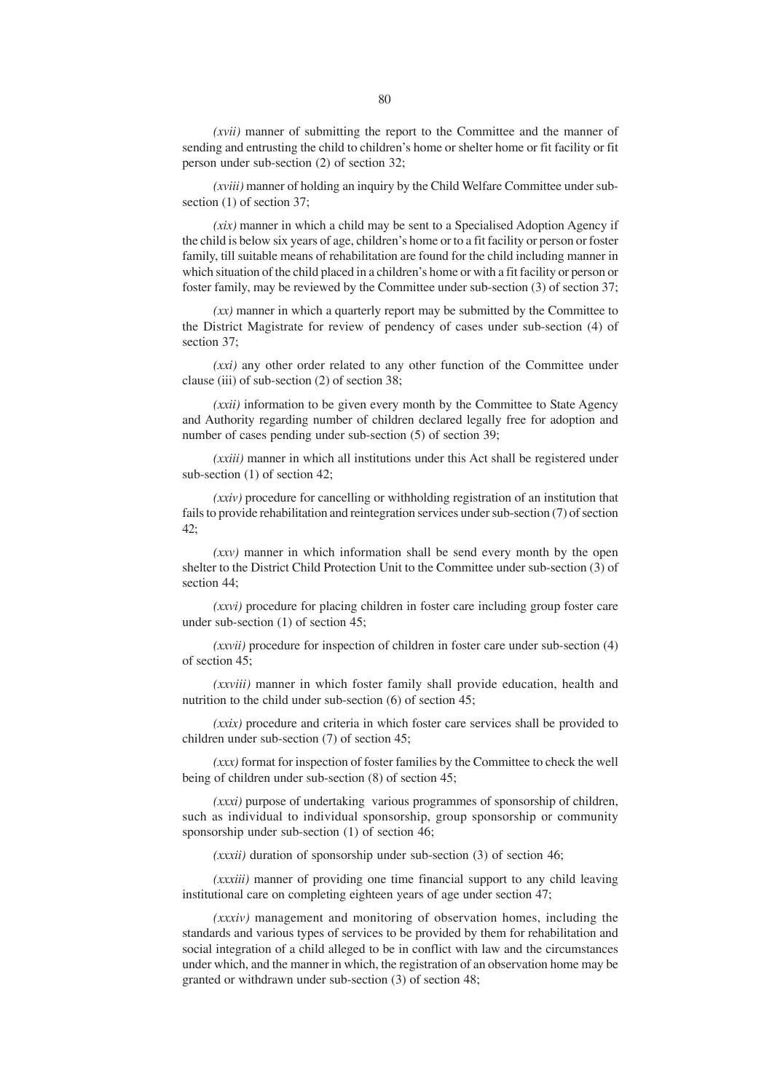*(xvii)* manner of submitting the report to the Committee and the manner of sending and entrusting the child to children's home or shelter home or fit facility or fit person under sub-section (2) of section 32;

*(xviii)* manner of holding an inquiry by the Child Welfare Committee under subsection (1) of section 37;

*(xix)* manner in which a child may be sent to a Specialised Adoption Agency if the child is below six years of age, children's home or to a fit facility or person or foster family, till suitable means of rehabilitation are found for the child including manner in which situation of the child placed in a children's home or with a fit facility or person or foster family, may be reviewed by the Committee under sub-section (3) of section 37;

*(xx)* manner in which a quarterly report may be submitted by the Committee to the District Magistrate for review of pendency of cases under sub-section (4) of section 37;

*(xxi)* any other order related to any other function of the Committee under clause (iii) of sub-section (2) of section 38;

*(xxii)* information to be given every month by the Committee to State Agency and Authority regarding number of children declared legally free for adoption and number of cases pending under sub-section (5) of section 39;

*(xxiii)* manner in which all institutions under this Act shall be registered under sub-section (1) of section 42;

*(xxiv)* procedure for cancelling or withholding registration of an institution that fails to provide rehabilitation and reintegration services under sub-section (7) of section 42;

*(xxv)* manner in which information shall be send every month by the open shelter to the District Child Protection Unit to the Committee under sub-section (3) of section 44;

*(xxvi)* procedure for placing children in foster care including group foster care under sub-section (1) of section 45;

*(xxvii)* procedure for inspection of children in foster care under sub-section (4) of section 45;

*(xxviii)* manner in which foster family shall provide education, health and nutrition to the child under sub-section (6) of section 45;

*(xxix)* procedure and criteria in which foster care services shall be provided to children under sub-section (7) of section 45;

*(xxx)* format for inspection of foster families by the Committee to check the well being of children under sub-section (8) of section 45;

*(xxxi)* purpose of undertaking various programmes of sponsorship of children, such as individual to individual sponsorship, group sponsorship or community sponsorship under sub-section (1) of section 46;

*(xxxii)* duration of sponsorship under sub-section (3) of section 46;

*(xxxiii)* manner of providing one time financial support to any child leaving institutional care on completing eighteen years of age under section 47;

*(xxxiv)* management and monitoring of observation homes, including the standards and various types of services to be provided by them for rehabilitation and social integration of a child alleged to be in conflict with law and the circumstances under which, and the manner in which, the registration of an observation home may be granted or withdrawn under sub-section (3) of section 48;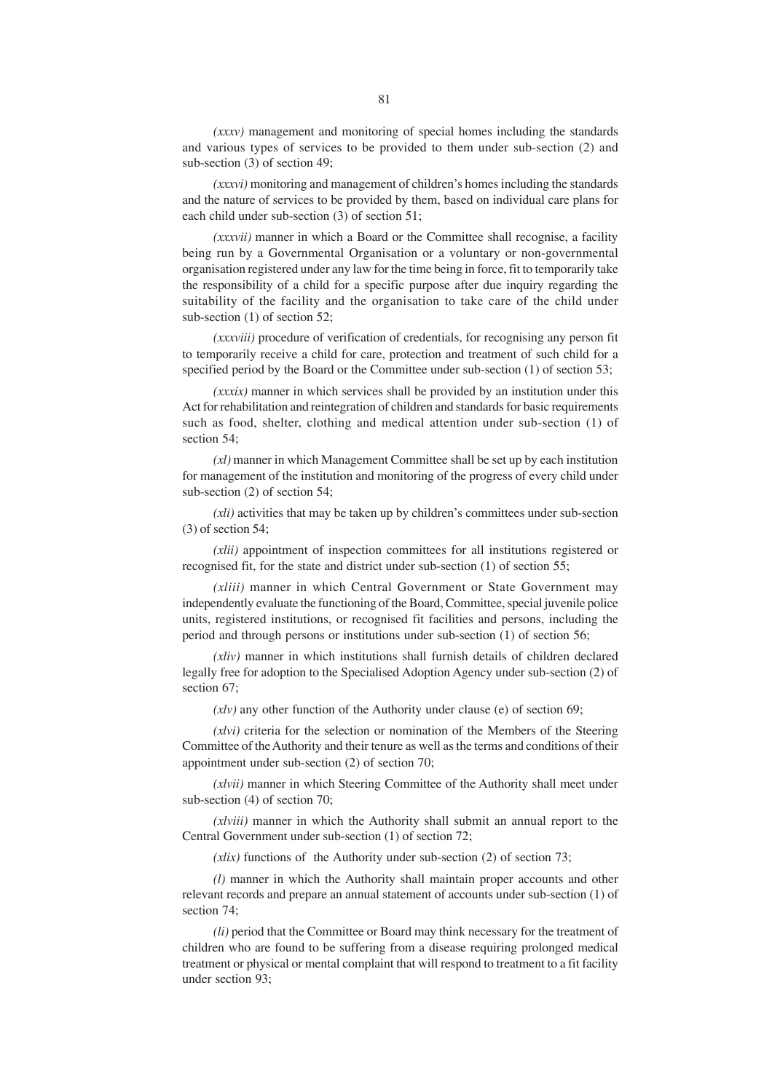*(xxxv)* management and monitoring of special homes including the standards and various types of services to be provided to them under sub-section (2) and sub-section (3) of section 49;

*(xxxvi)* monitoring and management of children's homes including the standards and the nature of services to be provided by them, based on individual care plans for each child under sub-section (3) of section 51;

*(xxxvii)* manner in which a Board or the Committee shall recognise, a facility being run by a Governmental Organisation or a voluntary or non-governmental organisation registered under any law for the time being in force, fit to temporarily take the responsibility of a child for a specific purpose after due inquiry regarding the suitability of the facility and the organisation to take care of the child under sub-section (1) of section 52;

*(xxxviii)* procedure of verification of credentials, for recognising any person fit to temporarily receive a child for care, protection and treatment of such child for a specified period by the Board or the Committee under sub-section  $(1)$  of section 53;

*(xxxix)* manner in which services shall be provided by an institution under this Act for rehabilitation and reintegration of children and standards for basic requirements such as food, shelter, clothing and medical attention under sub-section (1) of section 54;

*(xl)* manner in which Management Committee shall be set up by each institution for management of the institution and monitoring of the progress of every child under sub-section (2) of section 54;

*(xli)* activities that may be taken up by children's committees under sub-section (3) of section 54;

*(xlii)* appointment of inspection committees for all institutions registered or recognised fit, for the state and district under sub-section (1) of section 55;

*(xliii)* manner in which Central Government or State Government may independently evaluate the functioning of the Board, Committee, special juvenile police units, registered institutions, or recognised fit facilities and persons, including the period and through persons or institutions under sub-section (1) of section 56;

*(xliv)* manner in which institutions shall furnish details of children declared legally free for adoption to the Specialised Adoption Agency under sub-section (2) of section 67;

*(xlv)* any other function of the Authority under clause (e) of section 69;

*(xlvi)* criteria for the selection or nomination of the Members of the Steering Committee of the Authority and their tenure as well as the terms and conditions of their appointment under sub-section (2) of section 70;

*(xlvii)* manner in which Steering Committee of the Authority shall meet under sub-section (4) of section 70;

*(xlviii)* manner in which the Authority shall submit an annual report to the Central Government under sub-section (1) of section 72;

*(xlix)* functions of the Authority under sub-section (2) of section 73;

*(l)* manner in which the Authority shall maintain proper accounts and other relevant records and prepare an annual statement of accounts under sub-section (1) of section 74;

*(li)* period that the Committee or Board may think necessary for the treatment of children who are found to be suffering from a disease requiring prolonged medical treatment or physical or mental complaint that will respond to treatment to a fit facility under section 93;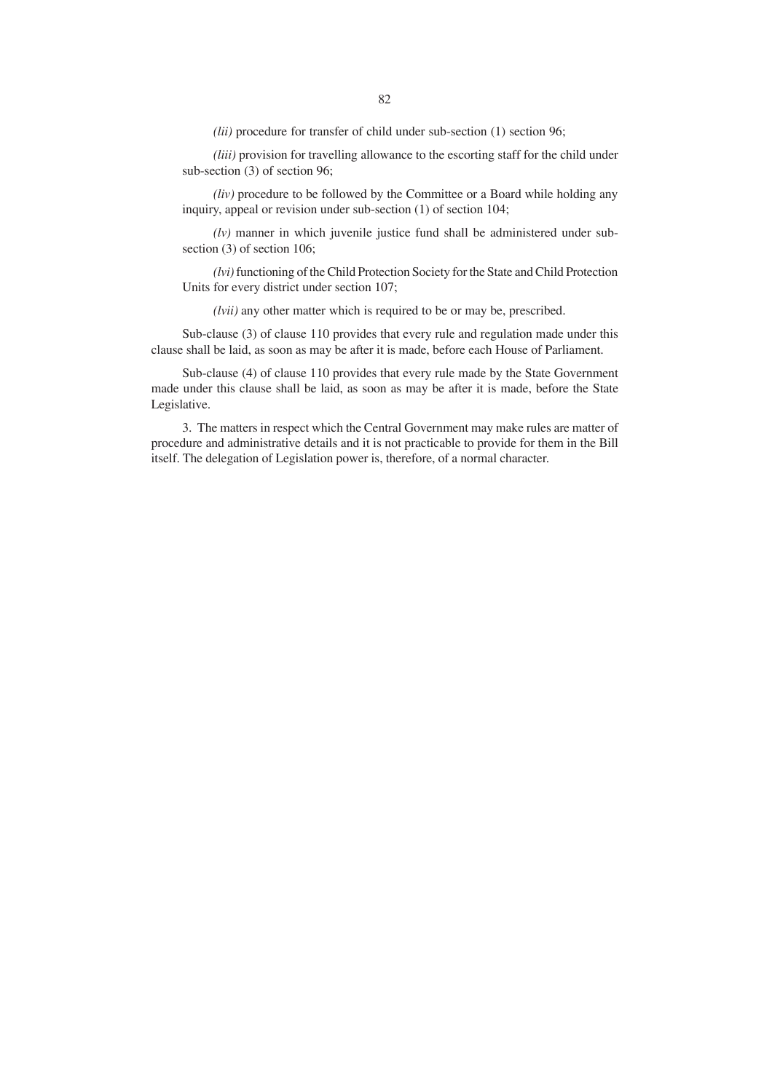*(lii)* procedure for transfer of child under sub-section (1) section 96;

*(liii)* provision for travelling allowance to the escorting staff for the child under sub-section (3) of section 96;

*(liv)* procedure to be followed by the Committee or a Board while holding any inquiry, appeal or revision under sub-section (1) of section 104;

*(lv)* manner in which juvenile justice fund shall be administered under subsection (3) of section 106;

*(lvi)* functioning of the Child Protection Society for the State and Child Protection Units for every district under section 107;

*(lvii)* any other matter which is required to be or may be, prescribed.

Sub-clause (3) of clause 110 provides that every rule and regulation made under this clause shall be laid, as soon as may be after it is made, before each House of Parliament.

Sub-clause (4) of clause 110 provides that every rule made by the State Government made under this clause shall be laid, as soon as may be after it is made, before the State Legislative.

3. The matters in respect which the Central Government may make rules are matter of procedure and administrative details and it is not practicable to provide for them in the Bill itself. The delegation of Legislation power is, therefore, of a normal character.